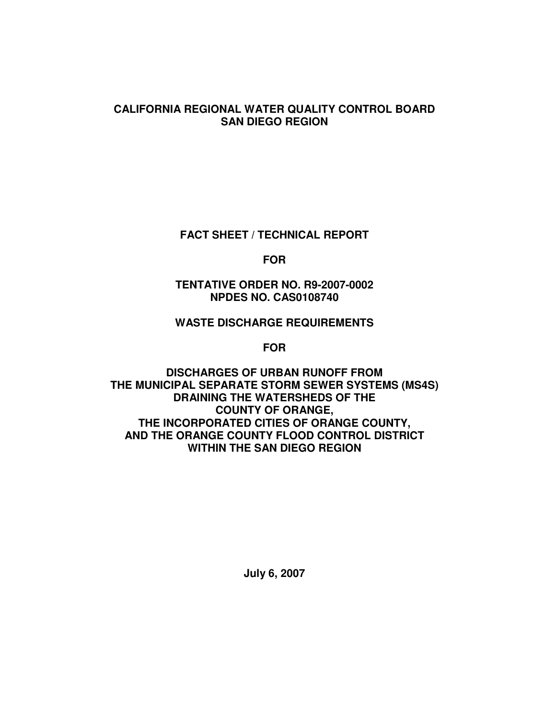#### **CALIFORNIA REGIONAL WATER QUALITY CONTROL BOARD SAN DIEGO REGION**

**FACT SHEET / TECHNICAL REPORT**

**FOR**

**TENTATIVE ORDER NO. R9-2007-0002 NPDES NO. CAS0108740**

### **WASTE DISCHARGE REQUIREMENTS**

**FOR**

**DISCHARGES OF URBAN RUNOFF FROM THE MUNICIPAL SEPARATE STORM SEWER SYSTEMS (MS4S) DRAINING THE WATERSHEDS OF THE COUNTY OF ORANGE, THE INCORPORATED CITIES OF ORANGE COUNTY, AND THE ORANGE COUNTY FLOOD CONTROL DISTRICT WITHIN THE SAN DIEGO REGION**

**July 6, 2007**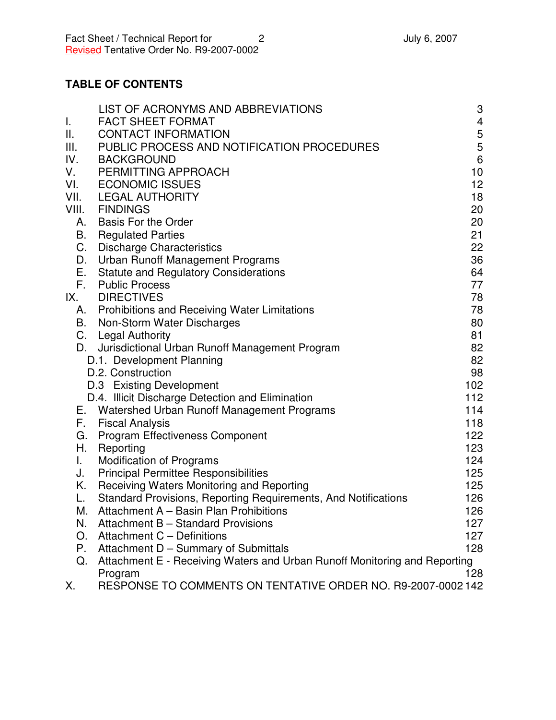# **TABLE OF CONTENTS**

|                           | LIST OF ACRONYMS AND ABBREVIATIONS                                        | 3   |
|---------------------------|---------------------------------------------------------------------------|-----|
| $\mathbf{I}_{\mathbf{r}}$ | <b>FACT SHEET FORMAT</b>                                                  | 4   |
| Ш.                        | <b>CONTACT INFORMATION</b>                                                | 5   |
| III.                      | PUBLIC PROCESS AND NOTIFICATION PROCEDURES                                | 5   |
| IV.                       | <b>BACKGROUND</b>                                                         | 6   |
| V.                        | PERMITTING APPROACH                                                       | 10  |
| VI.                       | <b>ECONOMIC ISSUES</b>                                                    | 12  |
| VII.                      | <b>LEGAL AUTHORITY</b>                                                    | 18  |
| VIII.                     | <b>FINDINGS</b>                                                           | 20  |
| А.                        | <b>Basis For the Order</b>                                                | 20  |
| В.                        | <b>Regulated Parties</b>                                                  | 21  |
| C.                        | <b>Discharge Characteristics</b>                                          | 22  |
| D.                        | <b>Urban Runoff Management Programs</b>                                   | 36  |
| Е.                        | <b>Statute and Regulatory Considerations</b>                              | 64  |
| F.                        | <b>Public Process</b>                                                     | 77  |
| IX.                       | <b>DIRECTIVES</b>                                                         | 78  |
|                           | A. Prohibitions and Receiving Water Limitations                           | 78  |
| В.                        | Non-Storm Water Discharges                                                | 80  |
|                           | C. Legal Authority                                                        | 81  |
| D.                        | Jurisdictional Urban Runoff Management Program                            | 82  |
|                           | D.1. Development Planning                                                 | 82  |
|                           | D.2. Construction                                                         | 98  |
|                           | D.3 Existing Development                                                  | 102 |
|                           | D.4. Illicit Discharge Detection and Elimination                          | 112 |
|                           | E. Watershed Urban Runoff Management Programs                             | 114 |
| F.                        | <b>Fiscal Analysis</b>                                                    | 118 |
| G.                        | <b>Program Effectiveness Component</b>                                    | 122 |
| Η.                        | Reporting                                                                 | 123 |
| I.                        | <b>Modification of Programs</b>                                           | 124 |
| J.                        | <b>Principal Permittee Responsibilities</b>                               | 125 |
| Κ.                        | Receiving Waters Monitoring and Reporting                                 | 125 |
| L.                        | Standard Provisions, Reporting Requirements, And Notifications            | 126 |
| М.                        | Attachment A - Basin Plan Prohibitions                                    | 126 |
| N.                        | Attachment B - Standard Provisions                                        | 127 |
| O.                        | Attachment C - Definitions                                                | 127 |
| Р.                        | Attachment D - Summary of Submittals                                      | 128 |
| Q.                        | Attachment E - Receiving Waters and Urban Runoff Monitoring and Reporting |     |
|                           | Program                                                                   | 128 |
| Х.                        | RESPONSE TO COMMENTS ON TENTATIVE ORDER NO. R9-2007-0002142               |     |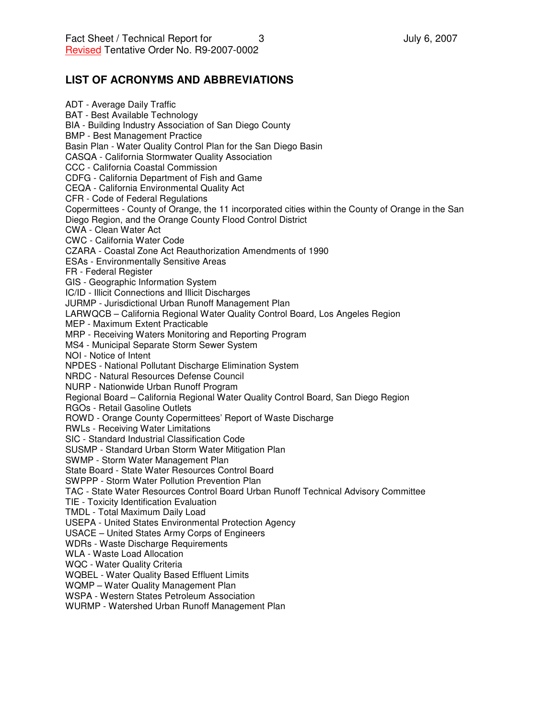#### **LIST OF ACRONYMS AND ABBREVIATIONS**

ADT - Average Daily Traffic BAT - Best Available Technology BIA - Building Industry Association of San Diego County BMP - Best Management Practice Basin Plan - Water Quality Control Plan for the San Diego Basin CASQA - California Stormwater Quality Association CCC - California Coastal Commission CDFG - California Department of Fish and Game CEQA - California Environmental Quality Act CFR - Code of Federal Regulations Copermittees - County of Orange, the 11 incorporated cities within the County of Orange in the San Diego Region, and the Orange County Flood Control District CWA - Clean Water Act CWC - California Water Code CZARA - Coastal Zone Act Reauthorization Amendments of 1990 ESAs - Environmentally Sensitive Areas FR - Federal Register GIS - Geographic Information System IC/ID - Illicit Connections and Illicit Discharges JURMP - Jurisdictional Urban Runoff Management Plan LARWQCB – California Regional Water Quality Control Board, Los Angeles Region MEP - Maximum Extent Practicable MRP - Receiving Waters Monitoring and Reporting Program MS4 - Municipal Separate Storm Sewer System NOI - Notice of Intent NPDES - National Pollutant Discharge Elimination System NRDC - Natural Resources Defense Council NURP - Nationwide Urban Runoff Program Regional Board – California Regional Water Quality Control Board, San Diego Region RGOs - Retail Gasoline Outlets ROWD - Orange County Copermittees' Report of Waste Discharge RWLs - Receiving Water Limitations SIC - Standard Industrial Classification Code SUSMP - Standard Urban Storm Water Mitigation Plan SWMP - Storm Water Management Plan State Board - State Water Resources Control Board SWPPP - Storm Water Pollution Prevention Plan TAC - State Water Resources Control Board Urban Runoff Technical Advisory Committee TIE - Toxicity Identification Evaluation TMDL - Total Maximum Daily Load USEPA - United States Environmental Protection Agency USACE – United States Army Corps of Engineers WDRs - Waste Discharge Requirements WLA - Waste Load Allocation WQC - Water Quality Criteria WQBEL - Water Quality Based Effluent Limits WQMP – Water Quality Management Plan WSPA - Western States Petroleum Association WURMP - Watershed Urban Runoff Management Plan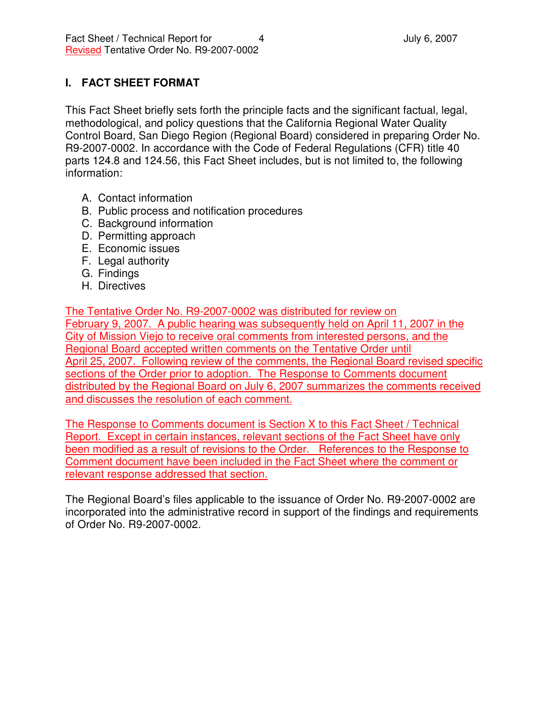## **I. FACT SHEET FORMAT**

This Fact Sheet briefly sets forth the principle facts and the significant factual, legal, methodological, and policy questions that the California Regional Water Quality Control Board, San Diego Region (Regional Board) considered in preparing Order No. R9-2007-0002. In accordance with the Code of Federal Regulations (CFR) title 40 parts 124.8 and 124.56, this Fact Sheet includes, but is not limited to, the following information:

- A. Contact information
- B. Public process and notification procedures
- C. Background information
- D. Permitting approach
- E. Economic issues
- F. Legal authority
- G. Findings
- H. Directives

The Tentative Order No. R9-2007-0002 was distributed for review on February 9, 2007. A public hearing was subsequently held on April 11, 2007 in the City of Mission Viejo to receive oral comments from interested persons, and the Regional Board accepted written comments on the Tentative Order until April 25, 2007. Following review of the comments, the Regional Board revised specific sections of the Order prior to adoption. The Response to Comments document distributed by the Regional Board on July 6, 2007 summarizes the comments received and discusses the resolution of each comment.

The Response to Comments document is Section X to this Fact Sheet / Technical Report. Except in certain instances, relevant sections of the Fact Sheet have only been modified as a result of revisions to the Order. References to the Response to Comment document have been included in the Fact Sheet where the comment or relevant response addressed that section.

The Regional Board's files applicable to the issuance of Order No. R9-2007-0002 are incorporated into the administrative record in support of the findings and requirements of Order No. R9-2007-0002.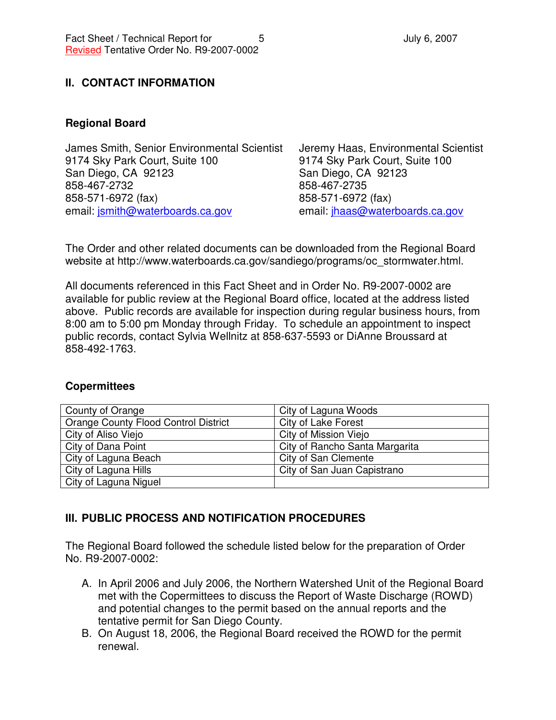### **II. CONTACT INFORMATION**

#### **Regional Board**

James Smith, Senior Environmental Scientist 9174 Sky Park Court, Suite 100 San Diego, CA 92123 858-467-2732 858-571-6972 (fax) email: jsmith@waterboards.ca.gov

Jeremy Haas, Environmental Scientist 9174 Sky Park Court, Suite 100 San Diego, CA 92123 858-467-2735 858-571-6972 (fax) email: jhaas@waterboards.ca.gov

The Order and other related documents can be downloaded from the Regional Board website at http://www.waterboards.ca.gov/sandiego/programs/oc\_stormwater.html.

All documents referenced in this Fact Sheet and in Order No. R9-2007-0002 are available for public review at the Regional Board office, located at the address listed above. Public records are available for inspection during regular business hours, from 8:00 am to 5:00 pm Monday through Friday. To schedule an appointment to inspect public records, contact Sylvia Wellnitz at 858-637-5593 or DiAnne Broussard at 858-492-1763.

#### **Copermittees**

| County of Orange                            | City of Laguna Woods           |
|---------------------------------------------|--------------------------------|
| <b>Orange County Flood Control District</b> | City of Lake Forest            |
| City of Aliso Viejo                         | City of Mission Viejo          |
| City of Dana Point                          | City of Rancho Santa Margarita |
| City of Laguna Beach                        | City of San Clemente           |
| City of Laguna Hills                        | City of San Juan Capistrano    |
| City of Laguna Niguel                       |                                |

### **III. PUBLIC PROCESS AND NOTIFICATION PROCEDURES**

The Regional Board followed the schedule listed below for the preparation of Order No. R9-2007-0002:

- A. In April 2006 and July 2006, the Northern Watershed Unit of the Regional Board met with the Copermittees to discuss the Report of Waste Discharge (ROWD) and potential changes to the permit based on the annual reports and the tentative permit for San Diego County.
- B. On August 18, 2006, the Regional Board received the ROWD for the permit renewal.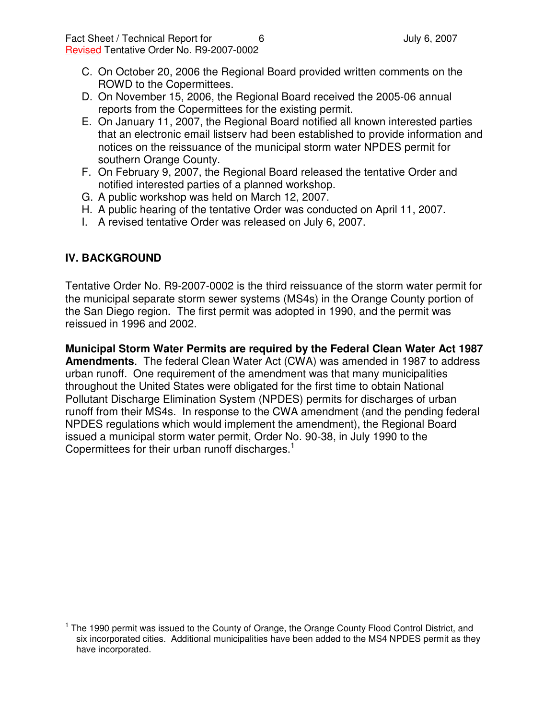- C. On October 20, 2006 the Regional Board provided written comments on the ROWD to the Copermittees.
- D. On November 15, 2006, the Regional Board received the 2005-06 annual reports from the Copermittees for the existing permit.
- E. On January 11, 2007, the Regional Board notified all known interested parties that an electronic email listserv had been established to provide information and notices on the reissuance of the municipal storm water NPDES permit for southern Orange County.
- F. On February 9, 2007, the Regional Board released the tentative Order and notified interested parties of a planned workshop.
- G. A public workshop was held on March 12, 2007.
- H. A public hearing of the tentative Order was conducted on April 11, 2007.
- I. A revised tentative Order was released on July 6, 2007.

### **IV. BACKGROUND**

Tentative Order No. R9-2007-0002 is the third reissuance of the storm water permit for the municipal separate storm sewer systems (MS4s) in the Orange County portion of the San Diego region. The first permit was adopted in 1990, and the permit was reissued in 1996 and 2002.

**Municipal Storm Water Permits are required by the Federal Clean Water Act 1987 Amendments**. The federal Clean Water Act (CWA) was amended in 1987 to address urban runoff. One requirement of the amendment was that many municipalities throughout the United States were obligated for the first time to obtain National Pollutant Discharge Elimination System (NPDES) permits for discharges of urban runoff from their MS4s. In response to the CWA amendment (and the pending federal NPDES regulations which would implement the amendment), the Regional Board issued a municipal storm water permit, Order No. 90-38, in July 1990 to the Copermittees for their urban runoff discharges.<sup>1</sup>

<sup>&</sup>lt;sup>1</sup> The 1990 permit was issued to the County of Orange, the Orange County Flood Control District, and six incorporated cities. Additional municipalities have been added to the MS4 NPDES permit as they have incorporated.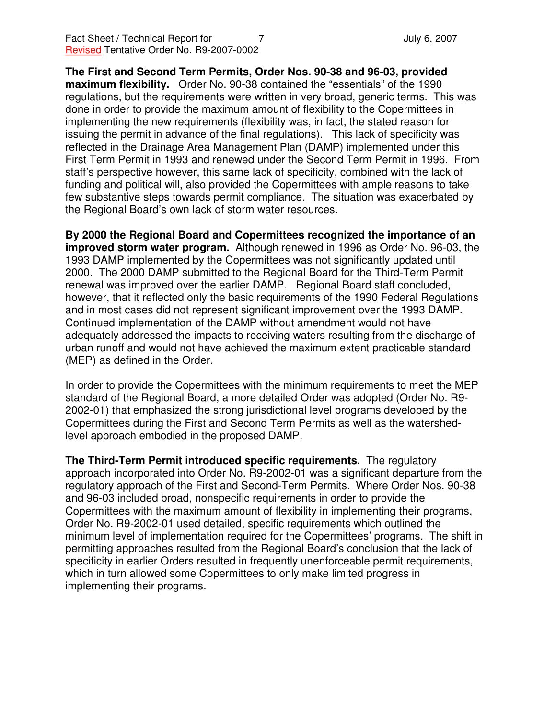**The First and Second Term Permits, Order Nos. 90-38 and 96-03, provided maximum flexibility.** Order No. 90-38 contained the "essentials" of the 1990 regulations, but the requirements were written in very broad, generic terms. This was done in order to provide the maximum amount of flexibility to the Copermittees in implementing the new requirements (flexibility was, in fact, the stated reason for issuing the permit in advance of the final regulations). This lack of specificity was reflected in the Drainage Area Management Plan (DAMP) implemented under this First Term Permit in 1993 and renewed under the Second Term Permit in 1996. From staff's perspective however, this same lack of specificity, combined with the lack of funding and political will, also provided the Copermittees with ample reasons to take few substantive steps towards permit compliance. The situation was exacerbated by the Regional Board's own lack of storm water resources.

**By 2000 the Regional Board and Copermittees recognized the importance of an improved storm water program.** Although renewed in 1996 as Order No. 96-03, the 1993 DAMP implemented by the Copermittees was not significantly updated until 2000. The 2000 DAMP submitted to the Regional Board for the Third-Term Permit renewal was improved over the earlier DAMP. Regional Board staff concluded, however, that it reflected only the basic requirements of the 1990 Federal Regulations and in most cases did not represent significant improvement over the 1993 DAMP. Continued implementation of the DAMP without amendment would not have adequately addressed the impacts to receiving waters resulting from the discharge of urban runoff and would not have achieved the maximum extent practicable standard (MEP) as defined in the Order.

In order to provide the Copermittees with the minimum requirements to meet the MEP standard of the Regional Board, a more detailed Order was adopted (Order No. R9- 2002-01) that emphasized the strong jurisdictional level programs developed by the Copermittees during the First and Second Term Permits as well as the watershedlevel approach embodied in the proposed DAMP.

**The Third-Term Permit introduced specific requirements.** The regulatory approach incorporated into Order No. R9-2002-01 was a significant departure from the regulatory approach of the First and Second-Term Permits. Where Order Nos. 90-38 and 96-03 included broad, nonspecific requirements in order to provide the Copermittees with the maximum amount of flexibility in implementing their programs, Order No. R9-2002-01 used detailed, specific requirements which outlined the minimum level of implementation required for the Copermittees' programs. The shift in permitting approaches resulted from the Regional Board's conclusion that the lack of specificity in earlier Orders resulted in frequently unenforceable permit requirements, which in turn allowed some Copermittees to only make limited progress in implementing their programs.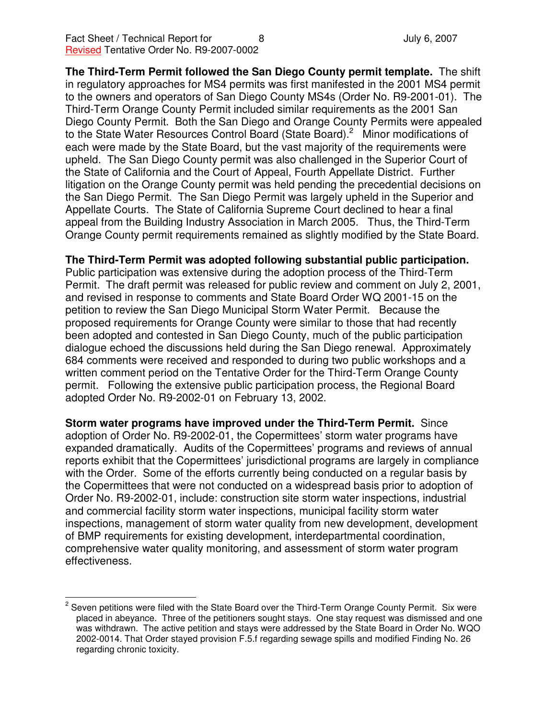**The Third-Term Permit followed the San Diego County permit template.** The shift in regulatory approaches for MS4 permits was first manifested in the 2001 MS4 permit to the owners and operators of San Diego County MS4s (Order No. R9-2001-01). The Third-Term Orange County Permit included similar requirements as the 2001 San Diego County Permit. Both the San Diego and Orange County Permits were appealed to the State Water Resources Control Board (State Board).<sup>2</sup> Minor modifications of each were made by the State Board, but the vast majority of the requirements were upheld. The San Diego County permit was also challenged in the Superior Court of the State of California and the Court of Appeal, Fourth Appellate District. Further litigation on the Orange County permit was held pending the precedential decisions on the San Diego Permit. The San Diego Permit was largely upheld in the Superior and Appellate Courts. The State of California Supreme Court declined to hear a final appeal from the Building Industry Association in March 2005. Thus, the Third-Term Orange County permit requirements remained as slightly modified by the State Board.

**The Third-Term Permit was adopted following substantial public participation.**

Public participation was extensive during the adoption process of the Third-Term Permit. The draft permit was released for public review and comment on July 2, 2001, and revised in response to comments and State Board Order WQ 2001-15 on the petition to review the San Diego Municipal Storm Water Permit. Because the proposed requirements for Orange County were similar to those that had recently been adopted and contested in San Diego County, much of the public participation dialogue echoed the discussions held during the San Diego renewal. Approximately 684 comments were received and responded to during two public workshops and a written comment period on the Tentative Order for the Third-Term Orange County permit. Following the extensive public participation process, the Regional Board adopted Order No. R9-2002-01 on February 13, 2002.

**Storm water programs have improved under the Third-Term Permit.** Since adoption of Order No. R9-2002-01, the Copermittees' storm water programs have expanded dramatically. Audits of the Copermittees' programs and reviews of annual reports exhibit that the Copermittees' jurisdictional programs are largely in compliance with the Order. Some of the efforts currently being conducted on a regular basis by the Copermittees that were not conducted on a widespread basis prior to adoption of Order No. R9-2002-01, include: construction site storm water inspections, industrial and commercial facility storm water inspections, municipal facility storm water inspections, management of storm water quality from new development, development of BMP requirements for existing development, interdepartmental coordination, comprehensive water quality monitoring, and assessment of storm water program effectiveness.

 $2$  Seven petitions were filed with the State Board over the Third-Term Orange County Permit. Six were placed in abeyance. Three of the petitioners sought stays. One stay request was dismissed and one was withdrawn. The active petition and stays were addressed by the State Board in Order No. WQO 2002-0014. That Order stayed provision F.5.f regarding sewage spills and modified Finding No. 26 regarding chronic toxicity.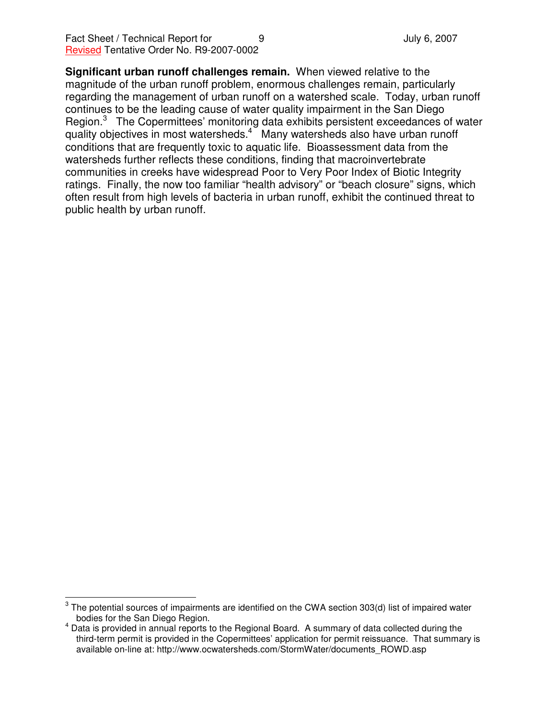**Significant urban runoff challenges remain.** When viewed relative to the magnitude of the urban runoff problem, enormous challenges remain, particularly regarding the management of urban runoff on a watershed scale. Today, urban runoff continues to be the leading cause of water quality impairment in the San Diego Region.<sup>3</sup> The Copermittees' monitoring data exhibits persistent exceedances of water quality objectives in most watersheds.<sup>4</sup> Many watersheds also have urban runoff conditions that are frequently toxic to aquatic life. Bioassessment data from the watersheds further reflects these conditions, finding that macroinvertebrate communities in creeks have widespread Poor to Very Poor Index of Biotic Integrity ratings. Finally, the now too familiar "health advisory" or "beach closure" signs, which often result from high levels of bacteria in urban runoff, exhibit the continued threat to public health by urban runoff.

 $^{\text{3}}$  The potential sources of impairments are identified on the CWA section 303(d) list of impaired water bodies for the San Diego Region.

 $<sup>4</sup>$  Data is provided in annual reports to the Regional Board. A summary of data collected during the</sup> third-term permit is provided in the Copermittees' application for permit reissuance. That summary is available on-line at: http://www.ocwatersheds.com/StormWater/documents\_ROWD.asp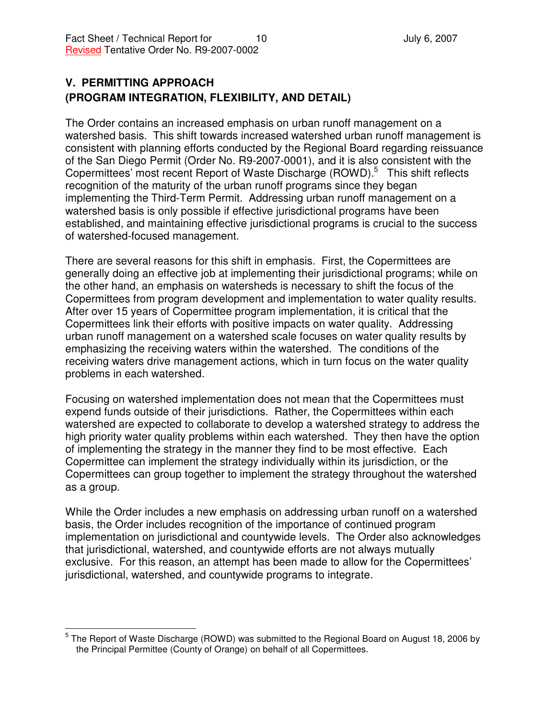### **V. PERMITTING APPROACH (PROGRAM INTEGRATION, FLEXIBILITY, AND DETAIL)**

The Order contains an increased emphasis on urban runoff management on a watershed basis. This shift towards increased watershed urban runoff management is consistent with planning efforts conducted by the Regional Board regarding reissuance of the San Diego Permit (Order No. R9-2007-0001), and it is also consistent with the Copermittees' most recent Report of Waste Discharge (ROWD).<sup>5</sup> This shift reflects recognition of the maturity of the urban runoff programs since they began implementing the Third-Term Permit. Addressing urban runoff management on a watershed basis is only possible if effective jurisdictional programs have been established, and maintaining effective jurisdictional programs is crucial to the success of watershed-focused management.

There are several reasons for this shift in emphasis. First, the Copermittees are generally doing an effective job at implementing their jurisdictional programs; while on the other hand, an emphasis on watersheds is necessary to shift the focus of the Copermittees from program development and implementation to water quality results. After over 15 years of Copermittee program implementation, it is critical that the Copermittees link their efforts with positive impacts on water quality. Addressing urban runoff management on a watershed scale focuses on water quality results by emphasizing the receiving waters within the watershed. The conditions of the receiving waters drive management actions, which in turn focus on the water quality problems in each watershed.

Focusing on watershed implementation does not mean that the Copermittees must expend funds outside of their jurisdictions. Rather, the Copermittees within each watershed are expected to collaborate to develop a watershed strategy to address the high priority water quality problems within each watershed. They then have the option of implementing the strategy in the manner they find to be most effective. Each Copermittee can implement the strategy individually within its jurisdiction, or the Copermittees can group together to implement the strategy throughout the watershed as a group.

While the Order includes a new emphasis on addressing urban runoff on a watershed basis, the Order includes recognition of the importance of continued program implementation on jurisdictional and countywide levels. The Order also acknowledges that jurisdictional, watershed, and countywide efforts are not always mutually exclusive. For this reason, an attempt has been made to allow for the Copermittees' jurisdictional, watershed, and countywide programs to integrate.

<sup>&</sup>lt;sup>5</sup> The Report of Waste Discharge (ROWD) was submitted to the Regional Board on August 18, 2006 by the Principal Permittee (County of Orange) on behalf of all Copermittees.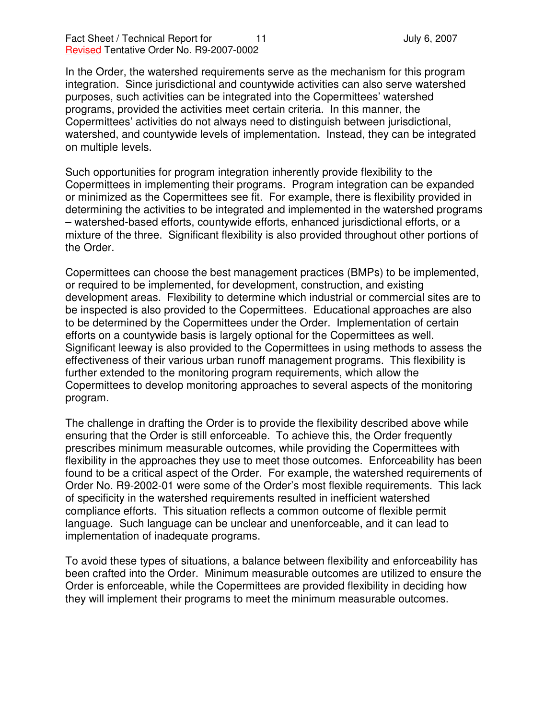In the Order, the watershed requirements serve as the mechanism for this program integration. Since jurisdictional and countywide activities can also serve watershed purposes, such activities can be integrated into the Copermittees' watershed programs, provided the activities meet certain criteria. In this manner, the Copermittees' activities do not always need to distinguish between jurisdictional, watershed, and countywide levels of implementation. Instead, they can be integrated on multiple levels.

Such opportunities for program integration inherently provide flexibility to the Copermittees in implementing their programs. Program integration can be expanded or minimized as the Copermittees see fit. For example, there is flexibility provided in determining the activities to be integrated and implemented in the watershed programs – watershed-based efforts, countywide efforts, enhanced jurisdictional efforts, or a mixture of the three. Significant flexibility is also provided throughout other portions of the Order.

Copermittees can choose the best management practices (BMPs) to be implemented, or required to be implemented, for development, construction, and existing development areas. Flexibility to determine which industrial or commercial sites are to be inspected is also provided to the Copermittees. Educational approaches are also to be determined by the Copermittees under the Order. Implementation of certain efforts on a countywide basis is largely optional for the Copermittees as well. Significant leeway is also provided to the Copermittees in using methods to assess the effectiveness of their various urban runoff management programs. This flexibility is further extended to the monitoring program requirements, which allow the Copermittees to develop monitoring approaches to several aspects of the monitoring program.

The challenge in drafting the Order is to provide the flexibility described above while ensuring that the Order is still enforceable. To achieve this, the Order frequently prescribes minimum measurable outcomes, while providing the Copermittees with flexibility in the approaches they use to meet those outcomes. Enforceability has been found to be a critical aspect of the Order. For example, the watershed requirements of Order No. R9-2002-01 were some of the Order's most flexible requirements. This lack of specificity in the watershed requirements resulted in inefficient watershed compliance efforts. This situation reflects a common outcome of flexible permit language. Such language can be unclear and unenforceable, and it can lead to implementation of inadequate programs.

To avoid these types of situations, a balance between flexibility and enforceability has been crafted into the Order. Minimum measurable outcomes are utilized to ensure the Order is enforceable, while the Copermittees are provided flexibility in deciding how they will implement their programs to meet the minimum measurable outcomes.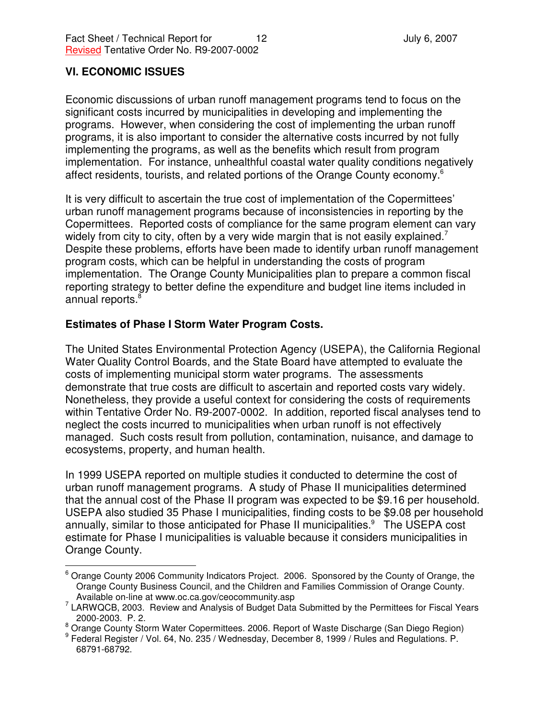### **VI. ECONOMIC ISSUES**

Economic discussions of urban runoff management programs tend to focus on the significant costs incurred by municipalities in developing and implementing the programs. However, when considering the cost of implementing the urban runoff programs, it is also important to consider the alternative costs incurred by not fully implementing the programs, as well as the benefits which result from program implementation. For instance, unhealthful coastal water quality conditions negatively affect residents, tourists, and related portions of the Orange County economy.<sup>6</sup>

It is very difficult to ascertain the true cost of implementation of the Copermittees' urban runoff management programs because of inconsistencies in reporting by the Copermittees. Reported costs of compliance for the same program element can vary widely from city to city, often by a very wide margin that is not easily explained.<sup>7</sup> Despite these problems, efforts have been made to identify urban runoff management program costs, which can be helpful in understanding the costs of program implementation. The Orange County Municipalities plan to prepare a common fiscal reporting strategy to better define the expenditure and budget line items included in annual reports. 8

### **Estimates of Phase I Storm Water Program Costs.**

The United States Environmental Protection Agency (USEPA), the California Regional Water Quality Control Boards, and the State Board have attempted to evaluate the costs of implementing municipal storm water programs. The assessments demonstrate that true costs are difficult to ascertain and reported costs vary widely. Nonetheless, they provide a useful context for considering the costs of requirements within Tentative Order No. R9-2007-0002. In addition, reported fiscal analyses tend to neglect the costs incurred to municipalities when urban runoff is not effectively managed. Such costs result from pollution, contamination, nuisance, and damage to ecosystems, property, and human health.

In 1999 USEPA reported on multiple studies it conducted to determine the cost of urban runoff management programs. A study of Phase II municipalities determined that the annual cost of the Phase II program was expected to be \$9.16 per household. USEPA also studied 35 Phase I municipalities, finding costs to be \$9.08 per household annually, similar to those anticipated for Phase II municipalities.<sup>9</sup> The USEPA cost estimate for Phase I municipalities is valuable because it considers municipalities in Orange County.

<sup>&</sup>lt;sup>6</sup> Orange County 2006 Community Indicators Project. 2006. Sponsored by the County of Orange, the Orange County Business Council, and the Children and Families Commission of Orange County. Available on-line at www.oc.ca.gov/ceocommunity.asp

<sup>&</sup>lt;sup>7</sup> LARWQCB, 2003. Review and Analysis of Budget Data Submitted by the Permittees for Fiscal Years 2000-2003. P. 2.

<sup>&</sup>lt;sup>8</sup> Orange County Storm Water Copermittees. 2006. Report of Waste Discharge (San Diego Region)

<sup>9</sup> Federal Register / Vol. 64, No. 235 / Wednesday, December 8, 1999 / Rules and Regulations. P. 68791-68792.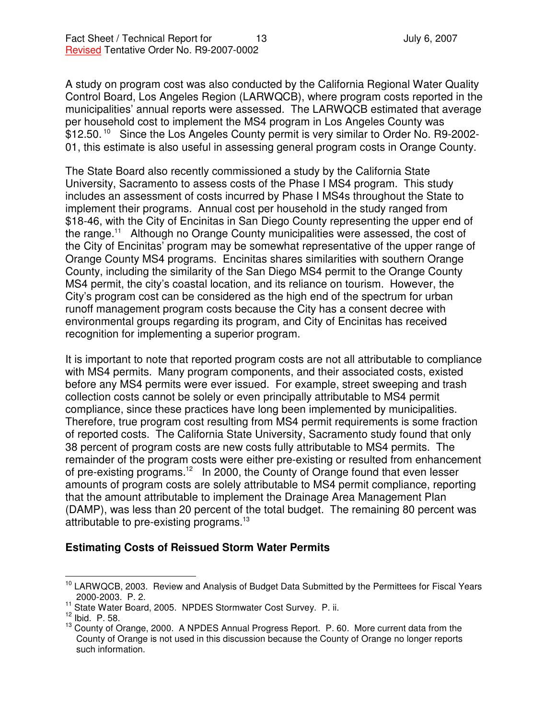A study on program cost was also conducted by the California Regional Water Quality Control Board, Los Angeles Region (LARWQCB), where program costs reported in the municipalities' annual reports were assessed. The LARWQCB estimated that average per household cost to implement the MS4 program in Los Angeles County was \$12.50.<sup>10</sup> Since the Los Angeles County permit is very similar to Order No. R9-2002-01, this estimate is also useful in assessing general program costs in Orange County.

The State Board also recently commissioned a study by the California State University, Sacramento to assess costs of the Phase I MS4 program. This study includes an assessment of costs incurred by Phase I MS4s throughout the State to implement their programs. Annual cost per household in the study ranged from \$18-46, with the City of Encinitas in San Diego County representing the upper end of the range.<sup>11</sup> Although no Orange County municipalities were assessed, the cost of the City of Encinitas' program may be somewhat representative of the upper range of Orange County MS4 programs. Encinitas shares similarities with southern Orange County, including the similarity of the San Diego MS4 permit to the Orange County MS4 permit, the city's coastal location, and its reliance on tourism. However, the City's program cost can be considered as the high end of the spectrum for urban runoff management program costs because the City has a consent decree with environmental groups regarding its program, and City of Encinitas has received recognition for implementing a superior program.

It is important to note that reported program costs are not all attributable to compliance with MS4 permits. Many program components, and their associated costs, existed before any MS4 permits were ever issued. For example, street sweeping and trash collection costs cannot be solely or even principally attributable to MS4 permit compliance, since these practices have long been implemented by municipalities. Therefore, true program cost resulting from MS4 permit requirements is some fraction of reported costs. The California State University, Sacramento study found that only 38 percent of program costs are new costs fully attributable to MS4 permits. The remainder of the program costs were either pre-existing or resulted from enhancement of pre-existing programs.<sup>12</sup> In 2000, the County of Orange found that even lesser amounts of program costs are solely attributable to MS4 permit compliance, reporting that the amount attributable to implement the Drainage Area Management Plan (DAMP), was less than 20 percent of the total budget. The remaining 80 percent was attributable to pre-existing programs.<sup>13</sup>

#### **Estimating Costs of Reissued Storm Water Permits**

<sup>&</sup>lt;sup>10</sup> LARWQCB, 2003. Review and Analysis of Budget Data Submitted by the Permittees for Fiscal Years 2000-2003. P. 2.

<sup>&</sup>lt;sup>11</sup> State Water Board, 2005. NPDES Stormwater Cost Survey. P. ii.

 $^{12}$  Ibid. P. 58.

<sup>&</sup>lt;sup>13</sup> County of Orange, 2000. A NPDES Annual Progress Report. P. 60. More current data from the County of Orange is not used in this discussion because the County of Orange no longer reports such information.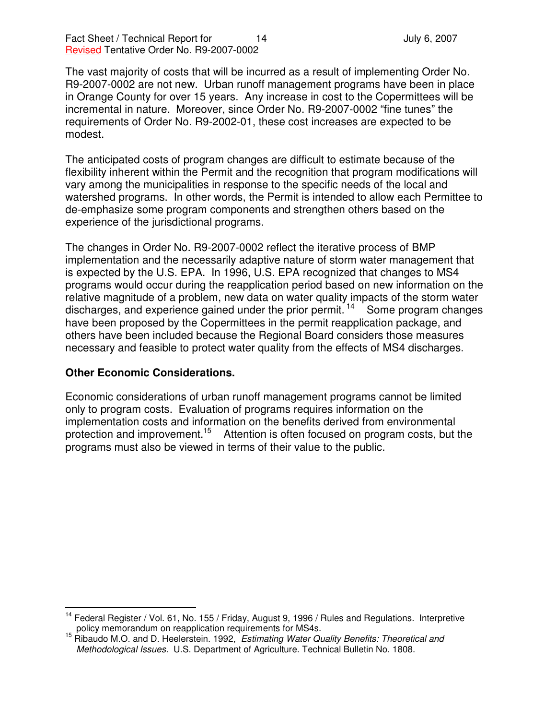The vast majority of costs that will be incurred as a result of implementing Order No. R9-2007-0002 are not new. Urban runoff management programs have been in place in Orange County for over 15 years. Any increase in cost to the Copermittees will be incremental in nature. Moreover, since Order No. R9-2007-0002 "fine tunes" the requirements of Order No. R9-2002-01, these cost increases are expected to be modest.

The anticipated costs of program changes are difficult to estimate because of the flexibility inherent within the Permit and the recognition that program modifications will vary among the municipalities in response to the specific needs of the local and watershed programs. In other words, the Permit is intended to allow each Permittee to de-emphasize some program components and strengthen others based on the experience of the jurisdictional programs.

The changes in Order No. R9-2007-0002 reflect the iterative process of BMP implementation and the necessarily adaptive nature of storm water management that is expected by the U.S. EPA. In 1996, U.S. EPA recognized that changes to MS4 programs would occur during the reapplication period based on new information on the relative magnitude of a problem, new data on water quality impacts of the storm water discharges, and experience gained under the prior permit.<sup>14</sup> Some program changes have been proposed by the Copermittees in the permit reapplication package, and others have been included because the Regional Board considers those measures necessary and feasible to protect water quality from the effects of MS4 discharges.

#### **Other Economic Considerations.**

Economic considerations of urban runoff management programs cannot be limited only to program costs. Evaluation of programs requires information on the implementation costs and information on the benefits derived from environmental protection and improvement.<sup>15</sup> Attention is often focused on program costs, but the programs must also be viewed in terms of their value to the public.

<sup>&</sup>lt;sup>14</sup> Federal Register / Vol. 61, No. 155 / Friday, August 9, 1996 / Rules and Regulations. Interpretive policy memorandum on reapplication requirements for MS4s.

<sup>15</sup> Ribaudo M.O. and D. Heelerstein. 1992, *Estimating Water Quality Benefits: Theoretical and Methodological Issues.* U.S. Department of Agriculture. Technical Bulletin No. 1808.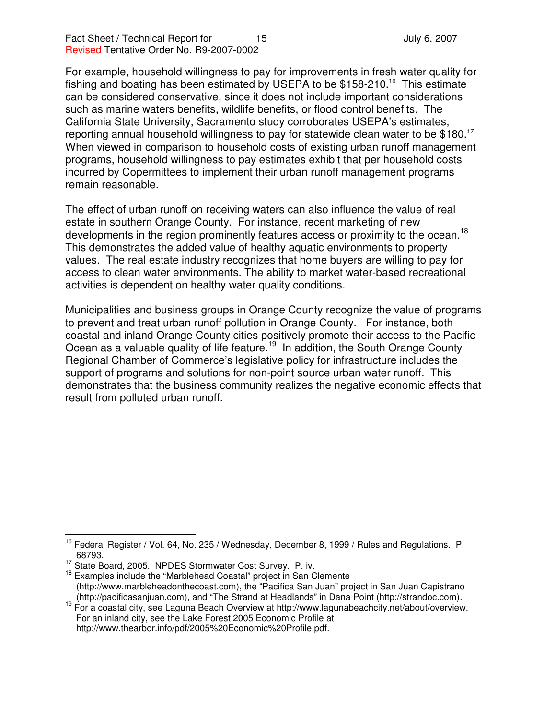For example, household willingness to pay for improvements in fresh water quality for fishing and boating has been estimated by USEPA to be \$158-210.<sup>16</sup> This estimate can be considered conservative, since it does not include important considerations such as marine waters benefits, wildlife benefits, or flood control benefits. The California State University, Sacramento study corroborates USEPA's estimates, reporting annual household willingness to pay for statewide clean water to be \$180.<sup>17</sup> When viewed in comparison to household costs of existing urban runoff management programs, household willingness to pay estimates exhibit that per household costs incurred by Copermittees to implement their urban runoff management programs remain reasonable.

The effect of urban runoff on receiving waters can also influence the value of real estate in southern Orange County. For instance, recent marketing of new developments in the region prominently features access or proximity to the ocean.<sup>18</sup> This demonstrates the added value of healthy aquatic environments to property values. The real estate industry recognizes that home buyers are willing to pay for access to clean water environments. The ability to market water-based recreational activities is dependent on healthy water quality conditions.

Municipalities and business groups in Orange County recognize the value of programs to prevent and treat urban runoff pollution in Orange County. For instance, both coastal and inland Orange County cities positively promote their access to the Pacific Ocean as a valuable quality of life feature.<sup>19</sup> In addition, the South Orange County Regional Chamber of Commerce's legislative policy for infrastructure includes the support of programs and solutions for non-point source urban water runoff. This demonstrates that the business community realizes the negative economic effects that result from polluted urban runoff.

<sup>&</sup>lt;sup>16</sup> Federal Register / Vol. 64, No. 235 / Wednesday, December 8, 1999 / Rules and Regulations. P. 68793.

<sup>&</sup>lt;sup>17</sup> State Board, 2005. NPDES Stormwater Cost Survey. P. iv.

<sup>&</sup>lt;sup>18</sup> Examples include the "Marblehead Coastal" project in San Clemente (http://www.marbleheadonthecoast.com), the "Pacifica San Juan" project in San Juan Capistrano (http://pacificasanjuan.com), and "The Strand at Headlands" in Dana Point (http://strandoc.com).

<sup>&</sup>lt;sup>19</sup> For a coastal city, see Laguna Beach Overview at http://www.lagunabeachcity.net/about/overview. For an inland city, see the Lake Forest 2005 Economic Profile at http://www.thearbor.info/pdf/2005%20Economic%20Profile.pdf.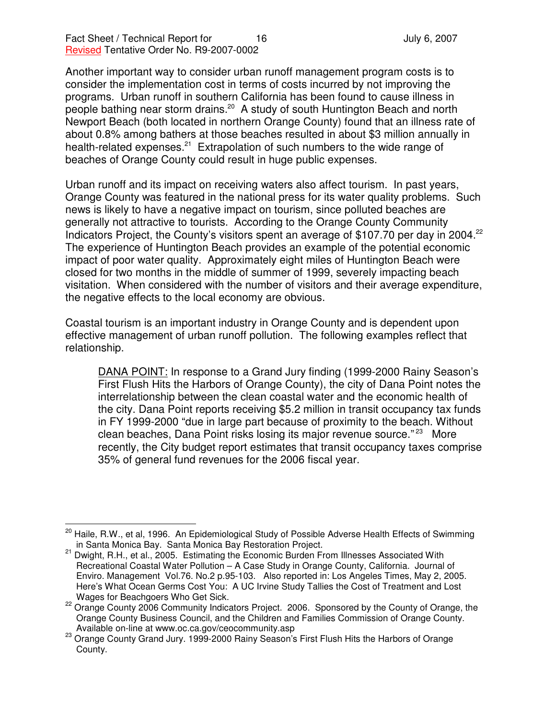Another important way to consider urban runoff management program costs is to consider the implementation cost in terms of costs incurred by not improving the programs. Urban runoff in southern California has been found to cause illness in people bathing near storm drains.<sup>20</sup> A study of south Huntington Beach and north Newport Beach (both located in northern Orange County) found that an illness rate of about 0.8% among bathers at those beaches resulted in about \$3 million annually in health-related expenses.<sup>21</sup> Extrapolation of such numbers to the wide range of beaches of Orange County could result in huge public expenses.

Urban runoff and its impact on receiving waters also affect tourism. In past years, Orange County was featured in the national press for its water quality problems. Such news is likely to have a negative impact on tourism, since polluted beaches are generally not attractive to tourists. According to the Orange County Community Indicators Project, the County's visitors spent an average of \$107.70 per day in 2004.<sup>22</sup> The experience of Huntington Beach provides an example of the potential economic impact of poor water quality. Approximately eight miles of Huntington Beach were closed for two months in the middle of summer of 1999, severely impacting beach visitation. When considered with the number of visitors and their average expenditure, the negative effects to the local economy are obvious.

Coastal tourism is an important industry in Orange County and is dependent upon effective management of urban runoff pollution. The following examples reflect that relationship.

DANA POINT: In response to a Grand Jury finding (1999-2000 Rainy Season's First Flush Hits the Harbors of Orange County), the city of Dana Point notes the interrelationship between the clean coastal water and the economic health of the city. Dana Point reports receiving \$5.2 million in transit occupancy tax funds in FY 1999-2000 "due in large part because of proximity to the beach. Without clean beaches, Dana Point risks losing its major revenue source."<sup>23</sup> More recently, the City budget report estimates that transit occupancy taxes comprise 35% of general fund revenues for the 2006 fiscal year.

<sup>&</sup>lt;sup>20</sup> Haile, R.W., et al, 1996. An Epidemiological Study of Possible Adverse Health Effects of Swimming in Santa Monica Bay. Santa Monica Bay Restoration Project.

<sup>&</sup>lt;sup>21</sup> Dwight, R.H., et al., 2005. Estimating the Economic Burden From Illnesses Associated With Recreational Coastal Water Pollution – A Case Study in Orange County, California. Journal of Enviro. Management Vol.76. No.2 p.95-103. Also reported in: Los Angeles Times, May 2, 2005. Here's What Ocean Germs Cost You: A UC Irvine Study Tallies the Cost of Treatment and Lost Wages for Beachgoers Who Get Sick.

<sup>&</sup>lt;sup>22</sup> Orange County 2006 Community Indicators Project. 2006. Sponsored by the County of Orange, the Orange County Business Council, and the Children and Families Commission of Orange County. Available on-line at www.oc.ca.gov/ceocommunity.asp

<sup>23</sup> Orange County Grand Jury. 1999-2000 Rainy Season's First Flush Hits the Harbors of Orange County.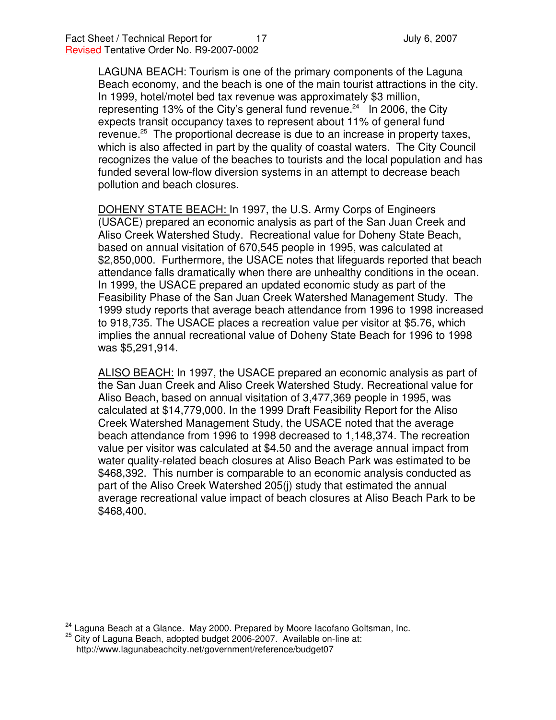LAGUNA BEACH: Tourism is one of the primary components of the Laguna Beach economy, and the beach is one of the main tourist attractions in the city. In 1999, hotel/motel bed tax revenue was approximately \$3 million, representing 13% of the City's general fund revenue.<sup>24</sup> In 2006, the City expects transit occupancy taxes to represent about 11% of general fund revenue.<sup>25</sup> The proportional decrease is due to an increase in property taxes, which is also affected in part by the quality of coastal waters. The City Council recognizes the value of the beaches to tourists and the local population and has funded several low-flow diversion systems in an attempt to decrease beach pollution and beach closures.

DOHENY STATE BEACH: In 1997, the U.S. Army Corps of Engineers (USACE) prepared an economic analysis as part of the San Juan Creek and Aliso Creek Watershed Study. Recreational value for Doheny State Beach, based on annual visitation of 670,545 people in 1995, was calculated at \$2,850,000. Furthermore, the USACE notes that lifeguards reported that beach attendance falls dramatically when there are unhealthy conditions in the ocean. In 1999, the USACE prepared an updated economic study as part of the Feasibility Phase of the San Juan Creek Watershed Management Study. The 1999 study reports that average beach attendance from 1996 to 1998 increased to 918,735. The USACE places a recreation value per visitor at \$5.76, which implies the annual recreational value of Doheny State Beach for 1996 to 1998 was \$5,291,914.

ALISO BEACH: In 1997, the USACE prepared an economic analysis as part of the San Juan Creek and Aliso Creek Watershed Study. Recreational value for Aliso Beach, based on annual visitation of 3,477,369 people in 1995, was calculated at \$14,779,000. In the 1999 Draft Feasibility Report for the Aliso Creek Watershed Management Study, the USACE noted that the average beach attendance from 1996 to 1998 decreased to 1,148,374. The recreation value per visitor was calculated at \$4.50 and the average annual impact from water quality-related beach closures at Aliso Beach Park was estimated to be \$468,392. This number is comparable to an economic analysis conducted as part of the Aliso Creek Watershed 205(j) study that estimated the annual average recreational value impact of beach closures at Aliso Beach Park to be \$468,400.

 $24$  Laguna Beach at a Glance. May 2000. Prepared by Moore lacofano Goltsman, Inc.

<sup>25</sup> City of Laguna Beach, adopted budget 2006-2007. Available on-line at: http://www.lagunabeachcity.net/government/reference/budget07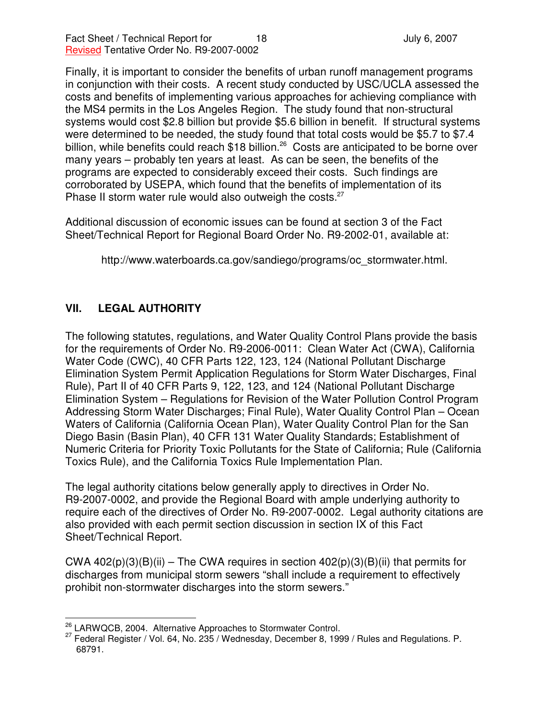Finally, it is important to consider the benefits of urban runoff management programs in conjunction with their costs. A recent study conducted by USC/UCLA assessed the costs and benefits of implementing various approaches for achieving compliance with the MS4 permits in the Los Angeles Region. The study found that non-structural systems would cost \$2.8 billion but provide \$5.6 billion in benefit. If structural systems were determined to be needed, the study found that total costs would be \$5.7 to \$7.4 billion, while benefits could reach \$18 billion.<sup>26</sup> Costs are anticipated to be borne over many years – probably ten years at least. As can be seen, the benefits of the programs are expected to considerably exceed their costs. Such findings are corroborated by USEPA, which found that the benefits of implementation of its Phase II storm water rule would also outweigh the costs.<sup>27</sup>

Additional discussion of economic issues can be found at section 3 of the Fact Sheet/Technical Report for Regional Board Order No. R9-2002-01, available at:

http://www.waterboards.ca.gov/sandiego/programs/oc\_stormwater.html.

## **VII. LEGAL AUTHORITY**

The following statutes, regulations, and Water Quality Control Plans provide the basis for the requirements of Order No. R9-2006-0011: Clean Water Act (CWA), California Water Code (CWC), 40 CFR Parts 122, 123, 124 (National Pollutant Discharge Elimination System Permit Application Regulations for Storm Water Discharges, Final Rule), Part II of 40 CFR Parts 9, 122, 123, and 124 (National Pollutant Discharge Elimination System – Regulations for Revision of the Water Pollution Control Program Addressing Storm Water Discharges; Final Rule), Water Quality Control Plan – Ocean Waters of California (California Ocean Plan), Water Quality Control Plan for the San Diego Basin (Basin Plan), 40 CFR 131 Water Quality Standards; Establishment of Numeric Criteria for Priority Toxic Pollutants for the State of California; Rule (California Toxics Rule), and the California Toxics Rule Implementation Plan.

The legal authority citations below generally apply to directives in Order No. R9-2007-0002, and provide the Regional Board with ample underlying authority to require each of the directives of Order No. R9-2007-0002. Legal authority citations are also provided with each permit section discussion in section IX of this Fact Sheet/Technical Report.

CWA  $402(p)(3)(B)(ii)$  – The CWA requires in section  $402(p)(3)(B)(ii)$  that permits for discharges from municipal storm sewers "shall include a requirement to effectively prohibit non-stormwater discharges into the storm sewers."

<sup>&</sup>lt;sup>26</sup> LARWQCB, 2004. Alternative Approaches to Stormwater Control.

 $^{27}$  Federal Register / Vol. 64, No. 235 / Wednesday, December 8, 1999 / Rules and Regulations. P. 68791.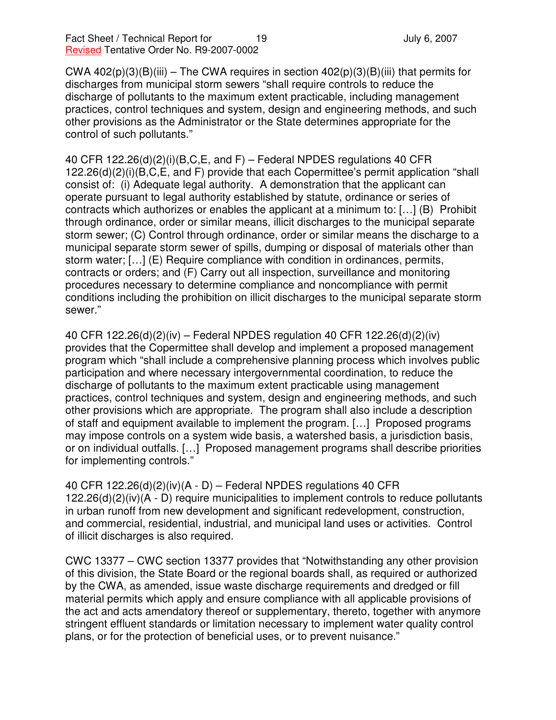CWA 402(p)(3)(B)(iii) – The CWA requires in section  $402(p)(3)(B)$ (iii) that permits for discharges from municipal storm sewers "shall require controls to reduce the discharge of pollutants to the maximum extent practicable, including management practices, control techniques and system, design and engineering methods, and such other provisions as the Administrator or the State determines appropriate for the control of such pollutants."

40 CFR 122.26(d)(2)(i)(B,C,E, and F) – Federal NPDES regulations 40 CFR 122.26(d)(2)(i)(B,C,E, and F) provide that each Copermittee's permit application "shall consist of: (i) Adequate legal authority. A demonstration that the applicant can operate pursuant to legal authority established by statute, ordinance or series of contracts which authorizes or enables the applicant at a minimum to: […] (B) Prohibit through ordinance, order or similar means, illicit discharges to the municipal separate storm sewer; (C) Control through ordinance, order or similar means the discharge to a municipal separate storm sewer of spills, dumping or disposal of materials other than storm water; […] (E) Require compliance with condition in ordinances, permits, contracts or orders; and (F) Carry out all inspection, surveillance and monitoring procedures necessary to determine compliance and noncompliance with permit conditions including the prohibition on illicit discharges to the municipal separate storm sewer."

40 CFR 122.26(d)(2)(iv) – Federal NPDES regulation 40 CFR 122.26(d)(2)(iv) provides that the Copermittee shall develop and implement a proposed management program which "shall include a comprehensive planning process which involves public participation and where necessary intergovernmental coordination, to reduce the discharge of pollutants to the maximum extent practicable using management practices, control techniques and system, design and engineering methods, and such other provisions which are appropriate. The program shall also include a description of staff and equipment available to implement the program. […] Proposed programs may impose controls on a system wide basis, a watershed basis, a jurisdiction basis, or on individual outfalls. […] Proposed management programs shall describe priorities for implementing controls."

40 CFR 122.26(d)(2)(iv)(A - D) – Federal NPDES regulations 40 CFR 122.26(d)(2)(iv)(A - D) require municipalities to implement controls to reduce pollutants in urban runoff from new development and significant redevelopment, construction, and commercial, residential, industrial, and municipal land uses or activities. Control of illicit discharges is also required.

CWC 13377 – CWC section 13377 provides that "Notwithstanding any other provision of this division, the State Board or the regional boards shall, as required or authorized by the CWA, as amended, issue waste discharge requirements and dredged or fill material permits which apply and ensure compliance with all applicable provisions of the act and acts amendatory thereof or supplementary, thereto, together with anymore stringent effluent standards or limitation necessary to implement water quality control plans, or for the protection of beneficial uses, or to prevent nuisance."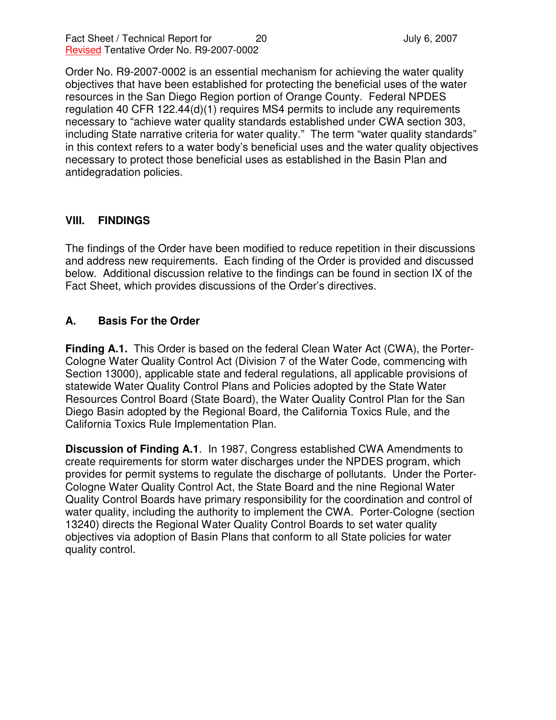Order No. R9-2007-0002 is an essential mechanism for achieving the water quality objectives that have been established for protecting the beneficial uses of the water resources in the San Diego Region portion of Orange County. Federal NPDES regulation 40 CFR 122.44(d)(1) requires MS4 permits to include any requirements necessary to "achieve water quality standards established under CWA section 303, including State narrative criteria for water quality." The term "water quality standards" in this context refers to a water body's beneficial uses and the water quality objectives necessary to protect those beneficial uses as established in the Basin Plan and antidegradation policies.

### **VIII. FINDINGS**

The findings of the Order have been modified to reduce repetition in their discussions and address new requirements. Each finding of the Order is provided and discussed below. Additional discussion relative to the findings can be found in section IX of the Fact Sheet, which provides discussions of the Order's directives.

### **A. Basis For the Order**

**Finding A.1.** This Order is based on the federal Clean Water Act (CWA), the Porter-Cologne Water Quality Control Act (Division 7 of the Water Code, commencing with Section 13000), applicable state and federal regulations, all applicable provisions of statewide Water Quality Control Plans and Policies adopted by the State Water Resources Control Board (State Board), the Water Quality Control Plan for the San Diego Basin adopted by the Regional Board, the California Toxics Rule, and the California Toxics Rule Implementation Plan.

**Discussion of Finding A.1**. In 1987, Congress established CWA Amendments to create requirements for storm water discharges under the NPDES program, which provides for permit systems to regulate the discharge of pollutants. Under the Porter-Cologne Water Quality Control Act, the State Board and the nine Regional Water Quality Control Boards have primary responsibility for the coordination and control of water quality, including the authority to implement the CWA. Porter-Cologne (section 13240) directs the Regional Water Quality Control Boards to set water quality objectives via adoption of Basin Plans that conform to all State policies for water quality control.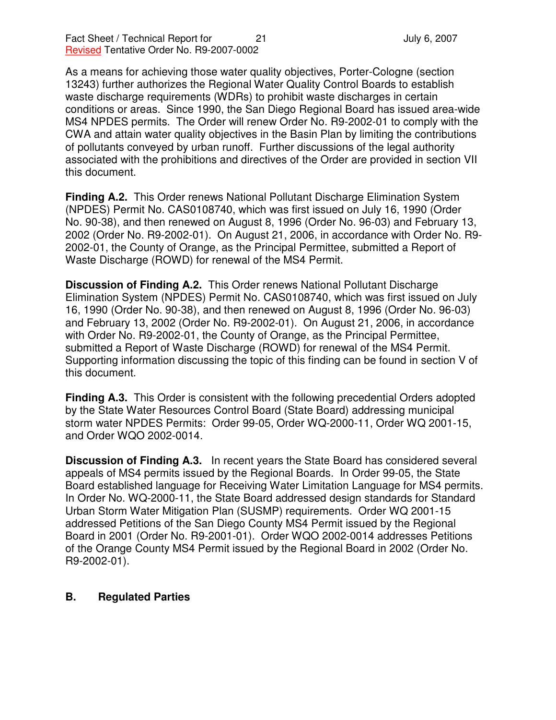As a means for achieving those water quality objectives, Porter-Cologne (section 13243) further authorizes the Regional Water Quality Control Boards to establish waste discharge requirements (WDRs) to prohibit waste discharges in certain conditions or areas. Since 1990, the San Diego Regional Board has issued area-wide MS4 NPDES permits. The Order will renew Order No. R9-2002-01 to comply with the CWA and attain water quality objectives in the Basin Plan by limiting the contributions of pollutants conveyed by urban runoff. Further discussions of the legal authority associated with the prohibitions and directives of the Order are provided in section VII this document.

**Finding A.2.** This Order renews National Pollutant Discharge Elimination System (NPDES) Permit No. CAS0108740, which was first issued on July 16, 1990 (Order No. 90-38), and then renewed on August 8, 1996 (Order No. 96-03) and February 13, 2002 (Order No. R9-2002-01). On August 21, 2006, in accordance with Order No. R9- 2002-01, the County of Orange, as the Principal Permittee, submitted a Report of Waste Discharge (ROWD) for renewal of the MS4 Permit.

**Discussion of Finding A.2.** This Order renews National Pollutant Discharge Elimination System (NPDES) Permit No. CAS0108740, which was first issued on July 16, 1990 (Order No. 90-38), and then renewed on August 8, 1996 (Order No. 96-03) and February 13, 2002 (Order No. R9-2002-01). On August 21, 2006, in accordance with Order No. R9-2002-01, the County of Orange, as the Principal Permittee, submitted a Report of Waste Discharge (ROWD) for renewal of the MS4 Permit. Supporting information discussing the topic of this finding can be found in section V of this document.

**Finding A.3.** This Order is consistent with the following precedential Orders adopted by the State Water Resources Control Board (State Board) addressing municipal storm water NPDES Permits: Order 99-05, Order WQ-2000-11, Order WQ 2001-15, and Order WQO 2002-0014.

**Discussion of Finding A.3.** In recent years the State Board has considered several appeals of MS4 permits issued by the Regional Boards. In Order 99-05, the State Board established language for Receiving Water Limitation Language for MS4 permits. In Order No. WQ-2000-11, the State Board addressed design standards for Standard Urban Storm Water Mitigation Plan (SUSMP) requirements. Order WQ 2001-15 addressed Petitions of the San Diego County MS4 Permit issued by the Regional Board in 2001 (Order No. R9-2001-01). Order WQO 2002-0014 addresses Petitions of the Orange County MS4 Permit issued by the Regional Board in 2002 (Order No. R9-2002-01).

#### **B. Regulated Parties**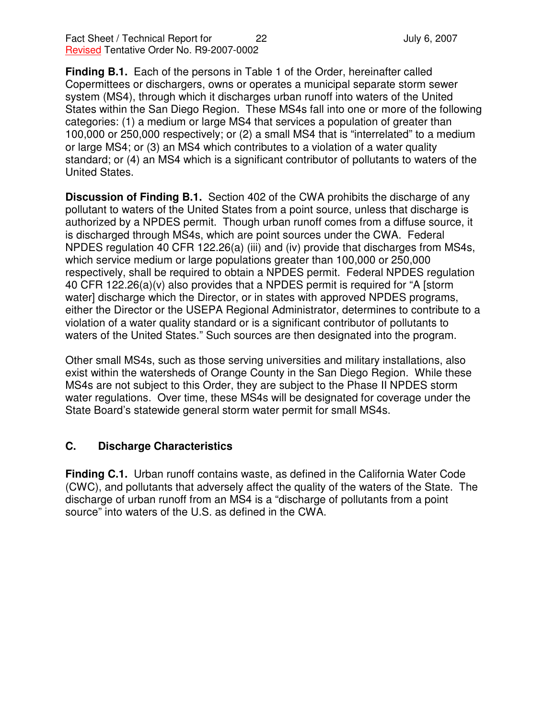**Finding B.1.** Each of the persons in Table 1 of the Order, hereinafter called Copermittees or dischargers, owns or operates a municipal separate storm sewer system (MS4), through which it discharges urban runoff into waters of the United States within the San Diego Region. These MS4s fall into one or more of the following categories: (1) a medium or large MS4 that services a population of greater than 100,000 or 250,000 respectively; or (2) a small MS4 that is "interrelated" to a medium or large MS4; or (3) an MS4 which contributes to a violation of a water quality standard; or (4) an MS4 which is a significant contributor of pollutants to waters of the United States.

**Discussion of Finding B.1.** Section 402 of the CWA prohibits the discharge of any pollutant to waters of the United States from a point source, unless that discharge is authorized by a NPDES permit. Though urban runoff comes from a diffuse source, it is discharged through MS4s, which are point sources under the CWA. Federal NPDES regulation 40 CFR 122.26(a) (iii) and (iv) provide that discharges from MS4s, which service medium or large populations greater than 100,000 or 250,000 respectively, shall be required to obtain a NPDES permit. Federal NPDES regulation 40 CFR 122.26(a)(v) also provides that a NPDES permit is required for "A [storm water] discharge which the Director, or in states with approved NPDES programs, either the Director or the USEPA Regional Administrator, determines to contribute to a violation of a water quality standard or is a significant contributor of pollutants to waters of the United States." Such sources are then designated into the program.

Other small MS4s, such as those serving universities and military installations, also exist within the watersheds of Orange County in the San Diego Region. While these MS4s are not subject to this Order, they are subject to the Phase II NPDES storm water regulations. Over time, these MS4s will be designated for coverage under the State Board's statewide general storm water permit for small MS4s.

### **C. Discharge Characteristics**

**Finding C.1.** Urban runoff contains waste, as defined in the California Water Code (CWC), and pollutants that adversely affect the quality of the waters of the State. The discharge of urban runoff from an MS4 is a "discharge of pollutants from a point source" into waters of the U.S. as defined in the CWA.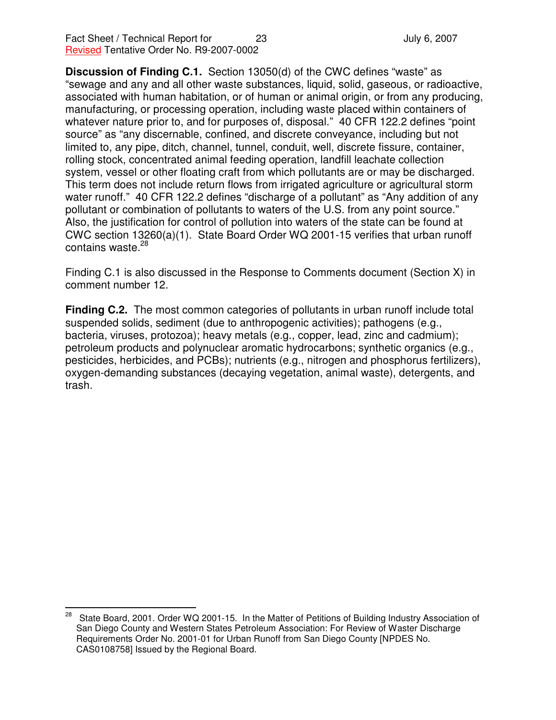**Discussion of Finding C.1.** Section 13050(d) of the CWC defines "waste" as "sewage and any and all other waste substances, liquid, solid, gaseous, or radioactive, associated with human habitation, or of human or animal origin, or from any producing, manufacturing, or processing operation, including waste placed within containers of whatever nature prior to, and for purposes of, disposal." 40 CFR 122.2 defines "point source" as "any discernable, confined, and discrete conveyance, including but not limited to, any pipe, ditch, channel, tunnel, conduit, well, discrete fissure, container, rolling stock, concentrated animal feeding operation, landfill leachate collection system, vessel or other floating craft from which pollutants are or may be discharged. This term does not include return flows from irrigated agriculture or agricultural storm water runoff." 40 CFR 122.2 defines "discharge of a pollutant" as "Any addition of any pollutant or combination of pollutants to waters of the U.S. from any point source." Also, the justification for control of pollution into waters of the state can be found at CWC section 13260(a)(1). State Board Order WQ 2001-15 verifies that urban runoff contains waste. 28

Finding C.1 is also discussed in the Response to Comments document (Section X) in comment number 12.

**Finding C.2.** The most common categories of pollutants in urban runoff include total suspended solids, sediment (due to anthropogenic activities); pathogens (e.g., bacteria, viruses, protozoa); heavy metals (e.g., copper, lead, zinc and cadmium); petroleum products and polynuclear aromatic hydrocarbons; synthetic organics (e.g., pesticides, herbicides, and PCBs); nutrients (e.g., nitrogen and phosphorus fertilizers), oxygen-demanding substances (decaying vegetation, animal waste), detergents, and trash.

<sup>28</sup> State Board, 2001. Order WQ 2001-15. In the Matter of Petitions of Building Industry Association of San Diego County and Western States Petroleum Association: For Review of Waster Discharge Requirements Order No. 2001-01 for Urban Runoff from San Diego County [NPDES No. CAS0108758] Issued by the Regional Board.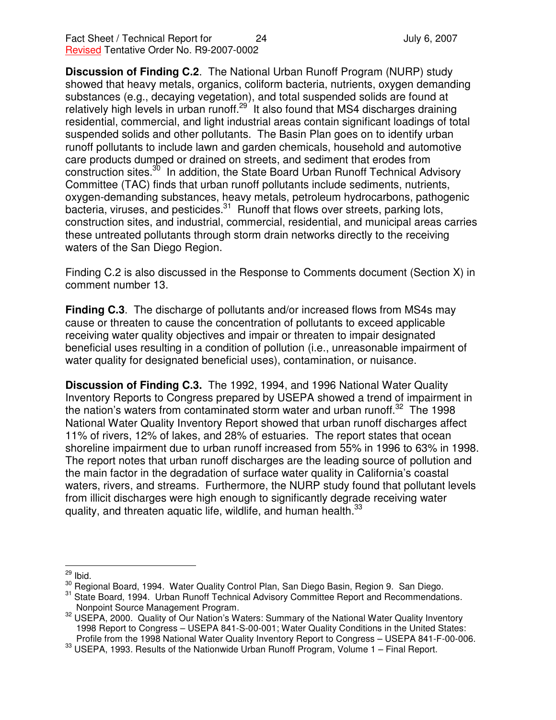**Discussion of Finding C.2**. The National Urban Runoff Program (NURP) study showed that heavy metals, organics, coliform bacteria, nutrients, oxygen demanding substances (e.g., decaying vegetation), and total suspended solids are found at relatively high levels in urban runoff.<sup>29</sup> It also found that MS4 discharges draining residential, commercial, and light industrial areas contain significant loadings of total suspended solids and other pollutants. The Basin Plan goes on to identify urban runoff pollutants to include lawn and garden chemicals, household and automotive care products dumped or drained on streets, and sediment that erodes from construction sites.<sup>30</sup> In addition, the State Board Urban Runoff Technical Advisory Committee (TAC) finds that urban runoff pollutants include sediments, nutrients, oxygen-demanding substances, heavy metals, petroleum hydrocarbons, pathogenic bacteria, viruses, and pesticides.<sup>31</sup> Runoff that flows over streets, parking lots, construction sites, and industrial, commercial, residential, and municipal areas carries these untreated pollutants through storm drain networks directly to the receiving waters of the San Diego Region.

Finding C.2 is also discussed in the Response to Comments document (Section X) in comment number 13.

**Finding C.3**. The discharge of pollutants and/or increased flows from MS4s may cause or threaten to cause the concentration of pollutants to exceed applicable receiving water quality objectives and impair or threaten to impair designated beneficial uses resulting in a condition of pollution (i.e., unreasonable impairment of water quality for designated beneficial uses), contamination, or nuisance.

**Discussion of Finding C.3.** The 1992, 1994, and 1996 National Water Quality Inventory Reports to Congress prepared by USEPA showed a trend of impairment in the nation's waters from contaminated storm water and urban runoff.<sup>32</sup> The 1998 National Water Quality Inventory Report showed that urban runoff discharges affect 11% of rivers, 12% of lakes, and 28% of estuaries. The report states that ocean shoreline impairment due to urban runoff increased from 55% in 1996 to 63% in 1998. The report notes that urban runoff discharges are the leading source of pollution and the main factor in the degradation of surface water quality in California's coastal waters, rivers, and streams. Furthermore, the NURP study found that pollutant levels from illicit discharges were high enough to significantly degrade receiving water quality, and threaten aquatic life, wildlife, and human health.<sup>33</sup>

 $\frac{29}{10}$  lbid.

<sup>30</sup> Regional Board, 1994. Water Quality Control Plan, San Diego Basin, Region 9. San Diego.

<sup>&</sup>lt;sup>31</sup> State Board, 1994. Urban Runoff Technical Advisory Committee Report and Recommendations. Nonpoint Source Management Program.

<sup>32</sup> USEPA, 2000. Quality of Our Nation's Waters: Summary of the National Water Quality Inventory 1998 Report to Congress – USEPA 841-S-00-001; Water Quality Conditions in the United States: Profile from the 1998 National Water Quality Inventory Report to Congress – USEPA 841-F-00-006.

<sup>33</sup> USEPA, 1993. Results of the Nationwide Urban Runoff Program, Volume 1 – Final Report.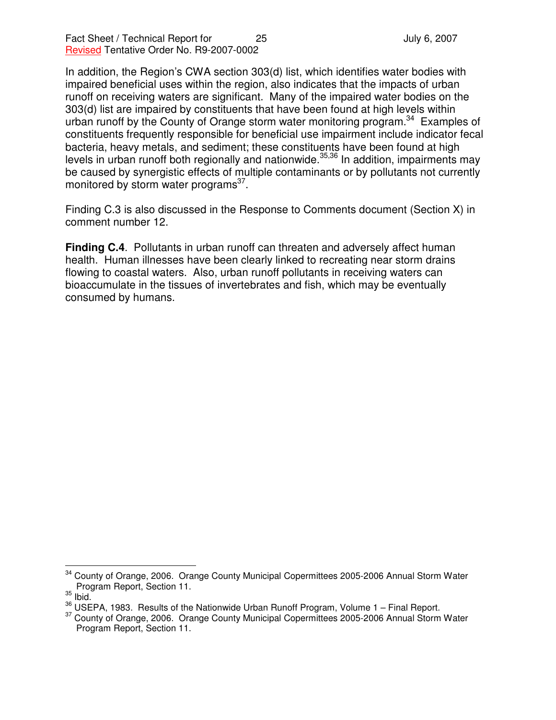In addition, the Region's CWA section 303(d) list, which identifies water bodies with impaired beneficial uses within the region, also indicates that the impacts of urban runoff on receiving waters are significant. Many of the impaired water bodies on the 303(d) list are impaired by constituents that have been found at high levels within urban runoff by the County of Orange storm water monitoring program.<sup>34</sup> Examples of constituents frequently responsible for beneficial use impairment include indicator fecal bacteria, heavy metals, and sediment; these constituents have been found at high levels in urban runoff both regionally and nationwide.<sup>35,36</sup> In addition, impairments may be caused by synergistic effects of multiple contaminants or by pollutants not currently monitored by storm water programs<sup>37</sup>.

Finding C.3 is also discussed in the Response to Comments document (Section X) in comment number 12.

**Finding C.4**. Pollutants in urban runoff can threaten and adversely affect human health. Human illnesses have been clearly linked to recreating near storm drains flowing to coastal waters. Also, urban runoff pollutants in receiving waters can bioaccumulate in the tissues of invertebrates and fish, which may be eventually consumed by humans.

County of Orange, 2006. Orange County Municipal Copermittees 2005-2006 Annual Storm Water Program Report, Section 11.

 $35$  lbid.

<sup>&</sup>lt;sup>36</sup> USEPA, 1983. Results of the Nationwide Urban Runoff Program, Volume 1 - Final Report.

<sup>&</sup>lt;sup>37</sup> County of Orange, 2006. Orange County Municipal Copermittees 2005-2006 Annual Storm Water Program Report, Section 11.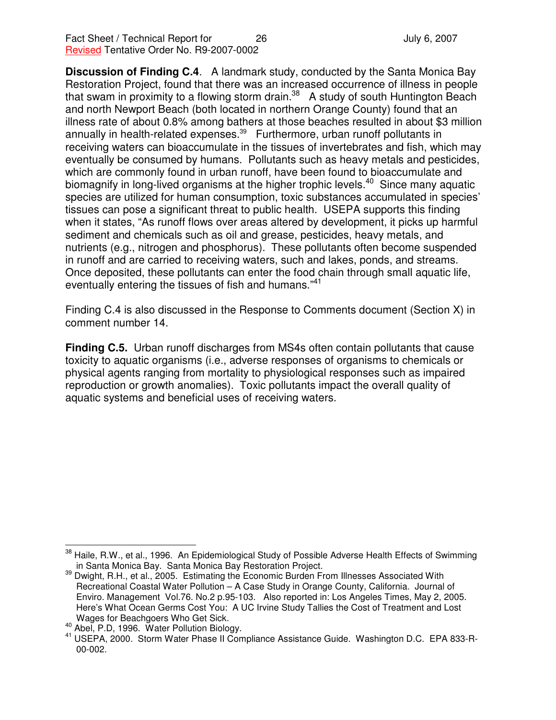**Discussion of Finding C.4**. A landmark study, conducted by the Santa Monica Bay Restoration Project, found that there was an increased occurrence of illness in people that swam in proximity to a flowing storm drain.<sup>38</sup> A study of south Huntington Beach and north Newport Beach (both located in northern Orange County) found that an illness rate of about 0.8% among bathers at those beaches resulted in about \$3 million annually in health-related expenses. <sup>39</sup> Furthermore, urban runoff pollutants in receiving waters can bioaccumulate in the tissues of invertebrates and fish, which may eventually be consumed by humans. Pollutants such as heavy metals and pesticides, which are commonly found in urban runoff, have been found to bioaccumulate and biomagnify in long-lived organisms at the higher trophic levels.<sup>40</sup> Since many aquatic species are utilized for human consumption, toxic substances accumulated in species' tissues can pose a significant threat to public health. USEPA supports this finding when it states, "As runoff flows over areas altered by development, it picks up harmful sediment and chemicals such as oil and grease, pesticides, heavy metals, and nutrients (e.g., nitrogen and phosphorus). These pollutants often become suspended in runoff and are carried to receiving waters, such and lakes, ponds, and streams. Once deposited, these pollutants can enter the food chain through small aquatic life, eventually entering the tissues of fish and humans."<sup>41</sup>

Finding C.4 is also discussed in the Response to Comments document (Section X) in comment number 14.

**Finding C.5.** Urban runoff discharges from MS4s often contain pollutants that cause toxicity to aquatic organisms (i.e., adverse responses of organisms to chemicals or physical agents ranging from mortality to physiological responses such as impaired reproduction or growth anomalies). Toxic pollutants impact the overall quality of aquatic systems and beneficial uses of receiving waters.

Haile, R.W., et al., 1996. An Epidemiological Study of Possible Adverse Health Effects of Swimming in Santa Monica Bay. Santa Monica Bay Restoration Project.

<sup>&</sup>lt;sup>39</sup> Dwight, R.H., et al., 2005. Estimating the Economic Burden From Illnesses Associated With Recreational Coastal Water Pollution – A Case Study in Orange County, California. Journal of Enviro. Management Vol.76. No.2 p.95-103. Also reported in: Los Angeles Times, May 2, 2005. Here's What Ocean Germs Cost You: A UC Irvine Study Tallies the Cost of Treatment and Lost Wages for Beachgoers Who Get Sick.

<sup>40</sup> Abel, P.D, 1996. Water Pollution Biology.

<sup>&</sup>lt;sup>41</sup> USEPA, 2000. Storm Water Phase II Compliance Assistance Guide. Washington D.C. EPA 833-R-00-002.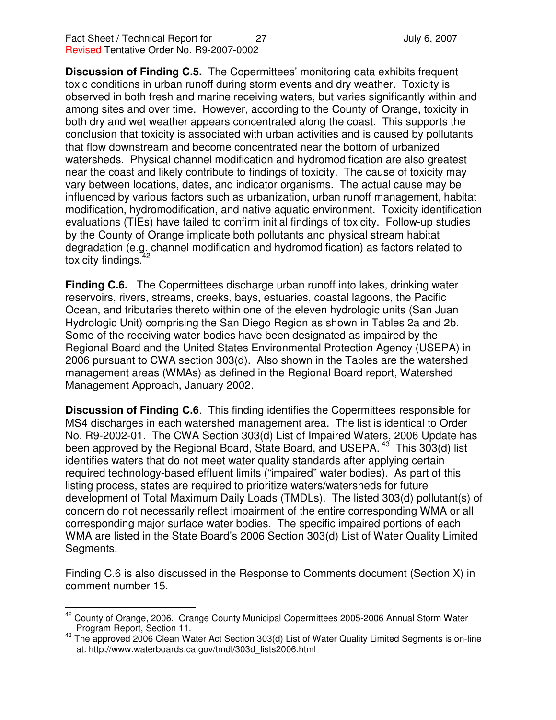**Discussion of Finding C.5.** The Copermittees' monitoring data exhibits frequent toxic conditions in urban runoff during storm events and dry weather. Toxicity is observed in both fresh and marine receiving waters, but varies significantly within and among sites and over time. However, according to the County of Orange, toxicity in both dry and wet weather appears concentrated along the coast. This supports the conclusion that toxicity is associated with urban activities and is caused by pollutants that flow downstream and become concentrated near the bottom of urbanized watersheds. Physical channel modification and hydromodification are also greatest near the coast and likely contribute to findings of toxicity. The cause of toxicity may vary between locations, dates, and indicator organisms. The actual cause may be influenced by various factors such as urbanization, urban runoff management, habitat modification, hydromodification, and native aquatic environment. Toxicity identification evaluations (TIEs) have failed to confirm initial findings of toxicity. Follow-up studies by the County of Orange implicate both pollutants and physical stream habitat degradation (e.g. channel modification and hydromodification) as factors related to toxicity findings.<sup>42</sup>

**Finding C.6.** The Copermittees discharge urban runoff into lakes, drinking water reservoirs, rivers, streams, creeks, bays, estuaries, coastal lagoons, the Pacific Ocean, and tributaries thereto within one of the eleven hydrologic units (San Juan Hydrologic Unit) comprising the San Diego Region as shown in Tables 2a and 2b. Some of the receiving water bodies have been designated as impaired by the Regional Board and the United States Environmental Protection Agency (USEPA) in 2006 pursuant to CWA section 303(d). Also shown in the Tables are the watershed management areas (WMAs) as defined in the Regional Board report, Watershed Management Approach, January 2002.

**Discussion of Finding C.6**. This finding identifies the Copermittees responsible for MS4 discharges in each watershed management area. The list is identical to Order No. R9-2002-01. The CWA Section 303(d) List of Impaired Waters, 2006 Update has been approved by the Regional Board, State Board, and USEPA.<sup>43</sup> This 303(d) list identifies waters that do not meet water quality standards after applying certain required technology-based effluent limits ("impaired" water bodies). As part of this listing process, states are required to prioritize waters/watersheds for future development of Total Maximum Daily Loads (TMDLs). The listed 303(d) pollutant(s) of concern do not necessarily reflect impairment of the entire corresponding WMA or all corresponding major surface water bodies. The specific impaired portions of each WMA are listed in the State Board's 2006 Section 303(d) List of Water Quality Limited Segments.

Finding C.6 is also discussed in the Response to Comments document (Section X) in comment number 15.

<sup>&</sup>lt;sup>42</sup> County of Orange, 2006. Orange County Municipal Copermittees 2005-2006 Annual Storm Water Program Report, Section 11.

<sup>&</sup>lt;sup>43</sup> The approved 2006 Clean Water Act Section 303(d) List of Water Quality Limited Segments is on-line at: http://www.waterboards.ca.gov/tmdl/303d\_lists2006.html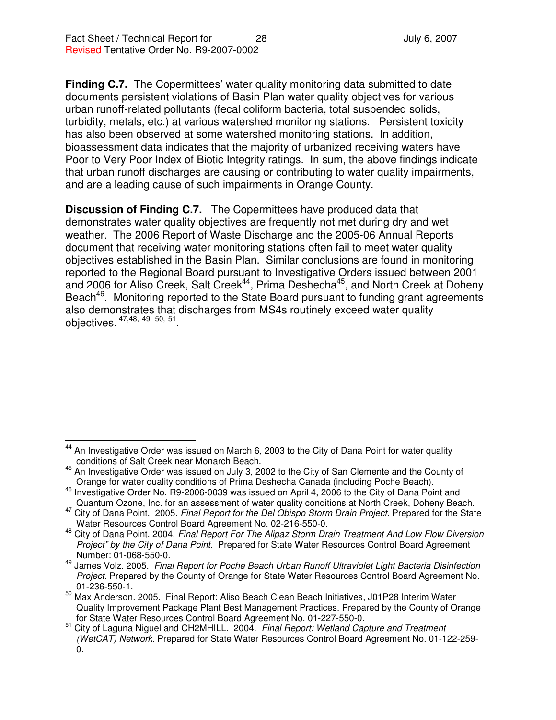**Finding C.7.** The Copermittees' water quality monitoring data submitted to date documents persistent violations of Basin Plan water quality objectives for various urban runoff-related pollutants (fecal coliform bacteria, total suspended solids, turbidity, metals, etc.) at various watershed monitoring stations. Persistent toxicity has also been observed at some watershed monitoring stations. In addition, bioassessment data indicates that the majority of urbanized receiving waters have Poor to Very Poor Index of Biotic Integrity ratings. In sum, the above findings indicate that urban runoff discharges are causing or contributing to water quality impairments, and are a leading cause of such impairments in Orange County.

**Discussion of Finding C.7.** The Copermittees have produced data that demonstrates water quality objectives are frequently not met during dry and wet weather. The 2006 Report of Waste Discharge and the 2005-06 Annual Reports document that receiving water monitoring stations often fail to meet water quality objectives established in the Basin Plan. Similar conclusions are found in monitoring reported to the Regional Board pursuant to Investigative Orders issued between 2001 and 2006 for Aliso Creek, Salt Creek<sup>44</sup>, Prima Deshecha<sup>45</sup>, and North Creek at Doheny Beach<sup>46</sup>. Monitoring reported to the State Board pursuant to funding grant agreements also demonstrates that discharges from MS4s routinely exceed water quality objectives. 47,48, 49, 50, 51 .

<sup>44</sup> An Investigative Order was issued on March 6, 2003 to the City of Dana Point for water quality conditions of Salt Creek near Monarch Beach.

<sup>&</sup>lt;sup>45</sup> An Investigative Order was issued on July 3, 2002 to the City of San Clemente and the County of Orange for water quality conditions of Prima Deshecha Canada (including Poche Beach).

<sup>&</sup>lt;sup>46</sup> Investigative Order No. R9-2006-0039 was issued on April 4, 2006 to the City of Dana Point and Quantum Ozone, Inc. for an assessment of water quality conditions at North Creek, Doheny Beach.

<sup>47</sup> City of Dana Point. 2005. *Final Report for the Del Obispo Storm Drain Project*. Prepared for the State Water Resources Control Board Agreement No. 02-216-550-0.

<sup>48</sup> City of Dana Point. 2004. *Final Report For The Alipaz Storm Drain Treatment And Low Flow Diversion Project" by the City of Dana Point.* Prepared for State Water Resources Control Board Agreement Number: 01-068-550-0.

<sup>49</sup> James Volz. 2005. *Final Report for Poche Beach Urban Runoff Ultraviolet Light Bacteria Disinfection Project*. Prepared by the County of Orange for State Water Resources Control Board Agreement No. 01-236-550-1.

<sup>50</sup> Max Anderson. 2005. Final Report: Aliso Beach Clean Beach Initiatives, J01P28 Interim Water Quality Improvement Package Plant Best Management Practices. Prepared by the County of Orange for State Water Resources Control Board Agreement No. 01-227-550-0.

<sup>51</sup> City of Laguna Niguel and CH2MHILL. 2004. *Final Report: Wetland Capture and Treatment (WetCAT) Network.* Prepared for State Water Resources Control Board Agreement No. 01-122-259- 0.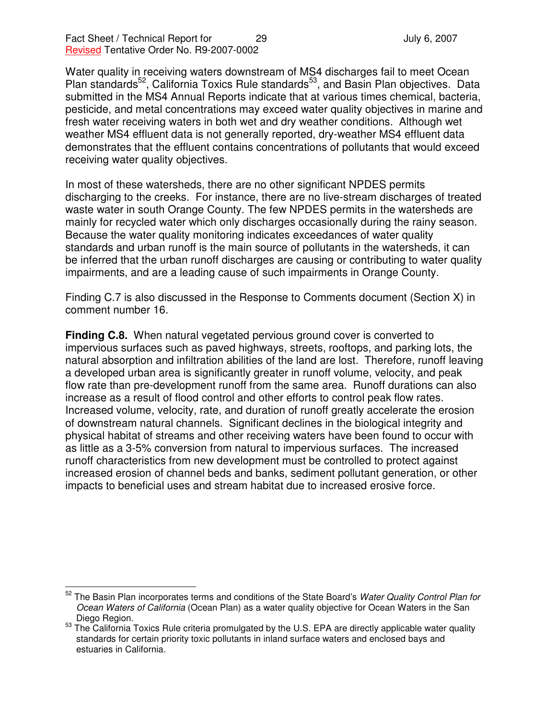Water quality in receiving waters downstream of MS4 discharges fail to meet Ocean Plan standards<sup>52</sup>, California Toxics Rule standards<sup>53</sup>, and Basin Plan objectives. Data submitted in the MS4 Annual Reports indicate that at various times chemical, bacteria, pesticide, and metal concentrations may exceed water quality objectives in marine and fresh water receiving waters in both wet and dry weather conditions. Although wet weather MS4 effluent data is not generally reported, dry-weather MS4 effluent data demonstrates that the effluent contains concentrations of pollutants that would exceed receiving water quality objectives.

In most of these watersheds, there are no other significant NPDES permits discharging to the creeks. For instance, there are no live-stream discharges of treated waste water in south Orange County. The few NPDES permits in the watersheds are mainly for recycled water which only discharges occasionally during the rainy season. Because the water quality monitoring indicates exceedances of water quality standards and urban runoff is the main source of pollutants in the watersheds, it can be inferred that the urban runoff discharges are causing or contributing to water quality impairments, and are a leading cause of such impairments in Orange County.

Finding C.7 is also discussed in the Response to Comments document (Section X) in comment number 16.

**Finding C.8.** When natural vegetated pervious ground cover is converted to impervious surfaces such as paved highways, streets, rooftops, and parking lots, the natural absorption and infiltration abilities of the land are lost. Therefore, runoff leaving a developed urban area is significantly greater in runoff volume, velocity, and peak flow rate than pre-development runoff from the same area. Runoff durations can also increase as a result of flood control and other efforts to control peak flow rates. Increased volume, velocity, rate, and duration of runoff greatly accelerate the erosion of downstream natural channels. Significant declines in the biological integrity and physical habitat of streams and other receiving waters have been found to occur with as little as a 3-5% conversion from natural to impervious surfaces. The increased runoff characteristics from new development must be controlled to protect against increased erosion of channel beds and banks, sediment pollutant generation, or other impacts to beneficial uses and stream habitat due to increased erosive force.

<sup>52</sup> The Basin Plan incorporates terms and conditions of the State Board's *Water Quality Control Plan for Ocean Waters of California* (Ocean Plan) as a water quality objective for Ocean Waters in the San Diego Region.

<sup>&</sup>lt;sup>53</sup> The California Toxics Rule criteria promulgated by the U.S. EPA are directly applicable water quality standards for certain priority toxic pollutants in inland surface waters and enclosed bays and estuaries in California.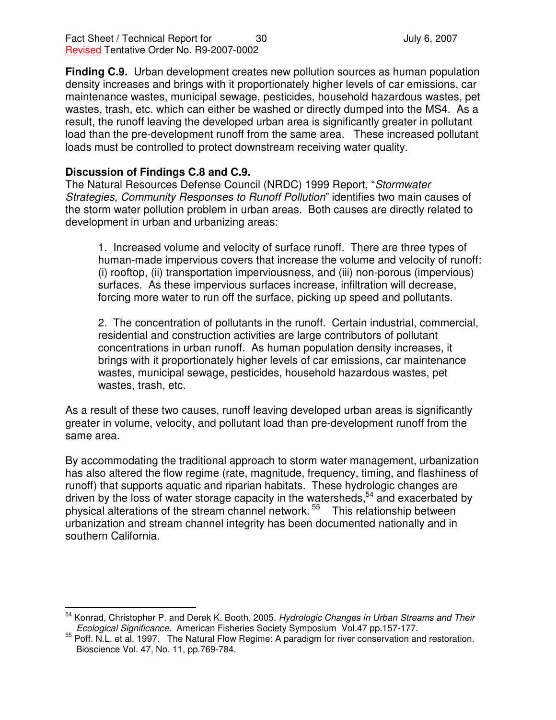Fact Sheet / Technical Report for  $\overline{30}$  30 July 6, 2007 Revised Tentative Order No. R9-2007-0002

**Finding C.9.** Urban development creates new pollution sources as human population density increases and brings with it proportionately higher levels of car emissions, car maintenance wastes, municipal sewage, pesticides, household hazardous wastes, pet wastes, trash, etc. which can either be washed or directly dumped into the MS4. As a result, the runoff leaving the developed urban area is significantly greater in pollutant load than the pre-development runoff from the same area. These increased pollutant loads must be controlled to protect downstream receiving water quality.

#### **Discussion of Findings C.8 and C.9.**

The Natural Resources Defense Council (NRDC) 1999 Report, "*Stormwater Strategies, Community Responses to Runoff Pollution*" identifies two main causes of the storm water pollution problem in urban areas. Both causes are directly related to development in urban and urbanizing areas:

1. Increased volume and velocity of surface runoff. There are three types of human-made impervious covers that increase the volume and velocity of runoff: (i) rooftop, (ii) transportation imperviousness, and (iii) non-porous (impervious) surfaces. As these impervious surfaces increase, infiltration will decrease, forcing more water to run off the surface, picking up speed and pollutants.

2. The concentration of pollutants in the runoff. Certain industrial, commercial, residential and construction activities are large contributors of pollutant concentrations in urban runoff. As human population density increases, it brings with it proportionately higher levels of car emissions, car maintenance wastes, municipal sewage, pesticides, household hazardous wastes, pet wastes, trash, etc.

As a result of these two causes, runoff leaving developed urban areas is significantly greater in volume, velocity, and pollutant load than pre-development runoff from the same area.

By accommodating the traditional approach to storm water management, urbanization has also altered the flow regime (rate, magnitude, frequency, timing, and flashiness of runoff) that supports aquatic and riparian habitats. These hydrologic changes are driven by the loss of water storage capacity in the watersheds,<sup>54</sup> and exacerbated by physical alterations of the stream channel network. 55 This relationship between urbanization and stream channel integrity has been documented nationally and in southern California.

<sup>54</sup> Konrad, Christopher P. and Derek K. Booth, 2005. *Hydrologic Changes in Urban Streams and Their Ecological Significance.* American Fisheries Society Symposium Vol.47 pp.157-177.

<sup>&</sup>lt;sup>55</sup> Poff. N.L. et al. 1997. The Natural Flow Regime: A paradigm for river conservation and restoration. Bioscience Vol. 47, No. 11, pp.769-784.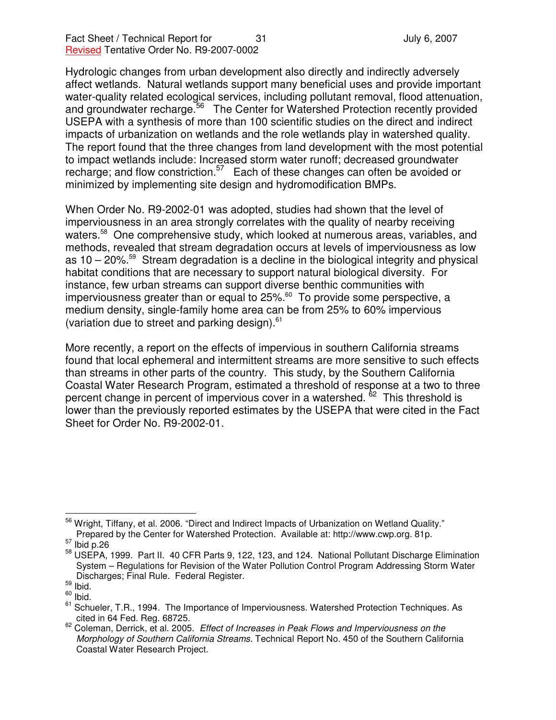Hydrologic changes from urban development also directly and indirectly adversely affect wetlands. Natural wetlands support many beneficial uses and provide important water-quality related ecological services, including pollutant removal, flood attenuation, and groundwater recharge.<sup>56</sup> The Center for Watershed Protection recently provided USEPA with a synthesis of more than 100 scientific studies on the direct and indirect impacts of urbanization on wetlands and the role wetlands play in watershed quality. The report found that the three changes from land development with the most potential to impact wetlands include: Increased storm water runoff; decreased groundwater recharge; and flow constriction.<sup>57</sup> Each of these changes can often be avoided or minimized by implementing site design and hydromodification BMPs.

When Order No. R9-2002-01 was adopted, studies had shown that the level of imperviousness in an area strongly correlates with the quality of nearby receiving waters.<sup>58</sup> One comprehensive study, which looked at numerous areas, variables, and methods, revealed that stream degradation occurs at levels of imperviousness as low as 10 – 20%. <sup>59</sup> Stream degradation is a decline in the biological integrity and physical habitat conditions that are necessary to support natural biological diversity. For instance, few urban streams can support diverse benthic communities with imperviousness greater than or equal to 25%.<sup>60</sup> To provide some perspective, a medium density, single-family home area can be from 25% to 60% impervious (variation due to street and parking design). 61

More recently, a report on the effects of impervious in southern California streams found that local ephemeral and intermittent streams are more sensitive to such effects than streams in other parts of the country. This study, by the Southern California Coastal Water Research Program, estimated a threshold of response at a two to three percent change in percent of impervious cover in a watershed. <sup>62</sup> This threshold is lower than the previously reported estimates by the USEPA that were cited in the Fact Sheet for Order No. R9-2002-01.

<sup>&</sup>lt;sup>56</sup> Wright, Tiffany, et al. 2006. "Direct and Indirect Impacts of Urbanization on Wetland Quality." Prepared by the Center for Watershed Protection. Available at: http://www.cwp.org. 81p.

 $57$  Ibid p.26

<sup>58</sup> USEPA, 1999. Part II. 40 CFR Parts 9, 122, 123, and 124. National Pollutant Discharge Elimination System – Regulations for Revision of the Water Pollution Control Program Addressing Storm Water Discharges; Final Rule. Federal Register.

 $\frac{59}{10}$  lbid.

 $60$  lbid.

<sup>61</sup> Schueler, T.R., 1994. The Importance of Imperviousness. Watershed Protection Techniques. As cited in 64 Fed. Reg. 68725.

<sup>62</sup> Coleman, Derrick, et al. 2005. *Effect of Increases in Peak Flows and Imperviousness on the Morphology of Southern California Streams.* Technical Report No. 450 of the Southern California Coastal Water Research Project.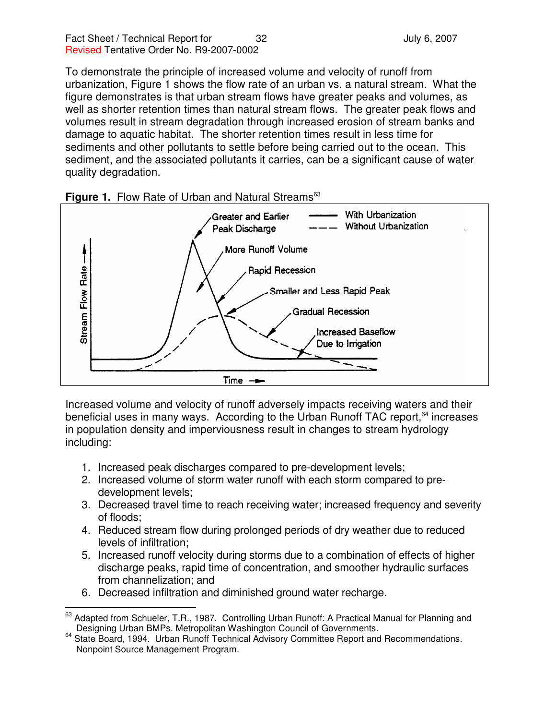To demonstrate the principle of increased volume and velocity of runoff from urbanization, Figure 1 shows the flow rate of an urban vs. a natural stream. What the figure demonstrates is that urban stream flows have greater peaks and volumes, as well as shorter retention times than natural stream flows. The greater peak flows and volumes result in stream degradation through increased erosion of stream banks and damage to aquatic habitat. The shorter retention times result in less time for sediments and other pollutants to settle before being carried out to the ocean. This sediment, and the associated pollutants it carries, can be a significant cause of water quality degradation.





Increased volume and velocity of runoff adversely impacts receiving waters and their beneficial uses in many ways. According to the Urban Runoff TAC report,<sup>64</sup> increases in population density and imperviousness result in changes to stream hydrology including:

- 1. Increased peak discharges compared to pre-development levels;
- 2. Increased volume of storm water runoff with each storm compared to predevelopment levels;
- 3. Decreased travel time to reach receiving water; increased frequency and severity of floods;
- 4. Reduced stream flow during prolonged periods of dry weather due to reduced levels of infiltration;
- 5. Increased runoff velocity during storms due to a combination of effects of higher discharge peaks, rapid time of concentration, and smoother hydraulic surfaces from channelization; and
- 6. Decreased infiltration and diminished ground water recharge.

<sup>63</sup> Adapted from Schueler, T.R., 1987. Controlling Urban Runoff: A Practical Manual for Planning and Designing Urban BMPs. Metropolitan Washington Council of Governments.

<sup>&</sup>lt;sup>64</sup> State Board, 1994. Urban Runoff Technical Advisory Committee Report and Recommendations. Nonpoint Source Management Program.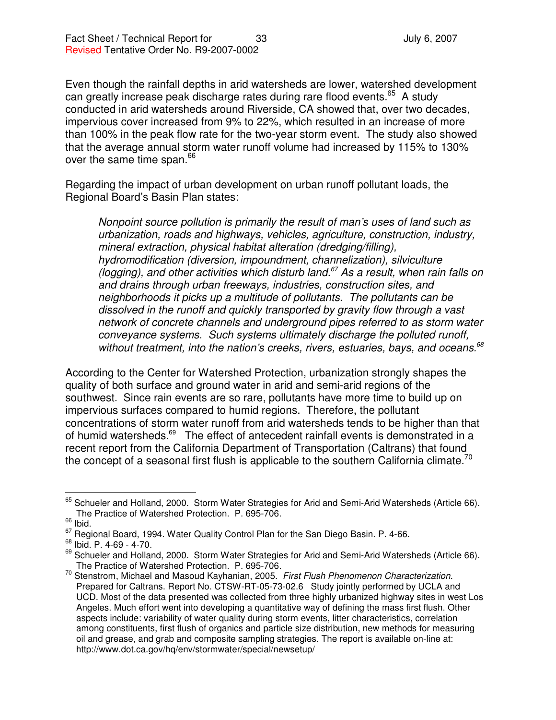Even though the rainfall depths in arid watersheds are lower, watershed development can greatly increase peak discharge rates during rare flood events.<sup>65</sup> A study conducted in arid watersheds around Riverside, CA showed that, over two decades, impervious cover increased from 9% to 22%, which resulted in an increase of more than 100% in the peak flow rate for the two-year storm event. The study also showed that the average annual storm water runoff volume had increased by 115% to 130% over the same time span.<sup>66</sup>

Regarding the impact of urban development on urban runoff pollutant loads, the Regional Board's Basin Plan states:

*Nonpoint source pollution is primarily the result of man's uses of land such as urbanization, roads and highways, vehicles, agriculture, construction, industry, mineral extraction, physical habitat alteration (dredging/filling), hydromodification (diversion, impoundment, channelization), silviculture (logging), and other activities which disturb land. <sup>67</sup> As a result, when rain falls on and drains through urban freeways, industries, construction sites, and neighborhoods it picks up a multitude of pollutants. The pollutants can be dissolved in the runoff and quickly transported by gravity flow through a vast network of concrete channels and underground pipes referred to as storm water conveyance systems. Such systems ultimately discharge the polluted runoff, without treatment, into the nation's creeks, rivers, estuaries, bays, and oceans. 68*

According to the Center for Watershed Protection, urbanization strongly shapes the quality of both surface and ground water in arid and semi-arid regions of the southwest. Since rain events are so rare, pollutants have more time to build up on impervious surfaces compared to humid regions. Therefore, the pollutant concentrations of storm water runoff from arid watersheds tends to be higher than that of humid watersheds.<sup>69</sup> The effect of antecedent rainfall events is demonstrated in a recent report from the California Department of Transportation (Caltrans) that found the concept of a seasonal first flush is applicable to the southern California climate.<sup>70</sup>

<sup>&</sup>lt;sup>65</sup> Schueler and Holland, 2000. Storm Water Strategies for Arid and Semi-Arid Watersheds (Article 66). The Practice of Watershed Protection. P. 695-706.

 $\int_{0}^{66}$  lbid.

<sup>&</sup>lt;sup>67</sup> Regional Board, 1994. Water Quality Control Plan for the San Diego Basin. P. 4-66.

<sup>68</sup> Ibid. P. 4-69 - 4-70.

<sup>&</sup>lt;sup>69</sup> Schueler and Holland, 2000. Storm Water Strategies for Arid and Semi-Arid Watersheds (Article 66). The Practice of Watershed Protection. P. 695-706.

<sup>70</sup> Stenstrom, Michael and Masoud Kayhanian, 2005. *First Flush Phenomenon Characterization.* Prepared for Caltrans. Report No. CTSW-RT-05-73-02.6 Study jointly performed by UCLA and UCD. Most of the data presented was collected from three highly urbanized highway sites in west Los Angeles. Much effort went into developing a quantitative way of defining the mass first flush. Other aspects include: variability of water quality during storm events, litter characteristics, correlation among constituents, first flush of organics and particle size distribution, new methods for measuring oil and grease, and grab and composite sampling strategies. The report is available on-line at: http://www.dot.ca.gov/hq/env/stormwater/special/newsetup/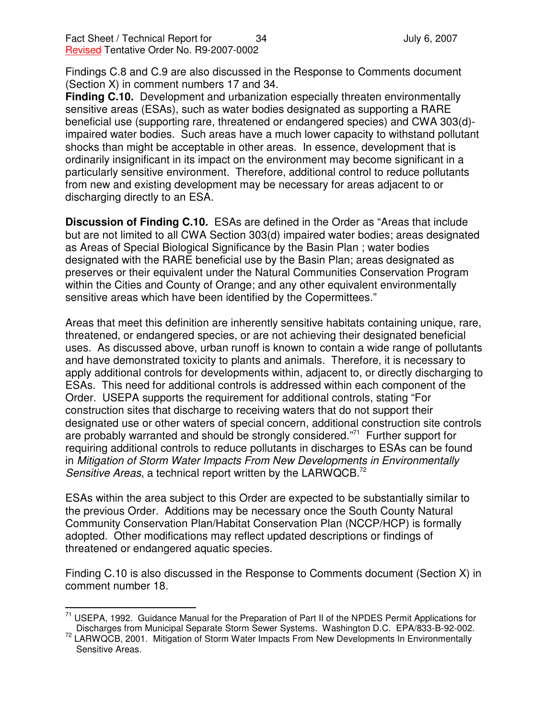Findings C.8 and C.9 are also discussed in the Response to Comments document (Section X) in comment numbers 17 and 34.

**Finding C.10.** Development and urbanization especially threaten environmentally sensitive areas (ESAs), such as water bodies designated as supporting a RARE beneficial use (supporting rare, threatened or endangered species) and CWA 303(d) impaired water bodies. Such areas have a much lower capacity to withstand pollutant shocks than might be acceptable in other areas. In essence, development that is ordinarily insignificant in its impact on the environment may become significant in a particularly sensitive environment. Therefore, additional control to reduce pollutants from new and existing development may be necessary for areas adjacent to or discharging directly to an ESA.

**Discussion of Finding C.10.** ESAs are defined in the Order as "Areas that include but are not limited to all CWA Section 303(d) impaired water bodies; areas designated as Areas of Special Biological Significance by the Basin Plan ; water bodies designated with the RARE beneficial use by the Basin Plan; areas designated as preserves or their equivalent under the Natural Communities Conservation Program within the Cities and County of Orange; and any other equivalent environmentally sensitive areas which have been identified by the Copermittees."

Areas that meet this definition are inherently sensitive habitats containing unique, rare, threatened, or endangered species, or are not achieving their designated beneficial uses. As discussed above, urban runoff is known to contain a wide range of pollutants and have demonstrated toxicity to plants and animals. Therefore, it is necessary to apply additional controls for developments within, adjacent to, or directly discharging to ESAs. This need for additional controls is addressed within each component of the Order. USEPA supports the requirement for additional controls, stating "For construction sites that discharge to receiving waters that do not support their designated use or other waters of special concern, additional construction site controls are probably warranted and should be strongly considered."<sup>71</sup> Further support for requiring additional controls to reduce pollutants in discharges to ESAs can be found in *Mitigation of Storm Water Impacts From New Developments in Environmentally Sensitive Areas*, a technical report written by the LARWQCB. 72

ESAs within the area subject to this Order are expected to be substantially similar to the previous Order. Additions may be necessary once the South County Natural Community Conservation Plan/Habitat Conservation Plan (NCCP/HCP) is formally adopted. Other modifications may reflect updated descriptions or findings of threatened or endangered aquatic species.

Finding C.10 is also discussed in the Response to Comments document (Section X) in comment number 18.

<sup>71</sup> USEPA, 1992. Guidance Manual for the Preparation of Part II of the NPDES Permit Applications for Discharges from Municipal Separate Storm Sewer Systems. Washington D.C. EPA/833-B-92-002.

<sup>&</sup>lt;sup>72</sup> LARWQCB, 2001. Mitigation of Storm Water Impacts From New Developments In Environmentally Sensitive Areas.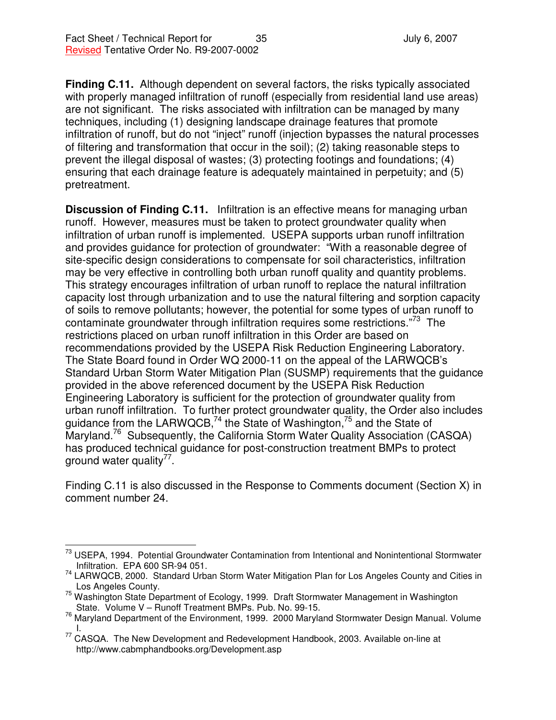**Finding C.11.** Although dependent on several factors, the risks typically associated with properly managed infiltration of runoff (especially from residential land use areas) are not significant. The risks associated with infiltration can be managed by many techniques, including (1) designing landscape drainage features that promote infiltration of runoff, but do not "inject" runoff (injection bypasses the natural processes of filtering and transformation that occur in the soil); (2) taking reasonable steps to prevent the illegal disposal of wastes; (3) protecting footings and foundations; (4) ensuring that each drainage feature is adequately maintained in perpetuity; and (5) pretreatment.

**Discussion of Finding C.11.** Infiltration is an effective means for managing urban runoff. However, measures must be taken to protect groundwater quality when infiltration of urban runoff is implemented. USEPA supports urban runoff infiltration and provides guidance for protection of groundwater: "With a reasonable degree of site-specific design considerations to compensate for soil characteristics, infiltration may be very effective in controlling both urban runoff quality and quantity problems. This strategy encourages infiltration of urban runoff to replace the natural infiltration capacity lost through urbanization and to use the natural filtering and sorption capacity of soils to remove pollutants; however, the potential for some types of urban runoff to contaminate groundwater through infiltration requires some restrictions."<sup>73</sup> The restrictions placed on urban runoff infiltration in this Order are based on recommendations provided by the USEPA Risk Reduction Engineering Laboratory. The State Board found in Order WQ 2000-11 on the appeal of the LARWQCB's Standard Urban Storm Water Mitigation Plan (SUSMP) requirements that the guidance provided in the above referenced document by the USEPA Risk Reduction Engineering Laboratory is sufficient for the protection of groundwater quality from urban runoff infiltration. To further protect groundwater quality, the Order also includes guidance from the LARWQCB,<sup>74</sup> the State of Washington,<sup>75</sup> and the State of Maryland.<sup>76</sup> Subsequently, the California Storm Water Quality Association (CASQA) has produced technical guidance for post-construction treatment BMPs to protect ground water quality<sup>77</sup>.

Finding C.11 is also discussed in the Response to Comments document (Section X) in comment number 24.

USEPA, 1994. Potential Groundwater Contamination from Intentional and Nonintentional Stormwater Infiltration. EPA 600 SR-94 051.

<sup>&</sup>lt;sup>74</sup> LARWQCB, 2000. Standard Urban Storm Water Mitigation Plan for Los Angeles County and Cities in Los Angeles County.

 $75$  Washington State Department of Ecology, 1999. Draft Stormwater Management in Washington State. Volume V – Runoff Treatment BMPs. Pub. No. 99-15.

<sup>76</sup> Maryland Department of the Environment, 1999. 2000 Maryland Stormwater Design Manual. Volume I.

<sup>&</sup>lt;sup>77</sup> CASQA. The New Development and Redevelopment Handbook, 2003. Available on-line at http://www.cabmphandbooks.org/Development.asp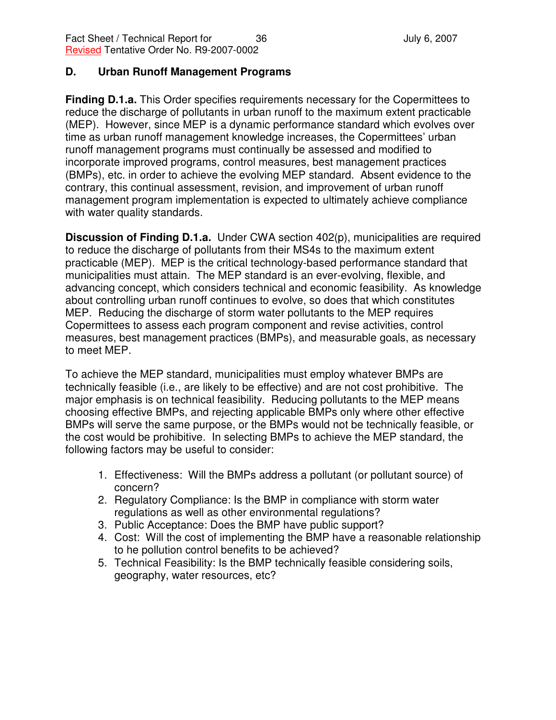#### **D. Urban Runoff Management Programs**

**Finding D.1.a.** This Order specifies requirements necessary for the Copermittees to reduce the discharge of pollutants in urban runoff to the maximum extent practicable (MEP). However, since MEP is a dynamic performance standard which evolves over time as urban runoff management knowledge increases, the Copermittees' urban runoff management programs must continually be assessed and modified to incorporate improved programs, control measures, best management practices (BMPs), etc. in order to achieve the evolving MEP standard. Absent evidence to the contrary, this continual assessment, revision, and improvement of urban runoff management program implementation is expected to ultimately achieve compliance with water quality standards.

**Discussion of Finding D.1.a.** Under CWA section 402(p), municipalities are required to reduce the discharge of pollutants from their MS4s to the maximum extent practicable (MEP). MEP is the critical technology-based performance standard that municipalities must attain. The MEP standard is an ever-evolving, flexible, and advancing concept, which considers technical and economic feasibility. As knowledge about controlling urban runoff continues to evolve, so does that which constitutes MEP. Reducing the discharge of storm water pollutants to the MEP requires Copermittees to assess each program component and revise activities, control measures, best management practices (BMPs), and measurable goals, as necessary to meet MEP.

To achieve the MEP standard, municipalities must employ whatever BMPs are technically feasible (i.e., are likely to be effective) and are not cost prohibitive. The major emphasis is on technical feasibility. Reducing pollutants to the MEP means choosing effective BMPs, and rejecting applicable BMPs only where other effective BMPs will serve the same purpose, or the BMPs would not be technically feasible, or the cost would be prohibitive. In selecting BMPs to achieve the MEP standard, the following factors may be useful to consider:

- 1. Effectiveness: Will the BMPs address a pollutant (or pollutant source) of concern?
- 2. Regulatory Compliance: Is the BMP in compliance with storm water regulations as well as other environmental regulations?
- 3. Public Acceptance: Does the BMP have public support?
- 4. Cost: Will the cost of implementing the BMP have a reasonable relationship to he pollution control benefits to be achieved?
- 5. Technical Feasibility: Is the BMP technically feasible considering soils, geography, water resources, etc?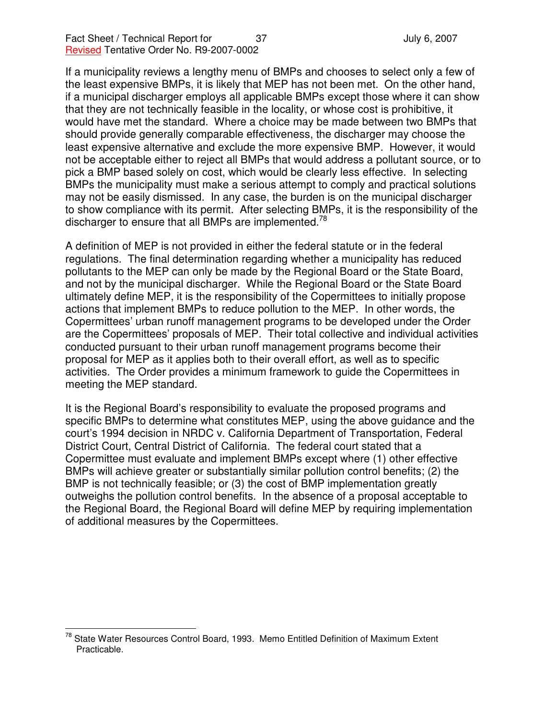If a municipality reviews a lengthy menu of BMPs and chooses to select only a few of the least expensive BMPs, it is likely that MEP has not been met. On the other hand, if a municipal discharger employs all applicable BMPs except those where it can show that they are not technically feasible in the locality, or whose cost is prohibitive, it would have met the standard. Where a choice may be made between two BMPs that should provide generally comparable effectiveness, the discharger may choose the least expensive alternative and exclude the more expensive BMP. However, it would not be acceptable either to reject all BMPs that would address a pollutant source, or to pick a BMP based solely on cost, which would be clearly less effective. In selecting BMPs the municipality must make a serious attempt to comply and practical solutions may not be easily dismissed. In any case, the burden is on the municipal discharger to show compliance with its permit. After selecting BMPs, it is the responsibility of the discharger to ensure that all BMPs are implemented.<sup>78</sup>

A definition of MEP is not provided in either the federal statute or in the federal regulations. The final determination regarding whether a municipality has reduced pollutants to the MEP can only be made by the Regional Board or the State Board, and not by the municipal discharger. While the Regional Board or the State Board ultimately define MEP, it is the responsibility of the Copermittees to initially propose actions that implement BMPs to reduce pollution to the MEP. In other words, the Copermittees' urban runoff management programs to be developed under the Order are the Copermittees' proposals of MEP. Their total collective and individual activities conducted pursuant to their urban runoff management programs become their proposal for MEP as it applies both to their overall effort, as well as to specific activities. The Order provides a minimum framework to guide the Copermittees in meeting the MEP standard.

It is the Regional Board's responsibility to evaluate the proposed programs and specific BMPs to determine what constitutes MEP, using the above guidance and the court's 1994 decision in NRDC v. California Department of Transportation, Federal District Court, Central District of California. The federal court stated that a Copermittee must evaluate and implement BMPs except where (1) other effective BMPs will achieve greater or substantially similar pollution control benefits; (2) the BMP is not technically feasible; or (3) the cost of BMP implementation greatly outweighs the pollution control benefits. In the absence of a proposal acceptable to the Regional Board, the Regional Board will define MEP by requiring implementation of additional measures by the Copermittees.

<sup>&</sup>lt;sup>78</sup> State Water Resources Control Board, 1993. Memo Entitled Definition of Maximum Extent Practicable.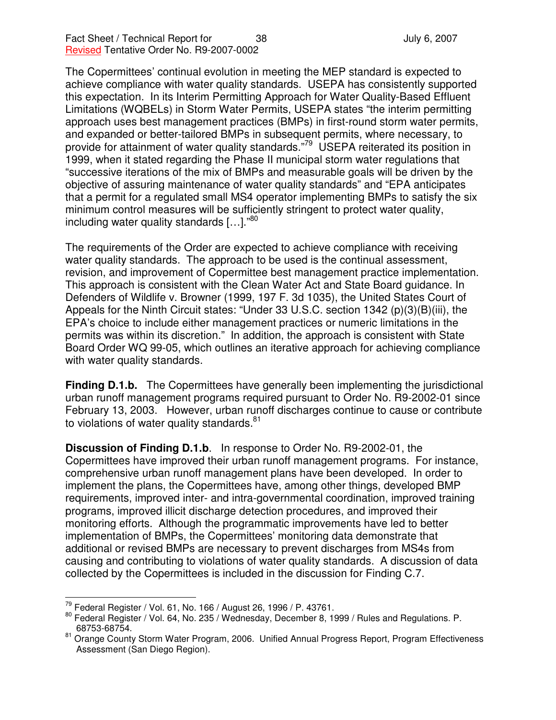The Copermittees' continual evolution in meeting the MEP standard is expected to achieve compliance with water quality standards. USEPA has consistently supported this expectation. In its Interim Permitting Approach for Water Quality-Based Effluent Limitations (WQBELs) in Storm Water Permits, USEPA states "the interim permitting approach uses best management practices (BMPs) in first-round storm water permits, and expanded or better-tailored BMPs in subsequent permits, where necessary, to provide for attainment of water quality standards."<sup>79</sup> USEPA reiterated its position in 1999, when it stated regarding the Phase II municipal storm water regulations that "successive iterations of the mix of BMPs and measurable goals will be driven by the objective of assuring maintenance of water quality standards" and "EPA anticipates that a permit for a regulated small MS4 operator implementing BMPs to satisfy the six minimum control measures will be sufficiently stringent to protect water quality, including water quality standards [...]."<sup>80</sup>

The requirements of the Order are expected to achieve compliance with receiving water quality standards. The approach to be used is the continual assessment, revision, and improvement of Copermittee best management practice implementation. This approach is consistent with the Clean Water Act and State Board guidance. In Defenders of Wildlife v. Browner (1999, 197 F. 3d 1035), the United States Court of Appeals for the Ninth Circuit states: "Under 33 U.S.C. section 1342 (p)(3)(B)(iii), the EPA's choice to include either management practices or numeric limitations in the permits was within its discretion." In addition, the approach is consistent with State Board Order WQ 99-05, which outlines an iterative approach for achieving compliance with water quality standards.

**Finding D.1.b.** The Copermittees have generally been implementing the jurisdictional urban runoff management programs required pursuant to Order No. R9-2002-01 since February 13, 2003. However, urban runoff discharges continue to cause or contribute to violations of water quality standards.<sup>81</sup>

**Discussion of Finding D.1.b**. In response to Order No. R9-2002-01, the Copermittees have improved their urban runoff management programs. For instance, comprehensive urban runoff management plans have been developed. In order to implement the plans, the Copermittees have, among other things, developed BMP requirements, improved inter- and intra-governmental coordination, improved training programs, improved illicit discharge detection procedures, and improved their monitoring efforts. Although the programmatic improvements have led to better implementation of BMPs, the Copermittees' monitoring data demonstrate that additional or revised BMPs are necessary to prevent discharges from MS4s from causing and contributing to violations of water quality standards. A discussion of data collected by the Copermittees is included in the discussion for Finding C.7.

<sup>&</sup>lt;sup>79</sup> Federal Register / Vol. 61, No. 166 / August 26, 1996 / P. 43761.

<sup>&</sup>lt;sup>80</sup> Federal Register / Vol. 64, No. 235 / Wednesday, December 8, 1999 / Rules and Regulations. P. 68753-68754.

<sup>81</sup> Orange County Storm Water Program, 2006. Unified Annual Progress Report, Program Effectiveness Assessment (San Diego Region).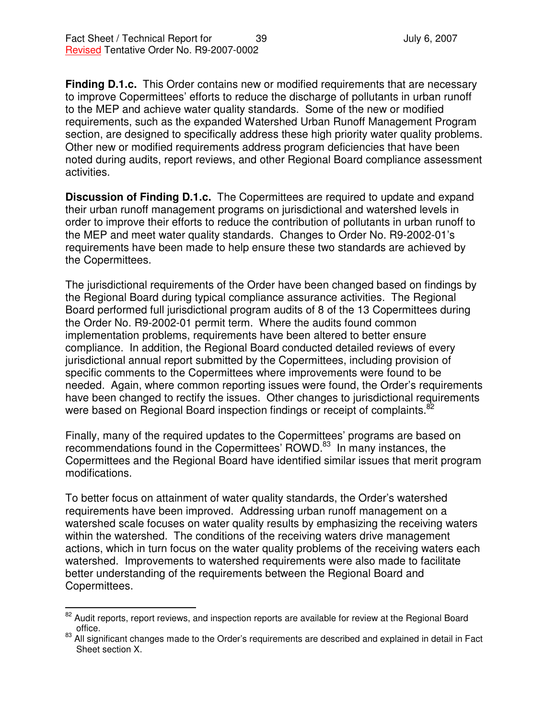**Finding D.1.c.** This Order contains new or modified requirements that are necessary to improve Copermittees' efforts to reduce the discharge of pollutants in urban runoff to the MEP and achieve water quality standards. Some of the new or modified requirements, such as the expanded Watershed Urban Runoff Management Program section, are designed to specifically address these high priority water quality problems. Other new or modified requirements address program deficiencies that have been noted during audits, report reviews, and other Regional Board compliance assessment activities.

**Discussion of Finding D.1.c.** The Copermittees are required to update and expand their urban runoff management programs on jurisdictional and watershed levels in order to improve their efforts to reduce the contribution of pollutants in urban runoff to the MEP and meet water quality standards. Changes to Order No. R9-2002-01's requirements have been made to help ensure these two standards are achieved by the Copermittees.

The jurisdictional requirements of the Order have been changed based on findings by the Regional Board during typical compliance assurance activities. The Regional Board performed full jurisdictional program audits of 8 of the 13 Copermittees during the Order No. R9-2002-01 permit term. Where the audits found common implementation problems, requirements have been altered to better ensure compliance. In addition, the Regional Board conducted detailed reviews of every jurisdictional annual report submitted by the Copermittees, including provision of specific comments to the Copermittees where improvements were found to be needed. Again, where common reporting issues were found, the Order's requirements have been changed to rectify the issues. Other changes to jurisdictional requirements were based on Regional Board inspection findings or receipt of complaints.<sup>82</sup>

Finally, many of the required updates to the Copermittees' programs are based on recommendations found in the Copermittees' ROWD.<sup>83</sup> In many instances, the Copermittees and the Regional Board have identified similar issues that merit program modifications.

To better focus on attainment of water quality standards, the Order's watershed requirements have been improved. Addressing urban runoff management on a watershed scale focuses on water quality results by emphasizing the receiving waters within the watershed. The conditions of the receiving waters drive management actions, which in turn focus on the water quality problems of the receiving waters each watershed. Improvements to watershed requirements were also made to facilitate better understanding of the requirements between the Regional Board and Copermittees.

<sup>&</sup>lt;sup>82</sup> Audit reports, report reviews, and inspection reports are available for review at the Regional Board office.

<sup>&</sup>lt;sup>83</sup> All significant changes made to the Order's requirements are described and explained in detail in Fact Sheet section X.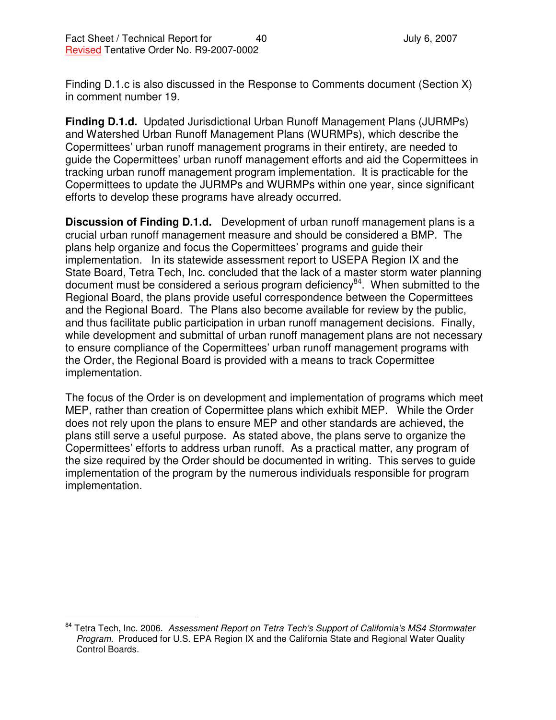Finding D.1.c is also discussed in the Response to Comments document (Section X) in comment number 19.

**Finding D.1.d.** Updated Jurisdictional Urban Runoff Management Plans (JURMPs) and Watershed Urban Runoff Management Plans (WURMPs), which describe the Copermittees' urban runoff management programs in their entirety, are needed to guide the Copermittees' urban runoff management efforts and aid the Copermittees in tracking urban runoff management program implementation. It is practicable for the Copermittees to update the JURMPs and WURMPs within one year, since significant efforts to develop these programs have already occurred.

**Discussion of Finding D.1.d.** Development of urban runoff management plans is a crucial urban runoff management measure and should be considered a BMP. The plans help organize and focus the Copermittees' programs and guide their implementation. In its statewide assessment report to USEPA Region IX and the State Board, Tetra Tech, Inc. concluded that the lack of a master storm water planning document must be considered a serious program deficiency<sup>84</sup>. When submitted to the Regional Board, the plans provide useful correspondence between the Copermittees and the Regional Board. The Plans also become available for review by the public, and thus facilitate public participation in urban runoff management decisions. Finally, while development and submittal of urban runoff management plans are not necessary to ensure compliance of the Copermittees' urban runoff management programs with the Order, the Regional Board is provided with a means to track Copermittee implementation.

The focus of the Order is on development and implementation of programs which meet MEP, rather than creation of Copermittee plans which exhibit MEP. While the Order does not rely upon the plans to ensure MEP and other standards are achieved, the plans still serve a useful purpose. As stated above, the plans serve to organize the Copermittees' efforts to address urban runoff. As a practical matter, any program of the size required by the Order should be documented in writing. This serves to guide implementation of the program by the numerous individuals responsible for program implementation.

<sup>84</sup> Tetra Tech, Inc. 2006. *Assessment Report on Tetra Tech's Support of California's MS4 Stormwater Program.* Produced for U.S. EPA Region IX and the California State and Regional Water Quality Control Boards.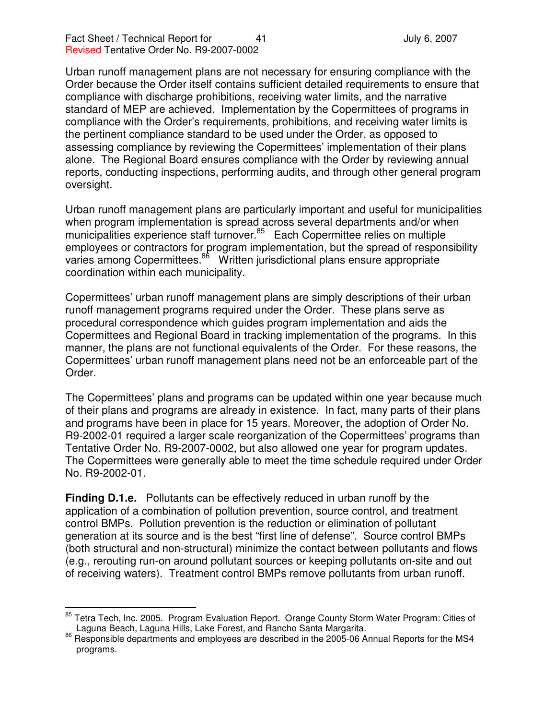Urban runoff management plans are not necessary for ensuring compliance with the Order because the Order itself contains sufficient detailed requirements to ensure that compliance with discharge prohibitions, receiving water limits, and the narrative standard of MEP are achieved. Implementation by the Copermittees of programs in compliance with the Order's requirements, prohibitions, and receiving water limits is the pertinent compliance standard to be used under the Order, as opposed to assessing compliance by reviewing the Copermittees' implementation of their plans alone. The Regional Board ensures compliance with the Order by reviewing annual reports, conducting inspections, performing audits, and through other general program oversight.

Urban runoff management plans are particularly important and useful for municipalities when program implementation is spread across several departments and/or when municipalities experience staff turnover.<sup>85</sup> Each Copermittee relies on multiple employees or contractors for program implementation, but the spread of responsibility varies among Copermittees.<sup>86</sup> Written jurisdictional plans ensure appropriate coordination within each municipality.

Copermittees' urban runoff management plans are simply descriptions of their urban runoff management programs required under the Order. These plans serve as procedural correspondence which guides program implementation and aids the Copermittees and Regional Board in tracking implementation of the programs. In this manner, the plans are not functional equivalents of the Order. For these reasons, the Copermittees' urban runoff management plans need not be an enforceable part of the Order.

The Copermittees' plans and programs can be updated within one year because much of their plans and programs are already in existence. In fact, many parts of their plans and programs have been in place for 15 years. Moreover, the adoption of Order No. R9-2002-01 required a larger scale reorganization of the Copermittees' programs than Tentative Order No. R9-2007-0002, but also allowed one year for program updates. The Copermittees were generally able to meet the time schedule required under Order No. R9-2002-01.

**Finding D.1.e.** Pollutants can be effectively reduced in urban runoff by the application of a combination of pollution prevention, source control, and treatment control BMPs. Pollution prevention is the reduction or elimination of pollutant generation at its source and is the best "first line of defense". Source control BMPs (both structural and non-structural) minimize the contact between pollutants and flows (e.g., rerouting run-on around pollutant sources or keeping pollutants on-site and out of receiving waters). Treatment control BMPs remove pollutants from urban runoff.

<sup>&</sup>lt;sup>85</sup> Tetra Tech, Inc. 2005. Program Evaluation Report. Orange County Storm Water Program: Cities of Laguna Beach, Laguna Hills, Lake Forest, and Rancho Santa Margarita.

<sup>86</sup> Responsible departments and employees are described in the 2005-06 Annual Reports for the MS4 programs.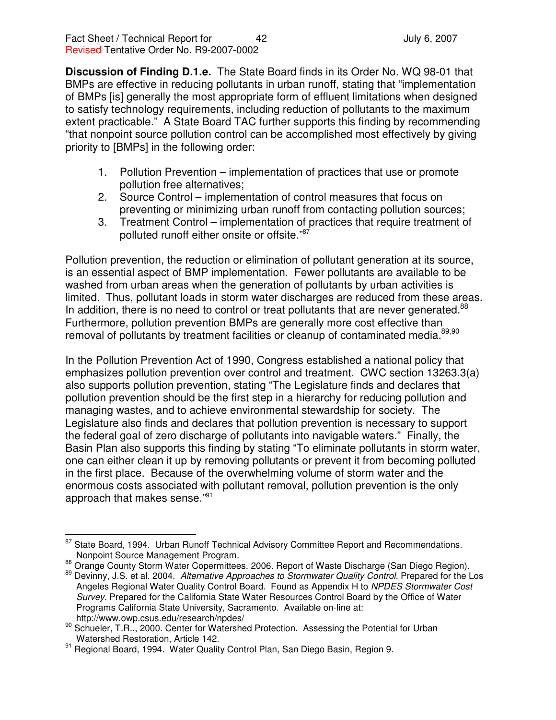**Discussion of Finding D.1.e.** The State Board finds in its Order No. WQ 98-01 that BMPs are effective in reducing pollutants in urban runoff, stating that "implementation of BMPs [is] generally the most appropriate form of effluent limitations when designed to satisfy technology requirements, including reduction of pollutants to the maximum extent practicable." A State Board TAC further supports this finding by recommending "that nonpoint source pollution control can be accomplished most effectively by giving priority to [BMPs] in the following order:

- 1. Pollution Prevention implementation of practices that use or promote pollution free alternatives;
- 2. Source Control implementation of control measures that focus on preventing or minimizing urban runoff from contacting pollution sources;
- 3. Treatment Control implementation of practices that require treatment of polluted runoff either onsite or offsite."<sup>87</sup>

Pollution prevention, the reduction or elimination of pollutant generation at its source, is an essential aspect of BMP implementation. Fewer pollutants are available to be washed from urban areas when the generation of pollutants by urban activities is limited. Thus, pollutant loads in storm water discharges are reduced from these areas. In addition, there is no need to control or treat pollutants that are never generated.<sup>88</sup> Furthermore, pollution prevention BMPs are generally more cost effective than removal of pollutants by treatment facilities or cleanup of contaminated media.<sup>89,90</sup>

In the Pollution Prevention Act of 1990, Congress established a national policy that emphasizes pollution prevention over control and treatment. CWC section 13263.3(a) also supports pollution prevention, stating "The Legislature finds and declares that pollution prevention should be the first step in a hierarchy for reducing pollution and managing wastes, and to achieve environmental stewardship for society. The Legislature also finds and declares that pollution prevention is necessary to support the federal goal of zero discharge of pollutants into navigable waters." Finally, the Basin Plan also supports this finding by stating "To eliminate pollutants in storm water, one can either clean it up by removing pollutants or prevent it from becoming polluted in the first place. Because of the overwhelming volume of storm water and the enormous costs associated with pollutant removal, pollution prevention is the only approach that makes sense."<sup>91</sup>

<sup>87</sup> State Board, 1994. Urban Runoff Technical Advisory Committee Report and Recommendations. Nonpoint Source Management Program.

<sup>88</sup> Orange County Storm Water Copermittees. 2006. Report of Waste Discharge (San Diego Region). <sup>89</sup> Devinny, J.S. et al. 2004. *Alternative Approaches to Stormwater Quality Control.* Prepared for the Los Angeles Regional Water Quality Control Board. Found as Appendix H to *NPDES Stormwater Cost Survey.* Prepared for the California State Water Resources Control Board by the Office of Water Programs California State University, Sacramento. Available on-line at: http://www.owp.csus.edu/research/npdes/

<sup>&</sup>lt;sup>90</sup> Schueler, T.R.., 2000. Center for Watershed Protection. Assessing the Potential for Urban Watershed Restoration, Article 142.

<sup>91</sup> Regional Board, 1994. Water Quality Control Plan, San Diego Basin, Region 9.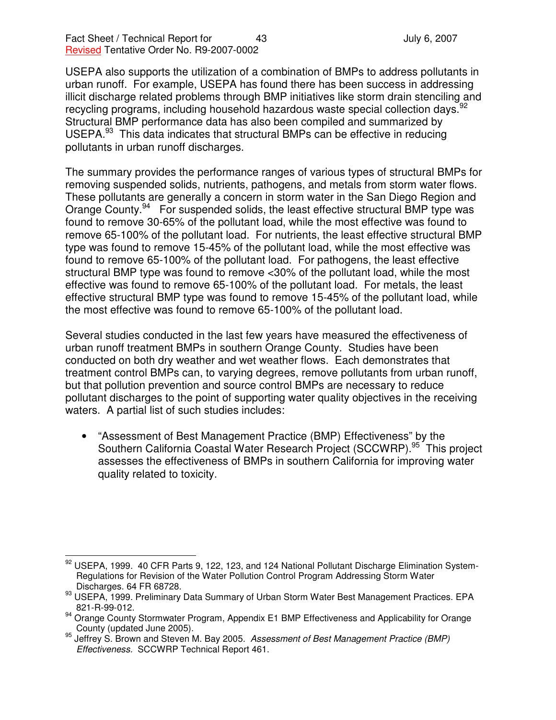USEPA also supports the utilization of a combination of BMPs to address pollutants in urban runoff. For example, USEPA has found there has been success in addressing illicit discharge related problems through BMP initiatives like storm drain stenciling and recycling programs, including household hazardous waste special collection days.<sup>92</sup> Structural BMP performance data has also been compiled and summarized by USEPA.<sup>93</sup> This data indicates that structural BMPs can be effective in reducing pollutants in urban runoff discharges.

The summary provides the performance ranges of various types of structural BMPs for removing suspended solids, nutrients, pathogens, and metals from storm water flows. These pollutants are generally a concern in storm water in the San Diego Region and Orange County.<sup>94</sup> For suspended solids, the least effective structural BMP type was found to remove 30-65% of the pollutant load, while the most effective was found to remove 65-100% of the pollutant load. For nutrients, the least effective structural BMP type was found to remove 15-45% of the pollutant load, while the most effective was found to remove 65-100% of the pollutant load. For pathogens, the least effective structural BMP type was found to remove <30% of the pollutant load, while the most effective was found to remove 65-100% of the pollutant load. For metals, the least effective structural BMP type was found to remove 15-45% of the pollutant load, while the most effective was found to remove 65-100% of the pollutant load.

Several studies conducted in the last few years have measured the effectiveness of urban runoff treatment BMPs in southern Orange County. Studies have been conducted on both dry weather and wet weather flows. Each demonstrates that treatment control BMPs can, to varying degrees, remove pollutants from urban runoff, but that pollution prevention and source control BMPs are necessary to reduce pollutant discharges to the point of supporting water quality objectives in the receiving waters. A partial list of such studies includes:

• "Assessment of Best Management Practice (BMP) Effectiveness" by the Southern California Coastal Water Research Project (SCCWRP).<sup>95</sup> This project assesses the effectiveness of BMPs in southern California for improving water quality related to toxicity.

 $92$  USEPA, 1999. 40 CFR Parts 9, 122, 123, and 124 National Pollutant Discharge Elimination System-Regulations for Revision of the Water Pollution Control Program Addressing Storm Water Discharges. 64 FR 68728.

<sup>93</sup> USEPA, 1999. Preliminary Data Summary of Urban Storm Water Best Management Practices. EPA 821-R-99-012.

<sup>94</sup> Orange County Stormwater Program, Appendix E1 BMP Effectiveness and Applicability for Orange County (updated June 2005).

<sup>95</sup> Jeffrey S. Brown and Steven M. Bay 2005. *Assessment of Best Management Practice (BMP) Effectiveness.* SCCWRP Technical Report 461.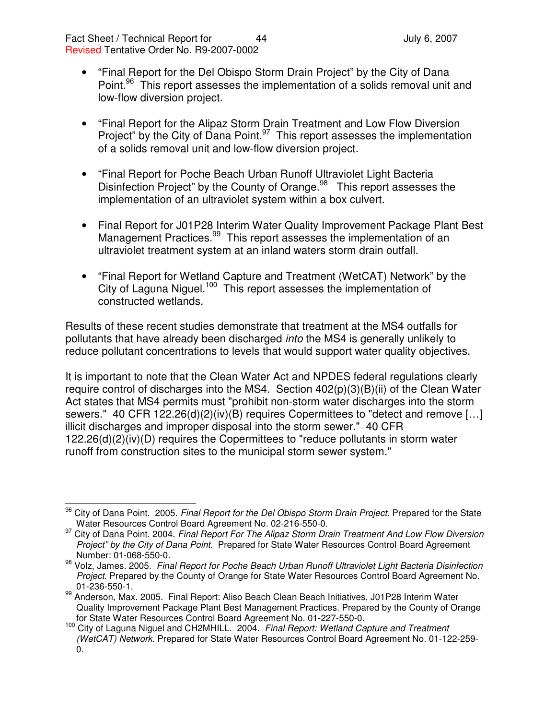- "Final Report for the Del Obispo Storm Drain Project" by the City of Dana Point.<sup>96</sup> This report assesses the implementation of a solids removal unit and low-flow diversion project.
- "Final Report for the Alipaz Storm Drain Treatment and Low Flow Diversion Project" by the City of Dana Point.<sup>97</sup> This report assesses the implementation of a solids removal unit and low-flow diversion project.
- "Final Report for Poche Beach Urban Runoff Ultraviolet Light Bacteria Disinfection Project" by the County of Orange.<sup>98</sup> This report assesses the implementation of an ultraviolet system within a box culvert.
- Final Report for J01P28 Interim Water Quality Improvement Package Plant Best Management Practices.<sup>99</sup> This report assesses the implementation of an ultraviolet treatment system at an inland waters storm drain outfall.
- "Final Report for Wetland Capture and Treatment (WetCAT) Network" by the City of Laguna Niguel.<sup>100</sup> This report assesses the implementation of constructed wetlands.

Results of these recent studies demonstrate that treatment at the MS4 outfalls for pollutants that have already been discharged *into* the MS4 is generally unlikely to reduce pollutant concentrations to levels that would support water quality objectives.

It is important to note that the Clean Water Act and NPDES federal regulations clearly require control of discharges into the MS4. Section 402(p)(3)(B)(ii) of the Clean Water Act states that MS4 permits must "prohibit non-storm water discharges into the storm sewers." 40 CFR 122.26(d)(2)(iv)(B) requires Copermittees to "detect and remove […] illicit discharges and improper disposal into the storm sewer." 40 CFR 122.26(d)(2)(iv)(D) requires the Copermittees to "reduce pollutants in storm water runoff from construction sites to the municipal storm sewer system."

<sup>96</sup> City of Dana Point. 2005. *Final Report for the Del Obispo Storm Drain Project*. Prepared for the State Water Resources Control Board Agreement No. 02-216-550-0.

<sup>97</sup> City of Dana Point. 2004. *Final Report For The Alipaz Storm Drain Treatment And Low Flow Diversion Project" by the City of Dana Point.* Prepared for State Water Resources Control Board Agreement Number: 01-068-550-0.

<sup>98</sup> Volz, James. 2005. *Final Report for Poche Beach Urban Runoff Ultraviolet Light Bacteria Disinfection Project*. Prepared by the County of Orange for State Water Resources Control Board Agreement No. 01-236-550-1.

<sup>&</sup>lt;sup>99</sup> Anderson, Max. 2005. Final Report: Aliso Beach Clean Beach Initiatives, J01P28 Interim Water Quality Improvement Package Plant Best Management Practices. Prepared by the County of Orange for State Water Resources Control Board Agreement No. 01-227-550-0.

<sup>100</sup> City of Laguna Niguel and CH2MHILL. 2004. *Final Report: Wetland Capture and Treatment (WetCAT) Network.* Prepared for State Water Resources Control Board Agreement No. 01-122-259- 0.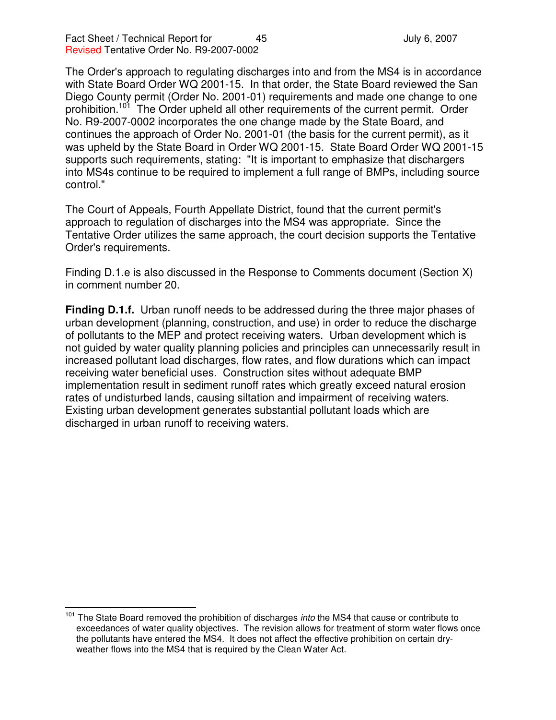The Order's approach to regulating discharges into and from the MS4 is in accordance with State Board Order WQ 2001-15. In that order, the State Board reviewed the San Diego County permit (Order No. 2001-01) requirements and made one change to one prohibition.<sup>101</sup> The Order upheld all other requirements of the current permit. Order No. R9-2007-0002 incorporates the one change made by the State Board, and continues the approach of Order No. 2001-01 (the basis for the current permit), as it was upheld by the State Board in Order WQ 2001-15. State Board Order WQ 2001-15 supports such requirements, stating: "It is important to emphasize that dischargers into MS4s continue to be required to implement a full range of BMPs, including source control."

The Court of Appeals, Fourth Appellate District, found that the current permit's approach to regulation of discharges into the MS4 was appropriate. Since the Tentative Order utilizes the same approach, the court decision supports the Tentative Order's requirements.

Finding D.1.e is also discussed in the Response to Comments document (Section X) in comment number 20.

**Finding D.1.f.** Urban runoff needs to be addressed during the three major phases of urban development (planning, construction, and use) in order to reduce the discharge of pollutants to the MEP and protect receiving waters. Urban development which is not guided by water quality planning policies and principles can unnecessarily result in increased pollutant load discharges, flow rates, and flow durations which can impact receiving water beneficial uses. Construction sites without adequate BMP implementation result in sediment runoff rates which greatly exceed natural erosion rates of undisturbed lands, causing siltation and impairment of receiving waters. Existing urban development generates substantial pollutant loads which are discharged in urban runoff to receiving waters.

<sup>&</sup>lt;sup>101</sup> The State Board removed the prohibition of discharges *into* the MS4 that cause or contribute to exceedances of water quality objectives. The revision allows for treatment of storm water flows once the pollutants have entered the MS4. It does not affect the effective prohibition on certain dryweather flows into the MS4 that is required by the Clean Water Act.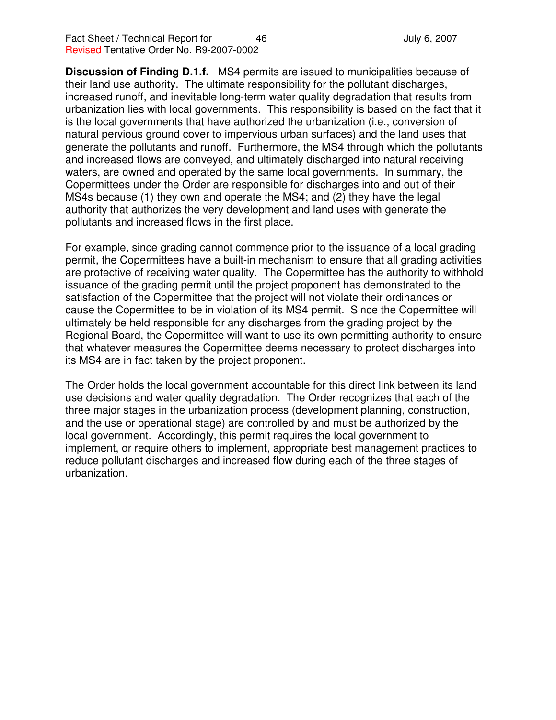**Discussion of Finding D.1.f.** MS4 permits are issued to municipalities because of their land use authority. The ultimate responsibility for the pollutant discharges, increased runoff, and inevitable long-term water quality degradation that results from urbanization lies with local governments. This responsibility is based on the fact that it is the local governments that have authorized the urbanization (i.e., conversion of natural pervious ground cover to impervious urban surfaces) and the land uses that generate the pollutants and runoff. Furthermore, the MS4 through which the pollutants and increased flows are conveyed, and ultimately discharged into natural receiving waters, are owned and operated by the same local governments. In summary, the Copermittees under the Order are responsible for discharges into and out of their MS4s because (1) they own and operate the MS4; and (2) they have the legal authority that authorizes the very development and land uses with generate the pollutants and increased flows in the first place.

For example, since grading cannot commence prior to the issuance of a local grading permit, the Copermittees have a built-in mechanism to ensure that all grading activities are protective of receiving water quality. The Copermittee has the authority to withhold issuance of the grading permit until the project proponent has demonstrated to the satisfaction of the Copermittee that the project will not violate their ordinances or cause the Copermittee to be in violation of its MS4 permit. Since the Copermittee will ultimately be held responsible for any discharges from the grading project by the Regional Board, the Copermittee will want to use its own permitting authority to ensure that whatever measures the Copermittee deems necessary to protect discharges into its MS4 are in fact taken by the project proponent.

The Order holds the local government accountable for this direct link between its land use decisions and water quality degradation. The Order recognizes that each of the three major stages in the urbanization process (development planning, construction, and the use or operational stage) are controlled by and must be authorized by the local government. Accordingly, this permit requires the local government to implement, or require others to implement, appropriate best management practices to reduce pollutant discharges and increased flow during each of the three stages of urbanization.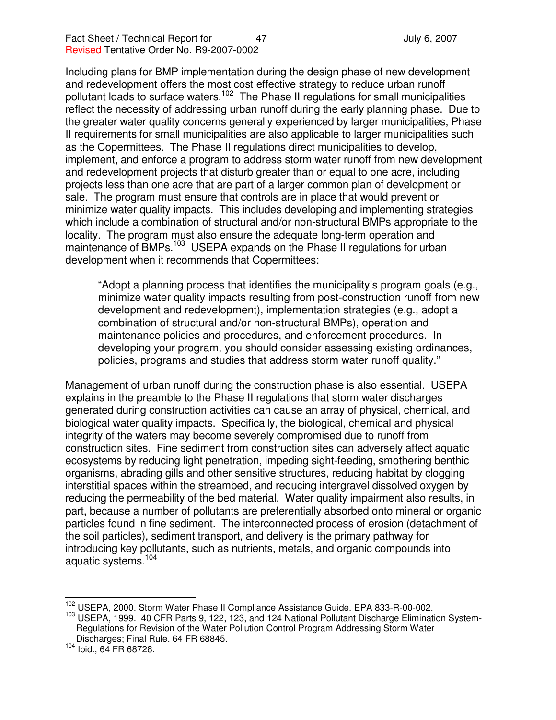Including plans for BMP implementation during the design phase of new development and redevelopment offers the most cost effective strategy to reduce urban runoff pollutant loads to surface waters.<sup>102</sup> The Phase II regulations for small municipalities reflect the necessity of addressing urban runoff during the early planning phase. Due to the greater water quality concerns generally experienced by larger municipalities, Phase II requirements for small municipalities are also applicable to larger municipalities such as the Copermittees. The Phase II regulations direct municipalities to develop, implement, and enforce a program to address storm water runoff from new development and redevelopment projects that disturb greater than or equal to one acre, including projects less than one acre that are part of a larger common plan of development or sale. The program must ensure that controls are in place that would prevent or minimize water quality impacts. This includes developing and implementing strategies which include a combination of structural and/or non-structural BMPs appropriate to the locality. The program must also ensure the adequate long-term operation and maintenance of BMPs.<sup>103</sup> USEPA expands on the Phase II regulations for urban development when it recommends that Copermittees:

"Adopt a planning process that identifies the municipality's program goals (e.g., minimize water quality impacts resulting from post-construction runoff from new development and redevelopment), implementation strategies (e.g., adopt a combination of structural and/or non-structural BMPs), operation and maintenance policies and procedures, and enforcement procedures. In developing your program, you should consider assessing existing ordinances, policies, programs and studies that address storm water runoff quality."

Management of urban runoff during the construction phase is also essential. USEPA explains in the preamble to the Phase II regulations that storm water discharges generated during construction activities can cause an array of physical, chemical, and biological water quality impacts. Specifically, the biological, chemical and physical integrity of the waters may become severely compromised due to runoff from construction sites. Fine sediment from construction sites can adversely affect aquatic ecosystems by reducing light penetration, impeding sight-feeding, smothering benthic organisms, abrading gills and other sensitive structures, reducing habitat by clogging interstitial spaces within the streambed, and reducing intergravel dissolved oxygen by reducing the permeability of the bed material. Water quality impairment also results, in part, because a number of pollutants are preferentially absorbed onto mineral or organic particles found in fine sediment. The interconnected process of erosion (detachment of the soil particles), sediment transport, and delivery is the primary pathway for introducing key pollutants, such as nutrients, metals, and organic compounds into aquatic systems. 104

<sup>102</sup> USEPA, 2000. Storm Water Phase II Compliance Assistance Guide. EPA 833-R-00-002.

<sup>&</sup>lt;sup>103</sup> USEPA, 1999. 40 CFR Parts 9, 122, 123, and 124 National Pollutant Discharge Elimination System-Regulations for Revision of the Water Pollution Control Program Addressing Storm Water Discharges; Final Rule. 64 FR 68845.

<sup>104</sup> Ibid., 64 FR 68728.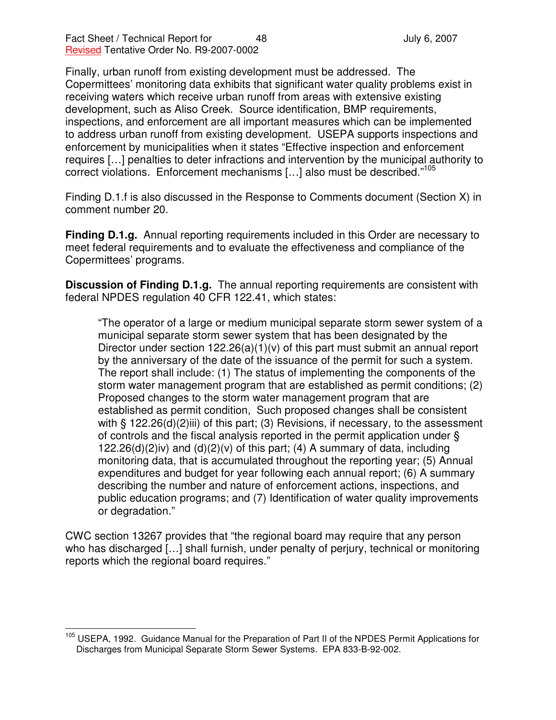Finally, urban runoff from existing development must be addressed. The Copermittees' monitoring data exhibits that significant water quality problems exist in receiving waters which receive urban runoff from areas with extensive existing development, such as Aliso Creek. Source identification, BMP requirements, inspections, and enforcement are all important measures which can be implemented to address urban runoff from existing development. USEPA supports inspections and enforcement by municipalities when it states "Effective inspection and enforcement requires […] penalties to deter infractions and intervention by the municipal authority to correct violations. Enforcement mechanisms [...] also must be described."<sup>105</sup>

Finding D.1.f is also discussed in the Response to Comments document (Section X) in comment number 20.

**Finding D.1.g.** Annual reporting requirements included in this Order are necessary to meet federal requirements and to evaluate the effectiveness and compliance of the Copermittees' programs.

**Discussion of Finding D.1.g.** The annual reporting requirements are consistent with federal NPDES regulation 40 CFR 122.41, which states:

"The operator of a large or medium municipal separate storm sewer system of a municipal separate storm sewer system that has been designated by the Director under section  $122.26(a)(1)(v)$  of this part must submit an annual report by the anniversary of the date of the issuance of the permit for such a system. The report shall include: (1) The status of implementing the components of the storm water management program that are established as permit conditions; (2) Proposed changes to the storm water management program that are established as permit condition, Such proposed changes shall be consistent with § 122.26(d)(2)iii) of this part; (3) Revisions, if necessary, to the assessment of controls and the fiscal analysis reported in the permit application under § 122.26(d)(2)iv) and (d)(2)(v) of this part; (4) A summary of data, including monitoring data, that is accumulated throughout the reporting year; (5) Annual expenditures and budget for year following each annual report; (6) A summary describing the number and nature of enforcement actions, inspections, and public education programs; and (7) Identification of water quality improvements or degradation."

CWC section 13267 provides that "the regional board may require that any person who has discharged […] shall furnish, under penalty of perjury, technical or monitoring reports which the regional board requires."

<sup>&</sup>lt;sup>105</sup> USEPA, 1992. Guidance Manual for the Preparation of Part II of the NPDES Permit Applications for Discharges from Municipal Separate Storm Sewer Systems. EPA 833-B-92-002.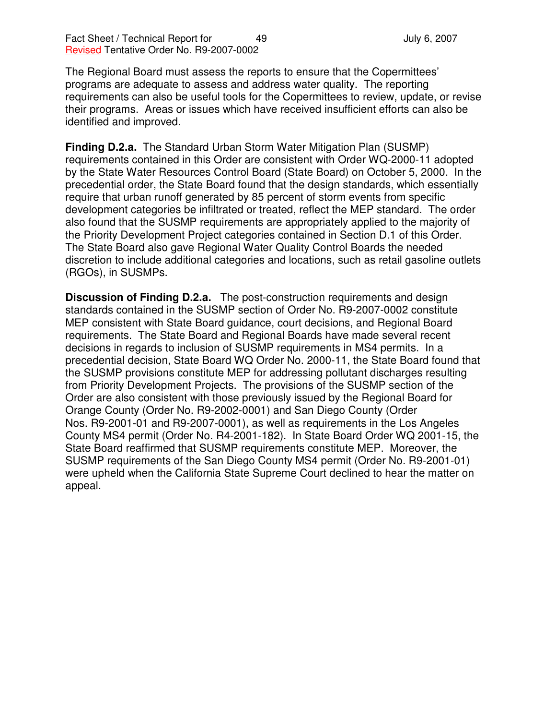The Regional Board must assess the reports to ensure that the Copermittees' programs are adequate to assess and address water quality. The reporting requirements can also be useful tools for the Copermittees to review, update, or revise their programs. Areas or issues which have received insufficient efforts can also be identified and improved.

**Finding D.2.a.** The Standard Urban Storm Water Mitigation Plan (SUSMP) requirements contained in this Order are consistent with Order WQ-2000-11 adopted by the State Water Resources Control Board (State Board) on October 5, 2000. In the precedential order, the State Board found that the design standards, which essentially require that urban runoff generated by 85 percent of storm events from specific development categories be infiltrated or treated, reflect the MEP standard. The order also found that the SUSMP requirements are appropriately applied to the majority of the Priority Development Project categories contained in Section D.1 of this Order. The State Board also gave Regional Water Quality Control Boards the needed discretion to include additional categories and locations, such as retail gasoline outlets (RGOs), in SUSMPs.

**Discussion of Finding D.2.a.** The post-construction requirements and design standards contained in the SUSMP section of Order No. R9-2007-0002 constitute MEP consistent with State Board guidance, court decisions, and Regional Board requirements. The State Board and Regional Boards have made several recent decisions in regards to inclusion of SUSMP requirements in MS4 permits. In a precedential decision, State Board WQ Order No. 2000-11, the State Board found that the SUSMP provisions constitute MEP for addressing pollutant discharges resulting from Priority Development Projects. The provisions of the SUSMP section of the Order are also consistent with those previously issued by the Regional Board for Orange County (Order No. R9-2002-0001) and San Diego County (Order Nos. R9-2001-01 and R9-2007-0001), as well as requirements in the Los Angeles County MS4 permit (Order No. R4-2001-182). In State Board Order WQ 2001-15, the State Board reaffirmed that SUSMP requirements constitute MEP. Moreover, the SUSMP requirements of the San Diego County MS4 permit (Order No. R9-2001-01) were upheld when the California State Supreme Court declined to hear the matter on appeal.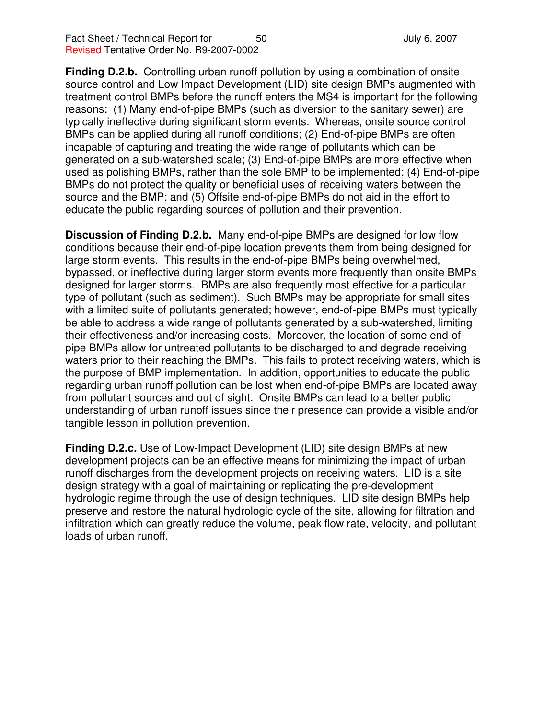**Finding D.2.b.** Controlling urban runoff pollution by using a combination of onsite source control and Low Impact Development (LID) site design BMPs augmented with treatment control BMPs before the runoff enters the MS4 is important for the following reasons: (1) Many end-of-pipe BMPs (such as diversion to the sanitary sewer) are typically ineffective during significant storm events. Whereas, onsite source control BMPs can be applied during all runoff conditions; (2) End-of-pipe BMPs are often incapable of capturing and treating the wide range of pollutants which can be generated on a sub-watershed scale; (3) End-of-pipe BMPs are more effective when used as polishing BMPs, rather than the sole BMP to be implemented; (4) End-of-pipe BMPs do not protect the quality or beneficial uses of receiving waters between the source and the BMP; and (5) Offsite end-of-pipe BMPs do not aid in the effort to educate the public regarding sources of pollution and their prevention.

**Discussion of Finding D.2.b.** Many end-of-pipe BMPs are designed for low flow conditions because their end-of-pipe location prevents them from being designed for large storm events. This results in the end-of-pipe BMPs being overwhelmed, bypassed, or ineffective during larger storm events more frequently than onsite BMPs designed for larger storms. BMPs are also frequently most effective for a particular type of pollutant (such as sediment). Such BMPs may be appropriate for small sites with a limited suite of pollutants generated; however, end-of-pipe BMPs must typically be able to address a wide range of pollutants generated by a sub-watershed, limiting their effectiveness and/or increasing costs. Moreover, the location of some end-ofpipe BMPs allow for untreated pollutants to be discharged to and degrade receiving waters prior to their reaching the BMPs. This fails to protect receiving waters, which is the purpose of BMP implementation. In addition, opportunities to educate the public regarding urban runoff pollution can be lost when end-of-pipe BMPs are located away from pollutant sources and out of sight. Onsite BMPs can lead to a better public understanding of urban runoff issues since their presence can provide a visible and/or tangible lesson in pollution prevention.

**Finding D.2.c.** Use of Low-Impact Development (LID) site design BMPs at new development projects can be an effective means for minimizing the impact of urban runoff discharges from the development projects on receiving waters. LID is a site design strategy with a goal of maintaining or replicating the pre-development hydrologic regime through the use of design techniques. LID site design BMPs help preserve and restore the natural hydrologic cycle of the site, allowing for filtration and infiltration which can greatly reduce the volume, peak flow rate, velocity, and pollutant loads of urban runoff.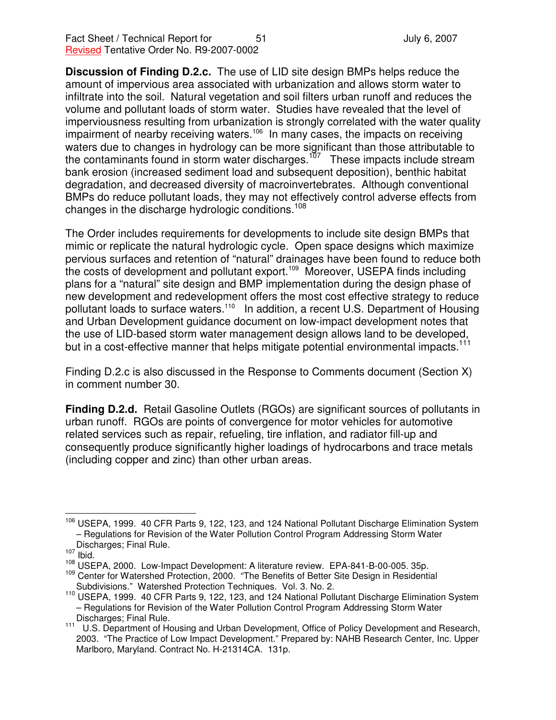**Discussion of Finding D.2.c.** The use of LID site design BMPs helps reduce the amount of impervious area associated with urbanization and allows storm water to infiltrate into the soil. Natural vegetation and soil filters urban runoff and reduces the volume and pollutant loads of storm water. Studies have revealed that the level of imperviousness resulting from urbanization is strongly correlated with the water quality impairment of nearby receiving waters.<sup>106</sup> In many cases, the impacts on receiving waters due to changes in hydrology can be more significant than those attributable to the contaminants found in storm water discharges.<sup>107</sup> These impacts include stream bank erosion (increased sediment load and subsequent deposition), benthic habitat degradation, and decreased diversity of macroinvertebrates. Although conventional BMPs do reduce pollutant loads, they may not effectively control adverse effects from changes in the discharge hydrologic conditions.<sup>108</sup>

The Order includes requirements for developments to include site design BMPs that mimic or replicate the natural hydrologic cycle. Open space designs which maximize pervious surfaces and retention of "natural" drainages have been found to reduce both the costs of development and pollutant export.<sup>109</sup> Moreover, USEPA finds including plans for a "natural" site design and BMP implementation during the design phase of new development and redevelopment offers the most cost effective strategy to reduce pollutant loads to surface waters.<sup>110</sup> In addition, a recent U.S. Department of Housing and Urban Development guidance document on low-impact development notes that the use of LID-based storm water management design allows land to be developed, but in a cost-effective manner that helps mitigate potential environmental impacts.<sup>111</sup>

Finding D.2.c is also discussed in the Response to Comments document (Section X) in comment number 30.

**Finding D.2.d.** Retail Gasoline Outlets (RGOs) are significant sources of pollutants in urban runoff. RGOs are points of convergence for motor vehicles for automotive related services such as repair, refueling, tire inflation, and radiator fill-up and consequently produce significantly higher loadings of hydrocarbons and trace metals (including copper and zinc) than other urban areas.

<sup>&</sup>lt;sup>106</sup> USEPA, 1999. 40 CFR Parts 9, 122, 123, and 124 National Pollutant Discharge Elimination System – Regulations for Revision of the Water Pollution Control Program Addressing Storm Water Discharges; Final Rule.

 $107$  Ibid.

<sup>108</sup> USEPA, 2000. Low-Impact Development: A literature review. EPA-841-B-00-005. 35p.

<sup>&</sup>lt;sup>109</sup> Center for Watershed Protection, 2000. "The Benefits of Better Site Design in Residential Subdivisions." Watershed Protection Techniques. Vol. 3. No. 2.

<sup>&</sup>lt;sup>110</sup> USEPA, 1999. 40 CFR Parts 9, 122, 123, and 124 National Pollutant Discharge Elimination System – Regulations for Revision of the Water Pollution Control Program Addressing Storm Water Discharges; Final Rule.

<sup>111</sup> U.S. Department of Housing and Urban Development, Office of Policy Development and Research, 2003. "The Practice of Low Impact Development." Prepared by: NAHB Research Center, Inc. Upper Marlboro, Maryland. Contract No. H-21314CA. 131p.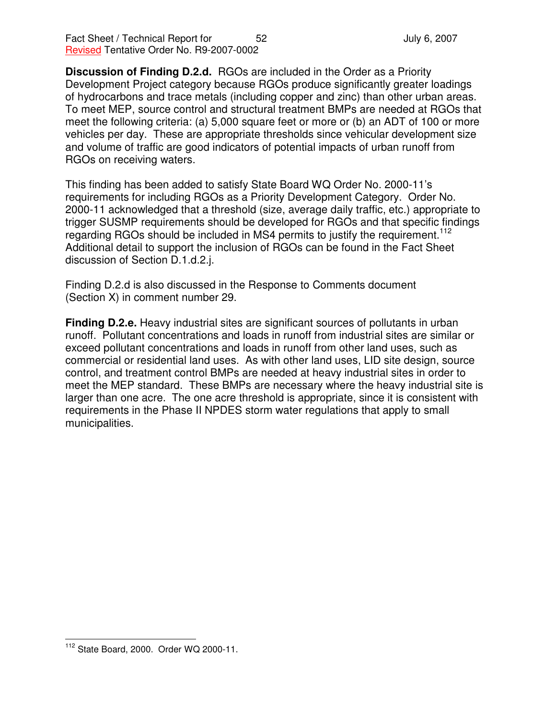Fact Sheet / Technical Report for 52 52 July 6, 2007 Revised Tentative Order No. R9-2007-0002

**Discussion of Finding D.2.d.** RGOs are included in the Order as a Priority Development Project category because RGOs produce significantly greater loadings of hydrocarbons and trace metals (including copper and zinc) than other urban areas. To meet MEP, source control and structural treatment BMPs are needed at RGOs that meet the following criteria: (a) 5,000 square feet or more or (b) an ADT of 100 or more vehicles per day. These are appropriate thresholds since vehicular development size and volume of traffic are good indicators of potential impacts of urban runoff from RGOs on receiving waters.

This finding has been added to satisfy State Board WQ Order No. 2000-11's requirements for including RGOs as a Priority Development Category. Order No. 2000-11 acknowledged that a threshold (size, average daily traffic, etc.) appropriate to trigger SUSMP requirements should be developed for RGOs and that specific findings regarding RGOs should be included in MS4 permits to justify the requirement.<sup>112</sup> Additional detail to support the inclusion of RGOs can be found in the Fact Sheet discussion of Section D.1.d.2.j.

Finding D.2.d is also discussed in the Response to Comments document (Section X) in comment number 29.

**Finding D.2.e.** Heavy industrial sites are significant sources of pollutants in urban runoff. Pollutant concentrations and loads in runoff from industrial sites are similar or exceed pollutant concentrations and loads in runoff from other land uses, such as commercial or residential land uses. As with other land uses, LID site design, source control, and treatment control BMPs are needed at heavy industrial sites in order to meet the MEP standard. These BMPs are necessary where the heavy industrial site is larger than one acre. The one acre threshold is appropriate, since it is consistent with requirements in the Phase II NPDES storm water regulations that apply to small municipalities.

<sup>112</sup> State Board, 2000. Order WQ 2000-11.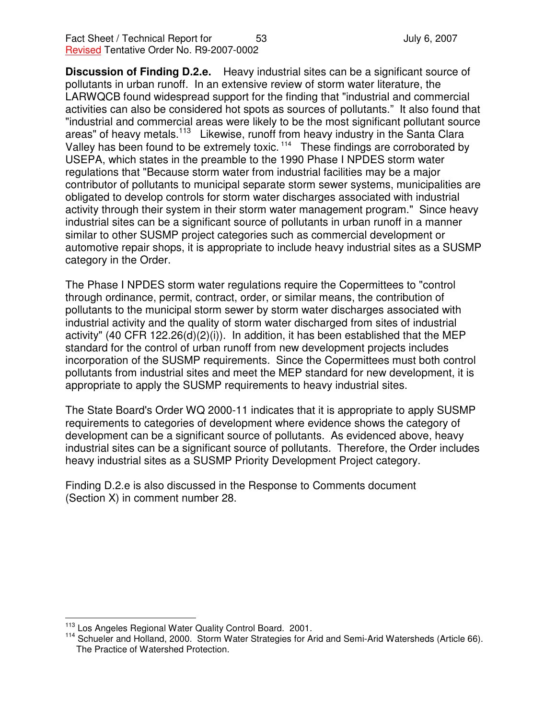**Discussion of Finding D.2.e.** Heavy industrial sites can be a significant source of pollutants in urban runoff. In an extensive review of storm water literature, the LARWQCB found widespread support for the finding that "industrial and commercial activities can also be considered hot spots as sources of pollutants." It also found that "industrial and commercial areas were likely to be the most significant pollutant source areas" of heavy metals.<sup>113</sup> Likewise, runoff from heavy industry in the Santa Clara Valley has been found to be extremely toxic.<sup>114</sup> These findings are corroborated by USEPA, which states in the preamble to the 1990 Phase I NPDES storm water regulations that "Because storm water from industrial facilities may be a major contributor of pollutants to municipal separate storm sewer systems, municipalities are obligated to develop controls for storm water discharges associated with industrial activity through their system in their storm water management program." Since heavy industrial sites can be a significant source of pollutants in urban runoff in a manner similar to other SUSMP project categories such as commercial development or automotive repair shops, it is appropriate to include heavy industrial sites as a SUSMP category in the Order.

The Phase I NPDES storm water regulations require the Copermittees to "control through ordinance, permit, contract, order, or similar means, the contribution of pollutants to the municipal storm sewer by storm water discharges associated with industrial activity and the quality of storm water discharged from sites of industrial activity" (40 CFR 122.26(d)(2)(i)). In addition, it has been established that the MEP standard for the control of urban runoff from new development projects includes incorporation of the SUSMP requirements. Since the Copermittees must both control pollutants from industrial sites and meet the MEP standard for new development, it is appropriate to apply the SUSMP requirements to heavy industrial sites.

The State Board's Order WQ 2000-11 indicates that it is appropriate to apply SUSMP requirements to categories of development where evidence shows the category of development can be a significant source of pollutants. As evidenced above, heavy industrial sites can be a significant source of pollutants. Therefore, the Order includes heavy industrial sites as a SUSMP Priority Development Project category.

Finding D.2.e is also discussed in the Response to Comments document (Section X) in comment number 28.

<sup>&</sup>lt;sup>113</sup> Los Angeles Regional Water Quality Control Board. 2001.

<sup>&</sup>lt;sup>114</sup> Schueler and Holland, 2000. Storm Water Strategies for Arid and Semi-Arid Watersheds (Article 66). The Practice of Watershed Protection.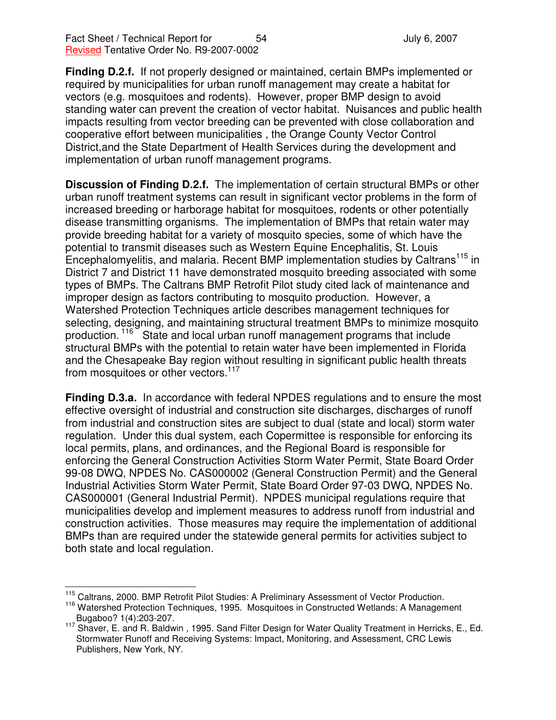**Finding D.2.f.** If not properly designed or maintained, certain BMPs implemented or required by municipalities for urban runoff management may create a habitat for vectors (e.g. mosquitoes and rodents). However, proper BMP design to avoid standing water can prevent the creation of vector habitat. Nuisances and public health impacts resulting from vector breeding can be prevented with close collaboration and cooperative effort between municipalities , the Orange County Vector Control District,and the State Department of Health Services during the development and implementation of urban runoff management programs.

**Discussion of Finding D.2.f.** The implementation of certain structural BMPs or other urban runoff treatment systems can result in significant vector problems in the form of increased breeding or harborage habitat for mosquitoes, rodents or other potentially disease transmitting organisms. The implementation of BMPs that retain water may provide breeding habitat for a variety of mosquito species, some of which have the potential to transmit diseases such as Western Equine Encephalitis, St. Louis Encephalomyelitis, and malaria. Recent BMP implementation studies by Caltrans<sup>115</sup> in District 7 and District 11 have demonstrated mosquito breeding associated with some types of BMPs. The Caltrans BMP Retrofit Pilot study cited lack of maintenance and improper design as factors contributing to mosquito production. However, a Watershed Protection Techniques article describes management techniques for selecting, designing, and maintaining structural treatment BMPs to minimize mosquito production.<sup>116</sup> State and local urban runoff management programs that include structural BMPs with the potential to retain water have been implemented in Florida and the Chesapeake Bay region without resulting in significant public health threats from mosquitoes or other vectors.<sup>117</sup>

**Finding D.3.a.** In accordance with federal NPDES regulations and to ensure the most effective oversight of industrial and construction site discharges, discharges of runoff from industrial and construction sites are subject to dual (state and local) storm water regulation. Under this dual system, each Copermittee is responsible for enforcing its local permits, plans, and ordinances, and the Regional Board is responsible for enforcing the General Construction Activities Storm Water Permit, State Board Order 99-08 DWQ, NPDES No. CAS000002 (General Construction Permit) and the General Industrial Activities Storm Water Permit, State Board Order 97-03 DWQ, NPDES No. CAS000001 (General Industrial Permit). NPDES municipal regulations require that municipalities develop and implement measures to address runoff from industrial and construction activities. Those measures may require the implementation of additional BMPs than are required under the statewide general permits for activities subject to both state and local regulation.

<sup>&</sup>lt;sup>115</sup> Caltrans, 2000. BMP Retrofit Pilot Studies: A Preliminary Assessment of Vector Production.

<sup>&</sup>lt;sup>116</sup> Watershed Protection Techniques, 1995. Mosquitoes in Constructed Wetlands: A Management Bugaboo? 1(4):203-207.

<sup>&</sup>lt;sup>117</sup> Shaver, E. and R. Baldwin, 1995. Sand Filter Design for Water Quality Treatment in Herricks, E., Ed. Stormwater Runoff and Receiving Systems: Impact, Monitoring, and Assessment, CRC Lewis Publishers, New York, NY.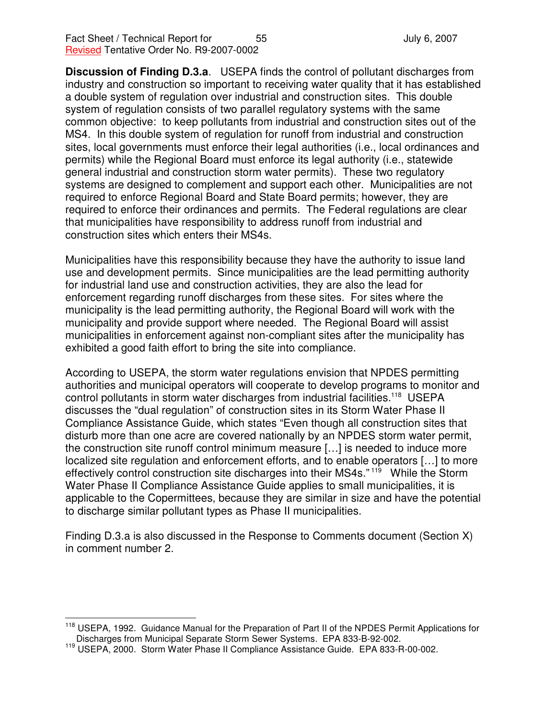**Discussion of Finding D.3.a**. USEPA finds the control of pollutant discharges from industry and construction so important to receiving water quality that it has established a double system of regulation over industrial and construction sites. This double system of regulation consists of two parallel regulatory systems with the same common objective: to keep pollutants from industrial and construction sites out of the MS4. In this double system of regulation for runoff from industrial and construction sites, local governments must enforce their legal authorities (i.e., local ordinances and permits) while the Regional Board must enforce its legal authority (i.e., statewide general industrial and construction storm water permits). These two regulatory systems are designed to complement and support each other. Municipalities are not required to enforce Regional Board and State Board permits; however, they are required to enforce their ordinances and permits. The Federal regulations are clear that municipalities have responsibility to address runoff from industrial and construction sites which enters their MS4s.

Municipalities have this responsibility because they have the authority to issue land use and development permits. Since municipalities are the lead permitting authority for industrial land use and construction activities, they are also the lead for enforcement regarding runoff discharges from these sites. For sites where the municipality is the lead permitting authority, the Regional Board will work with the municipality and provide support where needed. The Regional Board will assist municipalities in enforcement against non-compliant sites after the municipality has exhibited a good faith effort to bring the site into compliance.

According to USEPA, the storm water regulations envision that NPDES permitting authorities and municipal operators will cooperate to develop programs to monitor and control pollutants in storm water discharges from industrial facilities.<sup>118</sup> USEPA discusses the "dual regulation" of construction sites in its Storm Water Phase II Compliance Assistance Guide, which states "Even though all construction sites that disturb more than one acre are covered nationally by an NPDES storm water permit, the construction site runoff control minimum measure […] is needed to induce more localized site regulation and enforcement efforts, and to enable operators […] to more effectively control construction site discharges into their MS4s."<sup>119</sup> While the Storm Water Phase II Compliance Assistance Guide applies to small municipalities, it is applicable to the Copermittees, because they are similar in size and have the potential to discharge similar pollutant types as Phase II municipalities.

Finding D.3.a is also discussed in the Response to Comments document (Section X) in comment number 2.

<sup>&</sup>lt;sup>118</sup> USEPA, 1992. Guidance Manual for the Preparation of Part II of the NPDES Permit Applications for Discharges from Municipal Separate Storm Sewer Systems. EPA 833-B-92-002.

<sup>119</sup> USEPA, 2000. Storm Water Phase II Compliance Assistance Guide. EPA 833-R-00-002.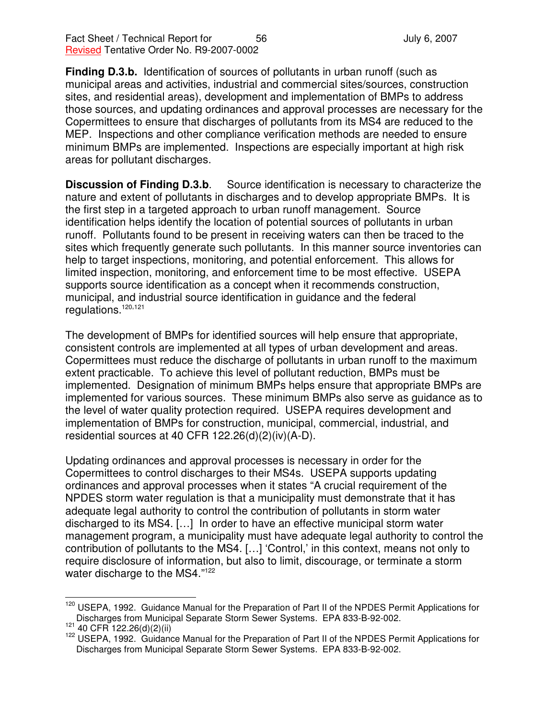**Finding D.3.b.** Identification of sources of pollutants in urban runoff (such as municipal areas and activities, industrial and commercial sites/sources, construction sites, and residential areas), development and implementation of BMPs to address those sources, and updating ordinances and approval processes are necessary for the Copermittees to ensure that discharges of pollutants from its MS4 are reduced to the MEP. Inspections and other compliance verification methods are needed to ensure minimum BMPs are implemented. Inspections are especially important at high risk areas for pollutant discharges.

**Discussion of Finding D.3.b**. Source identification is necessary to characterize the nature and extent of pollutants in discharges and to develop appropriate BMPs. It is the first step in a targeted approach to urban runoff management. Source identification helps identify the location of potential sources of pollutants in urban runoff. Pollutants found to be present in receiving waters can then be traced to the sites which frequently generate such pollutants. In this manner source inventories can help to target inspections, monitoring, and potential enforcement. This allows for limited inspection, monitoring, and enforcement time to be most effective. USEPA supports source identification as a concept when it recommends construction, municipal, and industrial source identification in guidance and the federal regulations. 120,121

The development of BMPs for identified sources will help ensure that appropriate, consistent controls are implemented at all types of urban development and areas. Copermittees must reduce the discharge of pollutants in urban runoff to the maximum extent practicable. To achieve this level of pollutant reduction, BMPs must be implemented. Designation of minimum BMPs helps ensure that appropriate BMPs are implemented for various sources. These minimum BMPs also serve as guidance as to the level of water quality protection required. USEPA requires development and implementation of BMPs for construction, municipal, commercial, industrial, and residential sources at 40 CFR 122.26(d)(2)(iv)(A-D).

Updating ordinances and approval processes is necessary in order for the Copermittees to control discharges to their MS4s. USEPA supports updating ordinances and approval processes when it states "A crucial requirement of the NPDES storm water regulation is that a municipality must demonstrate that it has adequate legal authority to control the contribution of pollutants in storm water discharged to its MS4. […] In order to have an effective municipal storm water management program, a municipality must have adequate legal authority to control the contribution of pollutants to the MS4. […] 'Control,' in this context, means not only to require disclosure of information, but also to limit, discourage, or terminate a storm water discharge to the MS4."<sup>122</sup>

<sup>&</sup>lt;sup>120</sup> USEPA, 1992. Guidance Manual for the Preparation of Part II of the NPDES Permit Applications for Discharges from Municipal Separate Storm Sewer Systems. EPA 833-B-92-002.

 $121$  40 CFR 122.26(d)(2)(ii)

<sup>122</sup> USEPA, 1992. Guidance Manual for the Preparation of Part II of the NPDES Permit Applications for Discharges from Municipal Separate Storm Sewer Systems. EPA 833-B-92-002.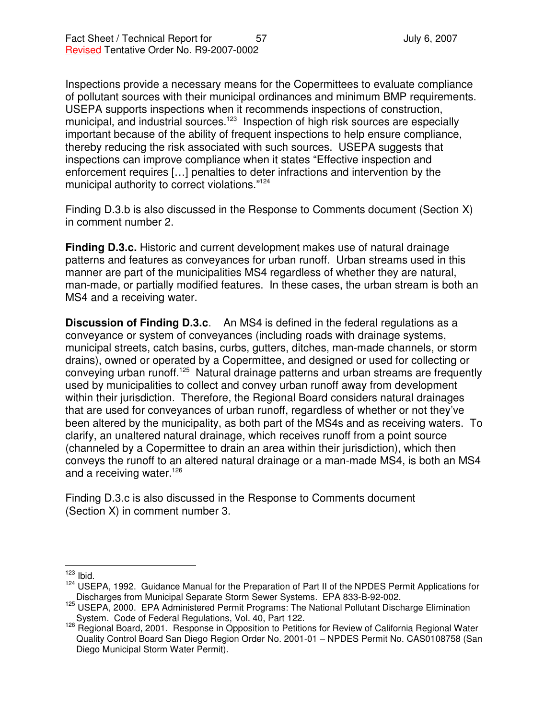Inspections provide a necessary means for the Copermittees to evaluate compliance of pollutant sources with their municipal ordinances and minimum BMP requirements. USEPA supports inspections when it recommends inspections of construction, municipal, and industrial sources.<sup>123</sup> Inspection of high risk sources are especially important because of the ability of frequent inspections to help ensure compliance, thereby reducing the risk associated with such sources. USEPA suggests that inspections can improve compliance when it states "Effective inspection and enforcement requires […] penalties to deter infractions and intervention by the municipal authority to correct violations." 124

Finding D.3.b is also discussed in the Response to Comments document (Section X) in comment number 2.

**Finding D.3.c.** Historic and current development makes use of natural drainage patterns and features as conveyances for urban runoff. Urban streams used in this manner are part of the municipalities MS4 regardless of whether they are natural, man-made, or partially modified features. In these cases, the urban stream is both an MS4 and a receiving water.

**Discussion of Finding D.3.c**. An MS4 is defined in the federal regulations as a conveyance or system of conveyances (including roads with drainage systems, municipal streets, catch basins, curbs, gutters, ditches, man-made channels, or storm drains), owned or operated by a Copermittee, and designed or used for collecting or conveying urban runoff.<sup>125</sup> Natural drainage patterns and urban streams are frequently used by municipalities to collect and convey urban runoff away from development within their jurisdiction. Therefore, the Regional Board considers natural drainages that are used for conveyances of urban runoff, regardless of whether or not they've been altered by the municipality, as both part of the MS4s and as receiving waters. To clarify, an unaltered natural drainage, which receives runoff from a point source (channeled by a Copermittee to drain an area within their jurisdiction), which then conveys the runoff to an altered natural drainage or a man-made MS4, is both an MS4 and a receiving water.<sup>126</sup>

Finding D.3.c is also discussed in the Response to Comments document (Section X) in comment number 3.

 $123$  Ibid.

<sup>124</sup> USEPA, 1992. Guidance Manual for the Preparation of Part II of the NPDES Permit Applications for Discharges from Municipal Separate Storm Sewer Systems. EPA 833-B-92-002.

<sup>125</sup> USEPA, 2000. EPA Administered Permit Programs: The National Pollutant Discharge Elimination System. Code of Federal Regulations, Vol. 40, Part 122.

<sup>126</sup> Regional Board, 2001. Response in Opposition to Petitions for Review of California Regional Water Quality Control Board San Diego Region Order No. 2001-01 – NPDES Permit No. CAS0108758 (San Diego Municipal Storm Water Permit).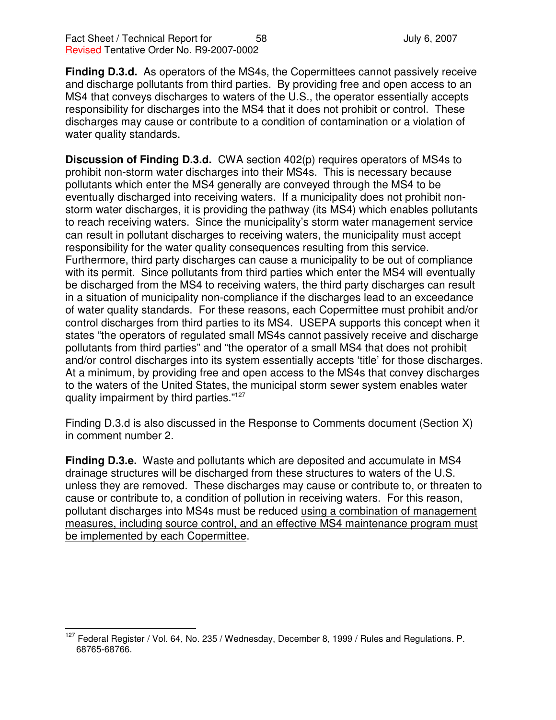**Finding D.3.d.** As operators of the MS4s, the Copermittees cannot passively receive and discharge pollutants from third parties. By providing free and open access to an MS4 that conveys discharges to waters of the U.S., the operator essentially accepts responsibility for discharges into the MS4 that it does not prohibit or control. These discharges may cause or contribute to a condition of contamination or a violation of water quality standards.

**Discussion of Finding D.3.d.** CWA section 402(p) requires operators of MS4s to prohibit non-storm water discharges into their MS4s. This is necessary because pollutants which enter the MS4 generally are conveyed through the MS4 to be eventually discharged into receiving waters. If a municipality does not prohibit nonstorm water discharges, it is providing the pathway (its MS4) which enables pollutants to reach receiving waters. Since the municipality's storm water management service can result in pollutant discharges to receiving waters, the municipality must accept responsibility for the water quality consequences resulting from this service. Furthermore, third party discharges can cause a municipality to be out of compliance with its permit. Since pollutants from third parties which enter the MS4 will eventually be discharged from the MS4 to receiving waters, the third party discharges can result in a situation of municipality non-compliance if the discharges lead to an exceedance of water quality standards. For these reasons, each Copermittee must prohibit and/or control discharges from third parties to its MS4. USEPA supports this concept when it states "the operators of regulated small MS4s cannot passively receive and discharge pollutants from third parties" and "the operator of a small MS4 that does not prohibit and/or control discharges into its system essentially accepts 'title' for those discharges. At a minimum, by providing free and open access to the MS4s that convey discharges to the waters of the United States, the municipal storm sewer system enables water quality impairment by third parties."<sup>127</sup>

Finding D.3.d is also discussed in the Response to Comments document (Section X) in comment number 2.

**Finding D.3.e.** Waste and pollutants which are deposited and accumulate in MS4 drainage structures will be discharged from these structures to waters of the U.S. unless they are removed. These discharges may cause or contribute to, or threaten to cause or contribute to, a condition of pollution in receiving waters. For this reason, pollutant discharges into MS4s must be reduced using a combination of management measures, including source control, and an effective MS4 maintenance program must be implemented by each Copermittee.

<sup>&</sup>lt;sup>127</sup> Federal Register / Vol. 64, No. 235 / Wednesday, December 8, 1999 / Rules and Regulations. P. 68765-68766.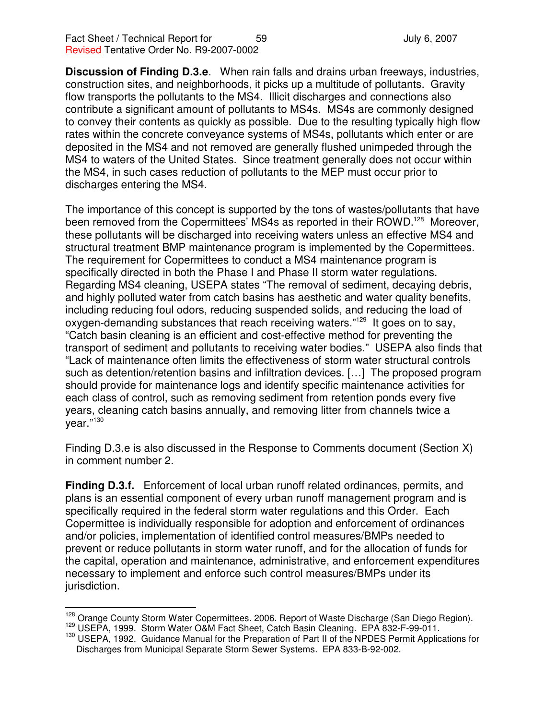**Discussion of Finding D.3.e**. When rain falls and drains urban freeways, industries, construction sites, and neighborhoods, it picks up a multitude of pollutants. Gravity flow transports the pollutants to the MS4. Illicit discharges and connections also contribute a significant amount of pollutants to MS4s. MS4s are commonly designed to convey their contents as quickly as possible. Due to the resulting typically high flow rates within the concrete conveyance systems of MS4s, pollutants which enter or are deposited in the MS4 and not removed are generally flushed unimpeded through the MS4 to waters of the United States. Since treatment generally does not occur within the MS4, in such cases reduction of pollutants to the MEP must occur prior to discharges entering the MS4.

The importance of this concept is supported by the tons of wastes/pollutants that have been removed from the Copermittees' MS4s as reported in their ROWD.<sup>128</sup> Moreover, these pollutants will be discharged into receiving waters unless an effective MS4 and structural treatment BMP maintenance program is implemented by the Copermittees. The requirement for Copermittees to conduct a MS4 maintenance program is specifically directed in both the Phase I and Phase II storm water regulations. Regarding MS4 cleaning, USEPA states "The removal of sediment, decaying debris, and highly polluted water from catch basins has aesthetic and water quality benefits, including reducing foul odors, reducing suspended solids, and reducing the load of oxygen-demanding substances that reach receiving waters."<sup>129</sup> It goes on to say, "Catch basin cleaning is an efficient and cost-effective method for preventing the transport of sediment and pollutants to receiving water bodies." USEPA also finds that "Lack of maintenance often limits the effectiveness of storm water structural controls such as detention/retention basins and infiltration devices. […] The proposed program should provide for maintenance logs and identify specific maintenance activities for each class of control, such as removing sediment from retention ponds every five years, cleaning catch basins annually, and removing litter from channels twice a year."<sup>130</sup>

Finding D.3.e is also discussed in the Response to Comments document (Section X) in comment number 2.

**Finding D.3.f.** Enforcement of local urban runoff related ordinances, permits, and plans is an essential component of every urban runoff management program and is specifically required in the federal storm water regulations and this Order. Each Copermittee is individually responsible for adoption and enforcement of ordinances and/or policies, implementation of identified control measures/BMPs needed to prevent or reduce pollutants in storm water runoff, and for the allocation of funds for the capital, operation and maintenance, administrative, and enforcement expenditures necessary to implement and enforce such control measures/BMPs under its jurisdiction.

<sup>128</sup> Orange County Storm Water Copermittees. 2006. Report of Waste Discharge (San Diego Region).

<sup>&</sup>lt;sup>129</sup> USEPA, 1999. Storm Water O&M Fact Sheet, Catch Basin Cleaning. EPA 832-F-99-011.

<sup>130</sup> USEPA, 1992. Guidance Manual for the Preparation of Part II of the NPDES Permit Applications for Discharges from Municipal Separate Storm Sewer Systems. EPA 833-B-92-002.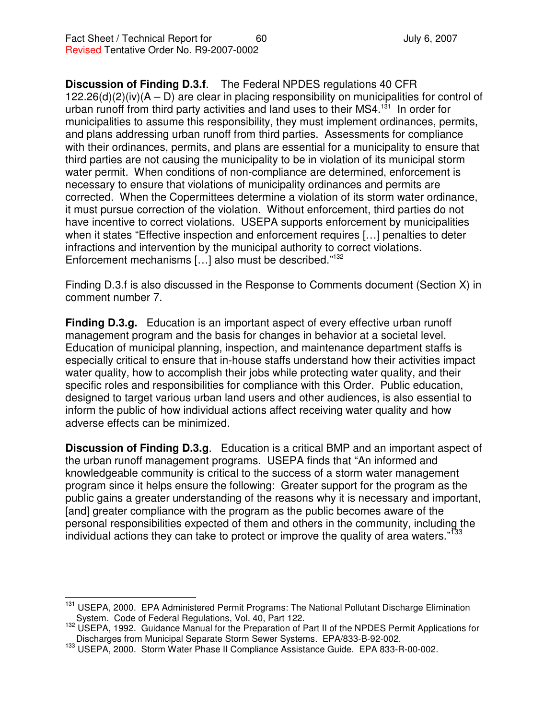## **Discussion of Finding D.3.f**. The Federal NPDES regulations 40 CFR

 $122.26(d)(2)(iv)(A – D)$  are clear in placing responsibility on municipalities for control of urban runoff from third party activities and land uses to their MS4.<sup>131</sup> In order for municipalities to assume this responsibility, they must implement ordinances, permits, and plans addressing urban runoff from third parties. Assessments for compliance with their ordinances, permits, and plans are essential for a municipality to ensure that third parties are not causing the municipality to be in violation of its municipal storm water permit. When conditions of non-compliance are determined, enforcement is necessary to ensure that violations of municipality ordinances and permits are corrected. When the Copermittees determine a violation of its storm water ordinance, it must pursue correction of the violation. Without enforcement, third parties do not have incentive to correct violations. USEPA supports enforcement by municipalities when it states "Effective inspection and enforcement requires […] penalties to deter infractions and intervention by the municipal authority to correct violations. Enforcement mechanisms […] also must be described." 132

Finding D.3.f is also discussed in the Response to Comments document (Section X) in comment number 7.

**Finding D.3.g.** Education is an important aspect of every effective urban runoff management program and the basis for changes in behavior at a societal level. Education of municipal planning, inspection, and maintenance department staffs is especially critical to ensure that in-house staffs understand how their activities impact water quality, how to accomplish their jobs while protecting water quality, and their specific roles and responsibilities for compliance with this Order. Public education, designed to target various urban land users and other audiences, is also essential to inform the public of how individual actions affect receiving water quality and how adverse effects can be minimized.

**Discussion of Finding D.3.g**. Education is a critical BMP and an important aspect of the urban runoff management programs. USEPA finds that "An informed and knowledgeable community is critical to the success of a storm water management program since it helps ensure the following: Greater support for the program as the public gains a greater understanding of the reasons why it is necessary and important, [and] greater compliance with the program as the public becomes aware of the personal responsibilities expected of them and others in the community, including the individual actions they can take to protect or improve the quality of area waters."<sup>133</sup>

<sup>&</sup>lt;sup>131</sup> USEPA, 2000. EPA Administered Permit Programs: The National Pollutant Discharge Elimination System. Code of Federal Regulations, Vol. 40, Part 122.

<sup>132</sup> USEPA, 1992. Guidance Manual for the Preparation of Part II of the NPDES Permit Applications for Discharges from Municipal Separate Storm Sewer Systems. EPA/833-B-92-002.

<sup>133</sup> USEPA, 2000. Storm Water Phase II Compliance Assistance Guide. EPA 833-R-00-002.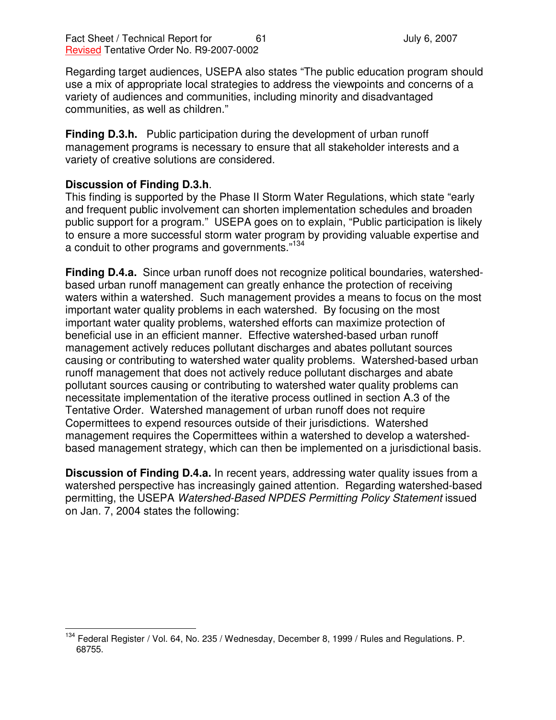Regarding target audiences, USEPA also states "The public education program should use a mix of appropriate local strategies to address the viewpoints and concerns of a variety of audiences and communities, including minority and disadvantaged communities, as well as children."

**Finding D.3.h.** Public participation during the development of urban runoff management programs is necessary to ensure that all stakeholder interests and a variety of creative solutions are considered.

## **Discussion of Finding D.3.h**.

This finding is supported by the Phase II Storm Water Regulations, which state "early and frequent public involvement can shorten implementation schedules and broaden public support for a program." USEPA goes on to explain, "Public participation is likely to ensure a more successful storm water program by providing valuable expertise and a conduit to other programs and governments."<sup>134</sup>

**Finding D.4.a.** Since urban runoff does not recognize political boundaries, watershedbased urban runoff management can greatly enhance the protection of receiving waters within a watershed. Such management provides a means to focus on the most important water quality problems in each watershed. By focusing on the most important water quality problems, watershed efforts can maximize protection of beneficial use in an efficient manner. Effective watershed-based urban runoff management actively reduces pollutant discharges and abates pollutant sources causing or contributing to watershed water quality problems. Watershed-based urban runoff management that does not actively reduce pollutant discharges and abate pollutant sources causing or contributing to watershed water quality problems can necessitate implementation of the iterative process outlined in section A.3 of the Tentative Order. Watershed management of urban runoff does not require Copermittees to expend resources outside of their jurisdictions. Watershed management requires the Copermittees within a watershed to develop a watershedbased management strategy, which can then be implemented on a jurisdictional basis.

**Discussion of Finding D.4.a.** In recent years, addressing water quality issues from a watershed perspective has increasingly gained attention. Regarding watershed-based permitting, the USEPA *Watershed-Based NPDES Permitting Policy Statement* issued on Jan. 7, 2004 states the following:

<sup>&</sup>lt;sup>134</sup> Federal Register / Vol. 64, No. 235 / Wednesday, December 8, 1999 / Rules and Regulations. P. 68755.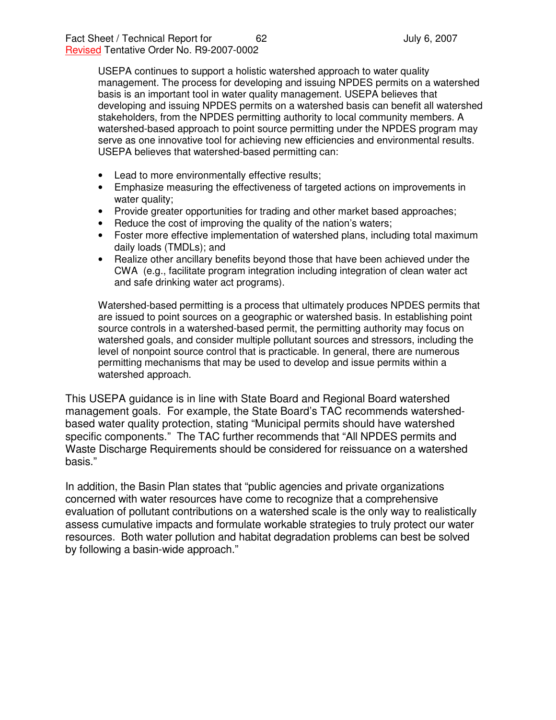USEPA continues to support a holistic watershed approach to water quality management. The process for developing and issuing NPDES permits on a watershed basis is an important tool in water quality management. USEPA believes that developing and issuing NPDES permits on a watershed basis can benefit all watershed stakeholders, from the NPDES permitting authority to local community members. A watershed-based approach to point source permitting under the NPDES program may serve as one innovative tool for achieving new efficiencies and environmental results. USEPA believes that watershed-based permitting can:

- Lead to more environmentally effective results;
- Emphasize measuring the effectiveness of targeted actions on improvements in water quality;
- Provide greater opportunities for trading and other market based approaches;
- Reduce the cost of improving the quality of the nation's waters;
- Foster more effective implementation of watershed plans, including total maximum daily loads (TMDLs); and
- Realize other ancillary benefits beyond those that have been achieved under the CWA (e.g., facilitate program integration including integration of clean water act and safe drinking water act programs).

Watershed-based permitting is a process that ultimately produces NPDES permits that are issued to point sources on a geographic or watershed basis. In establishing point source controls in a watershed-based permit, the permitting authority may focus on watershed goals, and consider multiple pollutant sources and stressors, including the level of nonpoint source control that is practicable. In general, there are numerous permitting mechanisms that may be used to develop and issue permits within a watershed approach.

This USEPA guidance is in line with State Board and Regional Board watershed management goals. For example, the State Board's TAC recommends watershedbased water quality protection, stating "Municipal permits should have watershed specific components." The TAC further recommends that "All NPDES permits and Waste Discharge Requirements should be considered for reissuance on a watershed basis."

In addition, the Basin Plan states that "public agencies and private organizations concerned with water resources have come to recognize that a comprehensive evaluation of pollutant contributions on a watershed scale is the only way to realistically assess cumulative impacts and formulate workable strategies to truly protect our water resources. Both water pollution and habitat degradation problems can best be solved by following a basin-wide approach."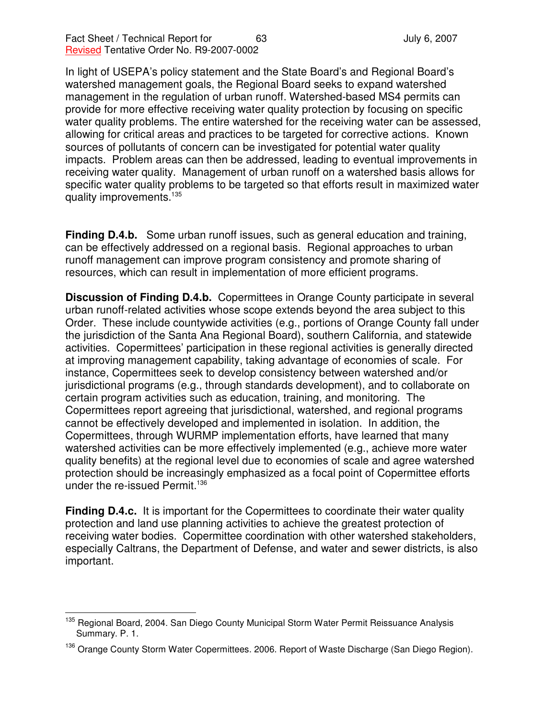In light of USEPA's policy statement and the State Board's and Regional Board's watershed management goals, the Regional Board seeks to expand watershed management in the regulation of urban runoff. Watershed-based MS4 permits can provide for more effective receiving water quality protection by focusing on specific water quality problems. The entire watershed for the receiving water can be assessed, allowing for critical areas and practices to be targeted for corrective actions. Known sources of pollutants of concern can be investigated for potential water quality impacts. Problem areas can then be addressed, leading to eventual improvements in receiving water quality. Management of urban runoff on a watershed basis allows for specific water quality problems to be targeted so that efforts result in maximized water quality improvements.<sup>135</sup>

**Finding D.4.b.** Some urban runoff issues, such as general education and training, can be effectively addressed on a regional basis. Regional approaches to urban runoff management can improve program consistency and promote sharing of resources, which can result in implementation of more efficient programs.

**Discussion of Finding D.4.b.** Copermittees in Orange County participate in several urban runoff-related activities whose scope extends beyond the area subject to this Order. These include countywide activities (e.g., portions of Orange County fall under the jurisdiction of the Santa Ana Regional Board), southern California, and statewide activities. Copermittees' participation in these regional activities is generally directed at improving management capability, taking advantage of economies of scale. For instance, Copermittees seek to develop consistency between watershed and/or jurisdictional programs (e.g., through standards development), and to collaborate on certain program activities such as education, training, and monitoring. The Copermittees report agreeing that jurisdictional, watershed, and regional programs cannot be effectively developed and implemented in isolation. In addition, the Copermittees, through WURMP implementation efforts, have learned that many watershed activities can be more effectively implemented (e.g., achieve more water quality benefits) at the regional level due to economies of scale and agree watershed protection should be increasingly emphasized as a focal point of Copermittee efforts under the re-issued Permit. 136

**Finding D.4.c.** It is important for the Copermittees to coordinate their water quality protection and land use planning activities to achieve the greatest protection of receiving water bodies. Copermittee coordination with other watershed stakeholders, especially Caltrans, the Department of Defense, and water and sewer districts, is also important.

<sup>&</sup>lt;sup>135</sup> Regional Board, 2004. San Diego County Municipal Storm Water Permit Reissuance Analysis Summary. P. 1.

<sup>&</sup>lt;sup>136</sup> Orange County Storm Water Copermittees. 2006. Report of Waste Discharge (San Diego Region).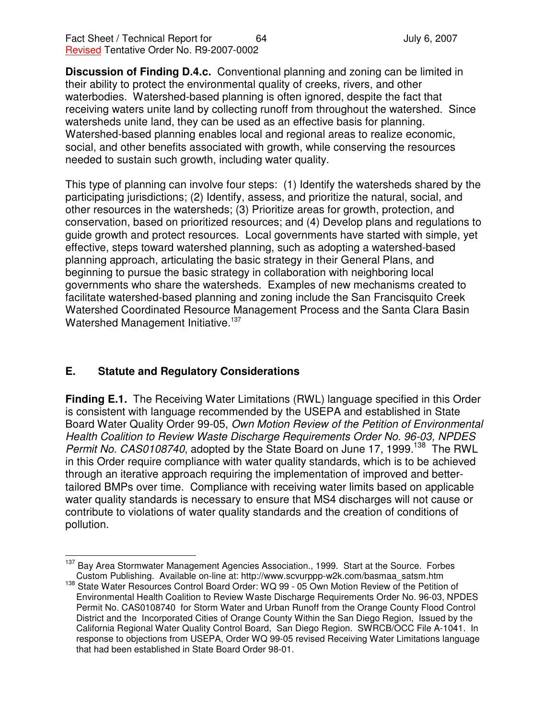**Discussion of Finding D.4.c.** Conventional planning and zoning can be limited in their ability to protect the environmental quality of creeks, rivers, and other waterbodies. Watershed-based planning is often ignored, despite the fact that receiving waters unite land by collecting runoff from throughout the watershed. Since watersheds unite land, they can be used as an effective basis for planning. Watershed-based planning enables local and regional areas to realize economic, social, and other benefits associated with growth, while conserving the resources needed to sustain such growth, including water quality.

This type of planning can involve four steps: (1) Identify the watersheds shared by the participating jurisdictions; (2) Identify, assess, and prioritize the natural, social, and other resources in the watersheds; (3) Prioritize areas for growth, protection, and conservation, based on prioritized resources; and (4) Develop plans and regulations to guide growth and protect resources. Local governments have started with simple, yet effective, steps toward watershed planning, such as adopting a watershed-based planning approach, articulating the basic strategy in their General Plans, and beginning to pursue the basic strategy in collaboration with neighboring local governments who share the watersheds. Examples of new mechanisms created to facilitate watershed-based planning and zoning include the San Francisquito Creek Watershed Coordinated Resource Management Process and the Santa Clara Basin Watershed Management Initiative.<sup>137</sup>

## **E. Statute and Regulatory Considerations**

**Finding E.1.** The Receiving Water Limitations (RWL) language specified in this Order is consistent with language recommended by the USEPA and established in State Board Water Quality Order 99-05, *Own Motion Review of the Petition of Environmental Health Coalition to Review Waste Discharge Requirements Order No. 96-03, NPDES* Permit No. CAS0108740, adopted by the State Board on June 17, 1999.<sup>138</sup> The RWL in this Order require compliance with water quality standards, which is to be achieved through an iterative approach requiring the implementation of improved and bettertailored BMPs over time. Compliance with receiving water limits based on applicable water quality standards is necessary to ensure that MS4 discharges will not cause or contribute to violations of water quality standards and the creation of conditions of pollution.

<sup>&</sup>lt;sup>137</sup> Bay Area Stormwater Management Agencies Association., 1999. Start at the Source. Forbes Custom Publishing. Available on-line at: http://www.scvurppp-w2k.com/basmaa\_satsm.htm

<sup>&</sup>lt;sup>138</sup> State Water Resources Control Board Order: WQ 99 - 05 Own Motion Review of the Petition of Environmental Health Coalition to Review Waste Discharge Requirements Order No. 96-03, NPDES Permit No. CAS0108740 for Storm Water and Urban Runoff from the Orange County Flood Control District and the Incorporated Cities of Orange County Within the San Diego Region, Issued by the California Regional Water Quality Control Board, San Diego Region. SWRCB/OCC File A-1041. In response to objections from USEPA, Order WQ 99-05 revised Receiving Water Limitations language that had been established in State Board Order 98-01.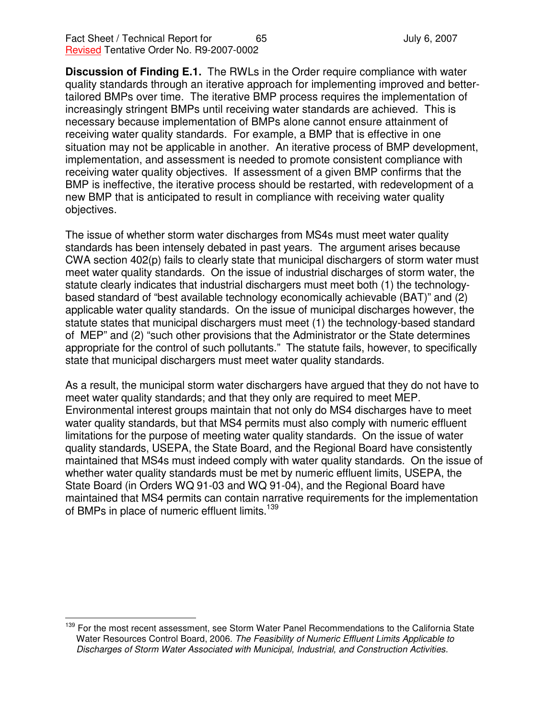**Discussion of Finding E.1.** The RWLs in the Order require compliance with water quality standards through an iterative approach for implementing improved and bettertailored BMPs over time. The iterative BMP process requires the implementation of increasingly stringent BMPs until receiving water standards are achieved. This is necessary because implementation of BMPs alone cannot ensure attainment of receiving water quality standards. For example, a BMP that is effective in one situation may not be applicable in another. An iterative process of BMP development, implementation, and assessment is needed to promote consistent compliance with receiving water quality objectives. If assessment of a given BMP confirms that the BMP is ineffective, the iterative process should be restarted, with redevelopment of a new BMP that is anticipated to result in compliance with receiving water quality objectives.

The issue of whether storm water discharges from MS4s must meet water quality standards has been intensely debated in past years. The argument arises because CWA section 402(p) fails to clearly state that municipal dischargers of storm water must meet water quality standards. On the issue of industrial discharges of storm water, the statute clearly indicates that industrial dischargers must meet both (1) the technologybased standard of "best available technology economically achievable (BAT)" and (2) applicable water quality standards. On the issue of municipal discharges however, the statute states that municipal dischargers must meet (1) the technology-based standard of MEP" and (2) "such other provisions that the Administrator or the State determines appropriate for the control of such pollutants." The statute fails, however, to specifically state that municipal dischargers must meet water quality standards.

As a result, the municipal storm water dischargers have argued that they do not have to meet water quality standards; and that they only are required to meet MEP. Environmental interest groups maintain that not only do MS4 discharges have to meet water quality standards, but that MS4 permits must also comply with numeric effluent limitations for the purpose of meeting water quality standards. On the issue of water quality standards, USEPA, the State Board, and the Regional Board have consistently maintained that MS4s must indeed comply with water quality standards. On the issue of whether water quality standards must be met by numeric effluent limits, USEPA, the State Board (in Orders WQ 91-03 and WQ 91-04), and the Regional Board have maintained that MS4 permits can contain narrative requirements for the implementation of BMPs in place of numeric effluent limits.<sup>139</sup>

<sup>&</sup>lt;sup>139</sup> For the most recent assessment, see Storm Water Panel Recommendations to the California State Water Resources Control Board, 2006. *The Feasibility of Numeric Effluent Limits Applicable to Discharges of Storm Water Associated with Municipal, Industrial, and Construction Activities.*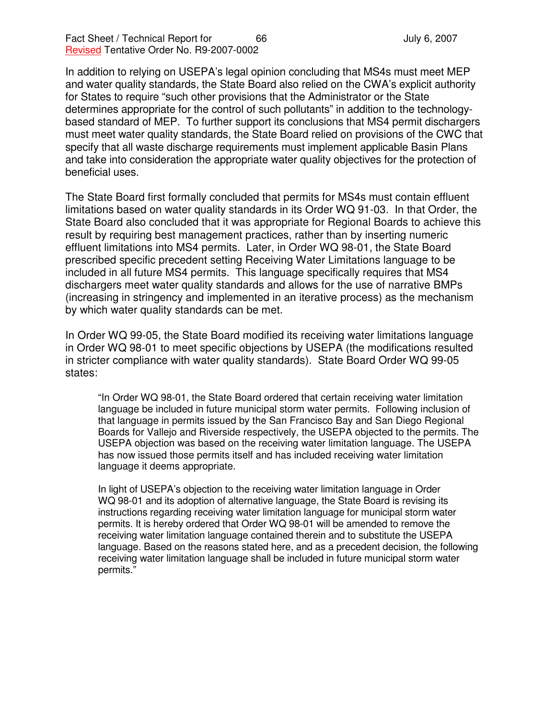In addition to relying on USEPA's legal opinion concluding that MS4s must meet MEP and water quality standards, the State Board also relied on the CWA's explicit authority for States to require "such other provisions that the Administrator or the State determines appropriate for the control of such pollutants" in addition to the technologybased standard of MEP. To further support its conclusions that MS4 permit dischargers must meet water quality standards, the State Board relied on provisions of the CWC that specify that all waste discharge requirements must implement applicable Basin Plans and take into consideration the appropriate water quality objectives for the protection of beneficial uses.

The State Board first formally concluded that permits for MS4s must contain effluent limitations based on water quality standards in its Order WQ 91-03. In that Order, the State Board also concluded that it was appropriate for Regional Boards to achieve this result by requiring best management practices, rather than by inserting numeric effluent limitations into MS4 permits. Later, in Order WQ 98-01, the State Board prescribed specific precedent setting Receiving Water Limitations language to be included in all future MS4 permits. This language specifically requires that MS4 dischargers meet water quality standards and allows for the use of narrative BMPs (increasing in stringency and implemented in an iterative process) as the mechanism by which water quality standards can be met.

In Order WQ 99-05, the State Board modified its receiving water limitations language in Order WQ 98-01 to meet specific objections by USEPA (the modifications resulted in stricter compliance with water quality standards). State Board Order WQ 99-05 states:

"In Order WQ 98-01, the State Board ordered that certain receiving water limitation language be included in future municipal storm water permits. Following inclusion of that language in permits issued by the San Francisco Bay and San Diego Regional Boards for Vallejo and Riverside respectively, the USEPA objected to the permits. The USEPA objection was based on the receiving water limitation language. The USEPA has now issued those permits itself and has included receiving water limitation language it deems appropriate.

In light of USEPA's objection to the receiving water limitation language in Order WQ 98-01 and its adoption of alternative language, the State Board is revising its instructions regarding receiving water limitation language for municipal storm water permits. It is hereby ordered that Order WQ 98-01 will be amended to remove the receiving water limitation language contained therein and to substitute the USEPA language. Based on the reasons stated here, and as a precedent decision, the following receiving water limitation language shall be included in future municipal storm water permits."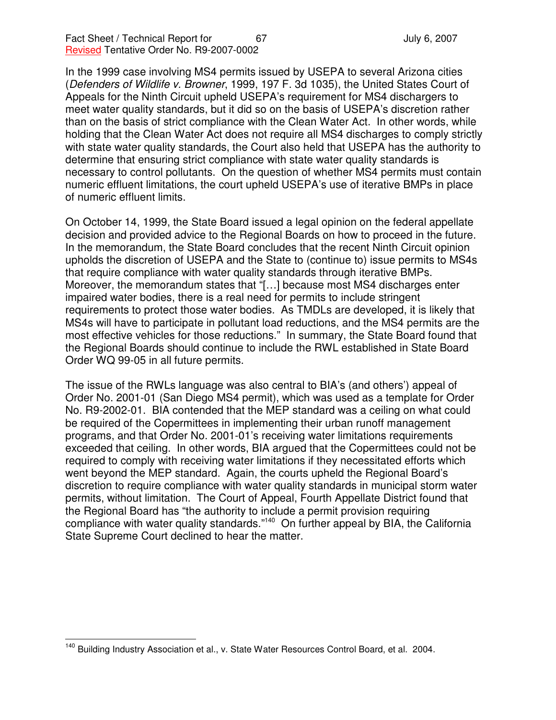In the 1999 case involving MS4 permits issued by USEPA to several Arizona cities (*Defenders of Wildlife v. Browner*, 1999, 197 F. 3d 1035), the United States Court of Appeals for the Ninth Circuit upheld USEPA's requirement for MS4 dischargers to meet water quality standards, but it did so on the basis of USEPA's discretion rather than on the basis of strict compliance with the Clean Water Act. In other words, while holding that the Clean Water Act does not require all MS4 discharges to comply strictly with state water quality standards, the Court also held that USEPA has the authority to determine that ensuring strict compliance with state water quality standards is necessary to control pollutants. On the question of whether MS4 permits must contain numeric effluent limitations, the court upheld USEPA's use of iterative BMPs in place of numeric effluent limits.

On October 14, 1999, the State Board issued a legal opinion on the federal appellate decision and provided advice to the Regional Boards on how to proceed in the future. In the memorandum, the State Board concludes that the recent Ninth Circuit opinion upholds the discretion of USEPA and the State to (continue to) issue permits to MS4s that require compliance with water quality standards through iterative BMPs. Moreover, the memorandum states that "[…] because most MS4 discharges enter impaired water bodies, there is a real need for permits to include stringent requirements to protect those water bodies. As TMDLs are developed, it is likely that MS4s will have to participate in pollutant load reductions, and the MS4 permits are the most effective vehicles for those reductions." In summary, the State Board found that the Regional Boards should continue to include the RWL established in State Board Order WQ 99-05 in all future permits.

The issue of the RWLs language was also central to BIA's (and others') appeal of Order No. 2001-01 (San Diego MS4 permit), which was used as a template for Order No. R9-2002-01. BIA contended that the MEP standard was a ceiling on what could be required of the Copermittees in implementing their urban runoff management programs, and that Order No. 2001-01's receiving water limitations requirements exceeded that ceiling. In other words, BIA argued that the Copermittees could not be required to comply with receiving water limitations if they necessitated efforts which went beyond the MEP standard. Again, the courts upheld the Regional Board's discretion to require compliance with water quality standards in municipal storm water permits, without limitation. The Court of Appeal, Fourth Appellate District found that the Regional Board has "the authority to include a permit provision requiring compliance with water quality standards."<sup>140</sup> On further appeal by BIA, the California State Supreme Court declined to hear the matter.

<sup>&</sup>lt;sup>140</sup> Building Industry Association et al., v. State Water Resources Control Board, et al. 2004.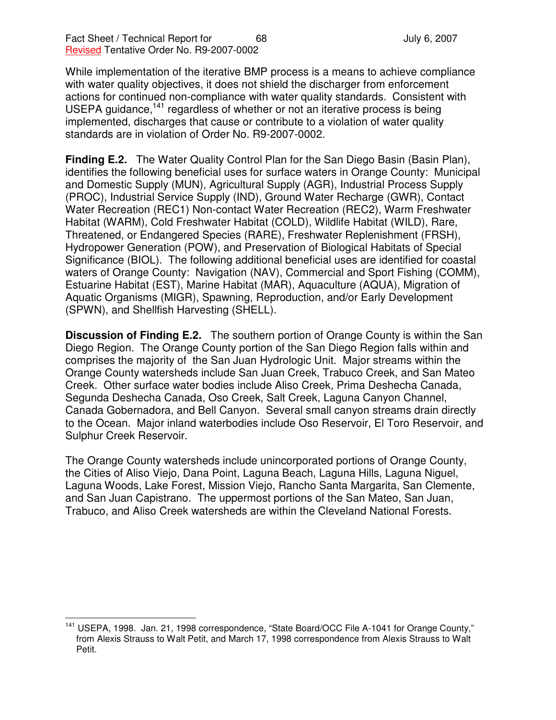While implementation of the iterative BMP process is a means to achieve compliance with water quality objectives, it does not shield the discharger from enforcement actions for continued non-compliance with water quality standards. Consistent with USEPA guidance,<sup>141</sup> regardless of whether or not an iterative process is being implemented, discharges that cause or contribute to a violation of water quality standards are in violation of Order No. R9-2007-0002.

**Finding E.2.** The Water Quality Control Plan for the San Diego Basin (Basin Plan), identifies the following beneficial uses for surface waters in Orange County: Municipal and Domestic Supply (MUN), Agricultural Supply (AGR), Industrial Process Supply (PROC), Industrial Service Supply (IND), Ground Water Recharge (GWR), Contact Water Recreation (REC1) Non-contact Water Recreation (REC2), Warm Freshwater Habitat (WARM), Cold Freshwater Habitat (COLD), Wildlife Habitat (WILD), Rare, Threatened, or Endangered Species (RARE), Freshwater Replenishment (FRSH), Hydropower Generation (POW), and Preservation of Biological Habitats of Special Significance (BIOL). The following additional beneficial uses are identified for coastal waters of Orange County: Navigation (NAV), Commercial and Sport Fishing (COMM), Estuarine Habitat (EST), Marine Habitat (MAR), Aquaculture (AQUA), Migration of Aquatic Organisms (MIGR), Spawning, Reproduction, and/or Early Development (SPWN), and Shellfish Harvesting (SHELL).

**Discussion of Finding E.2.** The southern portion of Orange County is within the San Diego Region. The Orange County portion of the San Diego Region falls within and comprises the majority of the San Juan Hydrologic Unit. Major streams within the Orange County watersheds include San Juan Creek, Trabuco Creek, and San Mateo Creek. Other surface water bodies include Aliso Creek, Prima Deshecha Canada, Segunda Deshecha Canada, Oso Creek, Salt Creek, Laguna Canyon Channel, Canada Gobernadora, and Bell Canyon. Several small canyon streams drain directly to the Ocean. Major inland waterbodies include Oso Reservoir, El Toro Reservoir, and Sulphur Creek Reservoir.

The Orange County watersheds include unincorporated portions of Orange County, the Cities of Aliso Viejo, Dana Point, Laguna Beach, Laguna Hills, Laguna Niguel, Laguna Woods, Lake Forest, Mission Viejo, Rancho Santa Margarita, San Clemente, and San Juan Capistrano. The uppermost portions of the San Mateo, San Juan, Trabuco, and Aliso Creek watersheds are within the Cleveland National Forests.

<sup>&</sup>lt;sup>141</sup> USEPA, 1998. Jan. 21, 1998 correspondence, "State Board/OCC File A-1041 for Orange County," from Alexis Strauss to Walt Petit, and March 17, 1998 correspondence from Alexis Strauss to Walt Petit.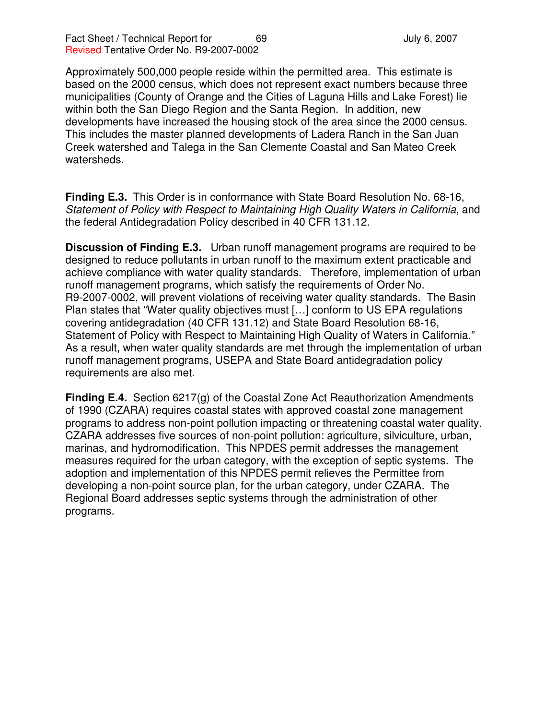Approximately 500,000 people reside within the permitted area. This estimate is based on the 2000 census, which does not represent exact numbers because three municipalities (County of Orange and the Cities of Laguna Hills and Lake Forest) lie within both the San Diego Region and the Santa Region. In addition, new developments have increased the housing stock of the area since the 2000 census. This includes the master planned developments of Ladera Ranch in the San Juan Creek watershed and Talega in the San Clemente Coastal and San Mateo Creek watersheds.

**Finding E.3.** This Order is in conformance with State Board Resolution No. 68-16, *Statement of Policy with Respect to Maintaining High Quality Waters in California*, and the federal Antidegradation Policy described in 40 CFR 131.12.

**Discussion of Finding E.3.** Urban runoff management programs are required to be designed to reduce pollutants in urban runoff to the maximum extent practicable and achieve compliance with water quality standards. Therefore, implementation of urban runoff management programs, which satisfy the requirements of Order No. R9-2007-0002, will prevent violations of receiving water quality standards. The Basin Plan states that "Water quality objectives must […] conform to US EPA regulations covering antidegradation (40 CFR 131.12) and State Board Resolution 68-16, Statement of Policy with Respect to Maintaining High Quality of Waters in California." As a result, when water quality standards are met through the implementation of urban runoff management programs, USEPA and State Board antidegradation policy requirements are also met.

**Finding E.4.** Section 6217(g) of the Coastal Zone Act Reauthorization Amendments of 1990 (CZARA) requires coastal states with approved coastal zone management programs to address non-point pollution impacting or threatening coastal water quality. CZARA addresses five sources of non-point pollution: agriculture, silviculture, urban, marinas, and hydromodification. This NPDES permit addresses the management measures required for the urban category, with the exception of septic systems. The adoption and implementation of this NPDES permit relieves the Permittee from developing a non-point source plan, for the urban category, under CZARA. The Regional Board addresses septic systems through the administration of other programs.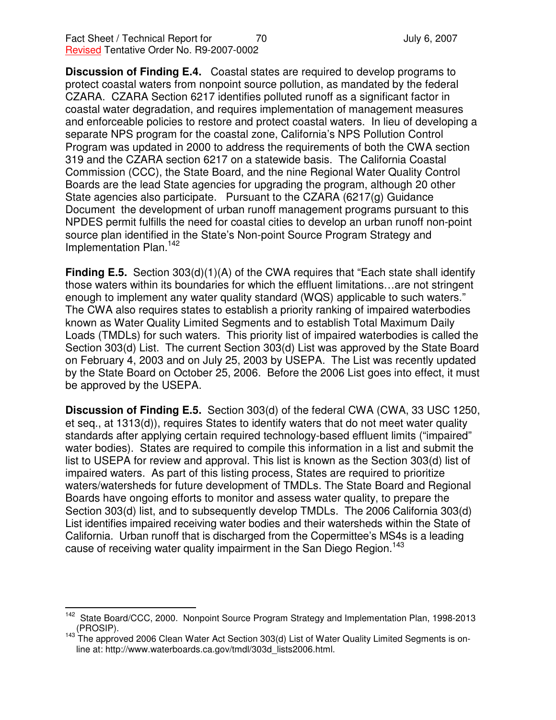**Discussion of Finding E.4.** Coastal states are required to develop programs to protect coastal waters from nonpoint source pollution, as mandated by the federal CZARA. CZARA Section 6217 identifies polluted runoff as a significant factor in coastal water degradation, and requires implementation of management measures and enforceable policies to restore and protect coastal waters. In lieu of developing a separate NPS program for the coastal zone, California's NPS Pollution Control Program was updated in 2000 to address the requirements of both the CWA section 319 and the CZARA section 6217 on a statewide basis. The California Coastal Commission (CCC), the State Board, and the nine Regional Water Quality Control Boards are the lead State agencies for upgrading the program, although 20 other State agencies also participate. Pursuant to the CZARA (6217(g) Guidance Document the development of urban runoff management programs pursuant to this NPDES permit fulfills the need for coastal cities to develop an urban runoff non-point source plan identified in the State's Non-point Source Program Strategy and Implementation Plan. 142

**Finding E.5.** Section 303(d)(1)(A) of the CWA requires that "Each state shall identify those waters within its boundaries for which the effluent limitations…are not stringent enough to implement any water quality standard (WQS) applicable to such waters." The CWA also requires states to establish a priority ranking of impaired waterbodies known as Water Quality Limited Segments and to establish Total Maximum Daily Loads (TMDLs) for such waters. This priority list of impaired waterbodies is called the Section 303(d) List. The current Section 303(d) List was approved by the State Board on February 4, 2003 and on July 25, 2003 by USEPA. The List was recently updated by the State Board on October 25, 2006. Before the 2006 List goes into effect, it must be approved by the USEPA.

**Discussion of Finding E.5.** Section 303(d) of the federal CWA (CWA, 33 USC 1250, et seq., at 1313(d)), requires States to identify waters that do not meet water quality standards after applying certain required technology-based effluent limits ("impaired" water bodies). States are required to compile this information in a list and submit the list to USEPA for review and approval. This list is known as the Section 303(d) list of impaired waters. As part of this listing process, States are required to prioritize waters/watersheds for future development of TMDLs. The State Board and Regional Boards have ongoing efforts to monitor and assess water quality, to prepare the Section 303(d) list, and to subsequently develop TMDLs. The 2006 California 303(d) List identifies impaired receiving water bodies and their watersheds within the State of California. Urban runoff that is discharged from the Copermittee's MS4s is a leading cause of receiving water quality impairment in the San Diego Region.<sup>143</sup>

<sup>142</sup> State Board/CCC, 2000. Nonpoint Source Program Strategy and Implementation Plan, 1998-2013 (PROSIP).

<sup>&</sup>lt;sup>143</sup> The approved 2006 Clean Water Act Section 303(d) List of Water Quality Limited Segments is online at: http://www.waterboards.ca.gov/tmdl/303d\_lists2006.html.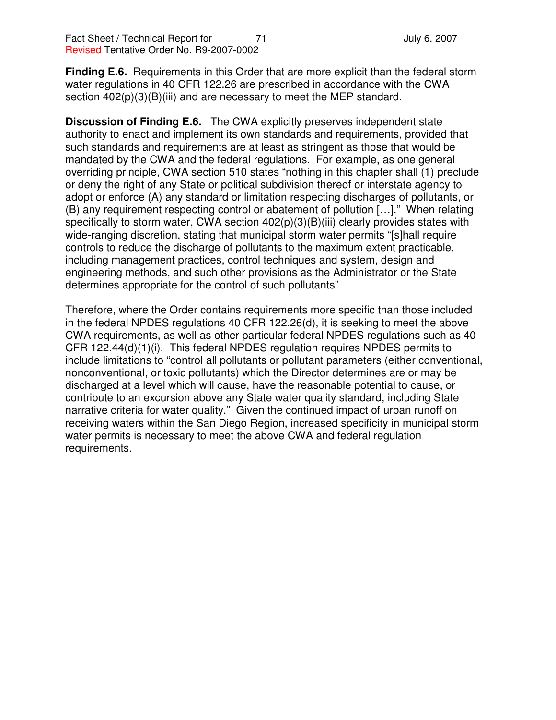**Finding E.6.** Requirements in this Order that are more explicit than the federal storm water regulations in 40 CFR 122.26 are prescribed in accordance with the CWA section  $402(p)(3)(B)(iii)$  and are necessary to meet the MEP standard.

**Discussion of Finding E.6.** The CWA explicitly preserves independent state authority to enact and implement its own standards and requirements, provided that such standards and requirements are at least as stringent as those that would be mandated by the CWA and the federal regulations. For example, as one general overriding principle, CWA section 510 states "nothing in this chapter shall (1) preclude or deny the right of any State or political subdivision thereof or interstate agency to adopt or enforce (A) any standard or limitation respecting discharges of pollutants, or (B) any requirement respecting control or abatement of pollution […]." When relating specifically to storm water, CWA section  $402(p)(3)(B)(iii)$  clearly provides states with wide-ranging discretion, stating that municipal storm water permits "[s]hall require controls to reduce the discharge of pollutants to the maximum extent practicable, including management practices, control techniques and system, design and engineering methods, and such other provisions as the Administrator or the State determines appropriate for the control of such pollutants"

Therefore, where the Order contains requirements more specific than those included in the federal NPDES regulations 40 CFR 122.26(d), it is seeking to meet the above CWA requirements, as well as other particular federal NPDES regulations such as 40 CFR 122.44(d)(1)(i). This federal NPDES regulation requires NPDES permits to include limitations to "control all pollutants or pollutant parameters (either conventional, nonconventional, or toxic pollutants) which the Director determines are or may be discharged at a level which will cause, have the reasonable potential to cause, or contribute to an excursion above any State water quality standard, including State narrative criteria for water quality." Given the continued impact of urban runoff on receiving waters within the San Diego Region, increased specificity in municipal storm water permits is necessary to meet the above CWA and federal regulation requirements.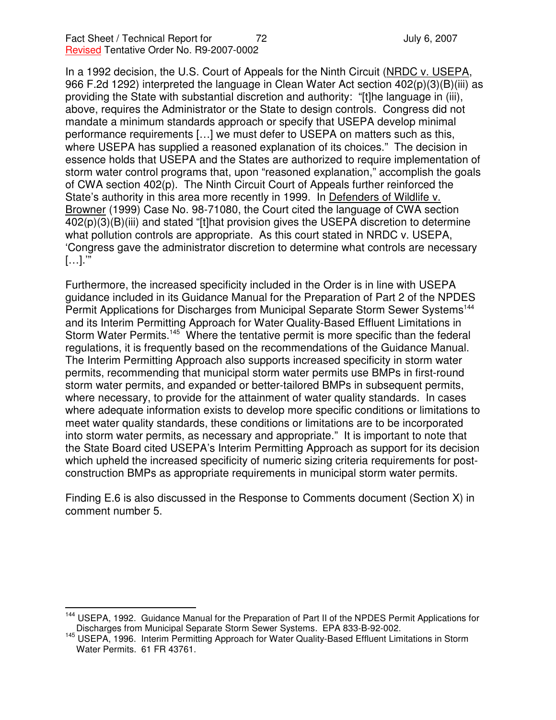In a 1992 decision, the U.S. Court of Appeals for the Ninth Circuit (NRDC v. USEPA, 966 F.2d 1292) interpreted the language in Clean Water Act section 402(p)(3)(B)(iii) as providing the State with substantial discretion and authority: "[t]he language in (iii), above, requires the Administrator or the State to design controls. Congress did not mandate a minimum standards approach or specify that USEPA develop minimal performance requirements […] we must defer to USEPA on matters such as this, where USEPA has supplied a reasoned explanation of its choices." The decision in essence holds that USEPA and the States are authorized to require implementation of storm water control programs that, upon "reasoned explanation," accomplish the goals of CWA section 402(p). The Ninth Circuit Court of Appeals further reinforced the State's authority in this area more recently in 1999. In Defenders of Wildlife v. Browner (1999) Case No. 98-71080, the Court cited the language of CWA section 402(p)(3)(B)(iii) and stated "[t]hat provision gives the USEPA discretion to determine what pollution controls are appropriate. As this court stated in NRDC v. USEPA, 'Congress gave the administrator discretion to determine what controls are necessary […].'"

Furthermore, the increased specificity included in the Order is in line with USEPA guidance included in its Guidance Manual for the Preparation of Part 2 of the NPDES Permit Applications for Discharges from Municipal Separate Storm Sewer Systems<sup>144</sup> and its Interim Permitting Approach for Water Quality-Based Effluent Limitations in Storm Water Permits.<sup>145</sup> Where the tentative permit is more specific than the federal regulations, it is frequently based on the recommendations of the Guidance Manual. The Interim Permitting Approach also supports increased specificity in storm water permits, recommending that municipal storm water permits use BMPs in first-round storm water permits, and expanded or better-tailored BMPs in subsequent permits, where necessary, to provide for the attainment of water quality standards. In cases where adequate information exists to develop more specific conditions or limitations to meet water quality standards, these conditions or limitations are to be incorporated into storm water permits, as necessary and appropriate." It is important to note that the State Board cited USEPA's Interim Permitting Approach as support for its decision which upheld the increased specificity of numeric sizing criteria requirements for postconstruction BMPs as appropriate requirements in municipal storm water permits.

Finding E.6 is also discussed in the Response to Comments document (Section X) in comment number 5.

<sup>&</sup>lt;sup>144</sup> USEPA, 1992. Guidance Manual for the Preparation of Part II of the NPDES Permit Applications for Discharges from Municipal Separate Storm Sewer Systems. EPA 833-B-92-002.

<sup>145</sup> USEPA, 1996. Interim Permitting Approach for Water Quality-Based Effluent Limitations in Storm Water Permits. 61 FR 43761.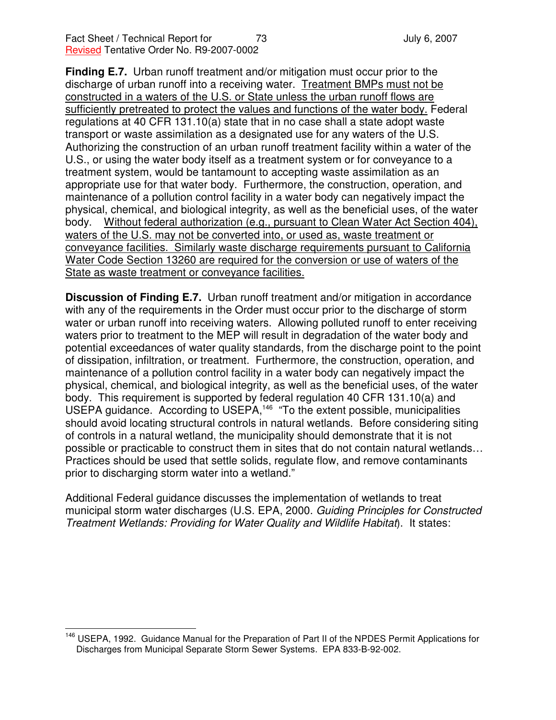**Finding E.7.** Urban runoff treatment and/or mitigation must occur prior to the discharge of urban runoff into a receiving water. Treatment BMPs must not be constructed in a waters of the U.S. or State unless the urban runoff flows are sufficiently pretreated to protect the values and functions of the water body. Federal regulations at 40 CFR 131.10(a) state that in no case shall a state adopt waste transport or waste assimilation as a designated use for any waters of the U.S. Authorizing the construction of an urban runoff treatment facility within a water of the U.S., or using the water body itself as a treatment system or for conveyance to a treatment system, would be tantamount to accepting waste assimilation as an appropriate use for that water body. Furthermore, the construction, operation, and maintenance of a pollution control facility in a water body can negatively impact the physical, chemical, and biological integrity, as well as the beneficial uses, of the water body. Without federal authorization (e.g., pursuant to Clean Water Act Section 404), waters of the U.S. may not be converted into, or used as, waste treatment or conveyance facilities. Similarly waste discharge requirements pursuant to California Water Code Section 13260 are required for the conversion or use of waters of the State as waste treatment or conveyance facilities.

**Discussion of Finding E.7.** Urban runoff treatment and/or mitigation in accordance with any of the requirements in the Order must occur prior to the discharge of storm water or urban runoff into receiving waters. Allowing polluted runoff to enter receiving waters prior to treatment to the MEP will result in degradation of the water body and potential exceedances of water quality standards, from the discharge point to the point of dissipation, infiltration, or treatment. Furthermore, the construction, operation, and maintenance of a pollution control facility in a water body can negatively impact the physical, chemical, and biological integrity, as well as the beneficial uses, of the water body. This requirement is supported by federal regulation 40 CFR 131.10(a) and USEPA guidance. According to USEPA,<sup>146</sup> "To the extent possible, municipalities should avoid locating structural controls in natural wetlands. Before considering siting of controls in a natural wetland, the municipality should demonstrate that it is not possible or practicable to construct them in sites that do not contain natural wetlands… Practices should be used that settle solids, regulate flow, and remove contaminants prior to discharging storm water into a wetland."

Additional Federal guidance discusses the implementation of wetlands to treat municipal storm water discharges (U.S. EPA, 2000. *Guiding Principles for Constructed Treatment Wetlands: Providing for Water Quality and Wildlife Habitat*). It states:

<sup>&</sup>lt;sup>146</sup> USEPA, 1992. Guidance Manual for the Preparation of Part II of the NPDES Permit Applications for Discharges from Municipal Separate Storm Sewer Systems. EPA 833-B-92-002.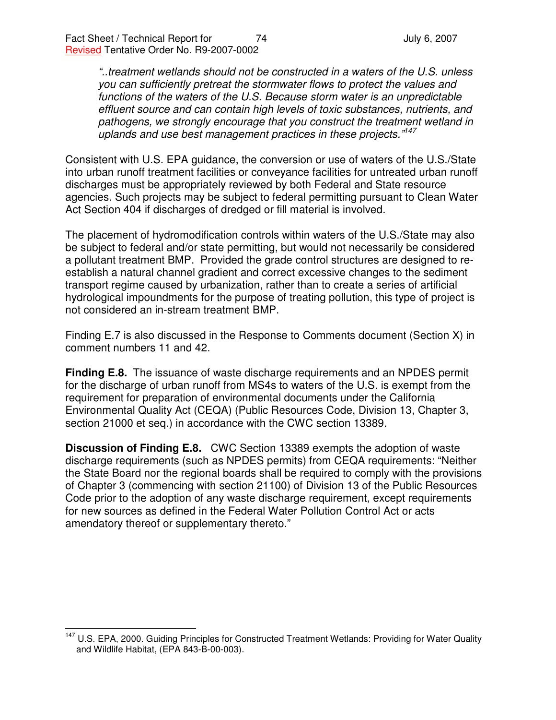*"..treatment wetlands should not be constructed in a waters of the U.S. unless you can sufficiently pretreat the stormwater flows to protect the values and functions of the waters of the U.S. Because storm water is an unpredictable effluent source and can contain high levels of toxic substances, nutrients, and pathogens, we strongly encourage that you construct the treatment wetland in uplands and use best management practices in these projects." 147*

Consistent with U.S. EPA guidance, the conversion or use of waters of the U.S./State into urban runoff treatment facilities or conveyance facilities for untreated urban runoff discharges must be appropriately reviewed by both Federal and State resource agencies. Such projects may be subject to federal permitting pursuant to Clean Water Act Section 404 if discharges of dredged or fill material is involved.

The placement of hydromodification controls within waters of the U.S./State may also be subject to federal and/or state permitting, but would not necessarily be considered a pollutant treatment BMP. Provided the grade control structures are designed to reestablish a natural channel gradient and correct excessive changes to the sediment transport regime caused by urbanization, rather than to create a series of artificial hydrological impoundments for the purpose of treating pollution, this type of project is not considered an in-stream treatment BMP.

Finding E.7 is also discussed in the Response to Comments document (Section X) in comment numbers 11 and 42.

**Finding E.8.** The issuance of waste discharge requirements and an NPDES permit for the discharge of urban runoff from MS4s to waters of the U.S. is exempt from the requirement for preparation of environmental documents under the California Environmental Quality Act (CEQA) (Public Resources Code, Division 13, Chapter 3, section 21000 et seq.) in accordance with the CWC section 13389.

**Discussion of Finding E.8.** CWC Section 13389 exempts the adoption of waste discharge requirements (such as NPDES permits) from CEQA requirements: "Neither the State Board nor the regional boards shall be required to comply with the provisions of Chapter 3 (commencing with section 21100) of Division 13 of the Public Resources Code prior to the adoption of any waste discharge requirement, except requirements for new sources as defined in the Federal Water Pollution Control Act or acts amendatory thereof or supplementary thereto."

<sup>&</sup>lt;sup>147</sup> U.S. EPA, 2000. Guiding Principles for Constructed Treatment Wetlands: Providing for Water Quality and Wildlife Habitat, (EPA 843-B-00-003).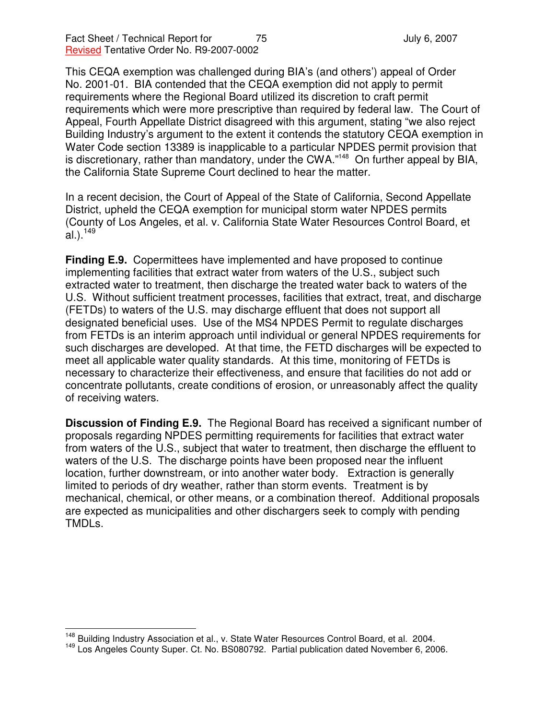Fact Sheet / Technical Report for 75 Text 75 August 2007 Revised Tentative Order No. R9-2007-0002

This CEQA exemption was challenged during BIA's (and others') appeal of Order No. 2001-01. BIA contended that the CEQA exemption did not apply to permit requirements where the Regional Board utilized its discretion to craft permit requirements which were more prescriptive than required by federal law. The Court of Appeal, Fourth Appellate District disagreed with this argument, stating "we also reject Building Industry's argument to the extent it contends the statutory CEQA exemption in Water Code section 13389 is inapplicable to a particular NPDES permit provision that is discretionary, rather than mandatory, under the CWA."<sup>148</sup> On further appeal by BIA, the California State Supreme Court declined to hear the matter.

In a recent decision, the Court of Appeal of the State of California, Second Appellate District, upheld the CEQA exemption for municipal storm water NPDES permits (County of Los Angeles, et al. v. California State Water Resources Control Board, et al.).<sup>149</sup>

**Finding E.9.** Copermittees have implemented and have proposed to continue implementing facilities that extract water from waters of the U.S., subject such extracted water to treatment, then discharge the treated water back to waters of the U.S. Without sufficient treatment processes, facilities that extract, treat, and discharge (FETDs) to waters of the U.S. may discharge effluent that does not support all designated beneficial uses. Use of the MS4 NPDES Permit to regulate discharges from FETDs is an interim approach until individual or general NPDES requirements for such discharges are developed. At that time, the FETD discharges will be expected to meet all applicable water quality standards. At this time, monitoring of FETDs is necessary to characterize their effectiveness, and ensure that facilities do not add or concentrate pollutants, create conditions of erosion, or unreasonably affect the quality of receiving waters.

**Discussion of Finding E.9.** The Regional Board has received a significant number of proposals regarding NPDES permitting requirements for facilities that extract water from waters of the U.S., subject that water to treatment, then discharge the effluent to waters of the U.S. The discharge points have been proposed near the influent location, further downstream, or into another water body. Extraction is generally limited to periods of dry weather, rather than storm events. Treatment is by mechanical, chemical, or other means, or a combination thereof. Additional proposals are expected as municipalities and other dischargers seek to comply with pending TMDLs.

<sup>&</sup>lt;sup>148</sup> Building Industry Association et al., v. State Water Resources Control Board, et al. 2004.

<sup>&</sup>lt;sup>149</sup> Los Angeles County Super. Ct. No. BS080792. Partial publication dated November 6, 2006.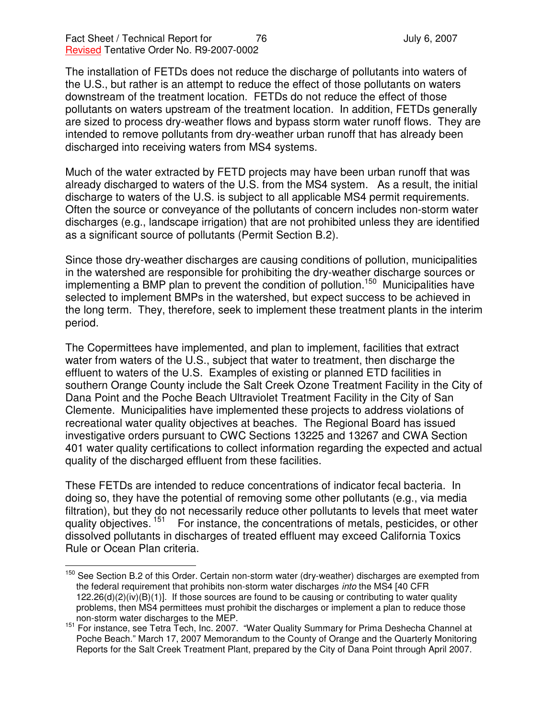The installation of FETDs does not reduce the discharge of pollutants into waters of the U.S., but rather is an attempt to reduce the effect of those pollutants on waters downstream of the treatment location. FETDs do not reduce the effect of those pollutants on waters upstream of the treatment location. In addition, FETDs generally are sized to process dry-weather flows and bypass storm water runoff flows. They are intended to remove pollutants from dry-weather urban runoff that has already been discharged into receiving waters from MS4 systems.

Much of the water extracted by FETD projects may have been urban runoff that was already discharged to waters of the U.S. from the MS4 system. As a result, the initial discharge to waters of the U.S. is subject to all applicable MS4 permit requirements. Often the source or conveyance of the pollutants of concern includes non-storm water discharges (e.g., landscape irrigation) that are not prohibited unless they are identified as a significant source of pollutants (Permit Section B.2).

Since those dry-weather discharges are causing conditions of pollution, municipalities in the watershed are responsible for prohibiting the dry-weather discharge sources or implementing a BMP plan to prevent the condition of pollution. <sup>150</sup> Municipalities have selected to implement BMPs in the watershed, but expect success to be achieved in the long term. They, therefore, seek to implement these treatment plants in the interim period.

The Copermittees have implemented, and plan to implement, facilities that extract water from waters of the U.S., subject that water to treatment, then discharge the effluent to waters of the U.S. Examples of existing or planned ETD facilities in southern Orange County include the Salt Creek Ozone Treatment Facility in the City of Dana Point and the Poche Beach Ultraviolet Treatment Facility in the City of San Clemente. Municipalities have implemented these projects to address violations of recreational water quality objectives at beaches. The Regional Board has issued investigative orders pursuant to CWC Sections 13225 and 13267 and CWA Section 401 water quality certifications to collect information regarding the expected and actual quality of the discharged effluent from these facilities.

These FETDs are intended to reduce concentrations of indicator fecal bacteria. In doing so, they have the potential of removing some other pollutants (e.g., via media filtration), but they do not necessarily reduce other pollutants to levels that meet water quality objectives. <sup>151</sup> For instance, the concentrations of metals, pesticides, or other dissolved pollutants in discharges of treated effluent may exceed California Toxics Rule or Ocean Plan criteria.

<sup>&</sup>lt;sup>150</sup> See Section B.2 of this Order. Certain non-storm water (dry-weather) discharges are exempted from the federal requirement that prohibits non-storm water discharges *into* the MS4 [40 CFR  $122.26(d)(2)(iv)(B)(1)$ . If those sources are found to be causing or contributing to water quality problems, then MS4 permittees must prohibit the discharges or implement a plan to reduce those non-storm water discharges to the MEP.

<sup>&</sup>lt;sup>151</sup> For instance, see Tetra Tech, Inc. 2007. "Water Quality Summary for Prima Deshecha Channel at Poche Beach." March 17, 2007 Memorandum to the County of Orange and the Quarterly Monitoring Reports for the Salt Creek Treatment Plant, prepared by the City of Dana Point through April 2007.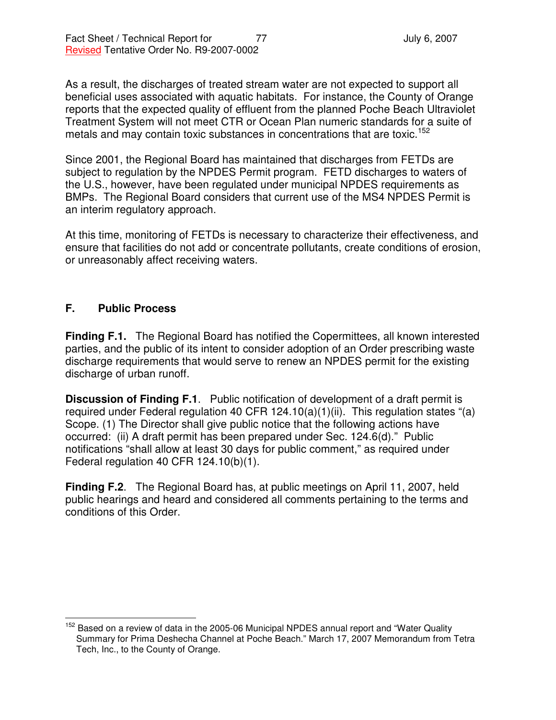As a result, the discharges of treated stream water are not expected to support all beneficial uses associated with aquatic habitats. For instance, the County of Orange reports that the expected quality of effluent from the planned Poche Beach Ultraviolet Treatment System will not meet CTR or Ocean Plan numeric standards for a suite of metals and may contain toxic substances in concentrations that are toxic.<sup>152</sup>

Since 2001, the Regional Board has maintained that discharges from FETDs are subject to regulation by the NPDES Permit program. FETD discharges to waters of the U.S., however, have been regulated under municipal NPDES requirements as BMPs. The Regional Board considers that current use of the MS4 NPDES Permit is an interim regulatory approach.

At this time, monitoring of FETDs is necessary to characterize their effectiveness, and ensure that facilities do not add or concentrate pollutants, create conditions of erosion, or unreasonably affect receiving waters.

## **F. Public Process**

**Finding F.1.** The Regional Board has notified the Copermittees, all known interested parties, and the public of its intent to consider adoption of an Order prescribing waste discharge requirements that would serve to renew an NPDES permit for the existing discharge of urban runoff.

**Discussion of Finding F.1**. Public notification of development of a draft permit is required under Federal regulation 40 CFR 124.10(a)(1)(ii). This regulation states "(a) Scope. (1) The Director shall give public notice that the following actions have occurred: (ii) A draft permit has been prepared under Sec. 124.6(d)." Public notifications "shall allow at least 30 days for public comment," as required under Federal regulation 40 CFR 124.10(b)(1).

**Finding F.2**. The Regional Board has, at public meetings on April 11, 2007, held public hearings and heard and considered all comments pertaining to the terms and conditions of this Order.

<sup>&</sup>lt;sup>152</sup> Based on a review of data in the 2005-06 Municipal NPDES annual report and "Water Quality Summary for Prima Deshecha Channel at Poche Beach." March 17, 2007 Memorandum from Tetra Tech, Inc., to the County of Orange.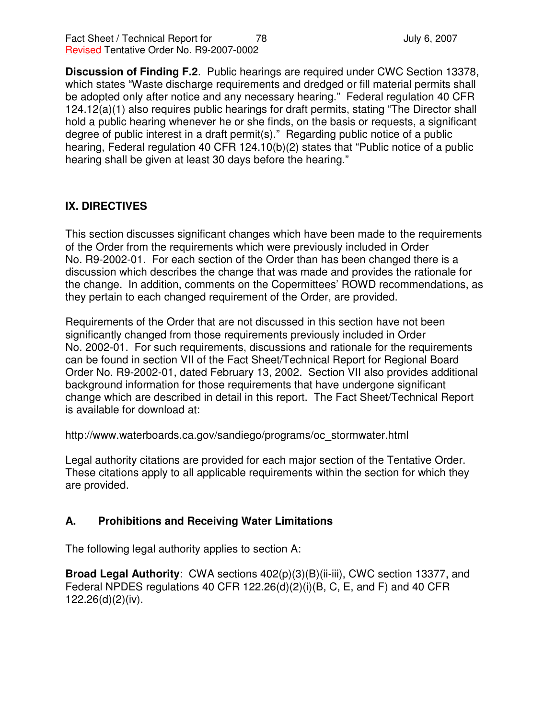**Discussion of Finding F.2**. Public hearings are required under CWC Section 13378, which states "Waste discharge requirements and dredged or fill material permits shall be adopted only after notice and any necessary hearing." Federal regulation 40 CFR 124.12(a)(1) also requires public hearings for draft permits, stating "The Director shall hold a public hearing whenever he or she finds, on the basis or requests, a significant degree of public interest in a draft permit(s)." Regarding public notice of a public hearing, Federal regulation 40 CFR 124.10(b)(2) states that "Public notice of a public hearing shall be given at least 30 days before the hearing."

## **IX. DIRECTIVES**

This section discusses significant changes which have been made to the requirements of the Order from the requirements which were previously included in Order No. R9-2002-01. For each section of the Order than has been changed there is a discussion which describes the change that was made and provides the rationale for the change. In addition, comments on the Copermittees' ROWD recommendations, as they pertain to each changed requirement of the Order, are provided.

Requirements of the Order that are not discussed in this section have not been significantly changed from those requirements previously included in Order No. 2002-01. For such requirements, discussions and rationale for the requirements can be found in section VII of the Fact Sheet/Technical Report for Regional Board Order No. R9-2002-01, dated February 13, 2002. Section VII also provides additional background information for those requirements that have undergone significant change which are described in detail in this report. The Fact Sheet/Technical Report is available for download at:

http://www.waterboards.ca.gov/sandiego/programs/oc\_stormwater.html

Legal authority citations are provided for each major section of the Tentative Order. These citations apply to all applicable requirements within the section for which they are provided.

## **A. Prohibitions and Receiving Water Limitations**

The following legal authority applies to section A:

**Broad Legal Authority**: CWA sections 402(p)(3)(B)(ii-iii), CWC section 13377, and Federal NPDES regulations 40 CFR 122.26(d)(2)(i)(B, C, E, and F) and 40 CFR 122.26(d)(2)(iv).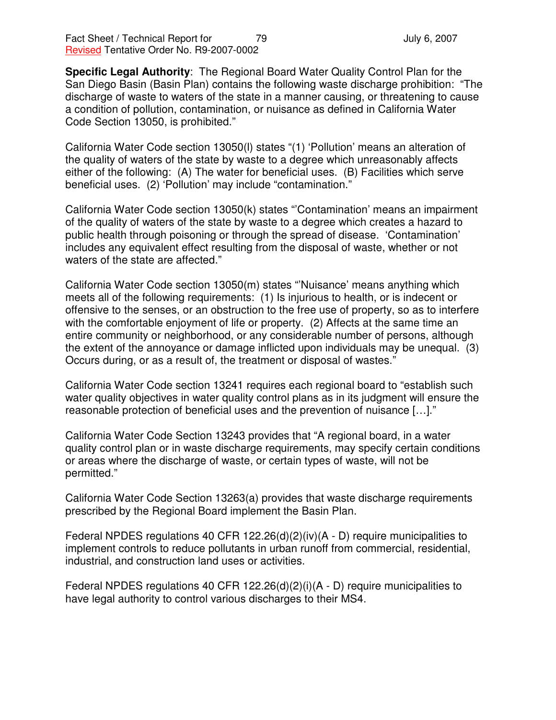**Specific Legal Authority**: The Regional Board Water Quality Control Plan for the San Diego Basin (Basin Plan) contains the following waste discharge prohibition: "The discharge of waste to waters of the state in a manner causing, or threatening to cause a condition of pollution, contamination, or nuisance as defined in California Water Code Section 13050, is prohibited."

California Water Code section 13050(l) states "(1) 'Pollution' means an alteration of the quality of waters of the state by waste to a degree which unreasonably affects either of the following: (A) The water for beneficial uses. (B) Facilities which serve beneficial uses. (2) 'Pollution' may include "contamination."

California Water Code section 13050(k) states "'Contamination' means an impairment of the quality of waters of the state by waste to a degree which creates a hazard to public health through poisoning or through the spread of disease. 'Contamination' includes any equivalent effect resulting from the disposal of waste, whether or not waters of the state are affected."

California Water Code section 13050(m) states "'Nuisance' means anything which meets all of the following requirements: (1) Is injurious to health, or is indecent or offensive to the senses, or an obstruction to the free use of property, so as to interfere with the comfortable enjoyment of life or property. (2) Affects at the same time an entire community or neighborhood, or any considerable number of persons, although the extent of the annoyance or damage inflicted upon individuals may be unequal. (3) Occurs during, or as a result of, the treatment or disposal of wastes."

California Water Code section 13241 requires each regional board to "establish such water quality objectives in water quality control plans as in its judgment will ensure the reasonable protection of beneficial uses and the prevention of nuisance […]."

California Water Code Section 13243 provides that "A regional board, in a water quality control plan or in waste discharge requirements, may specify certain conditions or areas where the discharge of waste, or certain types of waste, will not be permitted."

California Water Code Section 13263(a) provides that waste discharge requirements prescribed by the Regional Board implement the Basin Plan.

Federal NPDES regulations 40 CFR 122.26(d)(2)(iv)(A - D) require municipalities to implement controls to reduce pollutants in urban runoff from commercial, residential, industrial, and construction land uses or activities.

Federal NPDES regulations 40 CFR 122.26(d)(2)(i)(A - D) require municipalities to have legal authority to control various discharges to their MS4.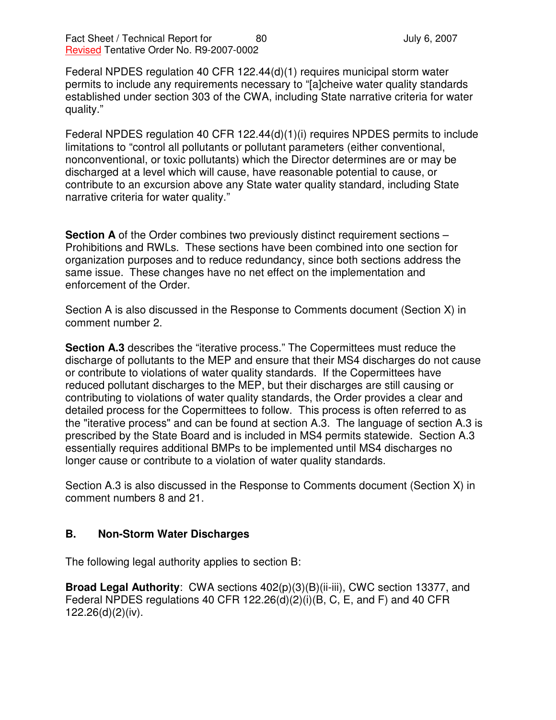Federal NPDES regulation 40 CFR 122.44(d)(1) requires municipal storm water permits to include any requirements necessary to "[a]cheive water quality standards established under section 303 of the CWA, including State narrative criteria for water quality."

Federal NPDES regulation 40 CFR 122.44(d)(1)(i) requires NPDES permits to include limitations to "control all pollutants or pollutant parameters (either conventional, nonconventional, or toxic pollutants) which the Director determines are or may be discharged at a level which will cause, have reasonable potential to cause, or contribute to an excursion above any State water quality standard, including State narrative criteria for water quality."

**Section A** of the Order combines two previously distinct requirement sections – Prohibitions and RWLs. These sections have been combined into one section for organization purposes and to reduce redundancy, since both sections address the same issue. These changes have no net effect on the implementation and enforcement of the Order.

Section A is also discussed in the Response to Comments document (Section X) in comment number 2.

**Section A.3** describes the "iterative process." The Copermittees must reduce the discharge of pollutants to the MEP and ensure that their MS4 discharges do not cause or contribute to violations of water quality standards. If the Copermittees have reduced pollutant discharges to the MEP, but their discharges are still causing or contributing to violations of water quality standards, the Order provides a clear and detailed process for the Copermittees to follow. This process is often referred to as the "iterative process" and can be found at section A.3. The language of section A.3 is prescribed by the State Board and is included in MS4 permits statewide. Section A.3 essentially requires additional BMPs to be implemented until MS4 discharges no longer cause or contribute to a violation of water quality standards.

Section A.3 is also discussed in the Response to Comments document (Section X) in comment numbers 8 and 21.

## **B. Non-Storm Water Discharges**

The following legal authority applies to section B:

**Broad Legal Authority**: CWA sections 402(p)(3)(B)(ii-iii), CWC section 13377, and Federal NPDES regulations 40 CFR 122.26(d)(2)(i)(B, C, E, and F) and 40 CFR 122.26(d)(2)(iv).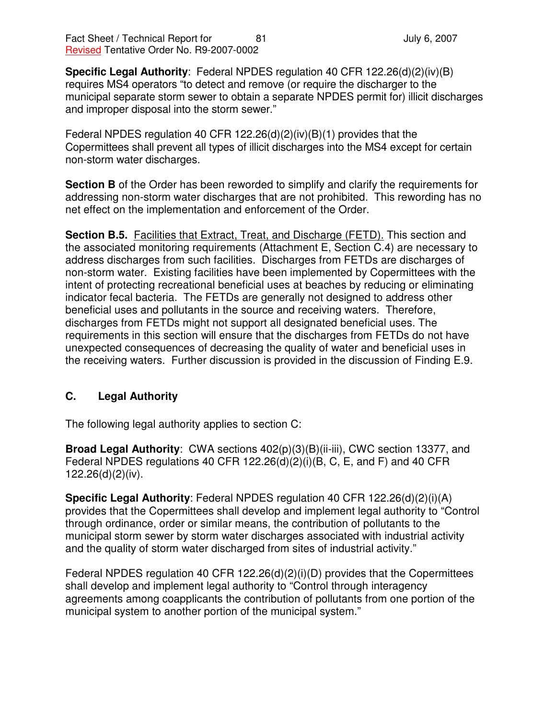**Specific Legal Authority**: Federal NPDES regulation 40 CFR 122.26(d)(2)(iv)(B) requires MS4 operators "to detect and remove (or require the discharger to the municipal separate storm sewer to obtain a separate NPDES permit for) illicit discharges and improper disposal into the storm sewer."

Federal NPDES regulation 40 CFR 122.26(d)(2)(iv)(B)(1) provides that the Copermittees shall prevent all types of illicit discharges into the MS4 except for certain non-storm water discharges.

**Section B** of the Order has been reworded to simplify and clarify the requirements for addressing non-storm water discharges that are not prohibited. This rewording has no net effect on the implementation and enforcement of the Order.

**Section B.5.** Facilities that Extract, Treat, and Discharge (FETD). This section and the associated monitoring requirements (Attachment E, Section C.4) are necessary to address discharges from such facilities. Discharges from FETDs are discharges of non-storm water. Existing facilities have been implemented by Copermittees with the intent of protecting recreational beneficial uses at beaches by reducing or eliminating indicator fecal bacteria. The FETDs are generally not designed to address other beneficial uses and pollutants in the source and receiving waters. Therefore, discharges from FETDs might not support all designated beneficial uses. The requirements in this section will ensure that the discharges from FETDs do not have unexpected consequences of decreasing the quality of water and beneficial uses in the receiving waters. Further discussion is provided in the discussion of Finding E.9.

# **C. Legal Authority**

The following legal authority applies to section C:

**Broad Legal Authority**: CWA sections 402(p)(3)(B)(ii-iii), CWC section 13377, and Federal NPDES regulations 40 CFR 122.26(d)(2)(i)(B, C, E, and F) and 40 CFR 122.26(d)(2)(iv).

**Specific Legal Authority**: Federal NPDES regulation 40 CFR 122.26(d)(2)(i)(A) provides that the Copermittees shall develop and implement legal authority to "Control through ordinance, order or similar means, the contribution of pollutants to the municipal storm sewer by storm water discharges associated with industrial activity and the quality of storm water discharged from sites of industrial activity."

Federal NPDES regulation 40 CFR 122.26(d)(2)(i)(D) provides that the Copermittees shall develop and implement legal authority to "Control through interagency agreements among coapplicants the contribution of pollutants from one portion of the municipal system to another portion of the municipal system."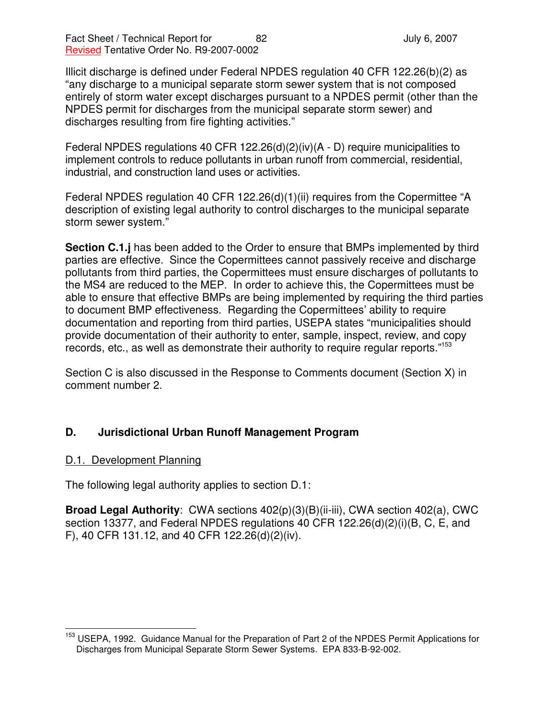Illicit discharge is defined under Federal NPDES regulation 40 CFR 122.26(b)(2) as "any discharge to a municipal separate storm sewer system that is not composed entirely of storm water except discharges pursuant to a NPDES permit (other than the NPDES permit for discharges from the municipal separate storm sewer) and discharges resulting from fire fighting activities."

Federal NPDES regulations 40 CFR 122.26(d)(2)(iv)(A - D) require municipalities to implement controls to reduce pollutants in urban runoff from commercial, residential, industrial, and construction land uses or activities.

Federal NPDES regulation 40 CFR 122.26(d)(1)(ii) requires from the Copermittee "A description of existing legal authority to control discharges to the municipal separate storm sewer system."

**Section C.1.j** has been added to the Order to ensure that BMPs implemented by third parties are effective. Since the Copermittees cannot passively receive and discharge pollutants from third parties, the Copermittees must ensure discharges of pollutants to the MS4 are reduced to the MEP. In order to achieve this, the Copermittees must be able to ensure that effective BMPs are being implemented by requiring the third parties to document BMP effectiveness. Regarding the Copermittees' ability to require documentation and reporting from third parties, USEPA states "municipalities should provide documentation of their authority to enter, sample, inspect, review, and copy records, etc., as well as demonstrate their authority to require regular reports."<sup>153</sup>

Section C is also discussed in the Response to Comments document (Section X) in comment number 2.

# **D. Jurisdictional Urban Runoff Management Program**

### D.1. Development Planning

The following legal authority applies to section D.1:

**Broad Legal Authority**: CWA sections 402(p)(3)(B)(ii-iii), CWA section 402(a), CWC section 13377, and Federal NPDES regulations 40 CFR 122.26(d)(2)(i)(B, C, E, and F), 40 CFR 131.12, and 40 CFR 122.26(d)(2)(iv).

<sup>&</sup>lt;sup>153</sup> USEPA, 1992. Guidance Manual for the Preparation of Part 2 of the NPDES Permit Applications for Discharges from Municipal Separate Storm Sewer Systems. EPA 833-B-92-002.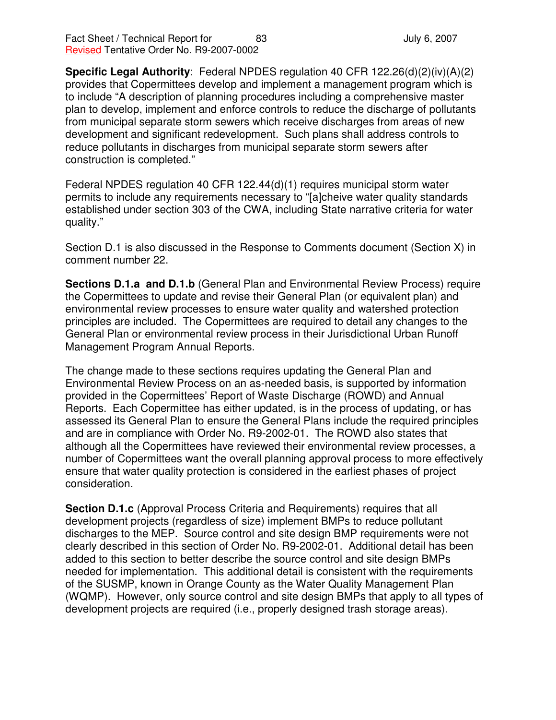**Specific Legal Authority**: Federal NPDES regulation 40 CFR 122.26(d)(2)(iv)(A)(2) provides that Copermittees develop and implement a management program which is to include "A description of planning procedures including a comprehensive master plan to develop, implement and enforce controls to reduce the discharge of pollutants from municipal separate storm sewers which receive discharges from areas of new development and significant redevelopment. Such plans shall address controls to reduce pollutants in discharges from municipal separate storm sewers after construction is completed."

Federal NPDES regulation 40 CFR 122.44(d)(1) requires municipal storm water permits to include any requirements necessary to "[a]cheive water quality standards established under section 303 of the CWA, including State narrative criteria for water quality."

Section D.1 is also discussed in the Response to Comments document (Section X) in comment number 22.

**Sections D.1.a and D.1.b** (General Plan and Environmental Review Process) require the Copermittees to update and revise their General Plan (or equivalent plan) and environmental review processes to ensure water quality and watershed protection principles are included. The Copermittees are required to detail any changes to the General Plan or environmental review process in their Jurisdictional Urban Runoff Management Program Annual Reports.

The change made to these sections requires updating the General Plan and Environmental Review Process on an as-needed basis, is supported by information provided in the Copermittees' Report of Waste Discharge (ROWD) and Annual Reports. Each Copermittee has either updated, is in the process of updating, or has assessed its General Plan to ensure the General Plans include the required principles and are in compliance with Order No. R9-2002-01. The ROWD also states that although all the Copermittees have reviewed their environmental review processes, a number of Copermittees want the overall planning approval process to more effectively ensure that water quality protection is considered in the earliest phases of project consideration.

**Section D.1.c** (Approval Process Criteria and Requirements) requires that all development projects (regardless of size) implement BMPs to reduce pollutant discharges to the MEP. Source control and site design BMP requirements were not clearly described in this section of Order No. R9-2002-01. Additional detail has been added to this section to better describe the source control and site design BMPs needed for implementation. This additional detail is consistent with the requirements of the SUSMP, known in Orange County as the Water Quality Management Plan (WQMP). However, only source control and site design BMPs that apply to all types of development projects are required (i.e., properly designed trash storage areas).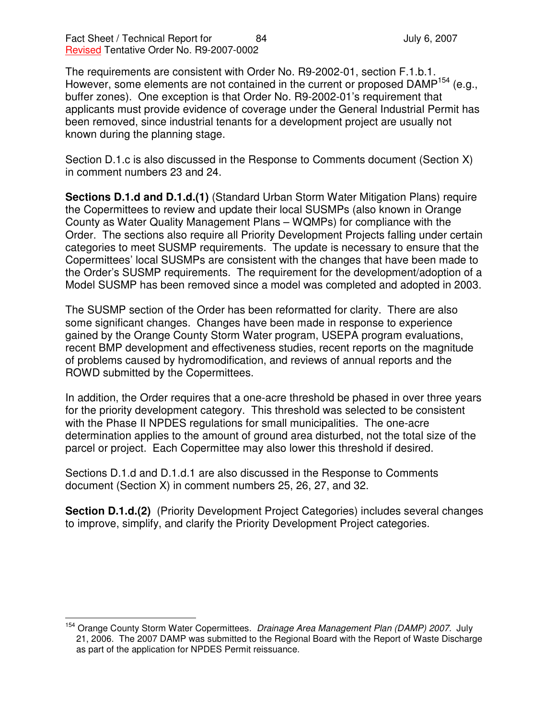Fact Sheet / Technical Report for  $\begin{array}{ccc} 84 & \phantom{1} & \phantom{1} & \phantom{1} & \phantom{1} & \phantom{1} & \phantom{1} & \phantom{1} & \phantom{1} & \phantom{1} & \phantom{1} & \phantom{1} & \phantom{1} & \phantom{1} & \phantom{1} & \phantom{1} & \phantom{1} & \phantom{1} & \phantom{1} & \phantom{1} & \phantom{1} & \phantom{1} & \phantom{1} & \phantom{1} & \phantom{1} & \phantom{1} & \$ Revised Tentative Order No. R9-2007-0002

The requirements are consistent with Order No. R9-2002-01, section F.1.b.1. However, some elements are not contained in the current or proposed DAMP<sup>154</sup> (e.g., buffer zones). One exception is that Order No. R9-2002-01's requirement that applicants must provide evidence of coverage under the General Industrial Permit has been removed, since industrial tenants for a development project are usually not known during the planning stage.

Section D.1.c is also discussed in the Response to Comments document (Section X) in comment numbers 23 and 24.

**Sections D.1.d and D.1.d.(1)** (Standard Urban Storm Water Mitigation Plans) require the Copermittees to review and update their local SUSMPs (also known in Orange County as Water Quality Management Plans – WQMPs) for compliance with the Order. The sections also require all Priority Development Projects falling under certain categories to meet SUSMP requirements. The update is necessary to ensure that the Copermittees' local SUSMPs are consistent with the changes that have been made to the Order's SUSMP requirements. The requirement for the development/adoption of a Model SUSMP has been removed since a model was completed and adopted in 2003.

The SUSMP section of the Order has been reformatted for clarity. There are also some significant changes. Changes have been made in response to experience gained by the Orange County Storm Water program, USEPA program evaluations, recent BMP development and effectiveness studies, recent reports on the magnitude of problems caused by hydromodification, and reviews of annual reports and the ROWD submitted by the Copermittees.

In addition, the Order requires that a one-acre threshold be phased in over three years for the priority development category. This threshold was selected to be consistent with the Phase II NPDES regulations for small municipalities. The one-acre determination applies to the amount of ground area disturbed, not the total size of the parcel or project. Each Copermittee may also lower this threshold if desired.

Sections D.1.d and D.1.d.1 are also discussed in the Response to Comments document (Section X) in comment numbers 25, 26, 27, and 32.

**Section D.1.d.(2)** (Priority Development Project Categories) includes several changes to improve, simplify, and clarify the Priority Development Project categories.

<sup>154</sup> Orange County Storm Water Copermittees. *Drainage Area Management Plan (DAMP) 2007.* July 21, 2006. The 2007 DAMP was submitted to the Regional Board with the Report of Waste Discharge as part of the application for NPDES Permit reissuance.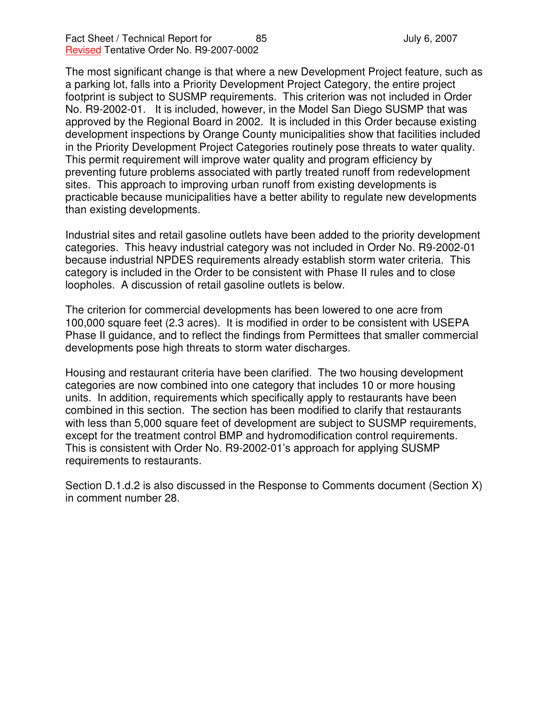The most significant change is that where a new Development Project feature, such as a parking lot, falls into a Priority Development Project Category, the entire project footprint is subject to SUSMP requirements. This criterion was not included in Order No. R9-2002-01. It is included, however, in the Model San Diego SUSMP that was approved by the Regional Board in 2002. It is included in this Order because existing development inspections by Orange County municipalities show that facilities included in the Priority Development Project Categories routinely pose threats to water quality. This permit requirement will improve water quality and program efficiency by preventing future problems associated with partly treated runoff from redevelopment sites. This approach to improving urban runoff from existing developments is practicable because municipalities have a better ability to regulate new developments than existing developments.

Industrial sites and retail gasoline outlets have been added to the priority development categories. This heavy industrial category was not included in Order No. R9-2002-01 because industrial NPDES requirements already establish storm water criteria. This category is included in the Order to be consistent with Phase II rules and to close loopholes. A discussion of retail gasoline outlets is below.

The criterion for commercial developments has been lowered to one acre from 100,000 square feet (2.3 acres). It is modified in order to be consistent with USEPA Phase II guidance, and to reflect the findings from Permittees that smaller commercial developments pose high threats to storm water discharges.

Housing and restaurant criteria have been clarified. The two housing development categories are now combined into one category that includes 10 or more housing units. In addition, requirements which specifically apply to restaurants have been combined in this section. The section has been modified to clarify that restaurants with less than 5,000 square feet of development are subject to SUSMP requirements, except for the treatment control BMP and hydromodification control requirements. This is consistent with Order No. R9-2002-01's approach for applying SUSMP requirements to restaurants.

Section D.1.d.2 is also discussed in the Response to Comments document (Section X) in comment number 28.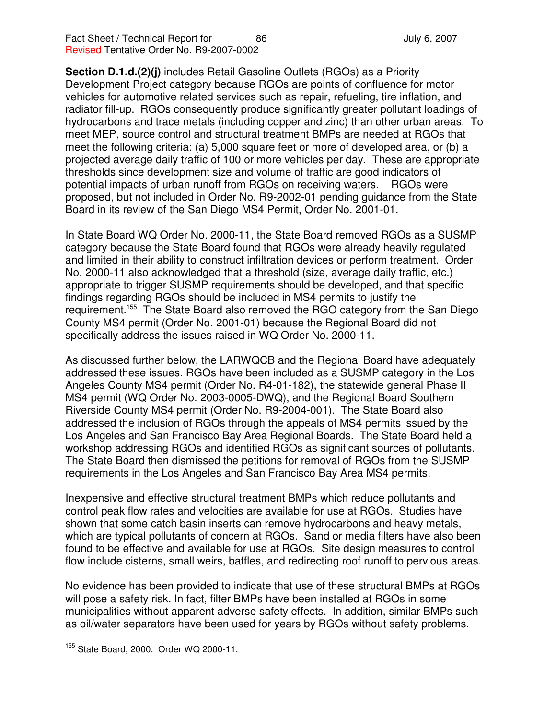**Section D.1.d.(2)(j)** includes Retail Gasoline Outlets (RGOs) as a Priority Development Project category because RGOs are points of confluence for motor vehicles for automotive related services such as repair, refueling, tire inflation, and radiator fill-up. RGOs consequently produce significantly greater pollutant loadings of hydrocarbons and trace metals (including copper and zinc) than other urban areas. To meet MEP, source control and structural treatment BMPs are needed at RGOs that meet the following criteria: (a) 5,000 square feet or more of developed area, or (b) a projected average daily traffic of 100 or more vehicles per day. These are appropriate thresholds since development size and volume of traffic are good indicators of potential impacts of urban runoff from RGOs on receiving waters. RGOs were proposed, but not included in Order No. R9-2002-01 pending guidance from the State Board in its review of the San Diego MS4 Permit, Order No. 2001-01.

In State Board WQ Order No. 2000-11, the State Board removed RGOs as a SUSMP category because the State Board found that RGOs were already heavily regulated and limited in their ability to construct infiltration devices or perform treatment. Order No. 2000-11 also acknowledged that a threshold (size, average daily traffic, etc.) appropriate to trigger SUSMP requirements should be developed, and that specific findings regarding RGOs should be included in MS4 permits to justify the requirement.<sup>155</sup> The State Board also removed the RGO category from the San Diego County MS4 permit (Order No. 2001-01) because the Regional Board did not specifically address the issues raised in WQ Order No. 2000-11.

As discussed further below, the LARWQCB and the Regional Board have adequately addressed these issues. RGOs have been included as a SUSMP category in the Los Angeles County MS4 permit (Order No. R4-01-182), the statewide general Phase II MS4 permit (WQ Order No. 2003-0005-DWQ), and the Regional Board Southern Riverside County MS4 permit (Order No. R9-2004-001). The State Board also addressed the inclusion of RGOs through the appeals of MS4 permits issued by the Los Angeles and San Francisco Bay Area Regional Boards. The State Board held a workshop addressing RGOs and identified RGOs as significant sources of pollutants. The State Board then dismissed the petitions for removal of RGOs from the SUSMP requirements in the Los Angeles and San Francisco Bay Area MS4 permits.

Inexpensive and effective structural treatment BMPs which reduce pollutants and control peak flow rates and velocities are available for use at RGOs. Studies have shown that some catch basin inserts can remove hydrocarbons and heavy metals, which are typical pollutants of concern at RGOs. Sand or media filters have also been found to be effective and available for use at RGOs. Site design measures to control flow include cisterns, small weirs, baffles, and redirecting roof runoff to pervious areas.

No evidence has been provided to indicate that use of these structural BMPs at RGOs will pose a safety risk. In fact, filter BMPs have been installed at RGOs in some municipalities without apparent adverse safety effects. In addition, similar BMPs such as oil/water separators have been used for years by RGOs without safety problems.

<sup>&</sup>lt;sup>155</sup> State Board, 2000. Order WQ 2000-11.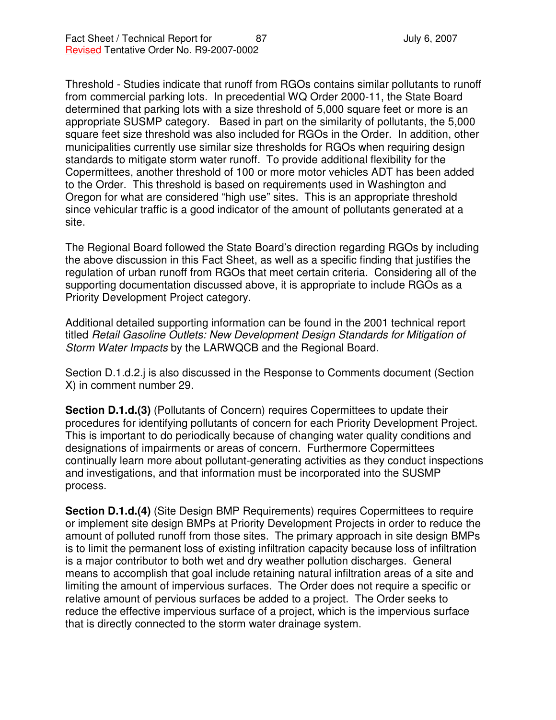Threshold - Studies indicate that runoff from RGOs contains similar pollutants to runoff from commercial parking lots. In precedential WQ Order 2000-11, the State Board determined that parking lots with a size threshold of 5,000 square feet or more is an appropriate SUSMP category. Based in part on the similarity of pollutants, the 5,000 square feet size threshold was also included for RGOs in the Order. In addition, other municipalities currently use similar size thresholds for RGOs when requiring design standards to mitigate storm water runoff. To provide additional flexibility for the Copermittees, another threshold of 100 or more motor vehicles ADT has been added to the Order. This threshold is based on requirements used in Washington and Oregon for what are considered "high use" sites. This is an appropriate threshold since vehicular traffic is a good indicator of the amount of pollutants generated at a site.

The Regional Board followed the State Board's direction regarding RGOs by including the above discussion in this Fact Sheet, as well as a specific finding that justifies the regulation of urban runoff from RGOs that meet certain criteria. Considering all of the supporting documentation discussed above, it is appropriate to include RGOs as a Priority Development Project category.

Additional detailed supporting information can be found in the 2001 technical report titled *Retail Gasoline Outlets: New Development Design Standards for Mitigation of Storm Water Impacts* by the LARWQCB and the Regional Board.

Section D.1.d.2.j is also discussed in the Response to Comments document (Section X) in comment number 29.

**Section D.1.d.(3)** (Pollutants of Concern) requires Copermittees to update their procedures for identifying pollutants of concern for each Priority Development Project. This is important to do periodically because of changing water quality conditions and designations of impairments or areas of concern. Furthermore Copermittees continually learn more about pollutant-generating activities as they conduct inspections and investigations, and that information must be incorporated into the SUSMP process.

**Section D.1.d.(4)** (Site Design BMP Requirements) requires Copermittees to require or implement site design BMPs at Priority Development Projects in order to reduce the amount of polluted runoff from those sites. The primary approach in site design BMPs is to limit the permanent loss of existing infiltration capacity because loss of infiltration is a major contributor to both wet and dry weather pollution discharges. General means to accomplish that goal include retaining natural infiltration areas of a site and limiting the amount of impervious surfaces. The Order does not require a specific or relative amount of pervious surfaces be added to a project. The Order seeks to reduce the effective impervious surface of a project, which is the impervious surface that is directly connected to the storm water drainage system.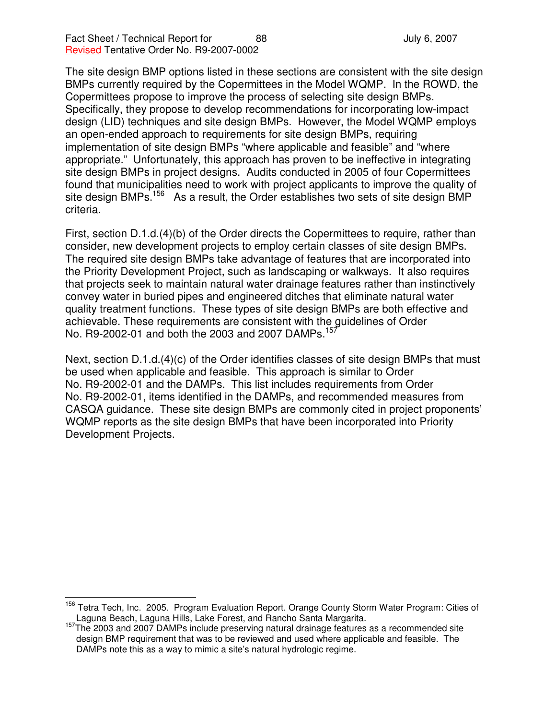The site design BMP options listed in these sections are consistent with the site design BMPs currently required by the Copermittees in the Model WQMP. In the ROWD, the Copermittees propose to improve the process of selecting site design BMPs. Specifically, they propose to develop recommendations for incorporating low-impact design (LID) techniques and site design BMPs. However, the Model WQMP employs an open-ended approach to requirements for site design BMPs, requiring implementation of site design BMPs "where applicable and feasible" and "where appropriate." Unfortunately, this approach has proven to be ineffective in integrating site design BMPs in project designs. Audits conducted in 2005 of four Copermittees found that municipalities need to work with project applicants to improve the quality of site design BMPs.<sup>156</sup> As a result, the Order establishes two sets of site design BMP criteria.

First, section D.1.d.(4)(b) of the Order directs the Copermittees to require, rather than consider, new development projects to employ certain classes of site design BMPs. The required site design BMPs take advantage of features that are incorporated into the Priority Development Project, such as landscaping or walkways. It also requires that projects seek to maintain natural water drainage features rather than instinctively convey water in buried pipes and engineered ditches that eliminate natural water quality treatment functions. These types of site design BMPs are both effective and achievable. These requirements are consistent with the guidelines of Order No. R9-2002-01 and both the 2003 and 2007 DAMPs.<sup>157</sup>

Next, section D.1.d.(4)(c) of the Order identifies classes of site design BMPs that must be used when applicable and feasible. This approach is similar to Order No. R9-2002-01 and the DAMPs. This list includes requirements from Order No. R9-2002-01, items identified in the DAMPs, and recommended measures from CASQA guidance. These site design BMPs are commonly cited in project proponents' WQMP reports as the site design BMPs that have been incorporated into Priority Development Projects.

<sup>&</sup>lt;sup>156</sup> Tetra Tech, Inc. 2005. Program Evaluation Report. Orange County Storm Water Program: Cities of Laguna Beach, Laguna Hills, Lake Forest, and Rancho Santa Margarita.

<sup>&</sup>lt;sup>157</sup>The 2003 and 2007 DAMPs include preserving natural drainage features as a recommended site design BMP requirement that was to be reviewed and used where applicable and feasible. The DAMPs note this as a way to mimic a site's natural hydrologic regime.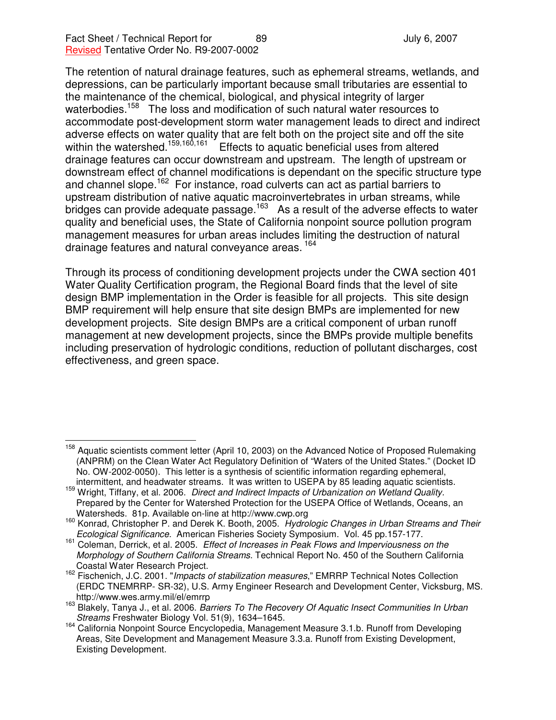The retention of natural drainage features, such as ephemeral streams, wetlands, and depressions, can be particularly important because small tributaries are essential to the maintenance of the chemical, biological, and physical integrity of larger waterbodies.<sup>158</sup> The loss and modification of such natural water resources to accommodate post-development storm water management leads to direct and indirect adverse effects on water quality that are felt both on the project site and off the site within the watershed.<sup>159,160,161</sup> Effects to aquatic beneficial uses from altered drainage features can occur downstream and upstream. The length of upstream or downstream effect of channel modifications is dependant on the specific structure type and channel slope.<sup>162</sup> For instance, road culverts can act as partial barriers to upstream distribution of native aquatic macroinvertebrates in urban streams, while bridges can provide adequate passage.<sup>163</sup> As a result of the adverse effects to water quality and beneficial uses, the State of California nonpoint source pollution program management measures for urban areas includes limiting the destruction of natural drainage features and natural conveyance areas. <sup>164</sup>

Through its process of conditioning development projects under the CWA section 401 Water Quality Certification program, the Regional Board finds that the level of site design BMP implementation in the Order is feasible for all projects. This site design BMP requirement will help ensure that site design BMPs are implemented for new development projects. Site design BMPs are a critical component of urban runoff management at new development projects, since the BMPs provide multiple benefits including preservation of hydrologic conditions, reduction of pollutant discharges, cost effectiveness, and green space.

<sup>&</sup>lt;sup>158</sup> Aquatic scientists comment letter (April 10, 2003) on the Advanced Notice of Proposed Rulemaking (ANPRM) on the Clean Water Act Regulatory Definition of "Waters of the United States." (Docket ID No. OW-2002-0050). This letter is a synthesis of scientific information regarding ephemeral, intermittent, and headwater streams. It was written to USEPA by 85 leading aquatic scientists.

<sup>159</sup> Wright, Tiffany, et al. 2006. *Direct and Indirect Impacts of Urbanization on Wetland Quality.* Prepared by the Center for Watershed Protection for the USEPA Office of Wetlands, Oceans, an Watersheds. 81p. Available on-line at http://www.cwp.org

<sup>160</sup> Konrad, Christopher P. and Derek K. Booth, 2005. *Hydrologic Changes in Urban Streams and Their Ecological Significance.* American Fisheries Society Symposium. Vol. 45 pp.157-177.

<sup>161</sup> Coleman, Derrick, et al. 2005. *Effect of Increases in Peak Flows and Imperviousness on the Morphology of Southern California Streams*. Technical Report No. 450 of the Southern California Coastal Water Research Project.

<sup>162</sup> Fischenich, J.C. 2001. "*Impacts of stabilization measures*," EMRRP Technical Notes Collection (ERDC TNEMRRP- SR-32), U.S. Army Engineer Research and Development Center, Vicksburg, MS. http://www.wes.army.mil/el/emrrp

<sup>163</sup> Blakely, Tanya J., et al. 2006. *Barriers To The Recovery Of Aquatic Insect Communities In Urban Streams* Freshwater Biology Vol. 51(9), 1634–1645.

<sup>164</sup> California Nonpoint Source Encyclopedia, Management Measure 3.1.b. Runoff from Developing Areas, Site Development and Management Measure 3.3.a. Runoff from Existing Development, Existing Development.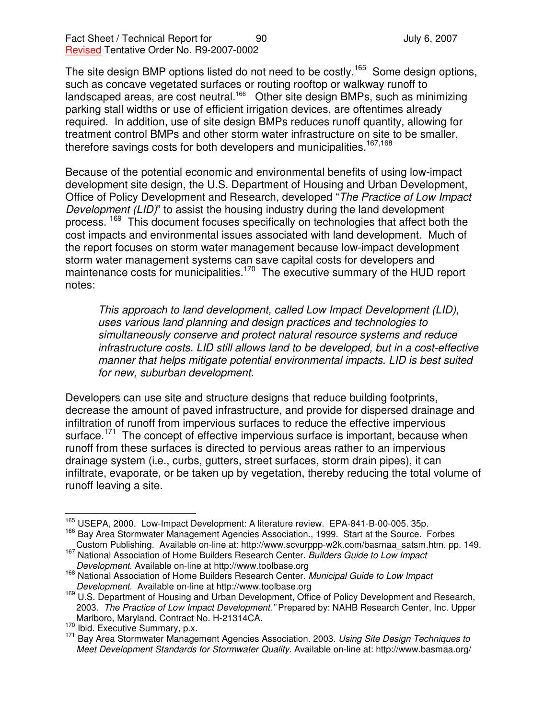The site design BMP options listed do not need to be costly.<sup>165</sup> Some design options, such as concave vegetated surfaces or routing rooftop or walkway runoff to landscaped areas, are cost neutral.<sup>166</sup> Other site design BMPs, such as minimizing parking stall widths or use of efficient irrigation devices, are oftentimes already required. In addition, use of site design BMPs reduces runoff quantity, allowing for treatment control BMPs and other storm water infrastructure on site to be smaller, therefore savings costs for both developers and municipalities.<sup>167,168</sup>

Because of the potential economic and environmental benefits of using low-impact development site design, the U.S. Department of Housing and Urban Development, Office of Policy Development and Research, developed "*The Practice of Low Impact Development (LID)*" to assist the housing industry during the land development process. <sup>169</sup> This document focuses specifically on technologies that affect both the cost impacts and environmental issues associated with land development. Much of the report focuses on storm water management because low-impact development storm water management systems can save capital costs for developers and maintenance costs for municipalities.<sup>170</sup> The executive summary of the HUD report notes:

*This approach to land development, called Low Impact Development (LID), uses various land planning and design practices and technologies to simultaneously conserve and protect natural resource systems and reduce infrastructure costs. LID still allows land to be developed, but in a cost-effective manner that helps mitigate potential environmental impacts. LID is best suited for new, suburban development.*

Developers can use site and structure designs that reduce building footprints, decrease the amount of paved infrastructure, and provide for dispersed drainage and infiltration of runoff from impervious surfaces to reduce the effective impervious surface.<sup>171</sup> The concept of effective impervious surface is important, because when runoff from these surfaces is directed to pervious areas rather to an impervious drainage system (i.e., curbs, gutters, street surfaces, storm drain pipes), it can infiltrate, evaporate, or be taken up by vegetation, thereby reducing the total volume of runoff leaving a site.

<sup>165</sup> USEPA, 2000. Low-Impact Development: A literature review. EPA-841-B-00-005. 35p.

<sup>&</sup>lt;sup>166</sup> Bay Area Stormwater Management Agencies Association., 1999. Start at the Source. Forbes Custom Publishing. Available on-line at: http://www.scvurppp-w2k.com/basmaa\_satsm.htm. pp. 149.

<sup>167</sup> National Association of Home Builders Research Center. *Builders Guide to Low Impact Development.* Available on-line at http://www.toolbase.org

<sup>168</sup> National Association of Home Builders Research Center. *Municipal Guide to Low Impact Development.* Available on-line at http://www.toolbase.org

<sup>&</sup>lt;sup>169</sup> U.S. Department of Housing and Urban Development, Office of Policy Development and Research, 2003. *The Practice of Low Impact Development."* Prepared by: NAHB Research Center, Inc. Upper Marlboro, Maryland. Contract No. H-21314CA.

 $170 \text{ lbid.}$  Executive Summary, p.x.

<sup>171</sup> Bay Area Stormwater Management Agencies Association. 2003. *Using Site Design Techniques to Meet Development Standards for Stormwater Quality*. Available on-line at: http://www.basmaa.org/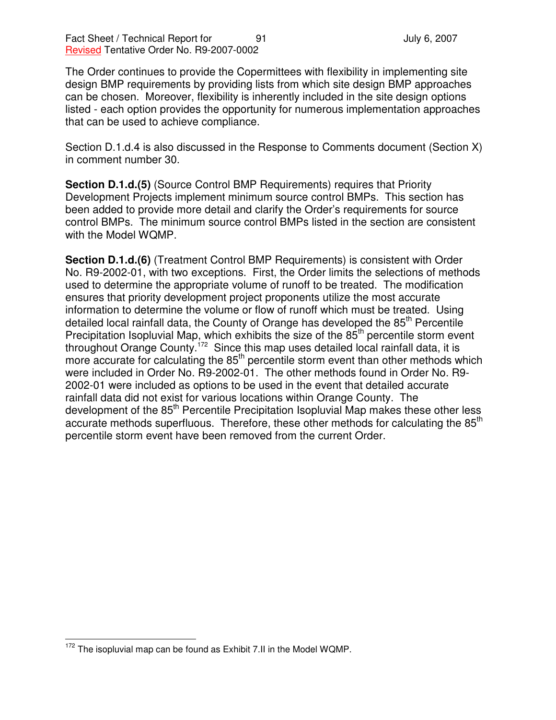The Order continues to provide the Copermittees with flexibility in implementing site design BMP requirements by providing lists from which site design BMP approaches can be chosen. Moreover, flexibility is inherently included in the site design options listed - each option provides the opportunity for numerous implementation approaches that can be used to achieve compliance.

Section D.1.d.4 is also discussed in the Response to Comments document (Section X) in comment number 30.

**Section D.1.d.(5)** (Source Control BMP Requirements) requires that Priority Development Projects implement minimum source control BMPs. This section has been added to provide more detail and clarify the Order's requirements for source control BMPs. The minimum source control BMPs listed in the section are consistent with the Model WQMP.

**Section D.1.d.(6)** (Treatment Control BMP Requirements) is consistent with Order No. R9-2002-01, with two exceptions. First, the Order limits the selections of methods used to determine the appropriate volume of runoff to be treated. The modification ensures that priority development project proponents utilize the most accurate information to determine the volume or flow of runoff which must be treated. Using detailed local rainfall data, the County of Orange has developed the 85<sup>th</sup> Percentile Precipitation Isopluvial Map, which exhibits the size of the 85<sup>th</sup> percentile storm event throughout Orange County.<sup>172</sup> Since this map uses detailed local rainfall data, it is more accurate for calculating the 85<sup>th</sup> percentile storm event than other methods which were included in Order No. R9-2002-01. The other methods found in Order No. R9- 2002-01 were included as options to be used in the event that detailed accurate rainfall data did not exist for various locations within Orange County. The development of the 85<sup>th</sup> Percentile Precipitation Isopluvial Map makes these other less accurate methods superfluous. Therefore, these other methods for calculating the 85<sup>th</sup> percentile storm event have been removed from the current Order.

 $172$  The isopluvial map can be found as Exhibit 7.II in the Model WQMP.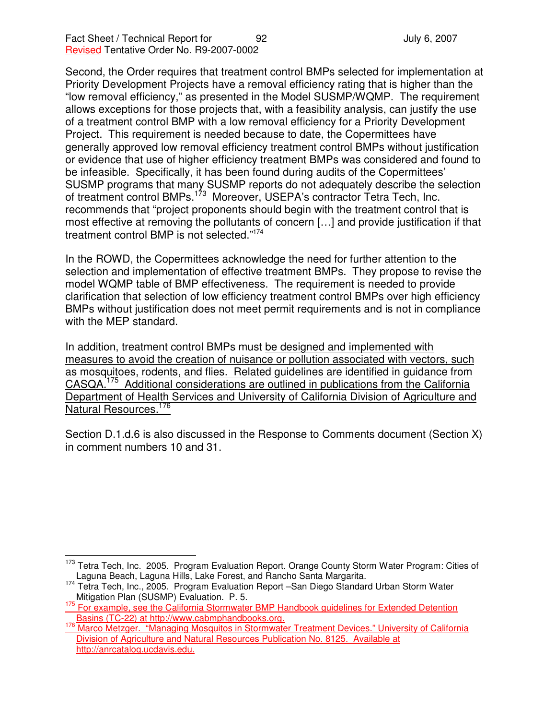Second, the Order requires that treatment control BMPs selected for implementation at Priority Development Projects have a removal efficiency rating that is higher than the "low removal efficiency," as presented in the Model SUSMP/WQMP. The requirement allows exceptions for those projects that, with a feasibility analysis, can justify the use of a treatment control BMP with a low removal efficiency for a Priority Development Project. This requirement is needed because to date, the Copermittees have generally approved low removal efficiency treatment control BMPs without justification or evidence that use of higher efficiency treatment BMPs was considered and found to be infeasible. Specifically, it has been found during audits of the Copermittees' SUSMP programs that many SUSMP reports do not adequately describe the selection of treatment control BMPs.<sup>173</sup> Moreover, USEPA's contractor Tetra Tech, Inc. recommends that "project proponents should begin with the treatment control that is most effective at removing the pollutants of concern […] and provide justification if that treatment control BMP is not selected." 174

In the ROWD, the Copermittees acknowledge the need for further attention to the selection and implementation of effective treatment BMPs. They propose to revise the model WQMP table of BMP effectiveness. The requirement is needed to provide clarification that selection of low efficiency treatment control BMPs over high efficiency BMPs without justification does not meet permit requirements and is not in compliance with the MEP standard.

In addition, treatment control BMPs must be designed and implemented with measures to avoid the creation of nuisance or pollution associated with vectors, such as mosquitoes, rodents, and flies. Related guidelines are identified in guidance from CASQA. <sup>175</sup> Additional considerations are outlined in publications from the California Department of Health Services and University of California Division of Agriculture and Natural Resources.<sup>176</sup>

Section D.1.d.6 is also discussed in the Response to Comments document (Section X) in comment numbers 10 and 31.

<sup>&</sup>lt;sup>173</sup> Tetra Tech, Inc. 2005. Program Evaluation Report. Orange County Storm Water Program: Cities of Laguna Beach, Laguna Hills, Lake Forest, and Rancho Santa Margarita.

<sup>&</sup>lt;sup>174</sup> Tetra Tech, Inc., 2005. Program Evaluation Report -San Diego Standard Urban Storm Water Mitigation Plan (SUSMP) Evaluation. P. 5.

<sup>&</sup>lt;sup>175</sup> For example, see the California Stormwater BMP Handbook guidelines for Extended Detention Basins (TC-22) at http://www.cabmphandbooks.org.

<sup>176</sup> Marco Metzger. "Managing Mosquitos in Stormwater Treatment Devices." University of California Division of Agriculture and Natural Resources Publication No. 8125. Available at http://anrcatalog.ucdavis.edu.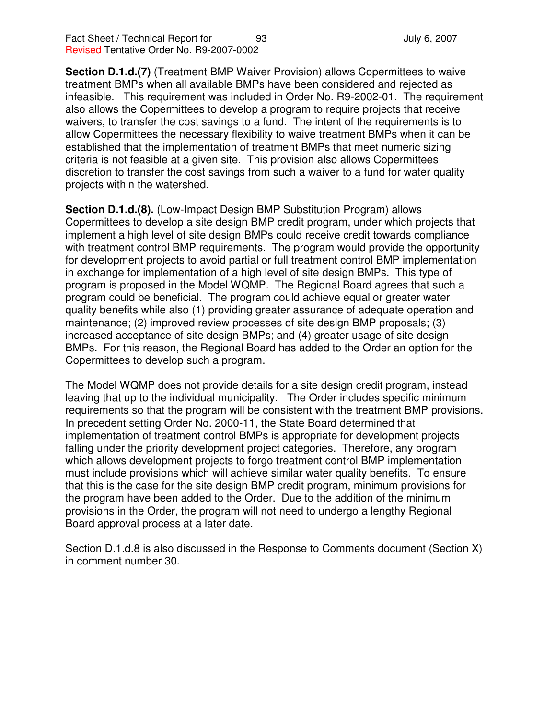**Section D.1.d.(7)** (Treatment BMP Waiver Provision) allows Copermittees to waive treatment BMPs when all available BMPs have been considered and rejected as infeasible. This requirement was included in Order No. R9-2002-01. The requirement also allows the Copermittees to develop a program to require projects that receive waivers, to transfer the cost savings to a fund. The intent of the requirements is to allow Copermittees the necessary flexibility to waive treatment BMPs when it can be established that the implementation of treatment BMPs that meet numeric sizing criteria is not feasible at a given site. This provision also allows Copermittees discretion to transfer the cost savings from such a waiver to a fund for water quality projects within the watershed.

**Section D.1.d.(8).** (Low-Impact Design BMP Substitution Program) allows Copermittees to develop a site design BMP credit program, under which projects that implement a high level of site design BMPs could receive credit towards compliance with treatment control BMP requirements. The program would provide the opportunity for development projects to avoid partial or full treatment control BMP implementation in exchange for implementation of a high level of site design BMPs. This type of program is proposed in the Model WQMP. The Regional Board agrees that such a program could be beneficial. The program could achieve equal or greater water quality benefits while also (1) providing greater assurance of adequate operation and maintenance; (2) improved review processes of site design BMP proposals; (3) increased acceptance of site design BMPs; and (4) greater usage of site design BMPs. For this reason, the Regional Board has added to the Order an option for the Copermittees to develop such a program.

The Model WQMP does not provide details for a site design credit program, instead leaving that up to the individual municipality. The Order includes specific minimum requirements so that the program will be consistent with the treatment BMP provisions. In precedent setting Order No. 2000-11, the State Board determined that implementation of treatment control BMPs is appropriate for development projects falling under the priority development project categories. Therefore, any program which allows development projects to forgo treatment control BMP implementation must include provisions which will achieve similar water quality benefits. To ensure that this is the case for the site design BMP credit program, minimum provisions for the program have been added to the Order. Due to the addition of the minimum provisions in the Order, the program will not need to undergo a lengthy Regional Board approval process at a later date.

Section D.1.d.8 is also discussed in the Response to Comments document (Section X) in comment number 30.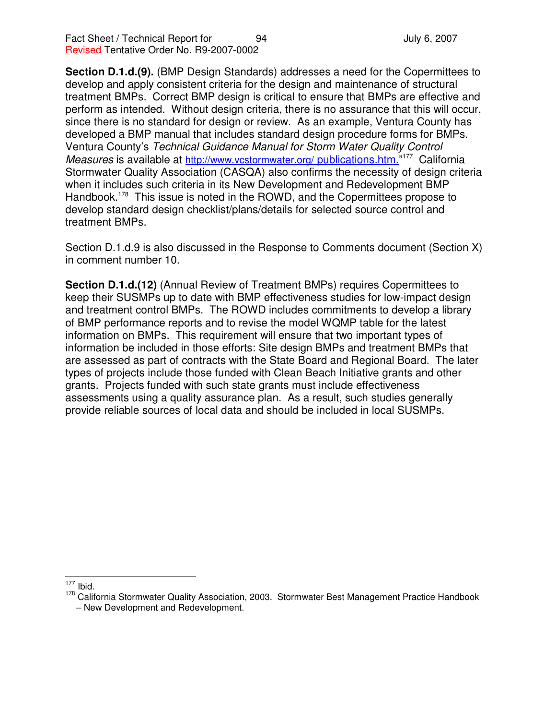**Section D.1.d.(9).** (BMP Design Standards) addresses a need for the Copermittees to develop and apply consistent criteria for the design and maintenance of structural treatment BMPs. Correct BMP design is critical to ensure that BMPs are effective and perform as intended. Without design criteria, there is no assurance that this will occur, since there is no standard for design or review. As an example, Ventura County has developed a BMP manual that includes standard design procedure forms for BMPs. Ventura County's *Technical Guidance Manual for Storm Water Quality Control* Measures is available at http://www.vcstormwater.org/ publications.htm."<sup>177</sup> California Stormwater Quality Association (CASQA) also confirms the necessity of design criteria when it includes such criteria in its New Development and Redevelopment BMP Handbook.<sup>178</sup> This issue is noted in the ROWD, and the Copermittees propose to develop standard design checklist/plans/details for selected source control and treatment BMPs.

Section D.1.d.9 is also discussed in the Response to Comments document (Section X) in comment number 10.

**Section D.1.d.(12)** (Annual Review of Treatment BMPs) requires Copermittees to keep their SUSMPs up to date with BMP effectiveness studies for low-impact design and treatment control BMPs. The ROWD includes commitments to develop a library of BMP performance reports and to revise the model WQMP table for the latest information on BMPs. This requirement will ensure that two important types of information be included in those efforts: Site design BMPs and treatment BMPs that are assessed as part of contracts with the State Board and Regional Board. The later types of projects include those funded with Clean Beach Initiative grants and other grants. Projects funded with such state grants must include effectiveness assessments using a quality assurance plan. As a result, such studies generally provide reliable sources of local data and should be included in local SUSMPs.

 $\int_{1}^{177}$  Ibid.

<sup>&</sup>lt;sup>178</sup> California Stormwater Quality Association, 2003. Stormwater Best Management Practice Handbook

<sup>–</sup> New Development and Redevelopment.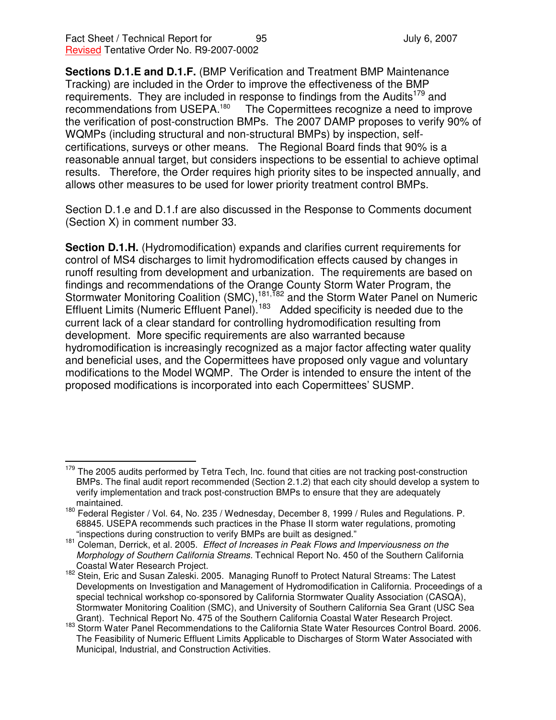**Sections D.1.E and D.1.F.** (BMP Verification and Treatment BMP Maintenance Tracking) are included in the Order to improve the effectiveness of the BMP requirements. They are included in response to findings from the Audits<sup>179</sup> and recommendations from USEPA.<sup>180</sup> The Copermittees recognize a need to improve the verification of post-construction BMPs. The 2007 DAMP proposes to verify 90% of WQMPs (including structural and non-structural BMPs) by inspection, selfcertifications, surveys or other means. The Regional Board finds that 90% is a reasonable annual target, but considers inspections to be essential to achieve optimal results. Therefore, the Order requires high priority sites to be inspected annually, and allows other measures to be used for lower priority treatment control BMPs.

Section D.1.e and D.1.f are also discussed in the Response to Comments document (Section X) in comment number 33.

**Section D.1.H.** (Hydromodification) expands and clarifies current requirements for control of MS4 discharges to limit hydromodification effects caused by changes in runoff resulting from development and urbanization. The requirements are based on findings and recommendations of the Orange County Storm Water Program, the Stormwater Monitoring Coalition (SMC),<sup>181,182</sup> and the Storm Water Panel on Numeric Effluent Limits (Numeric Effluent Panel).<sup>183</sup> Added specificity is needed due to the current lack of a clear standard for controlling hydromodification resulting from development. More specific requirements are also warranted because hydromodification is increasingly recognized as a major factor affecting water quality and beneficial uses, and the Copermittees have proposed only vague and voluntary modifications to the Model WQMP. The Order is intended to ensure the intent of the proposed modifications is incorporated into each Copermittees' SUSMP.

<sup>&</sup>lt;sup>179</sup> The 2005 audits performed by Tetra Tech, Inc. found that cities are not tracking post-construction BMPs. The final audit report recommended (Section 2.1.2) that each city should develop a system to verify implementation and track post-construction BMPs to ensure that they are adequately maintained.

<sup>&</sup>lt;sup>180</sup> Federal Register / Vol. 64, No. 235 / Wednesday, December 8, 1999 / Rules and Regulations. P. 68845. USEPA recommends such practices in the Phase II storm water regulations, promoting "inspections during construction to verify BMPs are built as designed."

<sup>181</sup> Coleman, Derrick, et al. 2005. *Effect of Increases in Peak Flows and Imperviousness on the Morphology of Southern California Streams.* Technical Report No. 450 of the Southern California Coastal Water Research Project.

<sup>&</sup>lt;sup>182</sup> Stein, Eric and Susan Zaleski. 2005. Managing Runoff to Protect Natural Streams: The Latest Developments on Investigation and Management of Hydromodification in California. Proceedings of a special technical workshop co-sponsored by California Stormwater Quality Association (CASQA), Stormwater Monitoring Coalition (SMC), and University of Southern California Sea Grant (USC Sea Grant). Technical Report No. 475 of the Southern California Coastal Water Research Project.

<sup>&</sup>lt;sup>183</sup> Storm Water Panel Recommendations to the California State Water Resources Control Board. 2006. The Feasibility of Numeric Effluent Limits Applicable to Discharges of Storm Water Associated with Municipal, Industrial, and Construction Activities.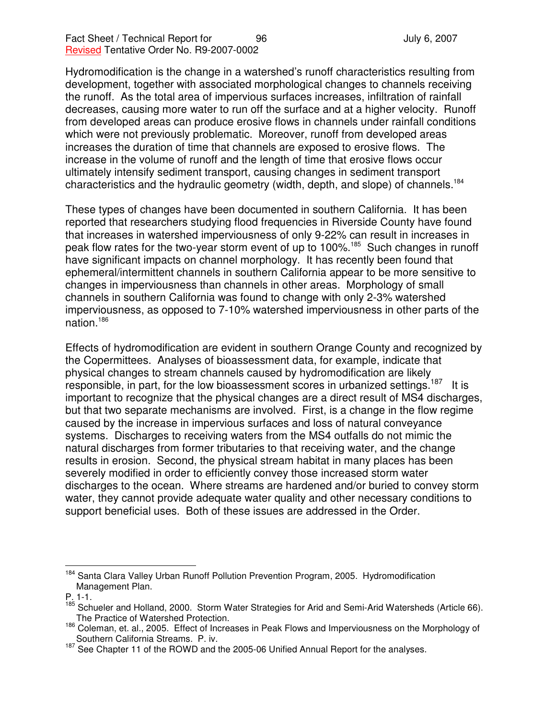Hydromodification is the change in a watershed's runoff characteristics resulting from development, together with associated morphological changes to channels receiving the runoff. As the total area of impervious surfaces increases, infiltration of rainfall decreases, causing more water to run off the surface and at a higher velocity. Runoff from developed areas can produce erosive flows in channels under rainfall conditions which were not previously problematic. Moreover, runoff from developed areas increases the duration of time that channels are exposed to erosive flows. The increase in the volume of runoff and the length of time that erosive flows occur ultimately intensify sediment transport, causing changes in sediment transport characteristics and the hydraulic geometry (width, depth, and slope) of channels. 184

These types of changes have been documented in southern California. It has been reported that researchers studying flood frequencies in Riverside County have found that increases in watershed imperviousness of only 9-22% can result in increases in peak flow rates for the two-year storm event of up to 100%.<sup>185</sup> Such changes in runoff have significant impacts on channel morphology. It has recently been found that ephemeral/intermittent channels in southern California appear to be more sensitive to changes in imperviousness than channels in other areas. Morphology of small channels in southern California was found to change with only 2-3% watershed imperviousness, as opposed to 7-10% watershed imperviousness in other parts of the nation. 186

Effects of hydromodification are evident in southern Orange County and recognized by the Copermittees. Analyses of bioassessment data, for example, indicate that physical changes to stream channels caused by hydromodification are likely responsible, in part, for the low bioassessment scores in urbanized settings.<sup>187</sup> It is important to recognize that the physical changes are a direct result of MS4 discharges, but that two separate mechanisms are involved. First, is a change in the flow regime caused by the increase in impervious surfaces and loss of natural conveyance systems. Discharges to receiving waters from the MS4 outfalls do not mimic the natural discharges from former tributaries to that receiving water, and the change results in erosion. Second, the physical stream habitat in many places has been severely modified in order to efficiently convey those increased storm water discharges to the ocean. Where streams are hardened and/or buried to convey storm water, they cannot provide adequate water quality and other necessary conditions to support beneficial uses. Both of these issues are addressed in the Order.

<sup>&</sup>lt;sup>184</sup> Santa Clara Valley Urban Runoff Pollution Prevention Program, 2005. Hydromodification Management Plan.

P. 1-1.

<sup>&</sup>lt;sup>185</sup> Schueler and Holland, 2000. Storm Water Strategies for Arid and Semi-Arid Watersheds (Article 66). The Practice of Watershed Protection.

<sup>186</sup> Coleman, et. al., 2005. Effect of Increases in Peak Flows and Imperviousness on the Morphology of Southern California Streams. P. iv.

<sup>&</sup>lt;sup>187</sup> See Chapter 11 of the ROWD and the 2005-06 Unified Annual Report for the analyses.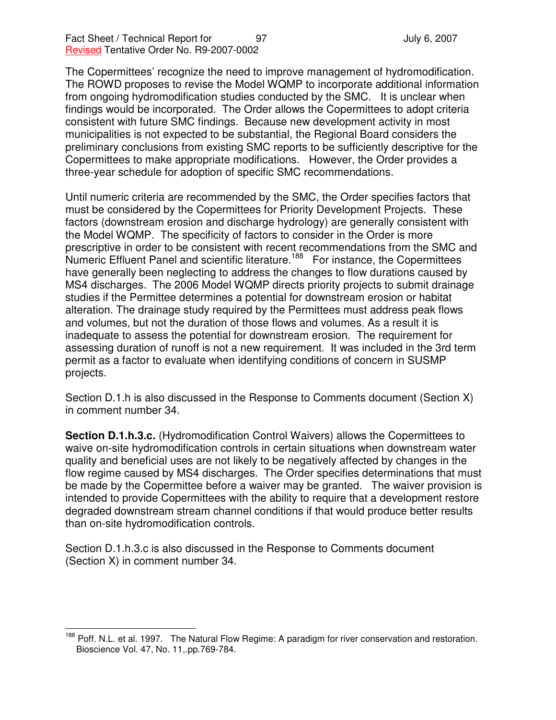The Copermittees' recognize the need to improve management of hydromodification. The ROWD proposes to revise the Model WQMP to incorporate additional information from ongoing hydromodification studies conducted by the SMC. It is unclear when findings would be incorporated. The Order allows the Copermittees to adopt criteria consistent with future SMC findings. Because new development activity in most municipalities is not expected to be substantial, the Regional Board considers the preliminary conclusions from existing SMC reports to be sufficiently descriptive for the Copermittees to make appropriate modifications. However, the Order provides a three-year schedule for adoption of specific SMC recommendations.

Until numeric criteria are recommended by the SMC, the Order specifies factors that must be considered by the Copermittees for Priority Development Projects. These factors (downstream erosion and discharge hydrology) are generally consistent with the Model WQMP. The specificity of factors to consider in the Order is more prescriptive in order to be consistent with recent recommendations from the SMC and Numeric Effluent Panel and scientific literature.<sup>188</sup> For instance, the Copermittees have generally been neglecting to address the changes to flow durations caused by MS4 discharges. The 2006 Model WQMP directs priority projects to submit drainage studies if the Permittee determines a potential for downstream erosion or habitat alteration. The drainage study required by the Permittees must address peak flows and volumes, but not the duration of those flows and volumes. As a result it is inadequate to assess the potential for downstream erosion. The requirement for assessing duration of runoff is not a new requirement. It was included in the 3rd term permit as a factor to evaluate when identifying conditions of concern in SUSMP projects.

Section D.1.h is also discussed in the Response to Comments document (Section X) in comment number 34.

**Section D.1.h.3.c.** (Hydromodification Control Waivers) allows the Copermittees to waive on-site hydromodification controls in certain situations when downstream water quality and beneficial uses are not likely to be negatively affected by changes in the flow regime caused by MS4 discharges. The Order specifies determinations that must be made by the Copermittee before a waiver may be granted. The waiver provision is intended to provide Copermittees with the ability to require that a development restore degraded downstream stream channel conditions if that would produce better results than on-site hydromodification controls.

Section D.1.h.3.c is also discussed in the Response to Comments document (Section X) in comment number 34.

<sup>&</sup>lt;sup>188</sup> Poff. N.L. et al. 1997. The Natural Flow Regime: A paradigm for river conservation and restoration. Bioscience Vol. 47, No. 11,.pp.769-784.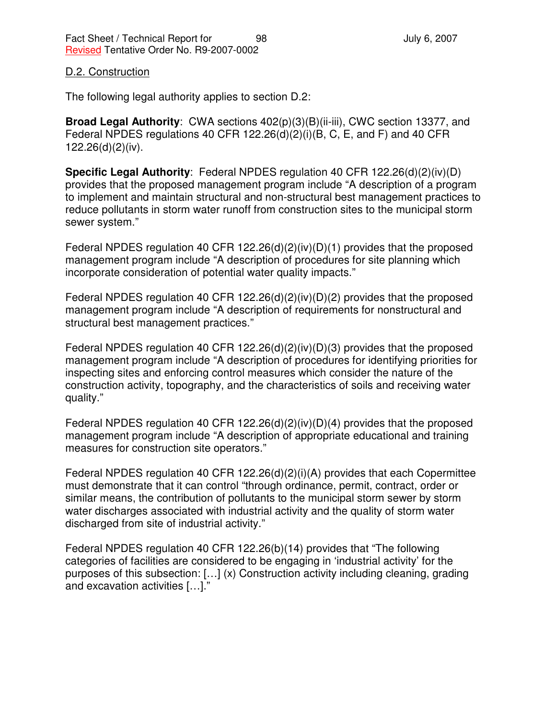### D.2. Construction

The following legal authority applies to section D.2:

**Broad Legal Authority**: CWA sections 402(p)(3)(B)(ii-iii), CWC section 13377, and Federal NPDES regulations 40 CFR 122.26(d)(2)(i)(B, C, E, and F) and 40 CFR 122.26(d)(2)(iv).

**Specific Legal Authority**: Federal NPDES regulation 40 CFR 122.26(d)(2)(iv)(D) provides that the proposed management program include "A description of a program to implement and maintain structural and non-structural best management practices to reduce pollutants in storm water runoff from construction sites to the municipal storm sewer system."

Federal NPDES regulation 40 CFR 122.26(d)(2)(iv)(D)(1) provides that the proposed management program include "A description of procedures for site planning which incorporate consideration of potential water quality impacts."

Federal NPDES regulation 40 CFR 122.26(d)(2)(iv)(D)(2) provides that the proposed management program include "A description of requirements for nonstructural and structural best management practices."

Federal NPDES regulation 40 CFR 122.26(d)(2)(iv)(D)(3) provides that the proposed management program include "A description of procedures for identifying priorities for inspecting sites and enforcing control measures which consider the nature of the construction activity, topography, and the characteristics of soils and receiving water quality."

Federal NPDES regulation 40 CFR 122.26(d)(2)(iv)(D)(4) provides that the proposed management program include "A description of appropriate educational and training measures for construction site operators."

Federal NPDES regulation 40 CFR 122.26(d)(2)(i)(A) provides that each Copermittee must demonstrate that it can control "through ordinance, permit, contract, order or similar means, the contribution of pollutants to the municipal storm sewer by storm water discharges associated with industrial activity and the quality of storm water discharged from site of industrial activity."

Federal NPDES regulation 40 CFR 122.26(b)(14) provides that "The following categories of facilities are considered to be engaging in 'industrial activity' for the purposes of this subsection: […] (x) Construction activity including cleaning, grading and excavation activities […]."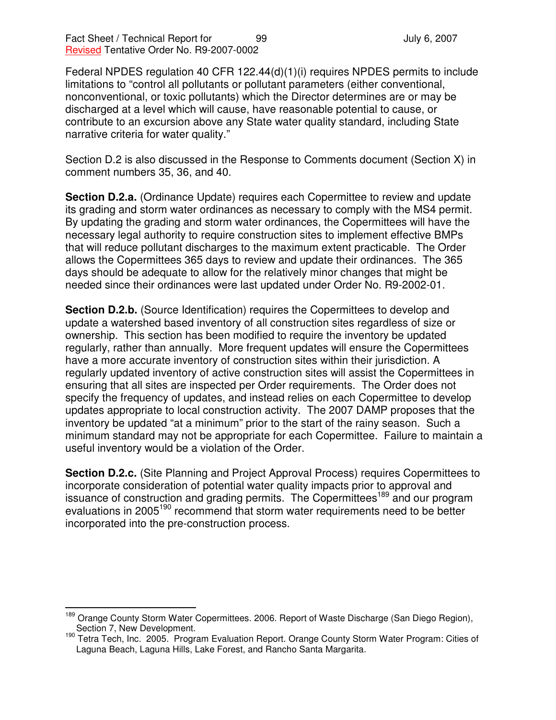Federal NPDES regulation 40 CFR 122.44(d)(1)(i) requires NPDES permits to include limitations to "control all pollutants or pollutant parameters (either conventional, nonconventional, or toxic pollutants) which the Director determines are or may be discharged at a level which will cause, have reasonable potential to cause, or contribute to an excursion above any State water quality standard, including State narrative criteria for water quality."

Section D.2 is also discussed in the Response to Comments document (Section X) in comment numbers 35, 36, and 40.

**Section D.2.a.** (Ordinance Update) requires each Copermittee to review and update its grading and storm water ordinances as necessary to comply with the MS4 permit. By updating the grading and storm water ordinances, the Copermittees will have the necessary legal authority to require construction sites to implement effective BMPs that will reduce pollutant discharges to the maximum extent practicable. The Order allows the Copermittees 365 days to review and update their ordinances. The 365 days should be adequate to allow for the relatively minor changes that might be needed since their ordinances were last updated under Order No. R9-2002-01.

**Section D.2.b.** (Source Identification) requires the Copermittees to develop and update a watershed based inventory of all construction sites regardless of size or ownership. This section has been modified to require the inventory be updated regularly, rather than annually. More frequent updates will ensure the Copermittees have a more accurate inventory of construction sites within their jurisdiction. A regularly updated inventory of active construction sites will assist the Copermittees in ensuring that all sites are inspected per Order requirements. The Order does not specify the frequency of updates, and instead relies on each Copermittee to develop updates appropriate to local construction activity. The 2007 DAMP proposes that the inventory be updated "at a minimum" prior to the start of the rainy season. Such a minimum standard may not be appropriate for each Copermittee. Failure to maintain a useful inventory would be a violation of the Order.

**Section D.2.c.** (Site Planning and Project Approval Process) requires Copermittees to incorporate consideration of potential water quality impacts prior to approval and issuance of construction and grading permits. The Copermittees<sup>189</sup> and our program evaluations in 2005<sup>190</sup> recommend that storm water requirements need to be better incorporated into the pre-construction process.

<sup>&</sup>lt;sup>189</sup> Orange County Storm Water Copermittees. 2006. Report of Waste Discharge (San Diego Region), Section 7, New Development.

<sup>&</sup>lt;sup>190</sup> Tetra Tech, Inc. 2005. Program Evaluation Report. Orange County Storm Water Program: Cities of Laguna Beach, Laguna Hills, Lake Forest, and Rancho Santa Margarita.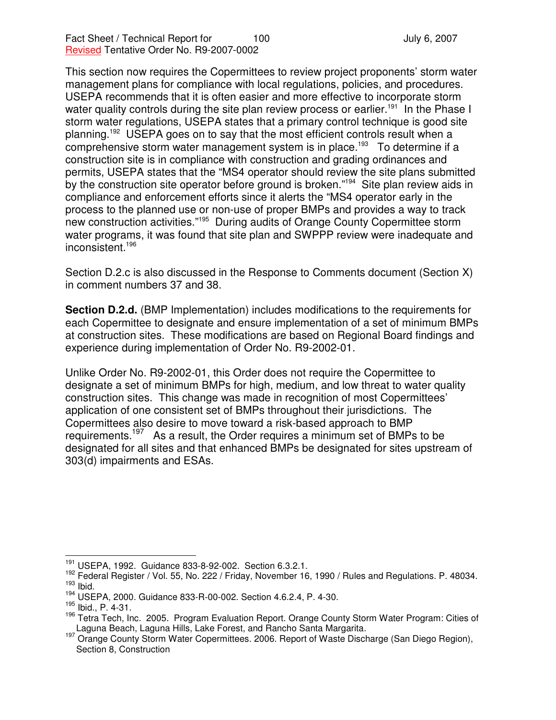This section now requires the Copermittees to review project proponents' storm water management plans for compliance with local regulations, policies, and procedures. USEPA recommends that it is often easier and more effective to incorporate storm water quality controls during the site plan review process or earlier.<sup>191</sup> In the Phase I storm water regulations, USEPA states that a primary control technique is good site planning.<sup>192</sup> USEPA goes on to say that the most efficient controls result when a comprehensive storm water management system is in place.<sup>193</sup> To determine if a construction site is in compliance with construction and grading ordinances and permits, USEPA states that the "MS4 operator should review the site plans submitted by the construction site operator before ground is broken."<sup>194</sup> Site plan review aids in compliance and enforcement efforts since it alerts the "MS4 operator early in the process to the planned use or non-use of proper BMPs and provides a way to track new construction activities."<sup>195</sup> During audits of Orange County Copermittee storm water programs, it was found that site plan and SWPPP review were inadequate and inconsistent. 196

Section D.2.c is also discussed in the Response to Comments document (Section X) in comment numbers 37 and 38.

**Section D.2.d.** (BMP Implementation) includes modifications to the requirements for each Copermittee to designate and ensure implementation of a set of minimum BMPs at construction sites. These modifications are based on Regional Board findings and experience during implementation of Order No. R9-2002-01.

Unlike Order No. R9-2002-01, this Order does not require the Copermittee to designate a set of minimum BMPs for high, medium, and low threat to water quality construction sites. This change was made in recognition of most Copermittees' application of one consistent set of BMPs throughout their jurisdictions. The Copermittees also desire to move toward a risk-based approach to BMP requirements.<sup>197</sup> As a result, the Order requires a minimum set of BMPs to be designated for all sites and that enhanced BMPs be designated for sites upstream of 303(d) impairments and ESAs.

<sup>191</sup> USEPA, 1992. Guidance 833-8-92-002. Section 6.3.2.1.

<sup>&</sup>lt;sup>192</sup> Federal Register / Vol. 55, No. 222 / Friday, November 16, 1990 / Rules and Regulations. P. 48034.  $193$  Ibid.

<sup>194</sup> USEPA, 2000. Guidance 833-R-00-002. Section 4.6.2.4, P. 4-30.

<sup>195</sup> Ibid., P. 4-31.

<sup>&</sup>lt;sup>196</sup> Tetra Tech, Inc. 2005. Program Evaluation Report. Orange County Storm Water Program: Cities of Laguna Beach, Laguna Hills, Lake Forest, and Rancho Santa Margarita.

<sup>197</sup> Orange County Storm Water Copermittees. 2006. Report of Waste Discharge (San Diego Region), Section 8, Construction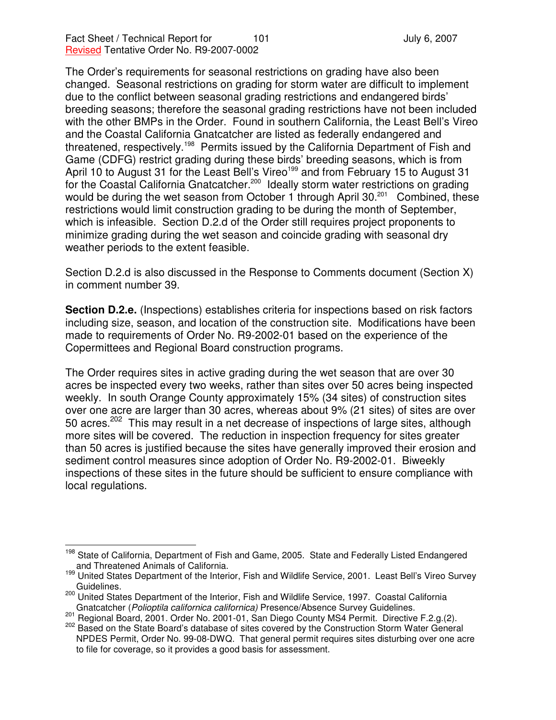The Order's requirements for seasonal restrictions on grading have also been changed. Seasonal restrictions on grading for storm water are difficult to implement due to the conflict between seasonal grading restrictions and endangered birds' breeding seasons; therefore the seasonal grading restrictions have not been included with the other BMPs in the Order. Found in southern California, the Least Bell's Vireo and the Coastal California Gnatcatcher are listed as federally endangered and threatened, respectively.<sup>198</sup> Permits issued by the California Department of Fish and Game (CDFG) restrict grading during these birds' breeding seasons, which is from April 10 to August 31 for the Least Bell's Vireo<sup>199</sup> and from February 15 to August 31 for the Coastal California Gnatcatcher.<sup>200</sup> Ideally storm water restrictions on grading would be during the wet season from October 1 through April 30.<sup>201</sup> Combined, these restrictions would limit construction grading to be during the month of September, which is infeasible. Section D.2.d of the Order still requires project proponents to minimize grading during the wet season and coincide grading with seasonal dry weather periods to the extent feasible.

Section D.2.d is also discussed in the Response to Comments document (Section X) in comment number 39.

**Section D.2.e.** (Inspections) establishes criteria for inspections based on risk factors including size, season, and location of the construction site. Modifications have been made to requirements of Order No. R9-2002-01 based on the experience of the Copermittees and Regional Board construction programs.

The Order requires sites in active grading during the wet season that are over 30 acres be inspected every two weeks, rather than sites over 50 acres being inspected weekly. In south Orange County approximately 15% (34 sites) of construction sites over one acre are larger than 30 acres, whereas about 9% (21 sites) of sites are over 50 acres.<sup>202</sup> This may result in a net decrease of inspections of large sites, although more sites will be covered. The reduction in inspection frequency for sites greater than 50 acres is justified because the sites have generally improved their erosion and sediment control measures since adoption of Order No. R9-2002-01. Biweekly inspections of these sites in the future should be sufficient to ensure compliance with local regulations.

<sup>&</sup>lt;sup>198</sup> State of California, Department of Fish and Game, 2005. State and Federally Listed Endangered and Threatened Animals of California.

<sup>199</sup> United States Department of the Interior, Fish and Wildlife Service, 2001. Least Bell's Vireo Survey Guidelines.

<sup>&</sup>lt;sup>200</sup> United States Department of the Interior, Fish and Wildlife Service, 1997. Coastal California Gnatcatcher (*Polioptila californica californica)* Presence/Absence Survey Guidelines.

<sup>201</sup> Regional Board, 2001. Order No. 2001-01, San Diego County MS4 Permit. Directive F.2.g.(2).

<sup>&</sup>lt;sup>202</sup> Based on the State Board's database of sites covered by the Construction Storm Water General NPDES Permit, Order No. 99-08-DWQ. That general permit requires sites disturbing over one acre to file for coverage, so it provides a good basis for assessment.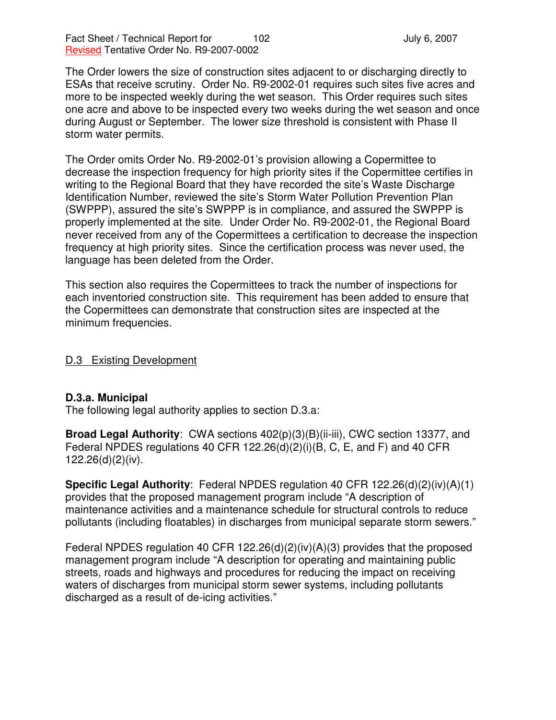The Order lowers the size of construction sites adjacent to or discharging directly to ESAs that receive scrutiny. Order No. R9-2002-01 requires such sites five acres and more to be inspected weekly during the wet season. This Order requires such sites one acre and above to be inspected every two weeks during the wet season and once during August or September. The lower size threshold is consistent with Phase II storm water permits.

The Order omits Order No. R9-2002-01's provision allowing a Copermittee to decrease the inspection frequency for high priority sites if the Copermittee certifies in writing to the Regional Board that they have recorded the site's Waste Discharge Identification Number, reviewed the site's Storm Water Pollution Prevention Plan (SWPPP), assured the site's SWPPP is in compliance, and assured the SWPPP is properly implemented at the site. Under Order No. R9-2002-01, the Regional Board never received from any of the Copermittees a certification to decrease the inspection frequency at high priority sites. Since the certification process was never used, the language has been deleted from the Order.

This section also requires the Copermittees to track the number of inspections for each inventoried construction site. This requirement has been added to ensure that the Copermittees can demonstrate that construction sites are inspected at the minimum frequencies.

D.3 Existing Development

### **D.3.a. Municipal**

The following legal authority applies to section D.3.a:

**Broad Legal Authority**: CWA sections 402(p)(3)(B)(ii-iii), CWC section 13377, and Federal NPDES regulations 40 CFR 122.26(d)(2)(i)(B, C, E, and F) and 40 CFR 122.26(d)(2)(iv).

**Specific Legal Authority**: Federal NPDES regulation 40 CFR 122.26(d)(2)(iv)(A)(1) provides that the proposed management program include "A description of maintenance activities and a maintenance schedule for structural controls to reduce pollutants (including floatables) in discharges from municipal separate storm sewers."

Federal NPDES regulation 40 CFR 122.26(d)(2)(iv)(A)(3) provides that the proposed management program include "A description for operating and maintaining public streets, roads and highways and procedures for reducing the impact on receiving waters of discharges from municipal storm sewer systems, including pollutants discharged as a result of de-icing activities."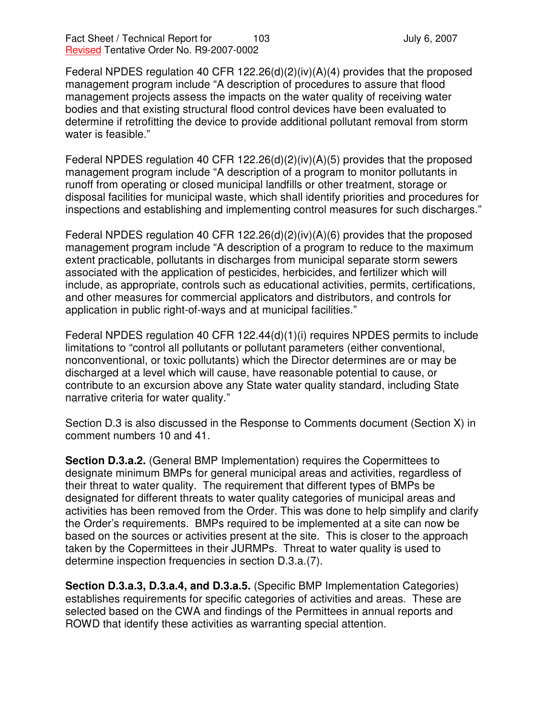Federal NPDES regulation 40 CFR 122.26(d)(2)(iv)(A)(4) provides that the proposed management program include "A description of procedures to assure that flood management projects assess the impacts on the water quality of receiving water bodies and that existing structural flood control devices have been evaluated to determine if retrofitting the device to provide additional pollutant removal from storm water is feasible."

Federal NPDES regulation 40 CFR 122.26(d)(2)(iv)(A)(5) provides that the proposed management program include "A description of a program to monitor pollutants in runoff from operating or closed municipal landfills or other treatment, storage or disposal facilities for municipal waste, which shall identify priorities and procedures for inspections and establishing and implementing control measures for such discharges."

Federal NPDES regulation 40 CFR 122.26(d)(2)(iv)(A)(6) provides that the proposed management program include "A description of a program to reduce to the maximum extent practicable, pollutants in discharges from municipal separate storm sewers associated with the application of pesticides, herbicides, and fertilizer which will include, as appropriate, controls such as educational activities, permits, certifications, and other measures for commercial applicators and distributors, and controls for application in public right-of-ways and at municipal facilities."

Federal NPDES regulation 40 CFR 122.44(d)(1)(i) requires NPDES permits to include limitations to "control all pollutants or pollutant parameters (either conventional, nonconventional, or toxic pollutants) which the Director determines are or may be discharged at a level which will cause, have reasonable potential to cause, or contribute to an excursion above any State water quality standard, including State narrative criteria for water quality."

Section D.3 is also discussed in the Response to Comments document (Section X) in comment numbers 10 and 41.

**Section D.3.a.2.** (General BMP Implementation) requires the Copermittees to designate minimum BMPs for general municipal areas and activities, regardless of their threat to water quality. The requirement that different types of BMPs be designated for different threats to water quality categories of municipal areas and activities has been removed from the Order. This was done to help simplify and clarify the Order's requirements. BMPs required to be implemented at a site can now be based on the sources or activities present at the site. This is closer to the approach taken by the Copermittees in their JURMPs. Threat to water quality is used to determine inspection frequencies in section D.3.a.(7).

**Section D.3.a.3, D.3.a.4, and D.3.a.5.** (Specific BMP Implementation Categories) establishes requirements for specific categories of activities and areas. These are selected based on the CWA and findings of the Permittees in annual reports and ROWD that identify these activities as warranting special attention.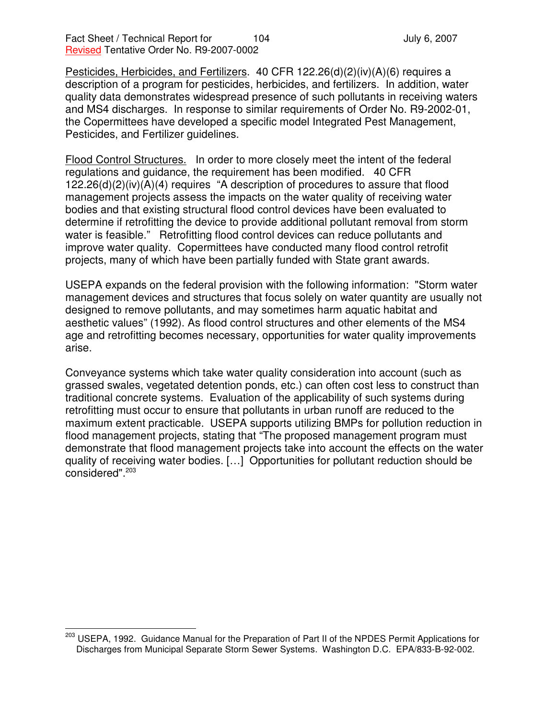Pesticides, Herbicides, and Fertilizers. 40 CFR 122.26(d)(2)(iv)(A)(6) requires a description of a program for pesticides, herbicides, and fertilizers. In addition, water quality data demonstrates widespread presence of such pollutants in receiving waters and MS4 discharges. In response to similar requirements of Order No. R9-2002-01, the Copermittees have developed a specific model Integrated Pest Management, Pesticides, and Fertilizer guidelines.

Flood Control Structures. In order to more closely meet the intent of the federal regulations and guidance, the requirement has been modified. 40 CFR 122.26(d)(2)(iv)(A)(4) requires "A description of procedures to assure that flood management projects assess the impacts on the water quality of receiving water bodies and that existing structural flood control devices have been evaluated to determine if retrofitting the device to provide additional pollutant removal from storm water is feasible." Retrofitting flood control devices can reduce pollutants and improve water quality. Copermittees have conducted many flood control retrofit projects, many of which have been partially funded with State grant awards.

USEPA expands on the federal provision with the following information: "Storm water management devices and structures that focus solely on water quantity are usually not designed to remove pollutants, and may sometimes harm aquatic habitat and aesthetic values" (1992). As flood control structures and other elements of the MS4 age and retrofitting becomes necessary, opportunities for water quality improvements arise.

Conveyance systems which take water quality consideration into account (such as grassed swales, vegetated detention ponds, etc.) can often cost less to construct than traditional concrete systems. Evaluation of the applicability of such systems during retrofitting must occur to ensure that pollutants in urban runoff are reduced to the maximum extent practicable. USEPA supports utilizing BMPs for pollution reduction in flood management projects, stating that "The proposed management program must demonstrate that flood management projects take into account the effects on the water quality of receiving water bodies. […] Opportunities for pollutant reduction should be considered". 203

<sup>&</sup>lt;sup>203</sup> USEPA, 1992. Guidance Manual for the Preparation of Part II of the NPDES Permit Applications for Discharges from Municipal Separate Storm Sewer Systems. Washington D.C. EPA/833-B-92-002.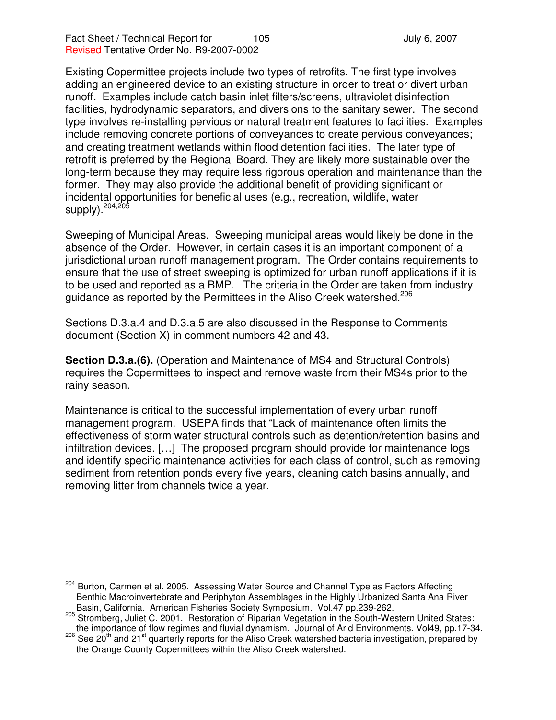Existing Copermittee projects include two types of retrofits. The first type involves adding an engineered device to an existing structure in order to treat or divert urban runoff. Examples include catch basin inlet filters/screens, ultraviolet disinfection facilities, hydrodynamic separators, and diversions to the sanitary sewer. The second type involves re-installing pervious or natural treatment features to facilities. Examples include removing concrete portions of conveyances to create pervious conveyances; and creating treatment wetlands within flood detention facilities. The later type of retrofit is preferred by the Regional Board. They are likely more sustainable over the long-term because they may require less rigorous operation and maintenance than the former. They may also provide the additional benefit of providing significant or incidental opportunities for beneficial uses (e.g., recreation, wildlife, water supply).<sup>204,205</sup>

Sweeping of Municipal Areas. Sweeping municipal areas would likely be done in the absence of the Order. However, in certain cases it is an important component of a jurisdictional urban runoff management program. The Order contains requirements to ensure that the use of street sweeping is optimized for urban runoff applications if it is to be used and reported as a BMP. The criteria in the Order are taken from industry guidance as reported by the Permittees in the Aliso Creek watershed.<sup>206</sup>

Sections D.3.a.4 and D.3.a.5 are also discussed in the Response to Comments document (Section X) in comment numbers 42 and 43.

**Section D.3.a.(6).** (Operation and Maintenance of MS4 and Structural Controls) requires the Copermittees to inspect and remove waste from their MS4s prior to the rainy season.

Maintenance is critical to the successful implementation of every urban runoff management program. USEPA finds that "Lack of maintenance often limits the effectiveness of storm water structural controls such as detention/retention basins and infiltration devices. […] The proposed program should provide for maintenance logs and identify specific maintenance activities for each class of control, such as removing sediment from retention ponds every five years, cleaning catch basins annually, and removing litter from channels twice a year.

<sup>&</sup>lt;sup>204</sup> Burton, Carmen et al. 2005. Assessing Water Source and Channel Type as Factors Affecting Benthic Macroinvertebrate and Periphyton Assemblages in the Highly Urbanized Santa Ana River Basin, California. American Fisheries Society Symposium. Vol.47 pp.239-262.

<sup>&</sup>lt;sup>205</sup> Stromberg, Juliet C. 2001. Restoration of Riparian Vegetation in the South-Western United States: the importance of flow regimes and fluvial dynamism. Journal of Arid Environments. Vol49, pp.17-34.

<sup>&</sup>lt;sup>206</sup> See 20<sup>th</sup> and 21<sup>st</sup> quarterly reports for the Aliso Creek watershed bacteria investigation, prepared by the Orange County Copermittees within the Aliso Creek watershed.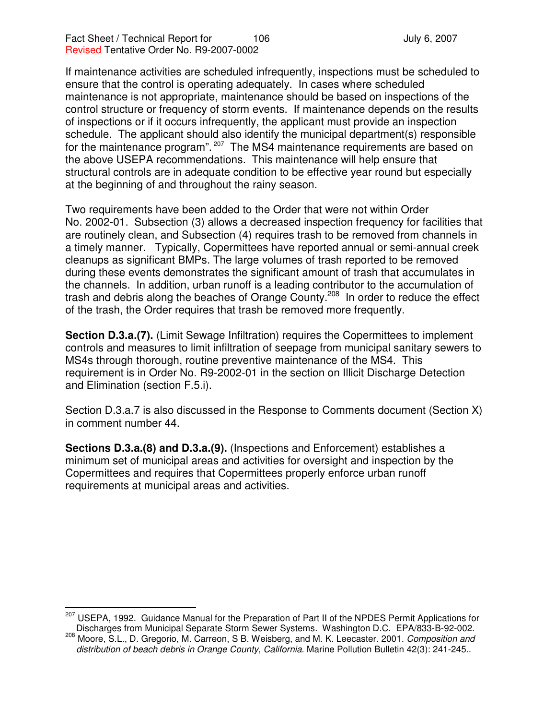If maintenance activities are scheduled infrequently, inspections must be scheduled to ensure that the control is operating adequately. In cases where scheduled maintenance is not appropriate, maintenance should be based on inspections of the control structure or frequency of storm events. If maintenance depends on the results of inspections or if it occurs infrequently, the applicant must provide an inspection schedule. The applicant should also identify the municipal department(s) responsible for the maintenance program". <sup>207</sup> The MS4 maintenance requirements are based on the above USEPA recommendations. This maintenance will help ensure that structural controls are in adequate condition to be effective year round but especially at the beginning of and throughout the rainy season.

Two requirements have been added to the Order that were not within Order No. 2002-01. Subsection (3) allows a decreased inspection frequency for facilities that are routinely clean, and Subsection (4) requires trash to be removed from channels in a timely manner. Typically, Copermittees have reported annual or semi-annual creek cleanups as significant BMPs. The large volumes of trash reported to be removed during these events demonstrates the significant amount of trash that accumulates in the channels. In addition, urban runoff is a leading contributor to the accumulation of trash and debris along the beaches of Orange County.<sup>208</sup> In order to reduce the effect of the trash, the Order requires that trash be removed more frequently.

**Section D.3.a.(7).** (Limit Sewage Infiltration) requires the Copermittees to implement controls and measures to limit infiltration of seepage from municipal sanitary sewers to MS4s through thorough, routine preventive maintenance of the MS4. This requirement is in Order No. R9-2002-01 in the section on Illicit Discharge Detection and Elimination (section F.5.i).

Section D.3.a.7 is also discussed in the Response to Comments document (Section X) in comment number 44.

**Sections D.3.a.(8) and D.3.a.(9).** (Inspections and Enforcement) establishes a minimum set of municipal areas and activities for oversight and inspection by the Copermittees and requires that Copermittees properly enforce urban runoff requirements at municipal areas and activities.

<sup>&</sup>lt;sup>207</sup> USEPA, 1992. Guidance Manual for the Preparation of Part II of the NPDES Permit Applications for Discharges from Municipal Separate Storm Sewer Systems. Washington D.C. EPA/833-B-92-002.

<sup>208</sup> Moore, S.L., D. Gregorio, M. Carreon, S B. Weisberg, and M. K. Leecaster. 2001. *Composition and distribution of beach debris in Orange County, California*. Marine Pollution Bulletin 42(3): 241-245..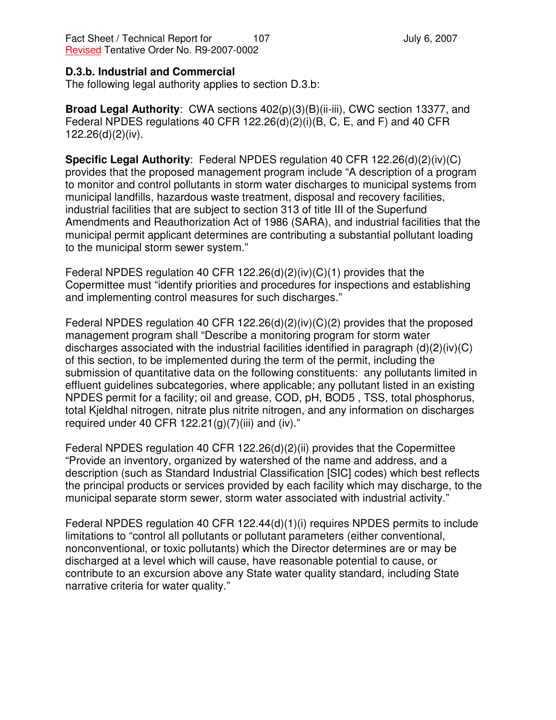### **D.3.b. Industrial and Commercial**

The following legal authority applies to section D.3.b:

**Broad Legal Authority**: CWA sections 402(p)(3)(B)(ii-iii), CWC section 13377, and Federal NPDES regulations 40 CFR 122.26(d)(2)(i)(B, C, E, and F) and 40 CFR 122.26(d)(2)(iv).

**Specific Legal Authority**: Federal NPDES regulation 40 CFR 122.26(d)(2)(iv)(C) provides that the proposed management program include "A description of a program to monitor and control pollutants in storm water discharges to municipal systems from municipal landfills, hazardous waste treatment, disposal and recovery facilities, industrial facilities that are subject to section 313 of title III of the Superfund Amendments and Reauthorization Act of 1986 (SARA), and industrial facilities that the municipal permit applicant determines are contributing a substantial pollutant loading to the municipal storm sewer system."

Federal NPDES regulation 40 CFR 122.26(d)(2)(iv)(C)(1) provides that the Copermittee must "identify priorities and procedures for inspections and establishing and implementing control measures for such discharges."

Federal NPDES regulation 40 CFR 122.26(d)(2)(iv)(C)(2) provides that the proposed management program shall "Describe a monitoring program for storm water discharges associated with the industrial facilities identified in paragraph (d)(2)(iv)(C) of this section, to be implemented during the term of the permit, including the submission of quantitative data on the following constituents: any pollutants limited in effluent guidelines subcategories, where applicable; any pollutant listed in an existing NPDES permit for a facility; oil and grease, COD, pH, BOD5 , TSS, total phosphorus, total Kjeldhal nitrogen, nitrate plus nitrite nitrogen, and any information on discharges required under 40 CFR  $122.21(g)(7)(iii)$  and (iv)."

Federal NPDES regulation 40 CFR 122.26(d)(2)(ii) provides that the Copermittee "Provide an inventory, organized by watershed of the name and address, and a description (such as Standard Industrial Classification [SIC] codes) which best reflects the principal products or services provided by each facility which may discharge, to the municipal separate storm sewer, storm water associated with industrial activity."

Federal NPDES regulation 40 CFR 122.44(d)(1)(i) requires NPDES permits to include limitations to "control all pollutants or pollutant parameters (either conventional, nonconventional, or toxic pollutants) which the Director determines are or may be discharged at a level which will cause, have reasonable potential to cause, or contribute to an excursion above any State water quality standard, including State narrative criteria for water quality."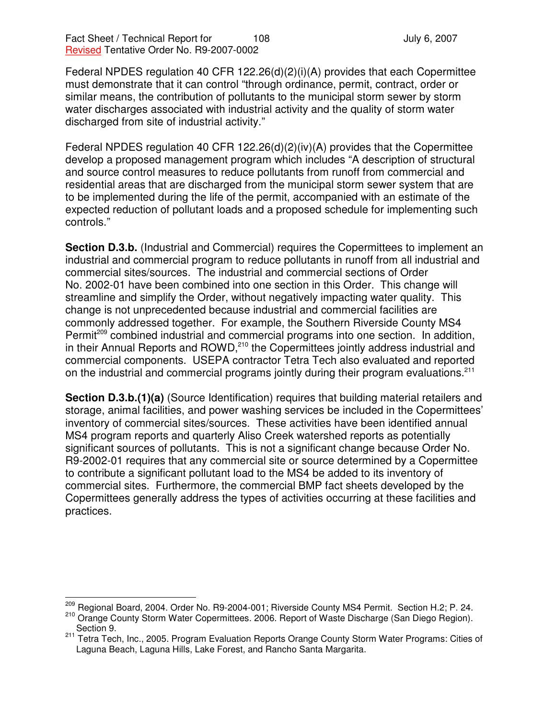Federal NPDES regulation 40 CFR 122.26(d)(2)(i)(A) provides that each Copermittee must demonstrate that it can control "through ordinance, permit, contract, order or similar means, the contribution of pollutants to the municipal storm sewer by storm water discharges associated with industrial activity and the quality of storm water discharged from site of industrial activity."

Federal NPDES regulation 40 CFR 122.26(d)(2)(iv)(A) provides that the Copermittee develop a proposed management program which includes "A description of structural and source control measures to reduce pollutants from runoff from commercial and residential areas that are discharged from the municipal storm sewer system that are to be implemented during the life of the permit, accompanied with an estimate of the expected reduction of pollutant loads and a proposed schedule for implementing such controls."

**Section D.3.b.** (Industrial and Commercial) requires the Copermittees to implement an industrial and commercial program to reduce pollutants in runoff from all industrial and commercial sites/sources. The industrial and commercial sections of Order No. 2002-01 have been combined into one section in this Order. This change will streamline and simplify the Order, without negatively impacting water quality. This change is not unprecedented because industrial and commercial facilities are commonly addressed together. For example, the Southern Riverside County MS4 Permit<sup>209</sup> combined industrial and commercial programs into one section. In addition, in their Annual Reports and ROWD,<sup>210</sup> the Copermittees jointly address industrial and commercial components. USEPA contractor Tetra Tech also evaluated and reported on the industrial and commercial programs jointly during their program evaluations.<sup>211</sup>

**Section D.3.b.(1)(a)** (Source Identification) requires that building material retailers and storage, animal facilities, and power washing services be included in the Copermittees' inventory of commercial sites/sources. These activities have been identified annual MS4 program reports and quarterly Aliso Creek watershed reports as potentially significant sources of pollutants. This is not a significant change because Order No. R9-2002-01 requires that any commercial site or source determined by a Copermittee to contribute a significant pollutant load to the MS4 be added to its inventory of commercial sites. Furthermore, the commercial BMP fact sheets developed by the Copermittees generally address the types of activities occurring at these facilities and practices.

<sup>&</sup>lt;sup>209</sup> Regional Board, 2004. Order No. R9-2004-001; Riverside County MS4 Permit. Section H.2; P. 24.

<sup>210</sup> Orange County Storm Water Copermittees. 2006. Report of Waste Discharge (San Diego Region). Section 9.

<sup>&</sup>lt;sup>211</sup> Tetra Tech, Inc., 2005. Program Evaluation Reports Orange County Storm Water Programs: Cities of Laguna Beach, Laguna Hills, Lake Forest, and Rancho Santa Margarita.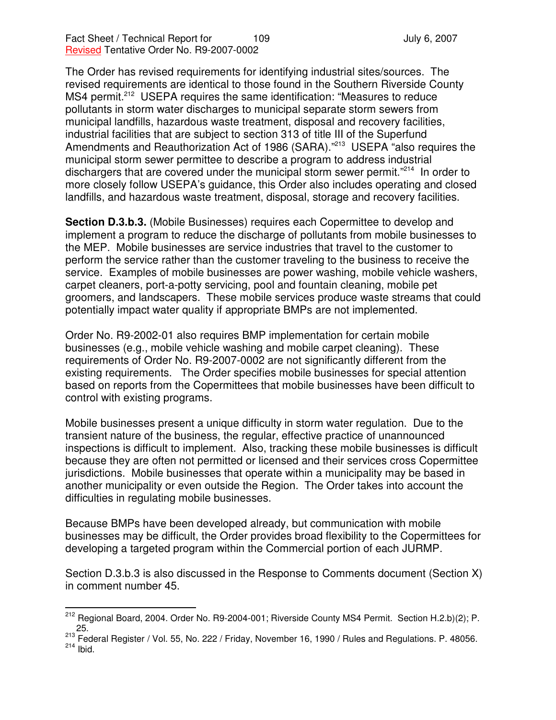The Order has revised requirements for identifying industrial sites/sources. The revised requirements are identical to those found in the Southern Riverside County MS4 permit.<sup>212</sup> USEPA requires the same identification: "Measures to reduce pollutants in storm water discharges to municipal separate storm sewers from municipal landfills, hazardous waste treatment, disposal and recovery facilities, industrial facilities that are subject to section 313 of title III of the Superfund Amendments and Reauthorization Act of 1986 (SARA)."<sup>213</sup> USEPA "also requires the municipal storm sewer permittee to describe a program to address industrial dischargers that are covered under the municipal storm sewer permit."<sup>214</sup> In order to more closely follow USEPA's guidance, this Order also includes operating and closed landfills, and hazardous waste treatment, disposal, storage and recovery facilities.

**Section D.3.b.3.** (Mobile Businesses) requires each Copermittee to develop and implement a program to reduce the discharge of pollutants from mobile businesses to the MEP. Mobile businesses are service industries that travel to the customer to perform the service rather than the customer traveling to the business to receive the service. Examples of mobile businesses are power washing, mobile vehicle washers, carpet cleaners, port-a-potty servicing, pool and fountain cleaning, mobile pet groomers, and landscapers. These mobile services produce waste streams that could potentially impact water quality if appropriate BMPs are not implemented.

Order No. R9-2002-01 also requires BMP implementation for certain mobile businesses (e.g., mobile vehicle washing and mobile carpet cleaning). These requirements of Order No. R9-2007-0002 are not significantly different from the existing requirements. The Order specifies mobile businesses for special attention based on reports from the Copermittees that mobile businesses have been difficult to control with existing programs.

Mobile businesses present a unique difficulty in storm water regulation. Due to the transient nature of the business, the regular, effective practice of unannounced inspections is difficult to implement. Also, tracking these mobile businesses is difficult because they are often not permitted or licensed and their services cross Copermittee jurisdictions. Mobile businesses that operate within a municipality may be based in another municipality or even outside the Region. The Order takes into account the difficulties in regulating mobile businesses.

Because BMPs have been developed already, but communication with mobile businesses may be difficult, the Order provides broad flexibility to the Copermittees for developing a targeted program within the Commercial portion of each JURMP.

Section D.3.b.3 is also discussed in the Response to Comments document (Section X) in comment number 45.

<sup>&</sup>lt;sup>212</sup> Regional Board, 2004. Order No. R9-2004-001; Riverside County MS4 Permit. Section H.2.b)(2); P. 25.

 $^{213}_{22}$  Federal Register / Vol. 55, No. 222 / Friday, November 16, 1990 / Rules and Regulations. P. 48056.  $^{214}$  Ibid.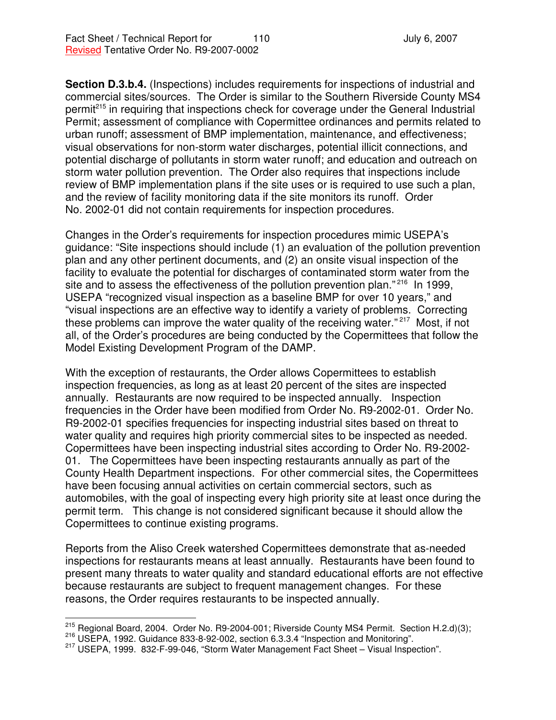**Section D.3.b.4.** (Inspections) includes requirements for inspections of industrial and commercial sites/sources. The Order is similar to the Southern Riverside County MS4 permit<sup>215</sup> in requiring that inspections check for coverage under the General Industrial Permit; assessment of compliance with Copermittee ordinances and permits related to urban runoff; assessment of BMP implementation, maintenance, and effectiveness; visual observations for non-storm water discharges, potential illicit connections, and potential discharge of pollutants in storm water runoff; and education and outreach on storm water pollution prevention. The Order also requires that inspections include review of BMP implementation plans if the site uses or is required to use such a plan, and the review of facility monitoring data if the site monitors its runoff. Order No. 2002-01 did not contain requirements for inspection procedures.

Changes in the Order's requirements for inspection procedures mimic USEPA's guidance: "Site inspections should include (1) an evaluation of the pollution prevention plan and any other pertinent documents, and (2) an onsite visual inspection of the facility to evaluate the potential for discharges of contaminated storm water from the site and to assess the effectiveness of the pollution prevention plan."<sup>216</sup> In 1999, USEPA "recognized visual inspection as a baseline BMP for over 10 years," and "visual inspections are an effective way to identify a variety of problems. Correcting these problems can improve the water quality of the receiving water."<sup>217</sup> Most, if not all, of the Order's procedures are being conducted by the Copermittees that follow the Model Existing Development Program of the DAMP.

With the exception of restaurants, the Order allows Copermittees to establish inspection frequencies, as long as at least 20 percent of the sites are inspected annually. Restaurants are now required to be inspected annually. Inspection frequencies in the Order have been modified from Order No. R9-2002-01. Order No. R9-2002-01 specifies frequencies for inspecting industrial sites based on threat to water quality and requires high priority commercial sites to be inspected as needed. Copermittees have been inspecting industrial sites according to Order No. R9-2002- 01. The Copermittees have been inspecting restaurants annually as part of the County Health Department inspections. For other commercial sites, the Copermittees have been focusing annual activities on certain commercial sectors, such as automobiles, with the goal of inspecting every high priority site at least once during the permit term. This change is not considered significant because it should allow the Copermittees to continue existing programs.

Reports from the Aliso Creek watershed Copermittees demonstrate that as-needed inspections for restaurants means at least annually. Restaurants have been found to present many threats to water quality and standard educational efforts are not effective because restaurants are subject to frequent management changes. For these reasons, the Order requires restaurants to be inspected annually.

<sup>&</sup>lt;sup>215</sup> Regional Board, 2004. Order No. R9-2004-001; Riverside County MS4 Permit. Section H.2.d)(3);

<sup>216</sup> USEPA, 1992. Guidance 833-8-92-002, section 6.3.3.4 "Inspection and Monitoring".

<sup>217</sup> USEPA, 1999. 832-F-99-046, "Storm Water Management Fact Sheet – Visual Inspection".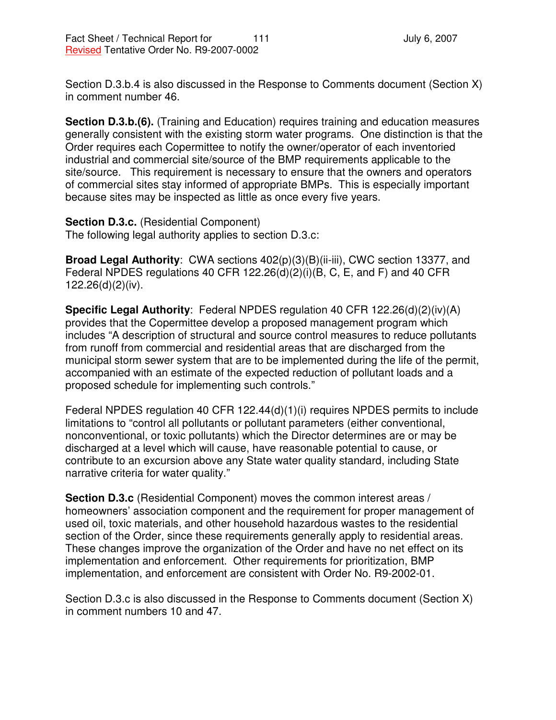Section D.3.b.4 is also discussed in the Response to Comments document (Section X) in comment number 46.

**Section D.3.b.(6).** (Training and Education) requires training and education measures generally consistent with the existing storm water programs. One distinction is that the Order requires each Copermittee to notify the owner/operator of each inventoried industrial and commercial site/source of the BMP requirements applicable to the site/source. This requirement is necessary to ensure that the owners and operators of commercial sites stay informed of appropriate BMPs. This is especially important because sites may be inspected as little as once every five years.

**Section D.3.c.** (Residential Component) The following legal authority applies to section D.3.c:

**Broad Legal Authority**: CWA sections 402(p)(3)(B)(ii-iii), CWC section 13377, and Federal NPDES regulations 40 CFR 122.26(d)(2)(i)(B, C, E, and F) and 40 CFR 122.26(d)(2)(iv).

**Specific Legal Authority**: Federal NPDES regulation 40 CFR 122.26(d)(2)(iv)(A) provides that the Copermittee develop a proposed management program which includes "A description of structural and source control measures to reduce pollutants from runoff from commercial and residential areas that are discharged from the municipal storm sewer system that are to be implemented during the life of the permit, accompanied with an estimate of the expected reduction of pollutant loads and a proposed schedule for implementing such controls."

Federal NPDES regulation 40 CFR 122.44(d)(1)(i) requires NPDES permits to include limitations to "control all pollutants or pollutant parameters (either conventional, nonconventional, or toxic pollutants) which the Director determines are or may be discharged at a level which will cause, have reasonable potential to cause, or contribute to an excursion above any State water quality standard, including State narrative criteria for water quality."

**Section D.3.c** (Residential Component) moves the common interest areas / homeowners' association component and the requirement for proper management of used oil, toxic materials, and other household hazardous wastes to the residential section of the Order, since these requirements generally apply to residential areas. These changes improve the organization of the Order and have no net effect on its implementation and enforcement. Other requirements for prioritization, BMP implementation, and enforcement are consistent with Order No. R9-2002-01.

Section D.3.c is also discussed in the Response to Comments document (Section X) in comment numbers 10 and 47.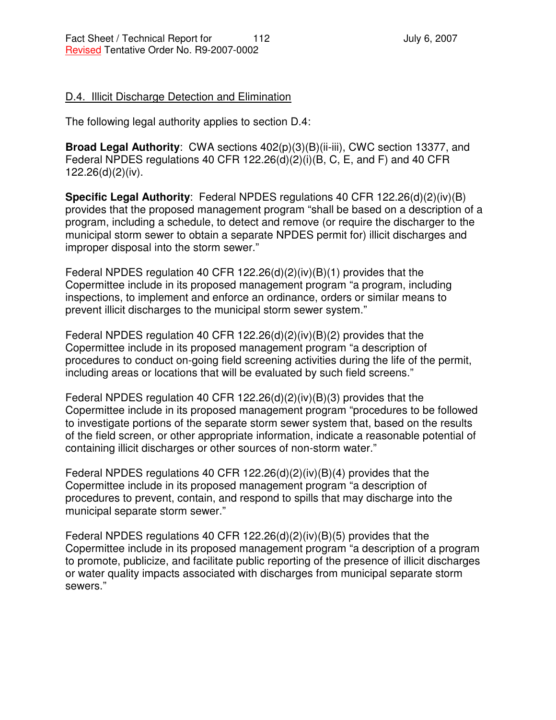### D.4. Illicit Discharge Detection and Elimination

The following legal authority applies to section D.4:

**Broad Legal Authority**: CWA sections 402(p)(3)(B)(ii-iii), CWC section 13377, and Federal NPDES regulations 40 CFR 122.26(d)(2)(i)(B, C, E, and F) and 40 CFR 122.26(d)(2)(iv).

**Specific Legal Authority**: Federal NPDES regulations 40 CFR 122.26(d)(2)(iv)(B) provides that the proposed management program "shall be based on a description of a program, including a schedule, to detect and remove (or require the discharger to the municipal storm sewer to obtain a separate NPDES permit for) illicit discharges and improper disposal into the storm sewer."

Federal NPDES regulation 40 CFR 122.26(d)(2)(iv)(B)(1) provides that the Copermittee include in its proposed management program "a program, including inspections, to implement and enforce an ordinance, orders or similar means to prevent illicit discharges to the municipal storm sewer system."

Federal NPDES regulation 40 CFR 122.26(d)(2)(iv)(B)(2) provides that the Copermittee include in its proposed management program "a description of procedures to conduct on-going field screening activities during the life of the permit, including areas or locations that will be evaluated by such field screens."

Federal NPDES regulation 40 CFR 122.26(d)(2)(iv)(B)(3) provides that the Copermittee include in its proposed management program "procedures to be followed to investigate portions of the separate storm sewer system that, based on the results of the field screen, or other appropriate information, indicate a reasonable potential of containing illicit discharges or other sources of non-storm water."

Federal NPDES regulations 40 CFR 122.26(d)(2)(iv)(B)(4) provides that the Copermittee include in its proposed management program "a description of procedures to prevent, contain, and respond to spills that may discharge into the municipal separate storm sewer."

Federal NPDES regulations 40 CFR 122.26(d)(2)(iv)(B)(5) provides that the Copermittee include in its proposed management program "a description of a program to promote, publicize, and facilitate public reporting of the presence of illicit discharges or water quality impacts associated with discharges from municipal separate storm sewers."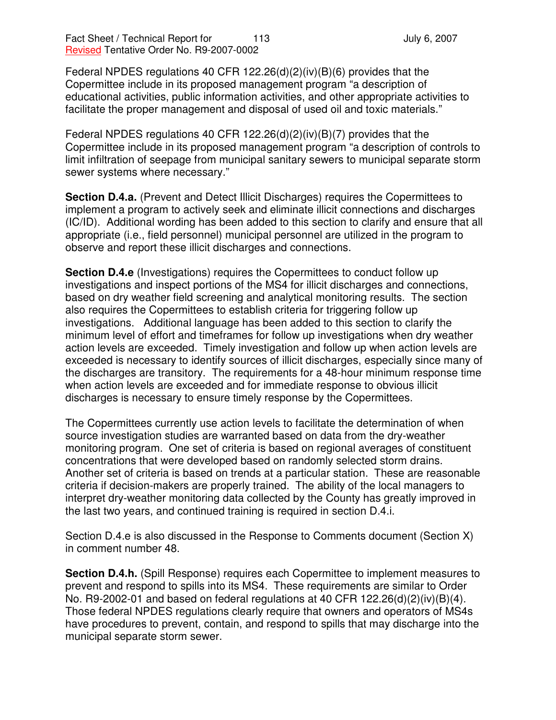Federal NPDES regulations 40 CFR 122.26(d)(2)(iv)(B)(6) provides that the Copermittee include in its proposed management program "a description of educational activities, public information activities, and other appropriate activities to facilitate the proper management and disposal of used oil and toxic materials."

Federal NPDES regulations 40 CFR 122.26(d)(2)(iv)(B)(7) provides that the Copermittee include in its proposed management program "a description of controls to limit infiltration of seepage from municipal sanitary sewers to municipal separate storm sewer systems where necessary."

**Section D.4.a.** (Prevent and Detect Illicit Discharges) requires the Copermittees to implement a program to actively seek and eliminate illicit connections and discharges (IC/ID). Additional wording has been added to this section to clarify and ensure that all appropriate (i.e., field personnel) municipal personnel are utilized in the program to observe and report these illicit discharges and connections.

**Section D.4.e** (Investigations) requires the Copermittees to conduct follow up investigations and inspect portions of the MS4 for illicit discharges and connections, based on dry weather field screening and analytical monitoring results. The section also requires the Copermittees to establish criteria for triggering follow up investigations. Additional language has been added to this section to clarify the minimum level of effort and timeframes for follow up investigations when dry weather action levels are exceeded. Timely investigation and follow up when action levels are exceeded is necessary to identify sources of illicit discharges, especially since many of the discharges are transitory. The requirements for a 48-hour minimum response time when action levels are exceeded and for immediate response to obvious illicit discharges is necessary to ensure timely response by the Copermittees.

The Copermittees currently use action levels to facilitate the determination of when source investigation studies are warranted based on data from the dry-weather monitoring program. One set of criteria is based on regional averages of constituent concentrations that were developed based on randomly selected storm drains. Another set of criteria is based on trends at a particular station. These are reasonable criteria if decision-makers are properly trained. The ability of the local managers to interpret dry-weather monitoring data collected by the County has greatly improved in the last two years, and continued training is required in section D.4.i.

Section D.4.e is also discussed in the Response to Comments document (Section X) in comment number 48.

**Section D.4.h.** (Spill Response) requires each Copermittee to implement measures to prevent and respond to spills into its MS4. These requirements are similar to Order No. R9-2002-01 and based on federal regulations at 40 CFR 122.26(d)(2)(iv)(B)(4). Those federal NPDES regulations clearly require that owners and operators of MS4s have procedures to prevent, contain, and respond to spills that may discharge into the municipal separate storm sewer.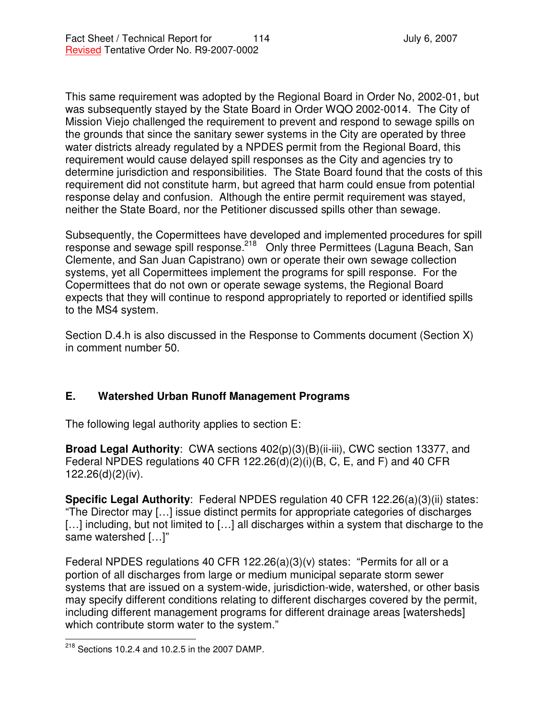This same requirement was adopted by the Regional Board in Order No, 2002-01, but was subsequently stayed by the State Board in Order WQO 2002-0014. The City of Mission Viejo challenged the requirement to prevent and respond to sewage spills on the grounds that since the sanitary sewer systems in the City are operated by three water districts already regulated by a NPDES permit from the Regional Board, this requirement would cause delayed spill responses as the City and agencies try to determine jurisdiction and responsibilities. The State Board found that the costs of this requirement did not constitute harm, but agreed that harm could ensue from potential response delay and confusion. Although the entire permit requirement was stayed, neither the State Board, nor the Petitioner discussed spills other than sewage.

Subsequently, the Copermittees have developed and implemented procedures for spill response and sewage spill response.<sup>218</sup> Only three Permittees (Laguna Beach, San Clemente, and San Juan Capistrano) own or operate their own sewage collection systems, yet all Copermittees implement the programs for spill response. For the Copermittees that do not own or operate sewage systems, the Regional Board expects that they will continue to respond appropriately to reported or identified spills to the MS4 system.

Section D.4.h is also discussed in the Response to Comments document (Section X) in comment number 50.

## **E. Watershed Urban Runoff Management Programs**

The following legal authority applies to section E:

**Broad Legal Authority**: CWA sections 402(p)(3)(B)(ii-iii), CWC section 13377, and Federal NPDES regulations 40 CFR 122.26(d)(2)(i)(B, C, E, and F) and 40 CFR 122.26(d)(2)(iv).

**Specific Legal Authority**: Federal NPDES regulation 40 CFR 122.26(a)(3)(ii) states: "The Director may […] issue distinct permits for appropriate categories of discharges [...] including, but not limited to [...] all discharges within a system that discharge to the same watershed […]"

Federal NPDES regulations 40 CFR 122.26(a)(3)(v) states: "Permits for all or a portion of all discharges from large or medium municipal separate storm sewer systems that are issued on a system-wide, jurisdiction-wide, watershed, or other basis may specify different conditions relating to different discharges covered by the permit, including different management programs for different drainage areas [watersheds] which contribute storm water to the system."

 $^{218}$  Sections 10.2.4 and 10.2.5 in the 2007 DAMP.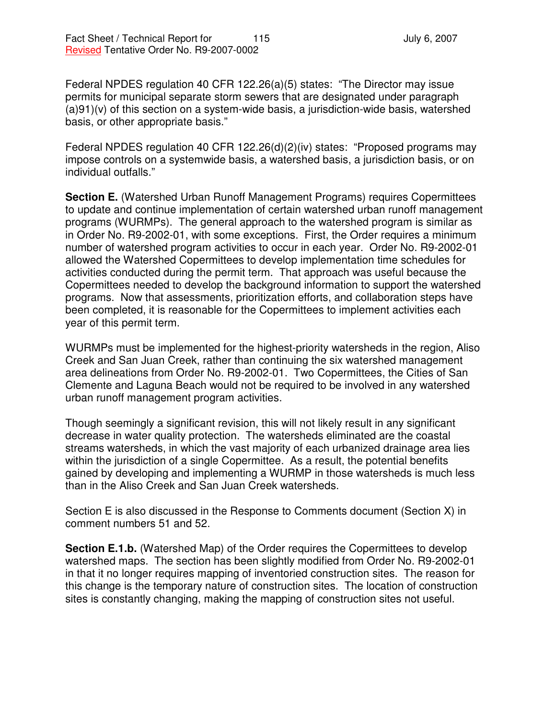Federal NPDES regulation 40 CFR 122.26(a)(5) states: "The Director may issue permits for municipal separate storm sewers that are designated under paragraph (a)91)(v) of this section on a system-wide basis, a jurisdiction-wide basis, watershed basis, or other appropriate basis."

Federal NPDES regulation 40 CFR 122.26(d)(2)(iv) states: "Proposed programs may impose controls on a systemwide basis, a watershed basis, a jurisdiction basis, or on individual outfalls."

**Section E.** (Watershed Urban Runoff Management Programs) requires Copermittees to update and continue implementation of certain watershed urban runoff management programs (WURMPs). The general approach to the watershed program is similar as in Order No. R9-2002-01, with some exceptions. First, the Order requires a minimum number of watershed program activities to occur in each year. Order No. R9-2002-01 allowed the Watershed Copermittees to develop implementation time schedules for activities conducted during the permit term. That approach was useful because the Copermittees needed to develop the background information to support the watershed programs. Now that assessments, prioritization efforts, and collaboration steps have been completed, it is reasonable for the Copermittees to implement activities each year of this permit term.

WURMPs must be implemented for the highest-priority watersheds in the region, Aliso Creek and San Juan Creek, rather than continuing the six watershed management area delineations from Order No. R9-2002-01. Two Copermittees, the Cities of San Clemente and Laguna Beach would not be required to be involved in any watershed urban runoff management program activities.

Though seemingly a significant revision, this will not likely result in any significant decrease in water quality protection. The watersheds eliminated are the coastal streams watersheds, in which the vast majority of each urbanized drainage area lies within the jurisdiction of a single Copermittee. As a result, the potential benefits gained by developing and implementing a WURMP in those watersheds is much less than in the Aliso Creek and San Juan Creek watersheds.

Section E is also discussed in the Response to Comments document (Section X) in comment numbers 51 and 52.

**Section E.1.b.** (Watershed Map) of the Order requires the Copermittees to develop watershed maps. The section has been slightly modified from Order No. R9-2002-01 in that it no longer requires mapping of inventoried construction sites. The reason for this change is the temporary nature of construction sites. The location of construction sites is constantly changing, making the mapping of construction sites not useful.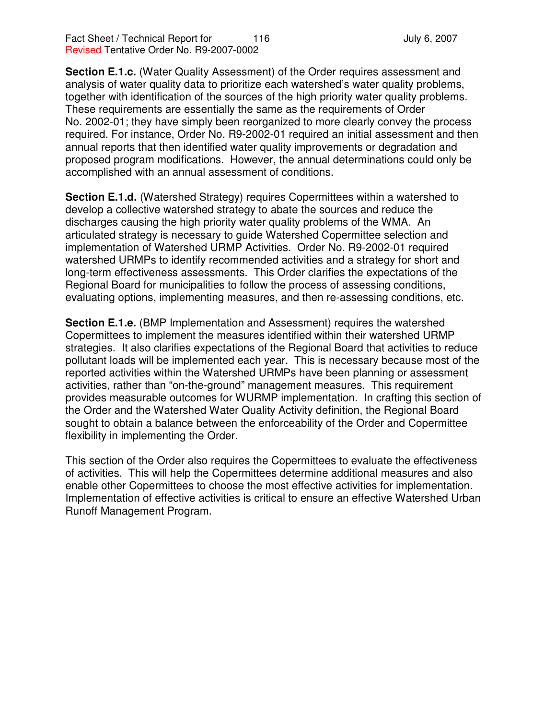**Section E.1.c.** (Water Quality Assessment) of the Order requires assessment and analysis of water quality data to prioritize each watershed's water quality problems, together with identification of the sources of the high priority water quality problems. These requirements are essentially the same as the requirements of Order No. 2002-01; they have simply been reorganized to more clearly convey the process required. For instance, Order No. R9-2002-01 required an initial assessment and then annual reports that then identified water quality improvements or degradation and proposed program modifications. However, the annual determinations could only be accomplished with an annual assessment of conditions.

**Section E.1.d.** (Watershed Strategy) requires Copermittees within a watershed to develop a collective watershed strategy to abate the sources and reduce the discharges causing the high priority water quality problems of the WMA. An articulated strategy is necessary to guide Watershed Copermittee selection and implementation of Watershed URMP Activities. Order No. R9-2002-01 required watershed URMPs to identify recommended activities and a strategy for short and long-term effectiveness assessments. This Order clarifies the expectations of the Regional Board for municipalities to follow the process of assessing conditions, evaluating options, implementing measures, and then re-assessing conditions, etc.

**Section E.1.e.** (BMP Implementation and Assessment) requires the watershed Copermittees to implement the measures identified within their watershed URMP strategies. It also clarifies expectations of the Regional Board that activities to reduce pollutant loads will be implemented each year. This is necessary because most of the reported activities within the Watershed URMPs have been planning or assessment activities, rather than "on-the-ground" management measures. This requirement provides measurable outcomes for WURMP implementation. In crafting this section of the Order and the Watershed Water Quality Activity definition, the Regional Board sought to obtain a balance between the enforceability of the Order and Copermittee flexibility in implementing the Order.

This section of the Order also requires the Copermittees to evaluate the effectiveness of activities. This will help the Copermittees determine additional measures and also enable other Copermittees to choose the most effective activities for implementation. Implementation of effective activities is critical to ensure an effective Watershed Urban Runoff Management Program.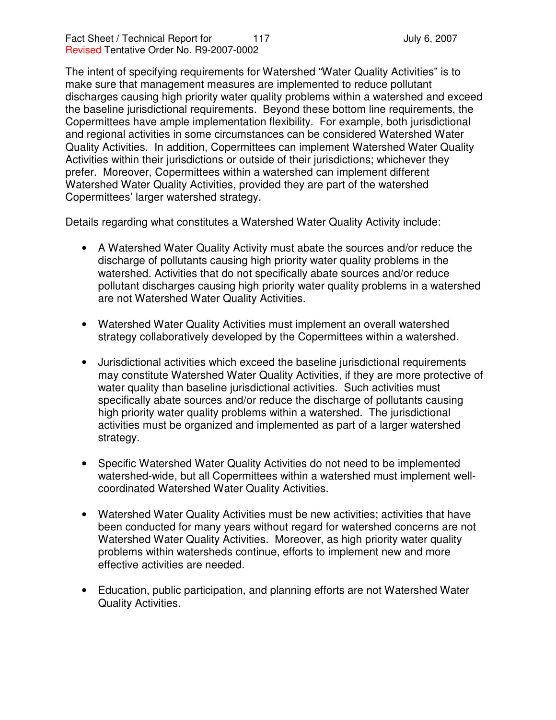The intent of specifying requirements for Watershed "Water Quality Activities" is to make sure that management measures are implemented to reduce pollutant discharges causing high priority water quality problems within a watershed and exceed the baseline jurisdictional requirements. Beyond these bottom line requirements, the Copermittees have ample implementation flexibility. For example, both jurisdictional and regional activities in some circumstances can be considered Watershed Water Quality Activities. In addition, Copermittees can implement Watershed Water Quality Activities within their jurisdictions or outside of their jurisdictions; whichever they prefer. Moreover, Copermittees within a watershed can implement different Watershed Water Quality Activities, provided they are part of the watershed Copermittees' larger watershed strategy.

Details regarding what constitutes a Watershed Water Quality Activity include:

- A Watershed Water Quality Activity must abate the sources and/or reduce the discharge of pollutants causing high priority water quality problems in the watershed. Activities that do not specifically abate sources and/or reduce pollutant discharges causing high priority water quality problems in a watershed are not Watershed Water Quality Activities.
- Watershed Water Quality Activities must implement an overall watershed strategy collaboratively developed by the Copermittees within a watershed.
- Jurisdictional activities which exceed the baseline jurisdictional requirements may constitute Watershed Water Quality Activities, if they are more protective of water quality than baseline jurisdictional activities. Such activities must specifically abate sources and/or reduce the discharge of pollutants causing high priority water quality problems within a watershed. The jurisdictional activities must be organized and implemented as part of a larger watershed strategy.
- Specific Watershed Water Quality Activities do not need to be implemented watershed-wide, but all Copermittees within a watershed must implement wellcoordinated Watershed Water Quality Activities.
- Watershed Water Quality Activities must be new activities; activities that have been conducted for many years without regard for watershed concerns are not Watershed Water Quality Activities. Moreover, as high priority water quality problems within watersheds continue, efforts to implement new and more effective activities are needed.
- Education, public participation, and planning efforts are not Watershed Water Quality Activities.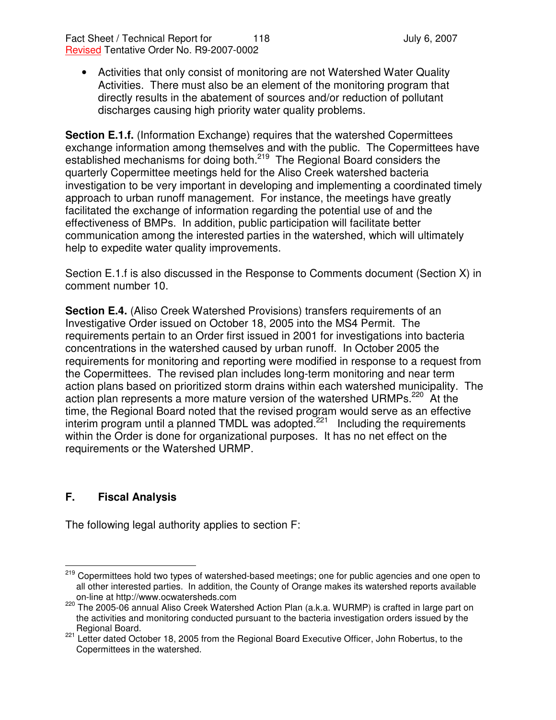• Activities that only consist of monitoring are not Watershed Water Quality Activities. There must also be an element of the monitoring program that directly results in the abatement of sources and/or reduction of pollutant discharges causing high priority water quality problems.

**Section E.1.f.** (Information Exchange) requires that the watershed Copermittees exchange information among themselves and with the public. The Copermittees have established mechanisms for doing both.<sup>219</sup> The Regional Board considers the quarterly Copermittee meetings held for the Aliso Creek watershed bacteria investigation to be very important in developing and implementing a coordinated timely approach to urban runoff management. For instance, the meetings have greatly facilitated the exchange of information regarding the potential use of and the effectiveness of BMPs. In addition, public participation will facilitate better communication among the interested parties in the watershed, which will ultimately help to expedite water quality improvements.

Section E.1.f is also discussed in the Response to Comments document (Section X) in comment number 10.

**Section E.4.** (Aliso Creek Watershed Provisions) transfers requirements of an Investigative Order issued on October 18, 2005 into the MS4 Permit. The requirements pertain to an Order first issued in 2001 for investigations into bacteria concentrations in the watershed caused by urban runoff. In October 2005 the requirements for monitoring and reporting were modified in response to a request from the Copermittees. The revised plan includes long-term monitoring and near term action plans based on prioritized storm drains within each watershed municipality. The action plan represents a more mature version of the watershed URMPs.<sup>220</sup> At the time, the Regional Board noted that the revised program would serve as an effective interim program until a planned TMDL was adopted.<sup>221</sup> Including the requirements within the Order is done for organizational purposes. It has no net effect on the requirements or the Watershed URMP.

# **F. Fiscal Analysis**

The following legal authority applies to section F:

<sup>&</sup>lt;sup>219</sup> Copermittees hold two types of watershed-based meetings; one for public agencies and one open to all other interested parties. In addition, the County of Orange makes its watershed reports available on-line at http://www.ocwatersheds.com

<sup>&</sup>lt;sup>220</sup> The 2005-06 annual Aliso Creek Watershed Action Plan (a.k.a. WURMP) is crafted in large part on the activities and monitoring conducted pursuant to the bacteria investigation orders issued by the Regional Board.

<sup>&</sup>lt;sup>221</sup> Letter dated October 18, 2005 from the Regional Board Executive Officer, John Robertus, to the Copermittees in the watershed.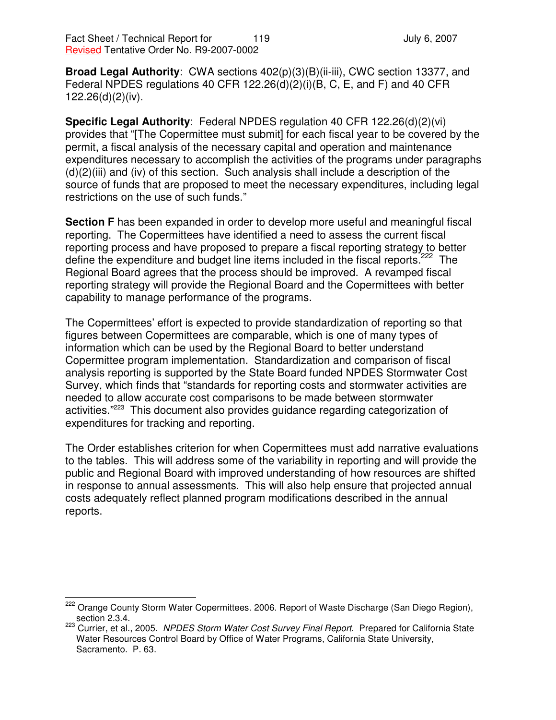**Broad Legal Authority**: CWA sections 402(p)(3)(B)(ii-iii), CWC section 13377, and Federal NPDES regulations 40 CFR 122.26(d)(2)(i)(B, C, E, and F) and 40 CFR 122.26(d)(2)(iv).

**Specific Legal Authority**: Federal NPDES regulation 40 CFR 122.26(d)(2)(vi) provides that "[The Copermittee must submit] for each fiscal year to be covered by the permit, a fiscal analysis of the necessary capital and operation and maintenance expenditures necessary to accomplish the activities of the programs under paragraphs  $(d)(2)(iii)$  and (iv) of this section. Such analysis shall include a description of the source of funds that are proposed to meet the necessary expenditures, including legal restrictions on the use of such funds."

**Section F** has been expanded in order to develop more useful and meaningful fiscal reporting. The Copermittees have identified a need to assess the current fiscal reporting process and have proposed to prepare a fiscal reporting strategy to better define the expenditure and budget line items included in the fiscal reports.<sup>222</sup> The Regional Board agrees that the process should be improved. A revamped fiscal reporting strategy will provide the Regional Board and the Copermittees with better capability to manage performance of the programs.

The Copermittees' effort is expected to provide standardization of reporting so that figures between Copermittees are comparable, which is one of many types of information which can be used by the Regional Board to better understand Copermittee program implementation. Standardization and comparison of fiscal analysis reporting is supported by the State Board funded NPDES Stormwater Cost Survey, which finds that "standards for reporting costs and stormwater activities are needed to allow accurate cost comparisons to be made between stormwater activities."<sup>223</sup> This document also provides guidance regarding categorization of expenditures for tracking and reporting.

The Order establishes criterion for when Copermittees must add narrative evaluations to the tables. This will address some of the variability in reporting and will provide the public and Regional Board with improved understanding of how resources are shifted in response to annual assessments. This will also help ensure that projected annual costs adequately reflect planned program modifications described in the annual reports.

<sup>&</sup>lt;sup>222</sup> Orange County Storm Water Copermittees. 2006. Report of Waste Discharge (San Diego Region), section 2.3.4.

<sup>223</sup> Currier, et al., 2005. *NPDES Storm Water Cost Survey Final Report*. Prepared for California State Water Resources Control Board by Office of Water Programs, California State University, Sacramento. P. 63.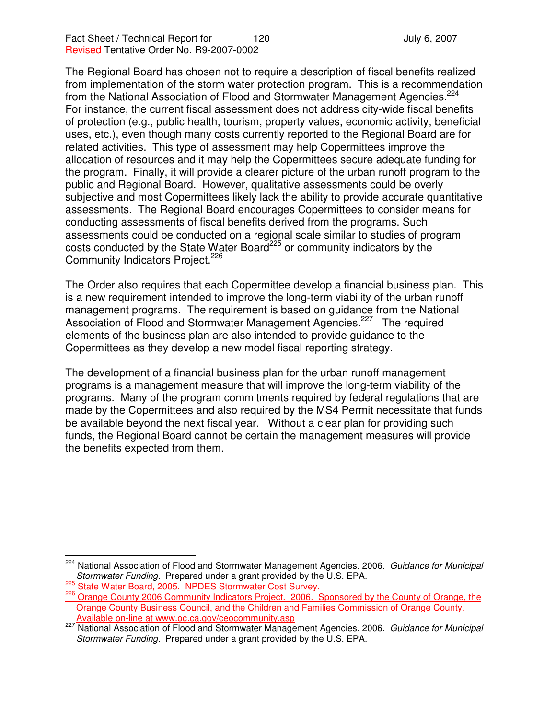The Regional Board has chosen not to require a description of fiscal benefits realized from implementation of the storm water protection program. This is a recommendation from the National Association of Flood and Stormwater Management Agencies.<sup>224</sup> For instance, the current fiscal assessment does not address city-wide fiscal benefits of protection (e.g., public health, tourism, property values, economic activity, beneficial uses, etc.), even though many costs currently reported to the Regional Board are for related activities. This type of assessment may help Copermittees improve the allocation of resources and it may help the Copermittees secure adequate funding for the program. Finally, it will provide a clearer picture of the urban runoff program to the public and Regional Board. However, qualitative assessments could be overly subjective and most Copermittees likely lack the ability to provide accurate quantitative assessments. The Regional Board encourages Copermittees to consider means for conducting assessments of fiscal benefits derived from the programs. Such assessments could be conducted on a regional scale similar to studies of program costs conducted by the State Water Board<sup>225</sup> or community indicators by the Community Indicators Project. 226

The Order also requires that each Copermittee develop a financial business plan. This is a new requirement intended to improve the long-term viability of the urban runoff management programs. The requirement is based on guidance from the National Association of Flood and Stormwater Management Agencies.<sup>227</sup> The required elements of the business plan are also intended to provide guidance to the Copermittees as they develop a new model fiscal reporting strategy.

The development of a financial business plan for the urban runoff management programs is a management measure that will improve the long-term viability of the programs. Many of the program commitments required by federal regulations that are made by the Copermittees and also required by the MS4 Permit necessitate that funds be available beyond the next fiscal year. Without a clear plan for providing such funds, the Regional Board cannot be certain the management measures will provide the benefits expected from them.

<sup>224</sup> National Association of Flood and Stormwater Management Agencies. 2006. *Guidance for Municipal Stormwater Funding.* Prepared under a grant provided by the U.S. EPA.

<sup>&</sup>lt;sup>225</sup> State Water Board, 2005. NPDES Stormwater Cost Survey.

<sup>&</sup>lt;sup>226</sup> Orange County 2006 Community Indicators Project. 2006. Sponsored by the County of Orange, the Orange County Business Council, and the Children and Families Commission of Orange County. Available on-line at www.oc.ca.gov/ceocommunity.asp

<sup>227</sup> National Association of Flood and Stormwater Management Agencies. 2006. *Guidance for Municipal Stormwater Funding.* Prepared under a grant provided by the U.S. EPA.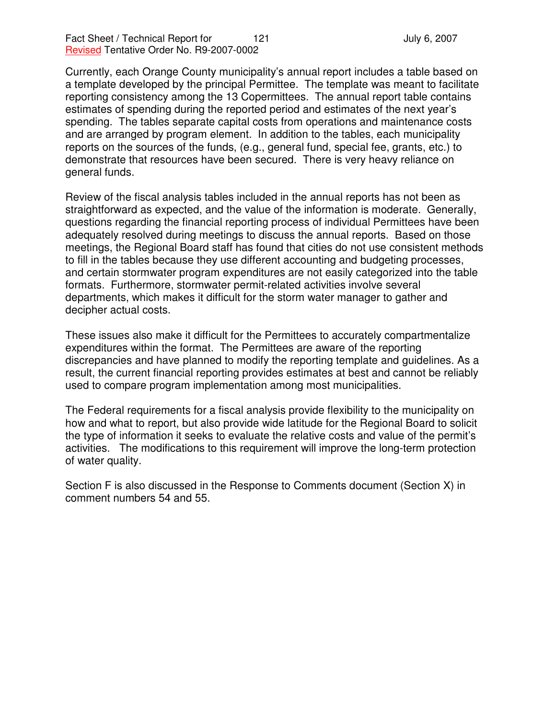Currently, each Orange County municipality's annual report includes a table based on a template developed by the principal Permittee. The template was meant to facilitate reporting consistency among the 13 Copermittees. The annual report table contains estimates of spending during the reported period and estimates of the next year's spending. The tables separate capital costs from operations and maintenance costs and are arranged by program element. In addition to the tables, each municipality reports on the sources of the funds, (e.g., general fund, special fee, grants, etc.) to demonstrate that resources have been secured. There is very heavy reliance on general funds.

Review of the fiscal analysis tables included in the annual reports has not been as straightforward as expected, and the value of the information is moderate. Generally, questions regarding the financial reporting process of individual Permittees have been adequately resolved during meetings to discuss the annual reports. Based on those meetings, the Regional Board staff has found that cities do not use consistent methods to fill in the tables because they use different accounting and budgeting processes, and certain stormwater program expenditures are not easily categorized into the table formats. Furthermore, stormwater permit-related activities involve several departments, which makes it difficult for the storm water manager to gather and decipher actual costs.

These issues also make it difficult for the Permittees to accurately compartmentalize expenditures within the format. The Permittees are aware of the reporting discrepancies and have planned to modify the reporting template and guidelines. As a result, the current financial reporting provides estimates at best and cannot be reliably used to compare program implementation among most municipalities.

The Federal requirements for a fiscal analysis provide flexibility to the municipality on how and what to report, but also provide wide latitude for the Regional Board to solicit the type of information it seeks to evaluate the relative costs and value of the permit's activities. The modifications to this requirement will improve the long-term protection of water quality.

Section F is also discussed in the Response to Comments document (Section X) in comment numbers 54 and 55.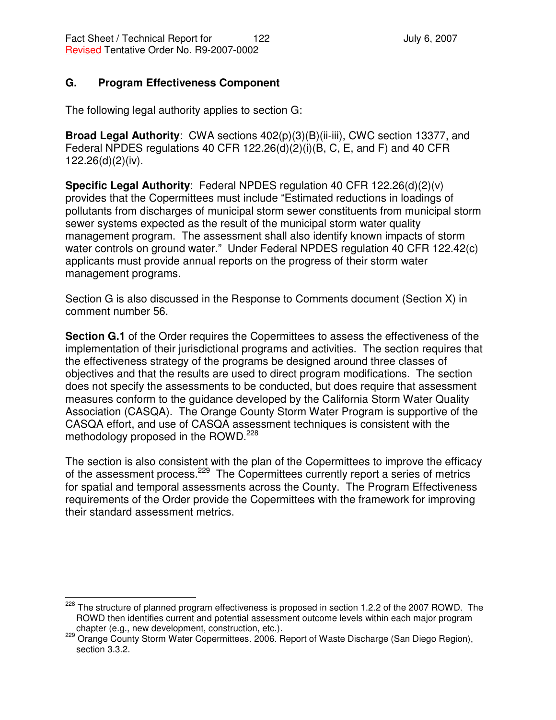## **G. Program Effectiveness Component**

The following legal authority applies to section G:

**Broad Legal Authority**: CWA sections 402(p)(3)(B)(ii-iii), CWC section 13377, and Federal NPDES regulations 40 CFR 122.26(d)(2)(i)(B, C, E, and F) and 40 CFR 122.26(d)(2)(iv).

**Specific Legal Authority**: Federal NPDES regulation 40 CFR 122.26(d)(2)(v) provides that the Copermittees must include "Estimated reductions in loadings of pollutants from discharges of municipal storm sewer constituents from municipal storm sewer systems expected as the result of the municipal storm water quality management program. The assessment shall also identify known impacts of storm water controls on ground water." Under Federal NPDES regulation 40 CFR 122.42(c) applicants must provide annual reports on the progress of their storm water management programs.

Section G is also discussed in the Response to Comments document (Section X) in comment number 56.

**Section G.1** of the Order requires the Copermittees to assess the effectiveness of the implementation of their jurisdictional programs and activities. The section requires that the effectiveness strategy of the programs be designed around three classes of objectives and that the results are used to direct program modifications. The section does not specify the assessments to be conducted, but does require that assessment measures conform to the guidance developed by the California Storm Water Quality Association (CASQA). The Orange County Storm Water Program is supportive of the CASQA effort, and use of CASQA assessment techniques is consistent with the methodology proposed in the ROWD.<sup>228</sup>

The section is also consistent with the plan of the Copermittees to improve the efficacy of the assessment process.<sup>229</sup> The Copermittees currently report a series of metrics for spatial and temporal assessments across the County. The Program Effectiveness requirements of the Order provide the Copermittees with the framework for improving their standard assessment metrics.

<sup>&</sup>lt;sup>228</sup> The structure of planned program effectiveness is proposed in section 1.2.2 of the 2007 ROWD. The ROWD then identifies current and potential assessment outcome levels within each major program chapter (e.g., new development, construction, etc.).

<sup>229</sup> Orange County Storm Water Copermittees. 2006. Report of Waste Discharge (San Diego Region), section 3.3.2.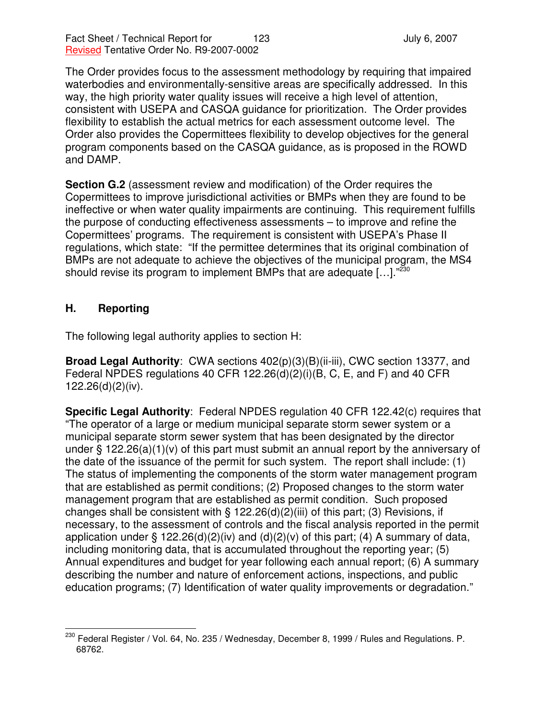The Order provides focus to the assessment methodology by requiring that impaired waterbodies and environmentally-sensitive areas are specifically addressed. In this way, the high priority water quality issues will receive a high level of attention, consistent with USEPA and CASQA guidance for prioritization. The Order provides flexibility to establish the actual metrics for each assessment outcome level. The Order also provides the Copermittees flexibility to develop objectives for the general program components based on the CASQA guidance, as is proposed in the ROWD and DAMP.

**Section G.2** (assessment review and modification) of the Order requires the Copermittees to improve jurisdictional activities or BMPs when they are found to be ineffective or when water quality impairments are continuing. This requirement fulfills the purpose of conducting effectiveness assessments – to improve and refine the Copermittees' programs. The requirement is consistent with USEPA's Phase II regulations, which state: "If the permittee determines that its original combination of BMPs are not adequate to achieve the objectives of the municipal program, the MS4 should revise its program to implement BMPs that are adequate [...]."<sup>230</sup>

## **H. Reporting**

The following legal authority applies to section H:

**Broad Legal Authority**: CWA sections 402(p)(3)(B)(ii-iii), CWC section 13377, and Federal NPDES regulations 40 CFR 122.26(d)(2)(i)(B, C, E, and F) and 40 CFR 122.26(d)(2)(iv).

**Specific Legal Authority**: Federal NPDES regulation 40 CFR 122.42(c) requires that "The operator of a large or medium municipal separate storm sewer system or a municipal separate storm sewer system that has been designated by the director under § 122.26(a)(1)(v) of this part must submit an annual report by the anniversary of the date of the issuance of the permit for such system. The report shall include: (1) The status of implementing the components of the storm water management program that are established as permit conditions; (2) Proposed changes to the storm water management program that are established as permit condition. Such proposed changes shall be consistent with  $\S$  122.26(d)(2)(iii) of this part; (3) Revisions, if necessary, to the assessment of controls and the fiscal analysis reported in the permit application under § 122.26(d)(2)(iv) and (d)(2)(v) of this part; (4) A summary of data, including monitoring data, that is accumulated throughout the reporting year; (5) Annual expenditures and budget for year following each annual report; (6) A summary describing the number and nature of enforcement actions, inspections, and public education programs; (7) Identification of water quality improvements or degradation."

<sup>&</sup>lt;sup>230</sup> Federal Register / Vol. 64, No. 235 / Wednesday, December 8, 1999 / Rules and Regulations. P. 68762.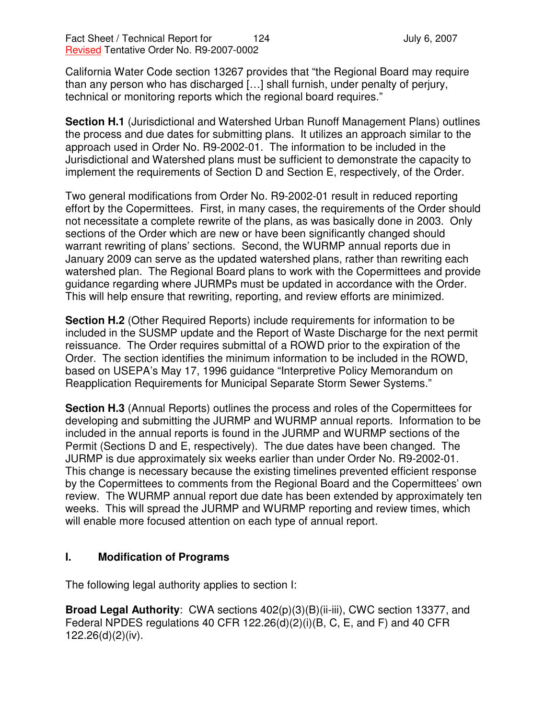California Water Code section 13267 provides that "the Regional Board may require than any person who has discharged […] shall furnish, under penalty of perjury, technical or monitoring reports which the regional board requires."

**Section H.1** (Jurisdictional and Watershed Urban Runoff Management Plans) outlines the process and due dates for submitting plans. It utilizes an approach similar to the approach used in Order No. R9-2002-01. The information to be included in the Jurisdictional and Watershed plans must be sufficient to demonstrate the capacity to implement the requirements of Section D and Section E, respectively, of the Order.

Two general modifications from Order No. R9-2002-01 result in reduced reporting effort by the Copermittees. First, in many cases, the requirements of the Order should not necessitate a complete rewrite of the plans, as was basically done in 2003. Only sections of the Order which are new or have been significantly changed should warrant rewriting of plans' sections. Second, the WURMP annual reports due in January 2009 can serve as the updated watershed plans, rather than rewriting each watershed plan. The Regional Board plans to work with the Copermittees and provide guidance regarding where JURMPs must be updated in accordance with the Order. This will help ensure that rewriting, reporting, and review efforts are minimized.

**Section H.2** (Other Required Reports) include requirements for information to be included in the SUSMP update and the Report of Waste Discharge for the next permit reissuance. The Order requires submittal of a ROWD prior to the expiration of the Order. The section identifies the minimum information to be included in the ROWD, based on USEPA's May 17, 1996 guidance "Interpretive Policy Memorandum on Reapplication Requirements for Municipal Separate Storm Sewer Systems."

**Section H.3** (Annual Reports) outlines the process and roles of the Copermittees for developing and submitting the JURMP and WURMP annual reports. Information to be included in the annual reports is found in the JURMP and WURMP sections of the Permit (Sections D and E, respectively). The due dates have been changed. The JURMP is due approximately six weeks earlier than under Order No. R9-2002-01. This change is necessary because the existing timelines prevented efficient response by the Copermittees to comments from the Regional Board and the Copermittees' own review. The WURMP annual report due date has been extended by approximately ten weeks. This will spread the JURMP and WURMP reporting and review times, which will enable more focused attention on each type of annual report.

### **I. Modification of Programs**

The following legal authority applies to section I:

**Broad Legal Authority**: CWA sections 402(p)(3)(B)(ii-iii), CWC section 13377, and Federal NPDES regulations 40 CFR 122.26(d)(2)(i)(B, C, E, and F) and 40 CFR 122.26(d)(2)(iv).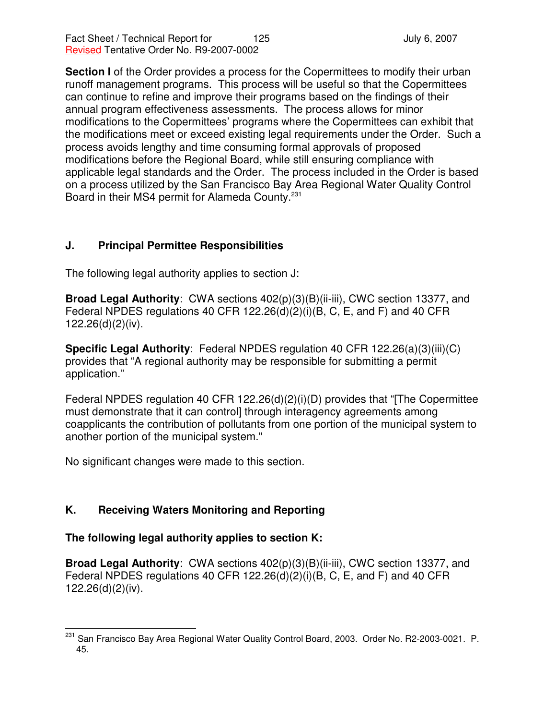**Section I** of the Order provides a process for the Copermittees to modify their urban runoff management programs. This process will be useful so that the Copermittees can continue to refine and improve their programs based on the findings of their annual program effectiveness assessments. The process allows for minor modifications to the Copermittees' programs where the Copermittees can exhibit that the modifications meet or exceed existing legal requirements under the Order. Such a process avoids lengthy and time consuming formal approvals of proposed modifications before the Regional Board, while still ensuring compliance with applicable legal standards and the Order. The process included in the Order is based on a process utilized by the San Francisco Bay Area Regional Water Quality Control Board in their MS4 permit for Alameda County. 231

## **J. Principal Permittee Responsibilities**

The following legal authority applies to section J:

**Broad Legal Authority**: CWA sections 402(p)(3)(B)(ii-iii), CWC section 13377, and Federal NPDES regulations 40 CFR 122.26(d)(2)(i)(B, C, E, and F) and 40 CFR 122.26(d)(2)(iv).

**Specific Legal Authority**: Federal NPDES regulation 40 CFR 122.26(a)(3)(iii)(C) provides that "A regional authority may be responsible for submitting a permit application."

Federal NPDES regulation 40 CFR 122.26(d)(2)(i)(D) provides that "[The Copermittee must demonstrate that it can control] through interagency agreements among coapplicants the contribution of pollutants from one portion of the municipal system to another portion of the municipal system."

No significant changes were made to this section.

# **K. Receiving Waters Monitoring and Reporting**

## **The following legal authority applies to section K:**

**Broad Legal Authority**: CWA sections 402(p)(3)(B)(ii-iii), CWC section 13377, and Federal NPDES regulations 40 CFR 122.26(d)(2)(i)(B, C, E, and F) and 40 CFR 122.26(d)(2)(iv).

<sup>&</sup>lt;sup>231</sup> San Francisco Bay Area Regional Water Quality Control Board, 2003. Order No. R2-2003-0021. P. 45.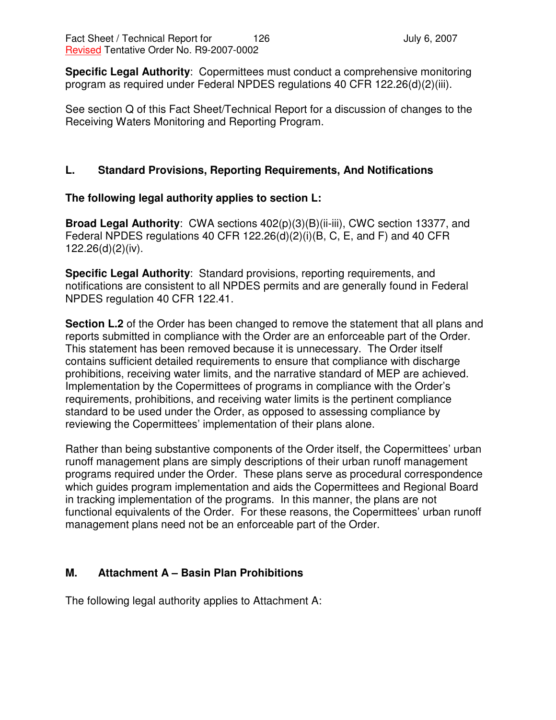**Specific Legal Authority**: Copermittees must conduct a comprehensive monitoring program as required under Federal NPDES regulations 40 CFR 122.26(d)(2)(iii).

See section Q of this Fact Sheet/Technical Report for a discussion of changes to the Receiving Waters Monitoring and Reporting Program.

## **L. Standard Provisions, Reporting Requirements, And Notifications**

## **The following legal authority applies to section L:**

**Broad Legal Authority**: CWA sections 402(p)(3)(B)(ii-iii), CWC section 13377, and Federal NPDES regulations 40 CFR 122.26(d)(2)(i)(B, C, E, and F) and 40 CFR 122.26(d)(2)(iv).

**Specific Legal Authority**: Standard provisions, reporting requirements, and notifications are consistent to all NPDES permits and are generally found in Federal NPDES regulation 40 CFR 122.41.

**Section L.2** of the Order has been changed to remove the statement that all plans and reports submitted in compliance with the Order are an enforceable part of the Order. This statement has been removed because it is unnecessary. The Order itself contains sufficient detailed requirements to ensure that compliance with discharge prohibitions, receiving water limits, and the narrative standard of MEP are achieved. Implementation by the Copermittees of programs in compliance with the Order's requirements, prohibitions, and receiving water limits is the pertinent compliance standard to be used under the Order, as opposed to assessing compliance by reviewing the Copermittees' implementation of their plans alone.

Rather than being substantive components of the Order itself, the Copermittees' urban runoff management plans are simply descriptions of their urban runoff management programs required under the Order. These plans serve as procedural correspondence which guides program implementation and aids the Copermittees and Regional Board in tracking implementation of the programs. In this manner, the plans are not functional equivalents of the Order. For these reasons, the Copermittees' urban runoff management plans need not be an enforceable part of the Order.

## **M. Attachment A – Basin Plan Prohibitions**

The following legal authority applies to Attachment A: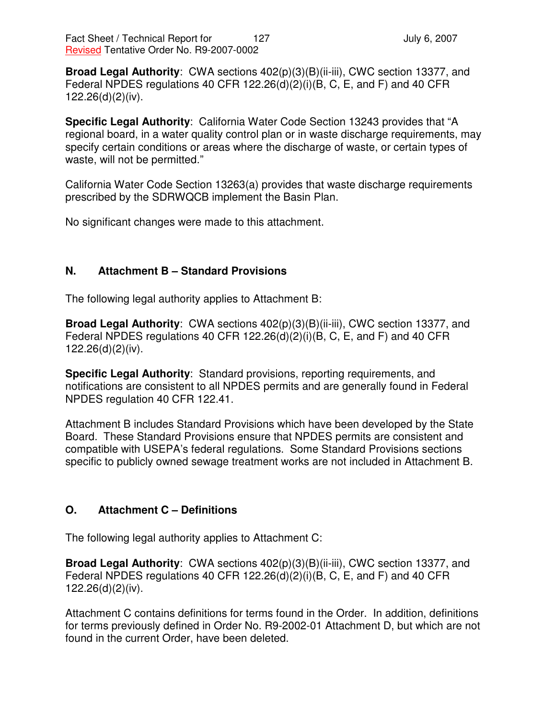**Broad Legal Authority**: CWA sections 402(p)(3)(B)(ii-iii), CWC section 13377, and Federal NPDES regulations 40 CFR 122.26(d)(2)(i)(B, C, E, and F) and 40 CFR 122.26(d)(2)(iv).

**Specific Legal Authority**: California Water Code Section 13243 provides that "A regional board, in a water quality control plan or in waste discharge requirements, may specify certain conditions or areas where the discharge of waste, or certain types of waste, will not be permitted."

California Water Code Section 13263(a) provides that waste discharge requirements prescribed by the SDRWQCB implement the Basin Plan.

No significant changes were made to this attachment.

### **N. Attachment B – Standard Provisions**

The following legal authority applies to Attachment B:

**Broad Legal Authority**: CWA sections 402(p)(3)(B)(ii-iii), CWC section 13377, and Federal NPDES regulations 40 CFR 122.26(d)(2)(i)(B, C, E, and F) and 40 CFR 122.26(d)(2)(iv).

**Specific Legal Authority**: Standard provisions, reporting requirements, and notifications are consistent to all NPDES permits and are generally found in Federal NPDES regulation 40 CFR 122.41.

Attachment B includes Standard Provisions which have been developed by the State Board. These Standard Provisions ensure that NPDES permits are consistent and compatible with USEPA's federal regulations. Some Standard Provisions sections specific to publicly owned sewage treatment works are not included in Attachment B.

## **O. Attachment C – Definitions**

The following legal authority applies to Attachment C:

**Broad Legal Authority**: CWA sections 402(p)(3)(B)(ii-iii), CWC section 13377, and Federal NPDES regulations 40 CFR 122.26(d)(2)(i)(B, C, E, and F) and 40 CFR 122.26(d)(2)(iv).

Attachment C contains definitions for terms found in the Order. In addition, definitions for terms previously defined in Order No. R9-2002-01 Attachment D, but which are not found in the current Order, have been deleted.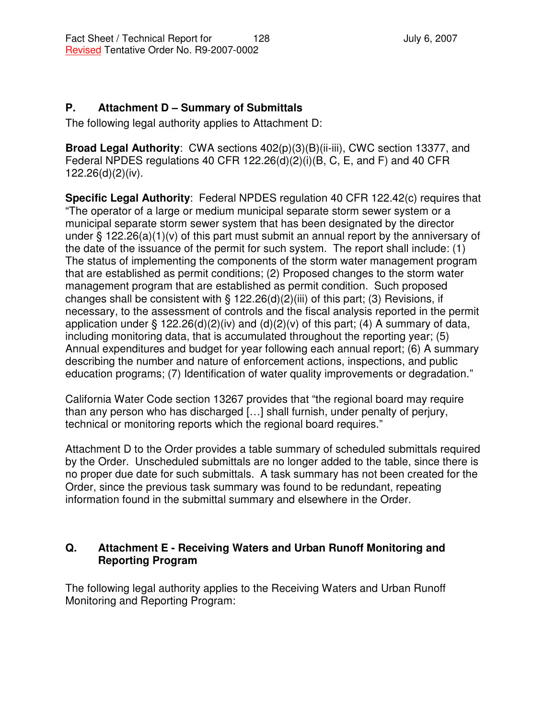# **P. Attachment D – Summary of Submittals**

The following legal authority applies to Attachment D:

**Broad Legal Authority**: CWA sections 402(p)(3)(B)(ii-iii), CWC section 13377, and Federal NPDES regulations 40 CFR 122.26(d)(2)(i)(B, C, E, and F) and 40 CFR 122.26(d)(2)(iv).

**Specific Legal Authority**: Federal NPDES regulation 40 CFR 122.42(c) requires that "The operator of a large or medium municipal separate storm sewer system or a municipal separate storm sewer system that has been designated by the director under § 122.26(a)(1)(v) of this part must submit an annual report by the anniversary of the date of the issuance of the permit for such system. The report shall include: (1) The status of implementing the components of the storm water management program that are established as permit conditions; (2) Proposed changes to the storm water management program that are established as permit condition. Such proposed changes shall be consistent with  $\S$  122.26(d)(2)(iii) of this part; (3) Revisions, if necessary, to the assessment of controls and the fiscal analysis reported in the permit application under § 122.26(d)(2)(iv) and (d)(2)(v) of this part; (4) A summary of data, including monitoring data, that is accumulated throughout the reporting year; (5) Annual expenditures and budget for year following each annual report; (6) A summary describing the number and nature of enforcement actions, inspections, and public education programs; (7) Identification of water quality improvements or degradation."

California Water Code section 13267 provides that "the regional board may require than any person who has discharged […] shall furnish, under penalty of perjury, technical or monitoring reports which the regional board requires."

Attachment D to the Order provides a table summary of scheduled submittals required by the Order. Unscheduled submittals are no longer added to the table, since there is no proper due date for such submittals. A task summary has not been created for the Order, since the previous task summary was found to be redundant, repeating information found in the submittal summary and elsewhere in the Order.

## **Q. Attachment E - Receiving Waters and Urban Runoff Monitoring and Reporting Program**

The following legal authority applies to the Receiving Waters and Urban Runoff Monitoring and Reporting Program: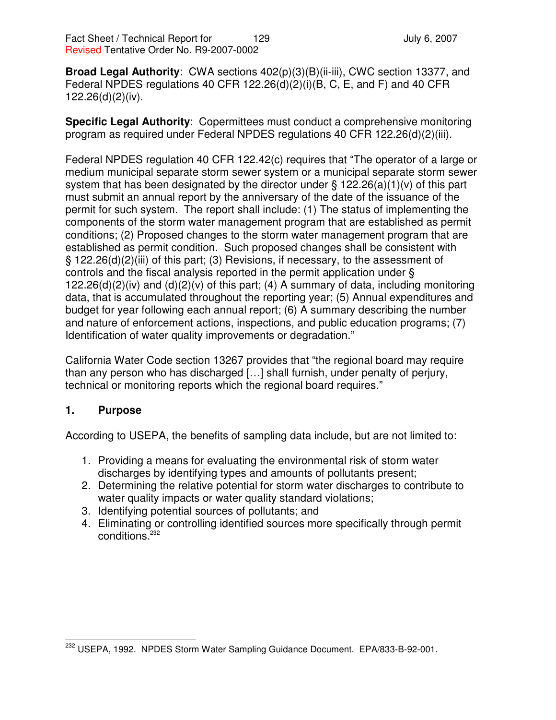**Broad Legal Authority**: CWA sections 402(p)(3)(B)(ii-iii), CWC section 13377, and Federal NPDES regulations 40 CFR 122.26(d)(2)(i)(B, C, E, and F) and 40 CFR 122.26(d)(2)(iv).

**Specific Legal Authority**: Copermittees must conduct a comprehensive monitoring program as required under Federal NPDES regulations 40 CFR 122.26(d)(2)(iii).

Federal NPDES regulation 40 CFR 122.42(c) requires that "The operator of a large or medium municipal separate storm sewer system or a municipal separate storm sewer system that has been designated by the director under § 122.26(a)(1)(v) of this part must submit an annual report by the anniversary of the date of the issuance of the permit for such system. The report shall include: (1) The status of implementing the components of the storm water management program that are established as permit conditions; (2) Proposed changes to the storm water management program that are established as permit condition. Such proposed changes shall be consistent with § 122.26(d)(2)(iii) of this part; (3) Revisions, if necessary, to the assessment of controls and the fiscal analysis reported in the permit application under § 122.26(d)(2)(iv) and (d)(2)(v) of this part; (4) A summary of data, including monitoring data, that is accumulated throughout the reporting year; (5) Annual expenditures and budget for year following each annual report; (6) A summary describing the number and nature of enforcement actions, inspections, and public education programs; (7) Identification of water quality improvements or degradation."

California Water Code section 13267 provides that "the regional board may require than any person who has discharged […] shall furnish, under penalty of perjury, technical or monitoring reports which the regional board requires."

## **1. Purpose**

According to USEPA, the benefits of sampling data include, but are not limited to:

- 1. Providing a means for evaluating the environmental risk of storm water discharges by identifying types and amounts of pollutants present;
- 2. Determining the relative potential for storm water discharges to contribute to water quality impacts or water quality standard violations;
- 3. Identifying potential sources of pollutants; and
- 4. Eliminating or controlling identified sources more specifically through permit conditions. 232

<sup>&</sup>lt;sup>232</sup> USEPA, 1992. NPDES Storm Water Sampling Guidance Document. EPA/833-B-92-001.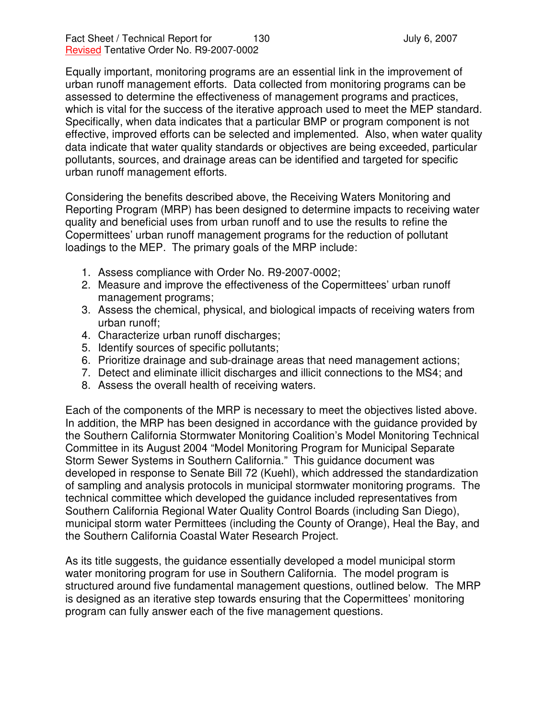Equally important, monitoring programs are an essential link in the improvement of urban runoff management efforts. Data collected from monitoring programs can be assessed to determine the effectiveness of management programs and practices, which is vital for the success of the iterative approach used to meet the MEP standard. Specifically, when data indicates that a particular BMP or program component is not effective, improved efforts can be selected and implemented. Also, when water quality data indicate that water quality standards or objectives are being exceeded, particular pollutants, sources, and drainage areas can be identified and targeted for specific urban runoff management efforts.

Considering the benefits described above, the Receiving Waters Monitoring and Reporting Program (MRP) has been designed to determine impacts to receiving water quality and beneficial uses from urban runoff and to use the results to refine the Copermittees' urban runoff management programs for the reduction of pollutant loadings to the MEP. The primary goals of the MRP include:

- 1. Assess compliance with Order No. R9-2007-0002;
- 2. Measure and improve the effectiveness of the Copermittees' urban runoff management programs;
- 3. Assess the chemical, physical, and biological impacts of receiving waters from urban runoff;
- 4. Characterize urban runoff discharges;
- 5. Identify sources of specific pollutants;
- 6. Prioritize drainage and sub-drainage areas that need management actions;
- 7. Detect and eliminate illicit discharges and illicit connections to the MS4; and
- 8. Assess the overall health of receiving waters.

Each of the components of the MRP is necessary to meet the objectives listed above. In addition, the MRP has been designed in accordance with the guidance provided by the Southern California Stormwater Monitoring Coalition's Model Monitoring Technical Committee in its August 2004 "Model Monitoring Program for Municipal Separate Storm Sewer Systems in Southern California." This guidance document was developed in response to Senate Bill 72 (Kuehl), which addressed the standardization of sampling and analysis protocols in municipal stormwater monitoring programs. The technical committee which developed the guidance included representatives from Southern California Regional Water Quality Control Boards (including San Diego), municipal storm water Permittees (including the County of Orange), Heal the Bay, and the Southern California Coastal Water Research Project.

As its title suggests, the guidance essentially developed a model municipal storm water monitoring program for use in Southern California. The model program is structured around five fundamental management questions, outlined below. The MRP is designed as an iterative step towards ensuring that the Copermittees' monitoring program can fully answer each of the five management questions.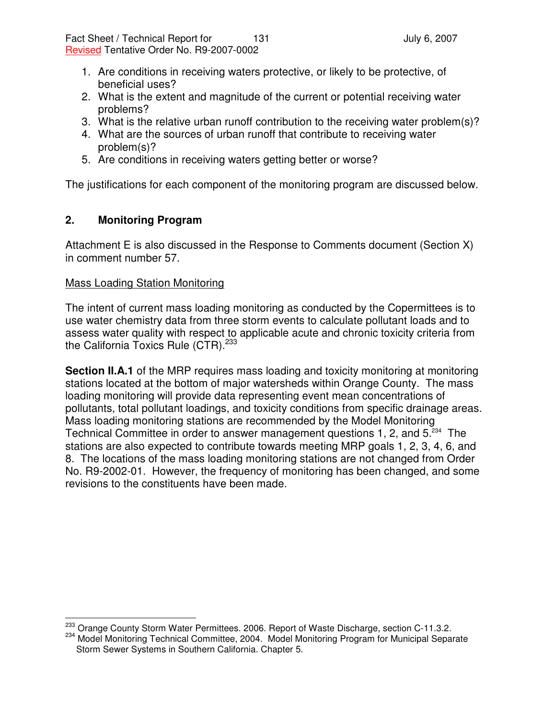- 1. Are conditions in receiving waters protective, or likely to be protective, of beneficial uses?
- 2. What is the extent and magnitude of the current or potential receiving water problems?
- 3. What is the relative urban runoff contribution to the receiving water problem(s)?
- 4. What are the sources of urban runoff that contribute to receiving water problem(s)?
- 5. Are conditions in receiving waters getting better or worse?

The justifications for each component of the monitoring program are discussed below.

### **2. Monitoring Program**

Attachment E is also discussed in the Response to Comments document (Section X) in comment number 57.

#### Mass Loading Station Monitoring

The intent of current mass loading monitoring as conducted by the Copermittees is to use water chemistry data from three storm events to calculate pollutant loads and to assess water quality with respect to applicable acute and chronic toxicity criteria from the California Toxics Rule (CTR).<sup>233</sup>

**Section II.A.1** of the MRP requires mass loading and toxicity monitoring at monitoring stations located at the bottom of major watersheds within Orange County. The mass loading monitoring will provide data representing event mean concentrations of pollutants, total pollutant loadings, and toxicity conditions from specific drainage areas. Mass loading monitoring stations are recommended by the Model Monitoring Technical Committee in order to answer management questions 1, 2, and 5.<sup>234</sup> The stations are also expected to contribute towards meeting MRP goals 1, 2, 3, 4, 6, and 8. The locations of the mass loading monitoring stations are not changed from Order No. R9-2002-01. However, the frequency of monitoring has been changed, and some revisions to the constituents have been made.

<sup>&</sup>lt;sup>233</sup> Orange County Storm Water Permittees. 2006. Report of Waste Discharge, section C-11.3.2.

<sup>234</sup> Model Monitoring Technical Committee, 2004. Model Monitoring Program for Municipal Separate Storm Sewer Systems in Southern California. Chapter 5.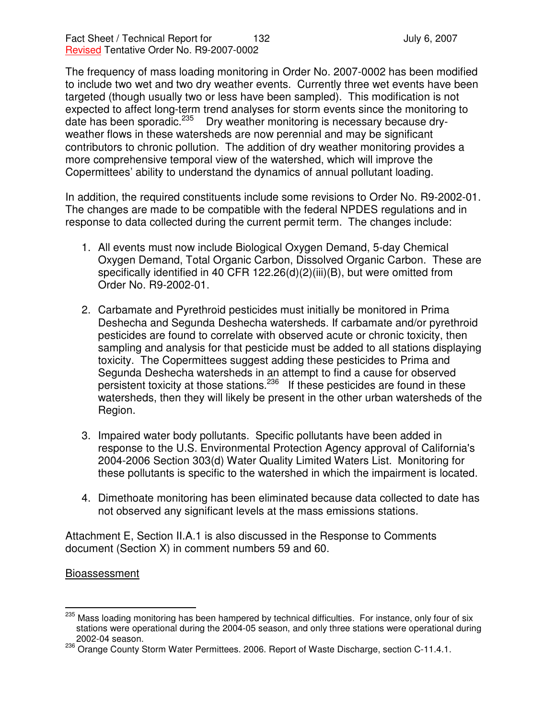The frequency of mass loading monitoring in Order No. 2007-0002 has been modified to include two wet and two dry weather events. Currently three wet events have been targeted (though usually two or less have been sampled). This modification is not expected to affect long-term trend analyses for storm events since the monitoring to date has been sporadic.<sup>235</sup> Dry weather monitoring is necessary because dryweather flows in these watersheds are now perennial and may be significant contributors to chronic pollution. The addition of dry weather monitoring provides a more comprehensive temporal view of the watershed, which will improve the Copermittees' ability to understand the dynamics of annual pollutant loading.

In addition, the required constituents include some revisions to Order No. R9-2002-01. The changes are made to be compatible with the federal NPDES regulations and in response to data collected during the current permit term. The changes include:

- 1. All events must now include Biological Oxygen Demand, 5-day Chemical Oxygen Demand, Total Organic Carbon, Dissolved Organic Carbon. These are specifically identified in 40 CFR 122.26(d)(2)(iii)(B), but were omitted from Order No. R9-2002-01.
- 2. Carbamate and Pyrethroid pesticides must initially be monitored in Prima Deshecha and Segunda Deshecha watersheds. If carbamate and/or pyrethroid pesticides are found to correlate with observed acute or chronic toxicity, then sampling and analysis for that pesticide must be added to all stations displaying toxicity. The Copermittees suggest adding these pesticides to Prima and Segunda Deshecha watersheds in an attempt to find a cause for observed persistent toxicity at those stations.<sup>236</sup> If these pesticides are found in these watersheds, then they will likely be present in the other urban watersheds of the Region.
- 3. Impaired water body pollutants. Specific pollutants have been added in response to the U.S. Environmental Protection Agency approval of California's 2004-2006 Section 303(d) Water Quality Limited Waters List. Monitoring for these pollutants is specific to the watershed in which the impairment is located.
- 4. Dimethoate monitoring has been eliminated because data collected to date has not observed any significant levels at the mass emissions stations.

Attachment E, Section II.A.1 is also discussed in the Response to Comments document (Section X) in comment numbers 59 and 60.

### **Bioassessment**

<sup>&</sup>lt;sup>235</sup> Mass loading monitoring has been hampered by technical difficulties. For instance, only four of six stations were operational during the 2004-05 season, and only three stations were operational during 2002-04 season.

<sup>236</sup> Orange County Storm Water Permittees. 2006. Report of Waste Discharge, section C-11.4.1.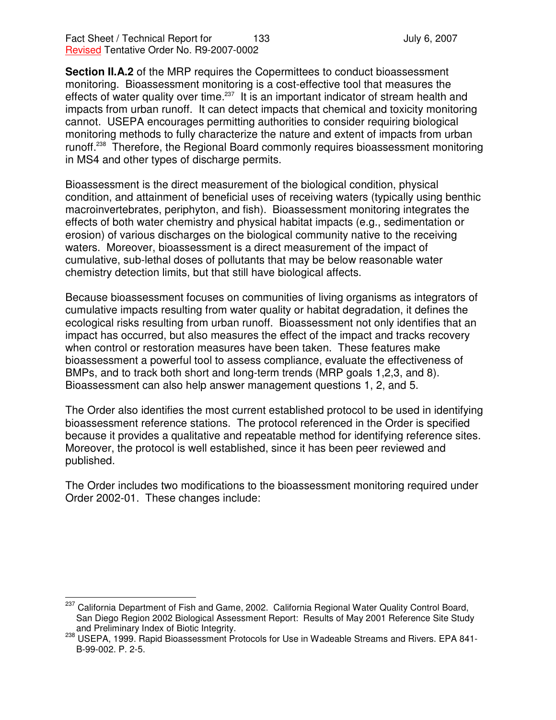Fact Sheet / Technical Report for 133 and 133 July 6, 2007 Revised Tentative Order No. R9-2007-0002

**Section II.A.2** of the MRP requires the Copermittees to conduct bioassessment monitoring. Bioassessment monitoring is a cost-effective tool that measures the effects of water quality over time.<sup>237</sup> It is an important indicator of stream health and impacts from urban runoff. It can detect impacts that chemical and toxicity monitoring cannot. USEPA encourages permitting authorities to consider requiring biological monitoring methods to fully characterize the nature and extent of impacts from urban runoff.<sup>238</sup> Therefore, the Regional Board commonly requires bioassessment monitoring in MS4 and other types of discharge permits.

Bioassessment is the direct measurement of the biological condition, physical condition, and attainment of beneficial uses of receiving waters (typically using benthic macroinvertebrates, periphyton, and fish). Bioassessment monitoring integrates the effects of both water chemistry and physical habitat impacts (e.g., sedimentation or erosion) of various discharges on the biological community native to the receiving waters. Moreover, bioassessment is a direct measurement of the impact of cumulative, sub-lethal doses of pollutants that may be below reasonable water chemistry detection limits, but that still have biological affects.

Because bioassessment focuses on communities of living organisms as integrators of cumulative impacts resulting from water quality or habitat degradation, it defines the ecological risks resulting from urban runoff. Bioassessment not only identifies that an impact has occurred, but also measures the effect of the impact and tracks recovery when control or restoration measures have been taken. These features make bioassessment a powerful tool to assess compliance, evaluate the effectiveness of BMPs, and to track both short and long-term trends (MRP goals 1,2,3, and 8). Bioassessment can also help answer management questions 1, 2, and 5.

The Order also identifies the most current established protocol to be used in identifying bioassessment reference stations. The protocol referenced in the Order is specified because it provides a qualitative and repeatable method for identifying reference sites. Moreover, the protocol is well established, since it has been peer reviewed and published.

The Order includes two modifications to the bioassessment monitoring required under Order 2002-01. These changes include:

<sup>&</sup>lt;sup>237</sup> California Department of Fish and Game, 2002. California Regional Water Quality Control Board, San Diego Region 2002 Biological Assessment Report: Results of May 2001 Reference Site Study and Preliminary Index of Biotic Integrity.

<sup>238</sup> USEPA, 1999. Rapid Bioassessment Protocols for Use in Wadeable Streams and Rivers. EPA 841-B-99-002. P. 2-5.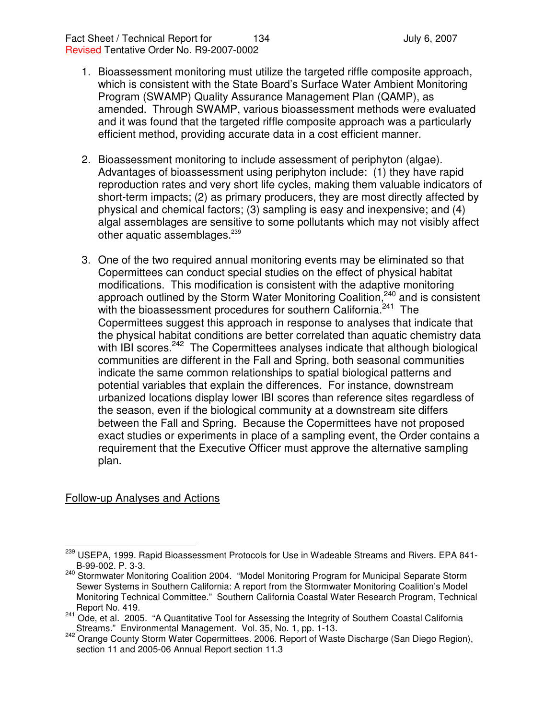- 1. Bioassessment monitoring must utilize the targeted riffle composite approach, which is consistent with the State Board's Surface Water Ambient Monitoring Program (SWAMP) Quality Assurance Management Plan (QAMP), as amended. Through SWAMP, various bioassessment methods were evaluated and it was found that the targeted riffle composite approach was a particularly efficient method, providing accurate data in a cost efficient manner.
- 2. Bioassessment monitoring to include assessment of periphyton (algae). Advantages of bioassessment using periphyton include: (1) they have rapid reproduction rates and very short life cycles, making them valuable indicators of short-term impacts; (2) as primary producers, they are most directly affected by physical and chemical factors; (3) sampling is easy and inexpensive; and (4) algal assemblages are sensitive to some pollutants which may not visibly affect other aquatic assemblages.<sup>239</sup>
- 3. One of the two required annual monitoring events may be eliminated so that Copermittees can conduct special studies on the effect of physical habitat modifications. This modification is consistent with the adaptive monitoring approach outlined by the Storm Water Monitoring Coalition,<sup>240</sup> and is consistent with the bioassessment procedures for southern California.<sup>241</sup> The Copermittees suggest this approach in response to analyses that indicate that the physical habitat conditions are better correlated than aquatic chemistry data with IBI scores.<sup>242</sup> The Copermittees analyses indicate that although biological communities are different in the Fall and Spring, both seasonal communities indicate the same common relationships to spatial biological patterns and potential variables that explain the differences. For instance, downstream urbanized locations display lower IBI scores than reference sites regardless of the season, even if the biological community at a downstream site differs between the Fall and Spring. Because the Copermittees have not proposed exact studies or experiments in place of a sampling event, the Order contains a requirement that the Executive Officer must approve the alternative sampling plan.

## Follow-up Analyses and Actions

<sup>&</sup>lt;sup>239</sup> USEPA, 1999. Rapid Bioassessment Protocols for Use in Wadeable Streams and Rivers. EPA 841-B-99-002. P. 3-3.

<sup>&</sup>lt;sup>240</sup> Stormwater Monitoring Coalition 2004. "Model Monitoring Program for Municipal Separate Storm Sewer Systems in Southern California: A report from the Stormwater Monitoring Coalition's Model Monitoring Technical Committee." Southern California Coastal Water Research Program, Technical Report No. 419.

<sup>241</sup> Ode, et al. 2005. "A Quantitative Tool for Assessing the Integrity of Southern Coastal California Streams." Environmental Management. Vol. 35, No. 1, pp. 1-13.

<sup>242</sup> Orange County Storm Water Copermittees. 2006. Report of Waste Discharge (San Diego Region), section 11 and 2005-06 Annual Report section 11.3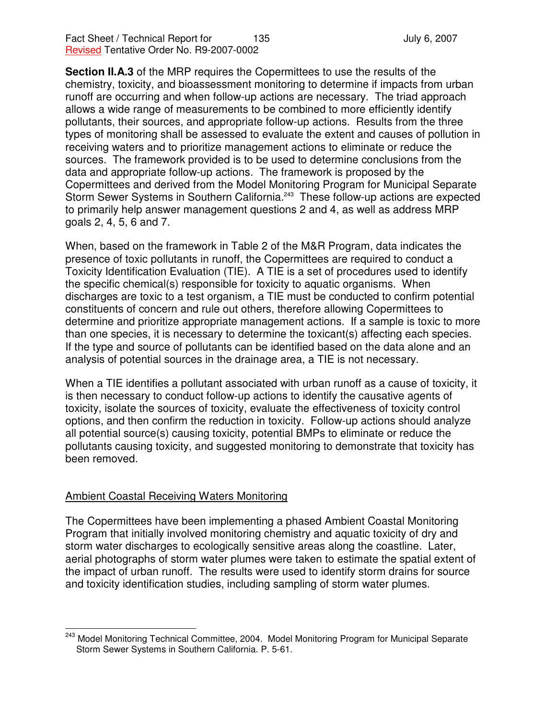**Section II.A.3** of the MRP requires the Copermittees to use the results of the chemistry, toxicity, and bioassessment monitoring to determine if impacts from urban runoff are occurring and when follow-up actions are necessary. The triad approach allows a wide range of measurements to be combined to more efficiently identify pollutants, their sources, and appropriate follow-up actions. Results from the three types of monitoring shall be assessed to evaluate the extent and causes of pollution in receiving waters and to prioritize management actions to eliminate or reduce the sources. The framework provided is to be used to determine conclusions from the data and appropriate follow-up actions. The framework is proposed by the Copermittees and derived from the Model Monitoring Program for Municipal Separate Storm Sewer Systems in Southern California.<sup>243</sup> These follow-up actions are expected to primarily help answer management questions 2 and 4, as well as address MRP goals 2, 4, 5, 6 and 7.

When, based on the framework in Table 2 of the M&R Program, data indicates the presence of toxic pollutants in runoff, the Copermittees are required to conduct a Toxicity Identification Evaluation (TIE). A TIE is a set of procedures used to identify the specific chemical(s) responsible for toxicity to aquatic organisms. When discharges are toxic to a test organism, a TIE must be conducted to confirm potential constituents of concern and rule out others, therefore allowing Copermittees to determine and prioritize appropriate management actions. If a sample is toxic to more than one species, it is necessary to determine the toxicant(s) affecting each species. If the type and source of pollutants can be identified based on the data alone and an analysis of potential sources in the drainage area, a TIE is not necessary.

When a TIE identifies a pollutant associated with urban runoff as a cause of toxicity, it is then necessary to conduct follow-up actions to identify the causative agents of toxicity, isolate the sources of toxicity, evaluate the effectiveness of toxicity control options, and then confirm the reduction in toxicity. Follow-up actions should analyze all potential source(s) causing toxicity, potential BMPs to eliminate or reduce the pollutants causing toxicity, and suggested monitoring to demonstrate that toxicity has been removed.

### Ambient Coastal Receiving Waters Monitoring

The Copermittees have been implementing a phased Ambient Coastal Monitoring Program that initially involved monitoring chemistry and aquatic toxicity of dry and storm water discharges to ecologically sensitive areas along the coastline. Later, aerial photographs of storm water plumes were taken to estimate the spatial extent of the impact of urban runoff. The results were used to identify storm drains for source and toxicity identification studies, including sampling of storm water plumes.

<sup>&</sup>lt;sup>243</sup> Model Monitoring Technical Committee, 2004. Model Monitoring Program for Municipal Separate Storm Sewer Systems in Southern California. P. 5-61.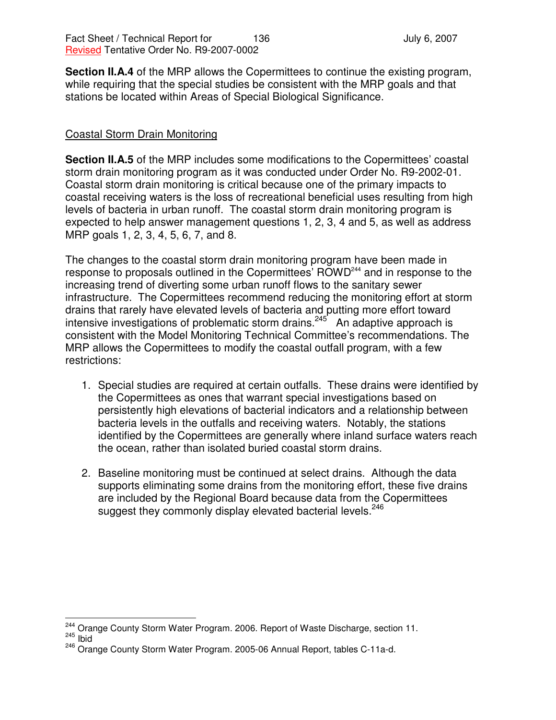**Section II.A.4** of the MRP allows the Copermittees to continue the existing program, while requiring that the special studies be consistent with the MRP goals and that stations be located within Areas of Special Biological Significance.

### Coastal Storm Drain Monitoring

**Section II.A.5** of the MRP includes some modifications to the Copermittees' coastal storm drain monitoring program as it was conducted under Order No. R9-2002-01. Coastal storm drain monitoring is critical because one of the primary impacts to coastal receiving waters is the loss of recreational beneficial uses resulting from high levels of bacteria in urban runoff. The coastal storm drain monitoring program is expected to help answer management questions 1, 2, 3, 4 and 5, as well as address MRP goals 1, 2, 3, 4, 5, 6, 7, and 8.

The changes to the coastal storm drain monitoring program have been made in response to proposals outlined in the Copermittees' ROWD<sup>244</sup> and in response to the increasing trend of diverting some urban runoff flows to the sanitary sewer infrastructure. The Copermittees recommend reducing the monitoring effort at storm drains that rarely have elevated levels of bacteria and putting more effort toward intensive investigations of problematic storm drains.<sup>245</sup> An adaptive approach is consistent with the Model Monitoring Technical Committee's recommendations. The MRP allows the Copermittees to modify the coastal outfall program, with a few restrictions:

- 1. Special studies are required at certain outfalls. These drains were identified by the Copermittees as ones that warrant special investigations based on persistently high elevations of bacterial indicators and a relationship between bacteria levels in the outfalls and receiving waters. Notably, the stations identified by the Copermittees are generally where inland surface waters reach the ocean, rather than isolated buried coastal storm drains.
- 2. Baseline monitoring must be continued at select drains. Although the data supports eliminating some drains from the monitoring effort, these five drains are included by the Regional Board because data from the Copermittees suggest they commonly display elevated bacterial levels.<sup>246</sup>

<sup>&</sup>lt;sup>244</sup> Orange County Storm Water Program. 2006. Report of Waste Discharge, section 11.

 $\frac{245}{12}$  Ibid

<sup>246</sup> Orange County Storm Water Program. 2005-06 Annual Report, tables C-11a-d.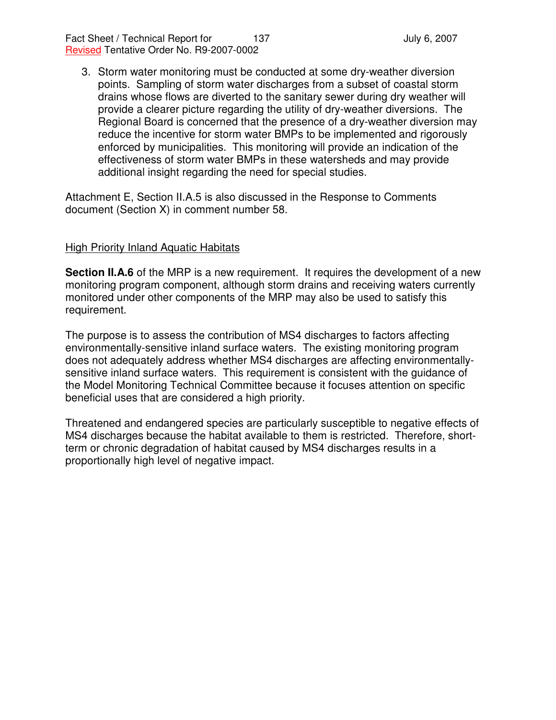Fact Sheet / Technical Report for 137 137 July 6, 2007 Revised Tentative Order No. R9-2007-0002

3. Storm water monitoring must be conducted at some dry-weather diversion points. Sampling of storm water discharges from a subset of coastal storm drains whose flows are diverted to the sanitary sewer during dry weather will provide a clearer picture regarding the utility of dry-weather diversions. The Regional Board is concerned that the presence of a dry-weather diversion may reduce the incentive for storm water BMPs to be implemented and rigorously enforced by municipalities. This monitoring will provide an indication of the effectiveness of storm water BMPs in these watersheds and may provide additional insight regarding the need for special studies.

Attachment E, Section II.A.5 is also discussed in the Response to Comments document (Section X) in comment number 58.

### High Priority Inland Aquatic Habitats

**Section II.A.6** of the MRP is a new requirement. It requires the development of a new monitoring program component, although storm drains and receiving waters currently monitored under other components of the MRP may also be used to satisfy this requirement.

The purpose is to assess the contribution of MS4 discharges to factors affecting environmentally-sensitive inland surface waters. The existing monitoring program does not adequately address whether MS4 discharges are affecting environmentallysensitive inland surface waters. This requirement is consistent with the guidance of the Model Monitoring Technical Committee because it focuses attention on specific beneficial uses that are considered a high priority.

Threatened and endangered species are particularly susceptible to negative effects of MS4 discharges because the habitat available to them is restricted. Therefore, shortterm or chronic degradation of habitat caused by MS4 discharges results in a proportionally high level of negative impact.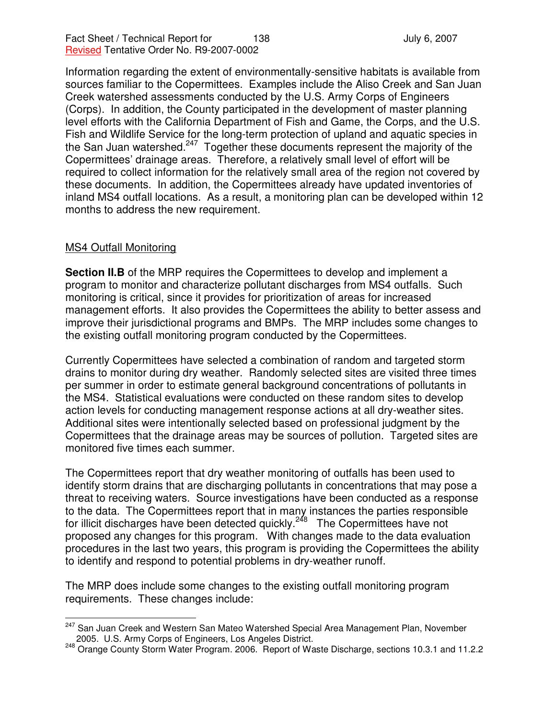Information regarding the extent of environmentally-sensitive habitats is available from sources familiar to the Copermittees. Examples include the Aliso Creek and San Juan Creek watershed assessments conducted by the U.S. Army Corps of Engineers (Corps). In addition, the County participated in the development of master planning level efforts with the California Department of Fish and Game, the Corps, and the U.S. Fish and Wildlife Service for the long-term protection of upland and aquatic species in the San Juan watershed.<sup>247</sup> Together these documents represent the majority of the Copermittees' drainage areas. Therefore, a relatively small level of effort will be required to collect information for the relatively small area of the region not covered by these documents. In addition, the Copermittees already have updated inventories of inland MS4 outfall locations. As a result, a monitoring plan can be developed within 12 months to address the new requirement.

### MS4 Outfall Monitoring

**Section II.B** of the MRP requires the Copermittees to develop and implement a program to monitor and characterize pollutant discharges from MS4 outfalls. Such monitoring is critical, since it provides for prioritization of areas for increased management efforts. It also provides the Copermittees the ability to better assess and improve their jurisdictional programs and BMPs. The MRP includes some changes to the existing outfall monitoring program conducted by the Copermittees.

Currently Copermittees have selected a combination of random and targeted storm drains to monitor during dry weather. Randomly selected sites are visited three times per summer in order to estimate general background concentrations of pollutants in the MS4. Statistical evaluations were conducted on these random sites to develop action levels for conducting management response actions at all dry-weather sites. Additional sites were intentionally selected based on professional judgment by the Copermittees that the drainage areas may be sources of pollution. Targeted sites are monitored five times each summer.

The Copermittees report that dry weather monitoring of outfalls has been used to identify storm drains that are discharging pollutants in concentrations that may pose a threat to receiving waters. Source investigations have been conducted as a response to the data. The Copermittees report that in many instances the parties responsible for illicit discharges have been detected quickly.<sup>248</sup> The Copermittees have not proposed any changes for this program. With changes made to the data evaluation procedures in the last two years, this program is providing the Copermittees the ability to identify and respond to potential problems in dry-weather runoff.

The MRP does include some changes to the existing outfall monitoring program requirements. These changes include:

<sup>&</sup>lt;sup>247</sup> San Juan Creek and Western San Mateo Watershed Special Area Management Plan, November 2005. U.S. Army Corps of Engineers, Los Angeles District.

<sup>248</sup> Orange County Storm Water Program. 2006. Report of Waste Discharge, sections 10.3.1 and 11.2.2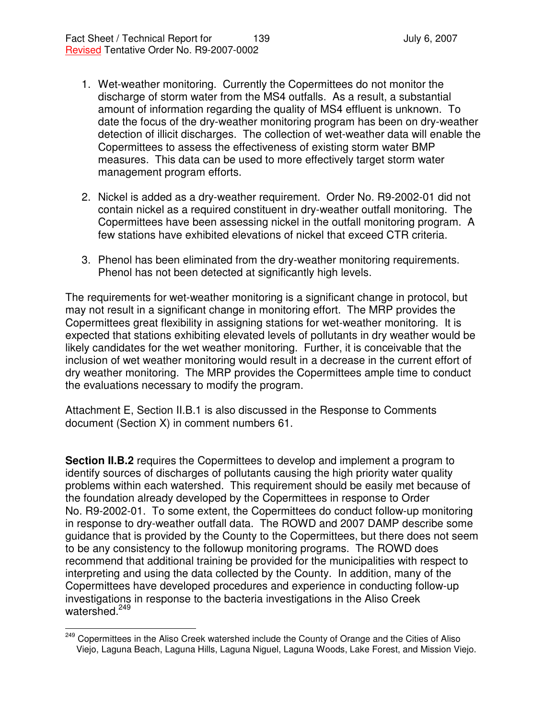- 1. Wet-weather monitoring. Currently the Copermittees do not monitor the discharge of storm water from the MS4 outfalls. As a result, a substantial amount of information regarding the quality of MS4 effluent is unknown. To date the focus of the dry-weather monitoring program has been on dry-weather detection of illicit discharges. The collection of wet-weather data will enable the Copermittees to assess the effectiveness of existing storm water BMP measures. This data can be used to more effectively target storm water management program efforts.
- 2. Nickel is added as a dry-weather requirement. Order No. R9-2002-01 did not contain nickel as a required constituent in dry-weather outfall monitoring. The Copermittees have been assessing nickel in the outfall monitoring program. A few stations have exhibited elevations of nickel that exceed CTR criteria.
- 3. Phenol has been eliminated from the dry-weather monitoring requirements. Phenol has not been detected at significantly high levels.

The requirements for wet-weather monitoring is a significant change in protocol, but may not result in a significant change in monitoring effort. The MRP provides the Copermittees great flexibility in assigning stations for wet-weather monitoring. It is expected that stations exhibiting elevated levels of pollutants in dry weather would be likely candidates for the wet weather monitoring. Further, it is conceivable that the inclusion of wet weather monitoring would result in a decrease in the current effort of dry weather monitoring. The MRP provides the Copermittees ample time to conduct the evaluations necessary to modify the program.

Attachment E, Section II.B.1 is also discussed in the Response to Comments document (Section X) in comment numbers 61.

**Section II.B.2** requires the Copermittees to develop and implement a program to identify sources of discharges of pollutants causing the high priority water quality problems within each watershed. This requirement should be easily met because of the foundation already developed by the Copermittees in response to Order No. R9-2002-01. To some extent, the Copermittees do conduct follow-up monitoring in response to dry-weather outfall data. The ROWD and 2007 DAMP describe some guidance that is provided by the County to the Copermittees, but there does not seem to be any consistency to the followup monitoring programs. The ROWD does recommend that additional training be provided for the municipalities with respect to interpreting and using the data collected by the County. In addition, many of the Copermittees have developed procedures and experience in conducting follow-up investigations in response to the bacteria investigations in the Aliso Creek watershed.<sup>249</sup>

<sup>&</sup>lt;sup>249</sup> Copermittees in the Aliso Creek watershed include the County of Orange and the Cities of Aliso Viejo, Laguna Beach, Laguna Hills, Laguna Niguel, Laguna Woods, Lake Forest, and Mission Viejo.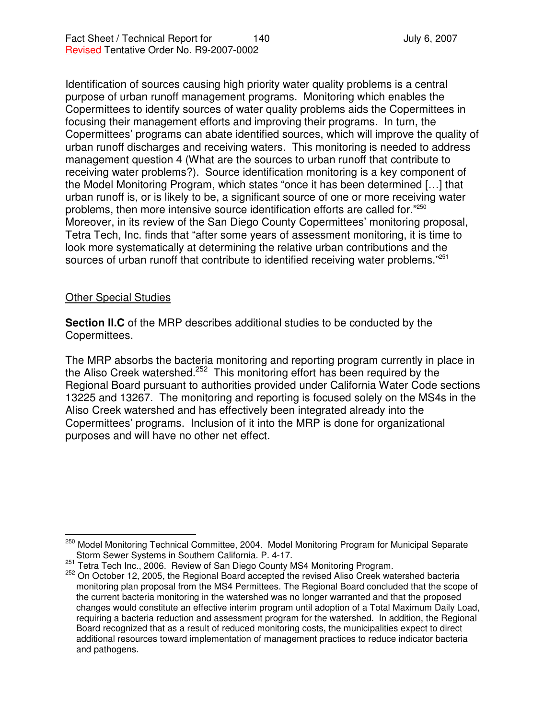Identification of sources causing high priority water quality problems is a central purpose of urban runoff management programs. Monitoring which enables the Copermittees to identify sources of water quality problems aids the Copermittees in focusing their management efforts and improving their programs. In turn, the Copermittees' programs can abate identified sources, which will improve the quality of urban runoff discharges and receiving waters. This monitoring is needed to address management question 4 (What are the sources to urban runoff that contribute to receiving water problems?). Source identification monitoring is a key component of the Model Monitoring Program, which states "once it has been determined […] that urban runoff is, or is likely to be, a significant source of one or more receiving water problems, then more intensive source identification efforts are called for."<sup>250</sup> Moreover, in its review of the San Diego County Copermittees' monitoring proposal, Tetra Tech, Inc. finds that "after some years of assessment monitoring, it is time to look more systematically at determining the relative urban contributions and the sources of urban runoff that contribute to identified receiving water problems."<sup>251</sup>

### Other Special Studies

**Section II.C** of the MRP describes additional studies to be conducted by the Copermittees.

The MRP absorbs the bacteria monitoring and reporting program currently in place in the Aliso Creek watershed.<sup>252</sup> This monitoring effort has been required by the Regional Board pursuant to authorities provided under California Water Code sections 13225 and 13267. The monitoring and reporting is focused solely on the MS4s in the Aliso Creek watershed and has effectively been integrated already into the Copermittees' programs. Inclusion of it into the MRP is done for organizational purposes and will have no other net effect.

<sup>&</sup>lt;sup>250</sup> Model Monitoring Technical Committee, 2004. Model Monitoring Program for Municipal Separate Storm Sewer Systems in Southern California. P. 4-17.

<sup>&</sup>lt;sup>251</sup> Tetra Tech Inc., 2006. Review of San Diego County MS4 Monitoring Program.

<sup>&</sup>lt;sup>252</sup> On October 12, 2005, the Regional Board accepted the revised Aliso Creek watershed bacteria monitoring plan proposal from the MS4 Permittees. The Regional Board concluded that the scope of the current bacteria monitoring in the watershed was no longer warranted and that the proposed changes would constitute an effective interim program until adoption of a Total Maximum Daily Load, requiring a bacteria reduction and assessment program for the watershed. In addition, the Regional Board recognized that as a result of reduced monitoring costs, the municipalities expect to direct additional resources toward implementation of management practices to reduce indicator bacteria and pathogens.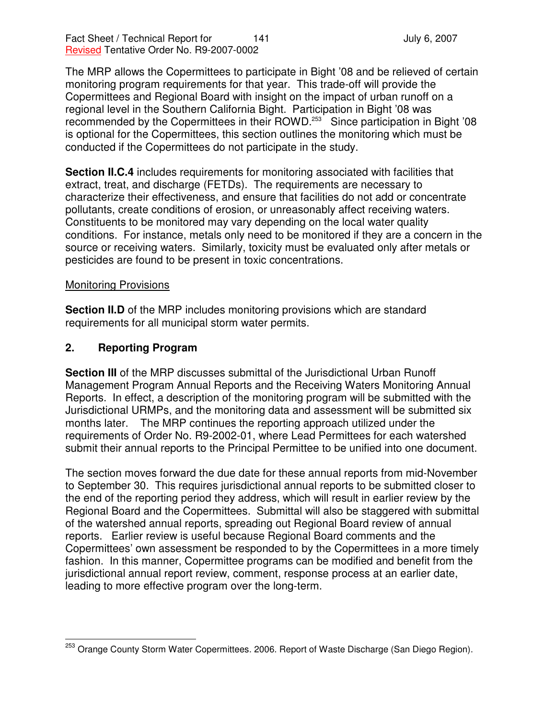Fact Sheet / Technical Report for 141 and 141 July 6, 2007 Revised Tentative Order No. R9-2007-0002

The MRP allows the Copermittees to participate in Bight '08 and be relieved of certain monitoring program requirements for that year. This trade-off will provide the Copermittees and Regional Board with insight on the impact of urban runoff on a regional level in the Southern California Bight. Participation in Bight '08 was recommended by the Copermittees in their ROWD.<sup>253</sup> Since participation in Bight '08 is optional for the Copermittees, this section outlines the monitoring which must be conducted if the Copermittees do not participate in the study.

**Section II.C.4** includes requirements for monitoring associated with facilities that extract, treat, and discharge (FETDs). The requirements are necessary to characterize their effectiveness, and ensure that facilities do not add or concentrate pollutants, create conditions of erosion, or unreasonably affect receiving waters. Constituents to be monitored may vary depending on the local water quality conditions. For instance, metals only need to be monitored if they are a concern in the source or receiving waters. Similarly, toxicity must be evaluated only after metals or pesticides are found to be present in toxic concentrations.

### Monitoring Provisions

**Section II.D** of the MRP includes monitoring provisions which are standard requirements for all municipal storm water permits.

## **2. Reporting Program**

**Section III** of the MRP discusses submittal of the Jurisdictional Urban Runoff Management Program Annual Reports and the Receiving Waters Monitoring Annual Reports. In effect, a description of the monitoring program will be submitted with the Jurisdictional URMPs, and the monitoring data and assessment will be submitted six months later. The MRP continues the reporting approach utilized under the requirements of Order No. R9-2002-01, where Lead Permittees for each watershed submit their annual reports to the Principal Permittee to be unified into one document.

The section moves forward the due date for these annual reports from mid-November to September 30. This requires jurisdictional annual reports to be submitted closer to the end of the reporting period they address, which will result in earlier review by the Regional Board and the Copermittees. Submittal will also be staggered with submittal of the watershed annual reports, spreading out Regional Board review of annual reports. Earlier review is useful because Regional Board comments and the Copermittees' own assessment be responded to by the Copermittees in a more timely fashion. In this manner, Copermittee programs can be modified and benefit from the jurisdictional annual report review, comment, response process at an earlier date, leading to more effective program over the long-term.

<sup>&</sup>lt;sup>253</sup> Orange County Storm Water Copermittees. 2006. Report of Waste Discharge (San Diego Region).